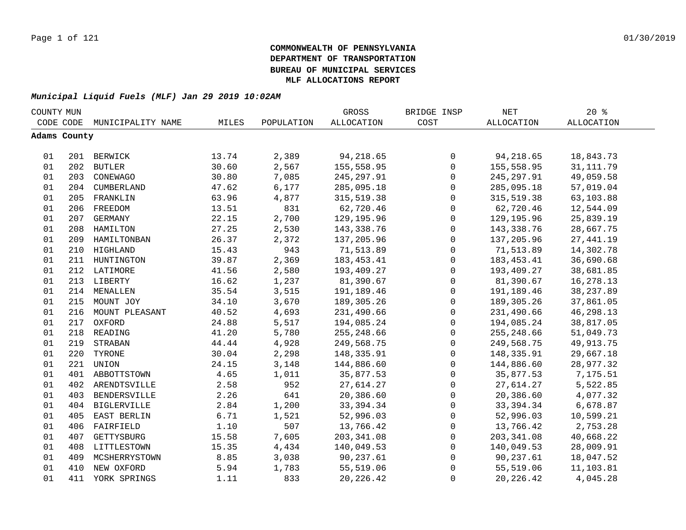| COUNTY MUN |              |                    |       |            | GROSS             | BRIDGE INSP         | NET               | $20*$             |  |
|------------|--------------|--------------------|-------|------------|-------------------|---------------------|-------------------|-------------------|--|
|            | CODE CODE    | MUNICIPALITY NAME  | MILES | POPULATION | <b>ALLOCATION</b> | COST                | <b>ALLOCATION</b> | <b>ALLOCATION</b> |  |
|            | Adams County |                    |       |            |                   |                     |                   |                   |  |
|            |              |                    |       |            |                   |                     |                   |                   |  |
| 01         |              | 201 BERWICK        | 13.74 | 2,389      | 94,218.65         | 0                   | 94,218.65         | 18,843.73         |  |
| 01         |              | 202 BUTLER         | 30.60 | 2,567      | 155,558.95        | $\mathsf{O}\xspace$ | 155,558.95        | 31, 111.79        |  |
| 01         |              | 203 CONEWAGO       | 30.80 | 7,085      | 245, 297.91       | $\mathsf{O}\xspace$ | 245, 297.91       | 49,059.58         |  |
| 01         |              | 204 CUMBERLAND     | 47.62 | 6,177      | 285,095.18        | $\mathsf{O}\xspace$ | 285,095.18        | 57,019.04         |  |
| 01         |              | 205 FRANKLIN       | 63.96 | 4,877      | 315,519.38        | $\mathbf 0$         | 315, 519.38       | 63,103.88         |  |
| 01         | 206          | FREEDOM            | 13.51 | 831        | 62,720.46         | $\mathbf 0$         | 62,720.46         | 12,544.09         |  |
| 01         | 207          | GERMANY            | 22.15 | 2,700      | 129,195.96        | $\mathbf 0$         | 129,195.96        | 25,839.19         |  |
| 01         | 208          | HAMILTON           | 27.25 | 2,530      | 143,338.76        | $\mathbf 0$         | 143,338.76        | 28,667.75         |  |
| 01         | 209          | HAMILTONBAN        | 26.37 | 2,372      | 137,205.96        | $\mathsf{O}$        | 137,205.96        | 27, 441.19        |  |
| 01         | 210          | HIGHLAND           | 15.43 | 943        | 71,513.89         | $\mathsf{O}$        | 71,513.89         | 14,302.78         |  |
| 01         |              | 211 HUNTINGTON     | 39.87 | 2,369      | 183, 453. 41      | $\mathsf{O}$        | 183,453.41        | 36,690.68         |  |
| 01         |              | 212 LATIMORE       | 41.56 | 2,580      | 193,409.27        | $\mathbf 0$         | 193,409.27        | 38,681.85         |  |
| 01         |              | 213 LIBERTY        | 16.62 | 1,237      | 81,390.67         | $\mathsf{O}$        | 81,390.67         | 16,278.13         |  |
| 01         | 214          | MENALLEN           | 35.54 | 3,515      | 191,189.46        | $\mathsf 0$         | 191,189.46        | 38, 237.89        |  |
| 01         |              | 215 MOUNT JOY      | 34.10 | 3,670      | 189,305.26        | $\mathbf 0$         | 189,305.26        | 37,861.05         |  |
| 01         |              | 216 MOUNT PLEASANT | 40.52 | 4,693      | 231,490.66        | 0                   | 231,490.66        | 46,298.13         |  |
| 01         |              | 217 OXFORD         | 24.88 | 5,517      | 194,085.24        | 0                   | 194,085.24        | 38,817.05         |  |
| 01         |              | 218 READING        | 41.20 | 5,780      | 255,248.66        | 0                   | 255, 248.66       | 51,049.73         |  |
| 01         | 219          | STRABAN            | 44.44 | 4,928      | 249,568.75        | $\mathsf{O}\xspace$ | 249,568.75        | 49, 913. 75       |  |
| 01         | 220          | TYRONE             | 30.04 | 2,298      | 148,335.91        | 0                   | 148,335.91        | 29,667.18         |  |
| 01         |              | 221 UNION          | 24.15 | 3,148      | 144,886.60        | $\mathsf{O}$        | 144,886.60        | 28,977.32         |  |
| 01         |              | 401 ABBOTTSTOWN    | 4.65  | 1,011      | 35,877.53         | $\mathbf 0$         | 35,877.53         | 7,175.51          |  |
| 01         | 402          | ARENDTSVILLE       | 2.58  | 952        | 27,614.27         | $\mathsf{O}$        | 27,614.27         | 5,522.85          |  |
| 01         | 403          | BENDERSVILLE       | 2.26  | 641        | 20,386.60         | $\mathsf{O}$        | 20,386.60         | 4,077.32          |  |
| 01         | 404          | <b>BIGLERVILLE</b> | 2.84  | 1,200      | 33, 394. 34       | $\mathbf 0$         | 33,394.34         | 6,678.87          |  |
| 01         | 405          | EAST BERLIN        | 6.71  | 1,521      | 52,996.03         | $\mathsf{O}$        | 52,996.03         | 10,599.21         |  |
| 01         | 406          | FAIRFIELD          | 1.10  | 507        | 13,766.42         | 0                   | 13,766.42         | 2,753.28          |  |
| 01         | 407          | GETTYSBURG         | 15.58 | 7,605      | 203, 341.08       | $\mathsf{O}$        | 203, 341.08       | 40,668.22         |  |
| 01         | 408          | LITTLESTOWN        | 15.35 | 4,434      | 140,049.53        | $\mathsf{O}$        | 140,049.53        | 28,009.91         |  |
| 01         | 409          | MCSHERRYSTOWN      | 8.85  | 3,038      | 90,237.61         | 0                   | 90,237.61         | 18,047.52         |  |
| 01         | 410          | NEW OXFORD         | 5.94  | 1,783      | 55,519.06         | 0                   | 55,519.06         | 11,103.81         |  |
| 01         | 411          | YORK SPRINGS       | 1.11  | 833        | 20, 226.42        | $\mathsf 0$         | 20, 226.42        | 4,045.28          |  |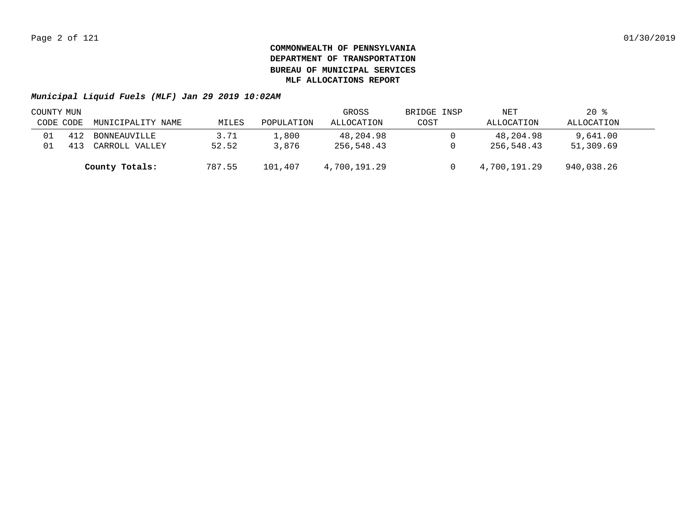| COUNTY MUN |     |                   |        |            | GROSS        | BRIDGE INSP | NET          | $20*$      |  |
|------------|-----|-------------------|--------|------------|--------------|-------------|--------------|------------|--|
| CODE CODE  |     | MUNICIPALITY NAME | MILES  | POPULATION | ALLOCATION   | COST        | ALLOCATION   | ALLOCATION |  |
| 01         | 412 | BONNEAUVILLE      | 3.71   | 1,800      | 48,204.98    |             | 48,204.98    | 9,641.00   |  |
| 01         |     | CARROLL VALLEY    | 52.52  | 3,876      | 256,548.43   |             | 256,548.43   | 51,309.69  |  |
|            |     | County Totals:    | 787.55 | 101,407    | 4,700,191.29 |             | 4,700,191.29 | 940,038.26 |  |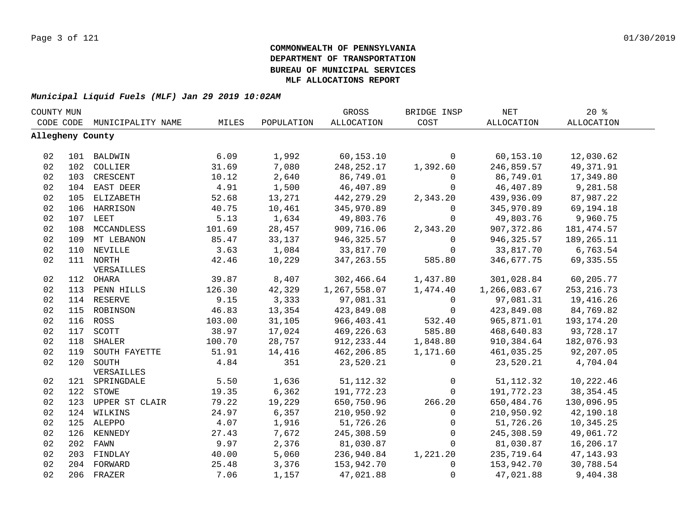| COUNTY MUN |                  |                   |        |            | GROSS        | BRIDGE INSP  | <b>NET</b>   | 20%               |  |
|------------|------------------|-------------------|--------|------------|--------------|--------------|--------------|-------------------|--|
|            | CODE CODE        | MUNICIPALITY NAME | MILES  | POPULATION | ALLOCATION   | COST         | ALLOCATION   | <b>ALLOCATION</b> |  |
|            | Allegheny County |                   |        |            |              |              |              |                   |  |
|            |                  |                   |        |            |              |              |              |                   |  |
| 02         |                  | 101 BALDWIN       | 6.09   | 1,992      | 60,153.10    | $\mathbf 0$  | 60, 153.10   | 12,030.62         |  |
| 02         |                  | 102 COLLIER       | 31.69  | 7,080      | 248, 252. 17 | 1,392.60     | 246,859.57   | 49,371.91         |  |
| 02         | 103              | CRESCENT          | 10.12  | 2,640      | 86,749.01    | $\mathbf 0$  | 86,749.01    | 17,349.80         |  |
| 02         | 104              | EAST DEER         | 4.91   | 1,500      | 46,407.89    | $\mathbf 0$  | 46,407.89    | 9,281.58          |  |
| 02         | 105              | ELIZABETH         | 52.68  | 13,271     | 442,279.29   | 2,343.20     | 439,936.09   | 87,987.22         |  |
| 02         | 106              | HARRISON          | 40.75  | 10,461     | 345,970.89   | $\mathbf 0$  | 345,970.89   | 69,194.18         |  |
| 02         | 107              | LEET              | 5.13   | 1,634      | 49,803.76    | $\Omega$     | 49,803.76    | 9,960.75          |  |
| 02         | 108              | MCCANDLESS        | 101.69 | 28,457     | 909,716.06   | 2,343.20     | 907,372.86   | 181, 474.57       |  |
| 02         | 109              | MT LEBANON        | 85.47  | 33,137     | 946, 325.57  | $\mathbf 0$  | 946,325.57   | 189,265.11        |  |
| 02         | 110              | NEVILLE           | 3.63   | 1,084      | 33,817.70    | $\Omega$     | 33,817.70    | 6,763.54          |  |
| 02         | 111              | NORTH             | 42.46  | 10,229     | 347, 263.55  | 585.80       | 346,677.75   | 69, 335.55        |  |
|            |                  | VERSAILLES        |        |            |              |              |              |                   |  |
| 02         | 112              | OHARA             | 39.87  | 8,407      | 302,466.64   | 1,437.80     | 301,028.84   | 60,205.77         |  |
| 02         | 113              | PENN HILLS        | 126.30 | 42,329     | 1,267,558.07 | 1,474.40     | 1,266,083.67 | 253, 216.73       |  |
| 02         | 114              | RESERVE           | 9.15   | 3,333      | 97,081.31    | $\mathbf 0$  | 97,081.31    | 19,416.26         |  |
| 02         | 115              | ROBINSON          | 46.83  | 13,354     | 423,849.08   | $\Omega$     | 423,849.08   | 84,769.82         |  |
| 02         |                  | 116 ROSS          | 103.00 | 31,105     | 966,403.41   | 532.40       | 965,871.01   | 193,174.20        |  |
| 02         | 117              | SCOTT             | 38.97  | 17,024     | 469,226.63   | 585.80       | 468,640.83   | 93,728.17         |  |
| 02         | 118              | SHALER            | 100.70 | 28,757     | 912, 233.44  | 1,848.80     | 910,384.64   | 182,076.93        |  |
| 02         | 119              | SOUTH FAYETTE     | 51.91  | 14,416     | 462,206.85   | 1,171.60     | 461,035.25   | 92,207.05         |  |
| 02         | 120              | SOUTH             | 4.84   | 351        | 23,520.21    | $\Omega$     | 23,520.21    | 4,704.04          |  |
|            |                  | VERSAILLES        |        |            |              |              |              |                   |  |
| 02         |                  | 121 SPRINGDALE    | 5.50   | 1,636      | 51, 112.32   | $\mathbf{0}$ | 51, 112.32   | 10,222.46         |  |
| 02         |                  | 122 STOWE         | 19.35  | 6,362      | 191,772.23   | $\mathbf{0}$ | 191,772.23   | 38, 354.45        |  |
| 02         | 123              | UPPER ST CLAIR    | 79.22  | 19,229     | 650,750.96   | 266.20       | 650,484.76   | 130,096.95        |  |
| 02         |                  | 124 WILKINS       | 24.97  | 6,357      | 210,950.92   | $\Omega$     | 210,950.92   | 42,190.18         |  |
| 02         |                  | 125 ALEPPO        | 4.07   | 1,916      | 51,726.26    | $\mathbf{0}$ | 51,726.26    | 10,345.25         |  |
| 02         | 126              | KENNEDY           | 27.43  | 7,672      | 245,308.59   | $\Omega$     | 245,308.59   | 49,061.72         |  |
| 02         | 202              | FAWN              | 9.97   | 2,376      | 81,030.87    | $\Omega$     | 81,030.87    | 16,206.17         |  |
| 02         | 203              | FINDLAY           | 40.00  | 5,060      | 236,940.84   | 1,221.20     | 235,719.64   | 47, 143.93        |  |
| 02         |                  | 204 FORWARD       | 25.48  | 3,376      | 153,942.70   | $\Omega$     | 153,942.70   | 30,788.54         |  |
| 02         |                  | 206 FRAZER        | 7.06   | 1,157      | 47,021.88    | $\mathbf 0$  | 47,021.88    | 9,404.38          |  |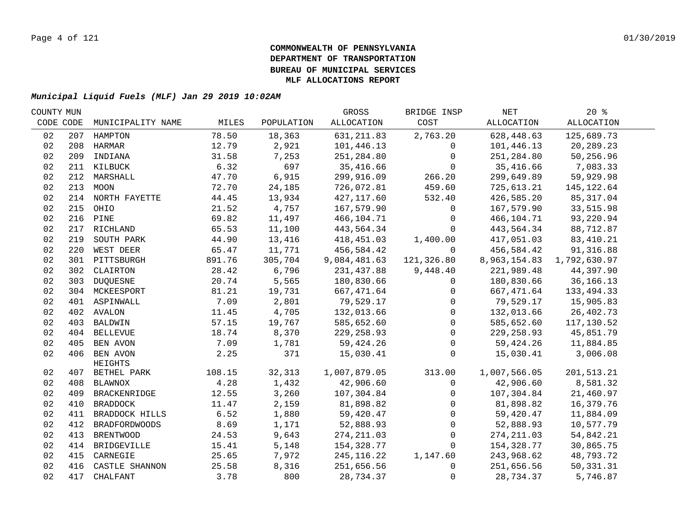| COUNTY MUN |     |                         |        |            | GROSS        | BRIDGE INSP  | NET          | $20*$        |  |
|------------|-----|-------------------------|--------|------------|--------------|--------------|--------------|--------------|--|
| CODE CODE  |     | MUNICIPALITY NAME       | MILES  | POPULATION | ALLOCATION   | COST         | ALLOCATION   | ALLOCATION   |  |
| 02         |     | 207 HAMPTON             | 78.50  | 18,363     | 631, 211.83  | 2,763.20     | 628,448.63   | 125,689.73   |  |
| 02         |     | 208 HARMAR              | 12.79  | 2,921      | 101,446.13   | $\Omega$     | 101,446.13   | 20,289.23    |  |
| 02         |     | 209 INDIANA             | 31.58  | 7,253      | 251,284.80   | $\mathbf{0}$ | 251,284.80   | 50,256.96    |  |
| 02         |     | 211 KILBUCK             | 6.32   | 697        | 35,416.66    | $\Omega$     | 35,416.66    | 7,083.33     |  |
| 02         |     | 212 MARSHALL            | 47.70  | 6,915      | 299,916.09   | 266.20       | 299,649.89   | 59,929.98    |  |
| 02         |     | 213 MOON                | 72.70  | 24,185     | 726,072.81   | 459.60       | 725,613.21   | 145, 122.64  |  |
| 02         |     | 214 NORTH FAYETTE       | 44.45  | 13,934     | 427, 117.60  | 532.40       | 426,585.20   | 85, 317.04   |  |
| 02         |     | 215 OHIO                | 21.52  | 4,757      | 167,579.90   | $\mathsf{O}$ | 167,579.90   | 33,515.98    |  |
| 02         |     | 216 PINE                | 69.82  | 11,497     | 466,104.71   | 0            | 466,104.71   | 93,220.94    |  |
| 02         | 217 | RICHLAND                | 65.53  | 11,100     | 443,564.34   | $\mathbf 0$  | 443,564.34   | 88,712.87    |  |
| 02         | 219 | SOUTH PARK              | 44.90  | 13,416     | 418,451.03   | 1,400.00     | 417,051.03   | 83, 410.21   |  |
| 02         | 220 | WEST DEER               | 65.47  | 11,771     | 456,584.42   | $\Omega$     | 456,584.42   | 91,316.88    |  |
| 02         |     | 301 PITTSBURGH          | 891.76 | 305,704    | 9,084,481.63 | 121,326.80   | 8,963,154.83 | 1,792,630.97 |  |
| 02         |     | 302 CLAIRTON            | 28.42  | 6,796      | 231,437.88   | 9,448.40     | 221,989.48   | 44,397.90    |  |
| 02         |     | 303 DUQUESNE            | 20.74  | 5,565      | 180,830.66   | $\Omega$     | 180,830.66   | 36, 166. 13  |  |
| 02         |     | 304 MCKEESPORT          | 81.21  | 19,731     | 667,471.64   | $\mathbf{0}$ | 667,471.64   | 133, 494.33  |  |
| 02         |     | 401 ASPINWALL           | 7.09   | 2,801      | 79,529.17    | $\mathbf 0$  | 79,529.17    | 15,905.83    |  |
| 02         |     | 402 AVALON              | 11.45  | 4,705      | 132,013.66   | $\mathbf 0$  | 132,013.66   | 26,402.73    |  |
| 02         |     | 403 BALDWIN             | 57.15  | 19,767     | 585,652.60   | $\mathbf 0$  | 585,652.60   | 117,130.52   |  |
| 02         |     | 404 BELLEVUE            | 18.74  | 8,370      | 229, 258.93  | $\mathbf 0$  | 229, 258.93  | 45,851.79    |  |
| 02         |     | 405 BEN AVON            | 7.09   | 1,781      | 59, 424.26   | $\mathbf 0$  | 59,424.26    | 11,884.85    |  |
| 02         |     | 406 BEN AVON<br>HEIGHTS | 2.25   | 371        | 15,030.41    | $\Omega$     | 15,030.41    | 3,006.08     |  |
| 02         |     | 407 BETHEL PARK         | 108.15 | 32,313     | 1,007,879.05 | 313.00       | 1,007,566.05 | 201,513.21   |  |
| 02         |     | 408 BLAWNOX             | 4.28   | 1,432      | 42,906.60    | $\mathbf 0$  | 42,906.60    | 8,581.32     |  |
| 02         |     | 409 BRACKENRIDGE        | 12.55  | 3,260      | 107,304.84   | 0            | 107,304.84   | 21,460.97    |  |
| 02         |     | 410 BRADDOCK            | 11.47  | 2,159      | 81,898.82    | $\mathbf{0}$ | 81,898.82    | 16,379.76    |  |
| 02         |     | 411 BRADDOCK HILLS      | 6.52   | 1,880      | 59,420.47    | $\mathbf 0$  | 59,420.47    | 11,884.09    |  |
| 02         | 412 | <b>BRADFORDWOODS</b>    | 8.69   | 1,171      | 52,888.93    | $\mathbf{0}$ | 52,888.93    | 10,577.79    |  |
| 02         |     | 413 BRENTWOOD           | 24.53  | 9,643      | 274, 211.03  | $\mathbf 0$  | 274, 211.03  | 54,842.21    |  |
| 02         |     | 414 BRIDGEVILLE         | 15.41  | 5,148      | 154,328.77   | $\mathbf 0$  | 154,328.77   | 30,865.75    |  |
| 02         |     | 415 CARNEGIE            | 25.65  | 7,972      | 245, 116.22  | 1,147.60     | 243,968.62   | 48,793.72    |  |
| 02         |     | 416 CASTLE SHANNON      | 25.58  | 8,316      | 251,656.56   | $\mathbf{0}$ | 251,656.56   | 50, 331.31   |  |
| 02         |     | 417 CHALFANT            | 3.78   | 800        | 28,734.37    | $\mathbf 0$  | 28,734.37    | 5,746.87     |  |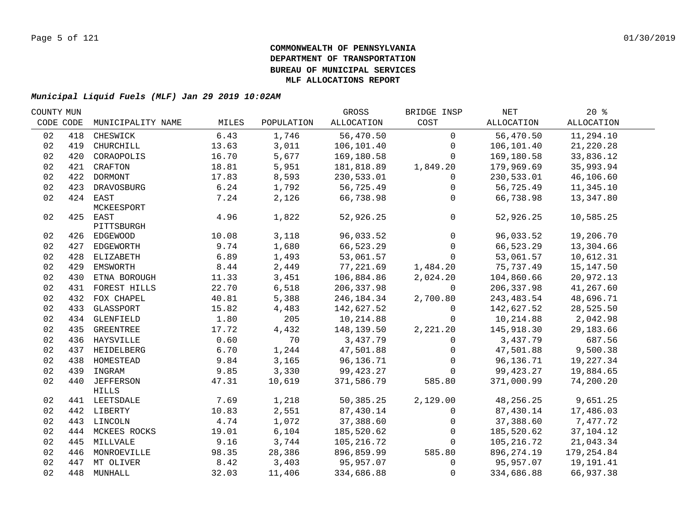| COUNTY MUN |           |                                  |        |            | GROSS      | BRIDGE INSP  | NET         | 20%               |  |
|------------|-----------|----------------------------------|--------|------------|------------|--------------|-------------|-------------------|--|
|            | CODE CODE | MUNICIPALITY NAME                | MILES  | POPULATION | ALLOCATION | COST         | ALLOCATION  | <b>ALLOCATION</b> |  |
| 02         | 418       | CHESWICK                         | 6.43   | 1,746      | 56,470.50  | $\Omega$     | 56,470.50   | 11,294.10         |  |
| 02         | 419       | CHURCHILL                        | 13.63  | 3,011      | 106,101.40 | $\mathbf 0$  | 106,101.40  | 21,220.28         |  |
| 02         | 420       | CORAOPOLIS                       | 16.70  | 5,677      | 169,180.58 | $\Omega$     | 169,180.58  | 33,836.12         |  |
| 02         |           | 421 CRAFTON                      | 18.81  | 5,951      | 181,818.89 | 1,849.20     | 179,969.69  | 35,993.94         |  |
| 02         |           | 422 DORMONT                      | 17.83  | 8,593      | 230,533.01 | $\mathbf 0$  | 230,533.01  | 46,106.60         |  |
| 02         | 423       | DRAVOSBURG                       | 6.24   | 1,792      | 56,725.49  | $\mathbf 0$  | 56,725.49   | 11,345.10         |  |
| 02         |           | 424 EAST<br>MCKEESPORT           | 7.24   | 2,126      | 66,738.98  | $\Omega$     | 66,738.98   | 13,347.80         |  |
| 02         |           | 425 EAST<br>PITTSBURGH           | 4.96   | 1,822      | 52,926.25  | $\mathsf{O}$ | 52,926.25   | 10,585.25         |  |
| 02         |           | 426 EDGEWOOD                     | 10.08  | 3,118      | 96,033.52  | $\mathbf 0$  | 96,033.52   | 19,206.70         |  |
| 02         |           | 427 EDGEWORTH                    | 9.74   | 1,680      | 66,523.29  | $\mathbf{0}$ | 66,523.29   | 13,304.66         |  |
| 02         |           | 428 ELIZABETH                    | 6.89   | 1,493      | 53,061.57  | $\mathbf 0$  | 53,061.57   | 10,612.31         |  |
| 02         | 429       | <b>EMSWORTH</b>                  | $8.44$ | 2,449      | 77,221.69  | 1,484.20     | 75,737.49   | 15, 147.50        |  |
| 02         | 430       | ETNA BOROUGH                     | 11.33  | 3,451      | 106,884.86 | 2,024.20     | 104,860.66  | 20,972.13         |  |
| 02         | 431       | FOREST HILLS                     | 22.70  | 6,518      | 206,337.98 | $\Omega$     | 206, 337.98 | 41,267.60         |  |
| 02         | 432       | FOX CHAPEL                       | 40.81  | 5,388      | 246,184.34 | 2,700.80     | 243,483.54  | 48,696.71         |  |
| 02         | 433       | GLASSPORT                        | 15.82  | 4,483      | 142,627.52 | $\Omega$     | 142,627.52  | 28,525.50         |  |
| 02         |           | 434 GLENFIELD                    | 1.80   | 205        | 10,214.88  | $\Omega$     | 10,214.88   | 2,042.98          |  |
| 02         | 435       | GREENTREE                        | 17.72  | 4,432      | 148,139.50 | 2,221.20     | 145,918.30  | 29,183.66         |  |
| 02         |           | 436 HAYSVILLE                    | 0.60   | 70         | 3,437.79   | $\Omega$     | 3,437.79    | 687.56            |  |
| 02         |           | 437 HEIDELBERG                   | 6.70   | 1,244      | 47,501.88  | $\mathbf 0$  | 47,501.88   | 9,500.38          |  |
| 02         |           | 438 HOMESTEAD                    | 9.84   | 3,165      | 96,136.71  | $\mathbf 0$  | 96,136.71   | 19,227.34         |  |
| 02         | 439       | INGRAM                           | 9.85   | 3,330      | 99,423.27  | $\Omega$     | 99,423.27   | 19,884.65         |  |
| 02         | 440       | <b>JEFFERSON</b><br><b>HILLS</b> | 47.31  | 10,619     | 371,586.79 | 585.80       | 371,000.99  | 74,200.20         |  |
| 02         |           | 441 LEETSDALE                    | 7.69   | 1,218      | 50,385.25  | 2,129.00     | 48,256.25   | 9,651.25          |  |
| 02         |           | 442 LIBERTY                      | 10.83  | 2,551      | 87,430.14  | $\Omega$     | 87,430.14   | 17,486.03         |  |
| 02         |           | 443 LINCOLN                      | 4.74   | 1,072      | 37,388.60  | $\mathbf 0$  | 37,388.60   | 7,477.72          |  |
| 02         |           | 444 MCKEES ROCKS                 | 19.01  | 6,104      | 185,520.62 | $\Omega$     | 185,520.62  | 37,104.12         |  |
| 02         | 445       | MILLVALE                         | 9.16   | 3,744      | 105,216.72 | $\Omega$     | 105, 216.72 | 21,043.34         |  |
| 02         | 446       | MONROEVILLE                      | 98.35  | 28,386     | 896,859.99 | 585.80       | 896, 274.19 | 179,254.84        |  |
| 02         | 447       | MT OLIVER                        | 8.42   | 3,403      | 95,957.07  | $\mathbf 0$  | 95,957.07   | 19,191.41         |  |
| 02         |           | 448 MUNHALL                      | 32.03  | 11,406     | 334,686.88 | $\Omega$     | 334,686.88  | 66,937.38         |  |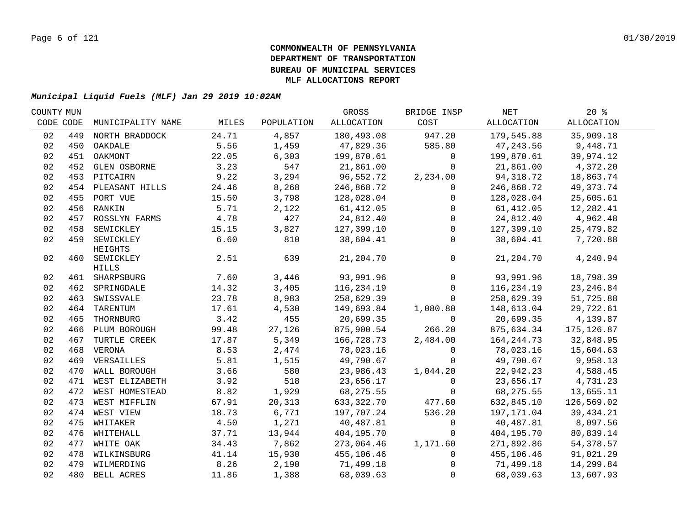| COUNTY MUN |     |                               |       |            | GROSS      | BRIDGE INSP  | NET          | $20*$       |  |
|------------|-----|-------------------------------|-------|------------|------------|--------------|--------------|-------------|--|
| CODE CODE  |     | MUNICIPALITY NAME             | MILES | POPULATION | ALLOCATION | COST         | ALLOCATION   | ALLOCATION  |  |
| 02         | 449 | NORTH BRADDOCK                | 24.71 | 4,857      | 180,493.08 | 947.20       | 179,545.88   | 35,909.18   |  |
| 02         |     | 450 OAKDALE                   | 5.56  | 1,459      | 47,829.36  | 585.80       | 47,243.56    | 9,448.71    |  |
| 02         |     | 451 OAKMONT                   | 22.05 | 6,303      | 199,870.61 | $\mathbf 0$  | 199,870.61   | 39,974.12   |  |
| 02         |     | 452 GLEN OSBORNE              | 3.23  | 547        | 21,861.00  | $\Omega$     | 21,861.00    | 4,372.20    |  |
| 02         |     | 453 PITCAIRN                  | 9.22  | 3,294      | 96,552.72  | 2,234.00     | 94,318.72    | 18,863.74   |  |
| 02         |     | 454 PLEASANT HILLS            | 24.46 | 8,268      | 246,868.72 | 0            | 246,868.72   | 49, 373. 74 |  |
| 02         |     | 455 PORT VUE                  | 15.50 | 3,798      | 128,028.04 | $\mathbf 0$  | 128,028.04   | 25,605.61   |  |
| 02         |     | 456 RANKIN                    | 5.71  | 2,122      | 61, 412.05 | $\mathbf 0$  | 61, 412.05   | 12,282.41   |  |
| 02         | 457 | ROSSLYN FARMS                 | 4.78  | 427        | 24,812.40  | $\mathbf 0$  | 24,812.40    | 4,962.48    |  |
| 02         | 458 | SEWICKLEY                     | 15.15 | 3,827      | 127,399.10 | $\mathbf 0$  | 127,399.10   | 25,479.82   |  |
| 02         | 459 | SEWICKLEY<br>HEIGHTS          | 6.60  | 810        | 38,604.41  | $\Omega$     | 38,604.41    | 7,720.88    |  |
| 02         |     | 460 SEWICKLEY<br><b>HILLS</b> | 2.51  | 639        | 21,204.70  | $\mathbf 0$  | 21,204.70    | 4,240.94    |  |
| 02         |     | 461 SHARPSBURG                | 7.60  | 3,446      | 93,991.96  | $\mathbf 0$  | 93,991.96    | 18,798.39   |  |
| 02         |     | 462 SPRINGDALE                | 14.32 | 3,405      | 116,234.19 | $\mathbf 0$  | 116,234.19   | 23, 246.84  |  |
| 02         | 463 | SWISSVALE                     | 23.78 | 8,983      | 258,629.39 | $\mathbf 0$  | 258,629.39   | 51,725.88   |  |
| 02         | 464 | TARENTUM                      | 17.61 | 4,530      | 149,693.84 | 1,080.80     | 148,613.04   | 29,722.61   |  |
| 02         | 465 | THORNBURG                     | 3.42  | 455        | 20,699.35  | $\Omega$     | 20,699.35    | 4,139.87    |  |
| 02         | 466 | PLUM BOROUGH                  | 99.48 | 27,126     | 875,900.54 | 266.20       | 875,634.34   | 175, 126.87 |  |
| 02         | 467 | TURTLE CREEK                  | 17.87 | 5,349      | 166,728.73 | 2,484.00     | 164, 244. 73 | 32,848.95   |  |
| 02         |     | 468 VERONA                    | 8.53  | 2,474      | 78,023.16  | $\mathsf{O}$ | 78,023.16    | 15,604.63   |  |
| 02         |     | 469 VERSAILLES                | 5.81  | 1,515      | 49,790.67  | $\Omega$     | 49,790.67    | 9,958.13    |  |
| 02         |     | 470 WALL BOROUGH              | 3.66  | 580        | 23,986.43  | 1,044.20     | 22,942.23    | 4,588.45    |  |
| 02         |     | 471 WEST ELIZABETH            | 3.92  | 518        | 23,656.17  | $\mathbf 0$  | 23,656.17    | 4,731.23    |  |
| 02         |     | 472 WEST HOMESTEAD            | 8.82  | 1,929      | 68,275.55  | $\mathbf 0$  | 68, 275.55   | 13,655.11   |  |
| 02         |     | 473 WEST MIFFLIN              | 67.91 | 20,313     | 633,322.70 | 477.60       | 632,845.10   | 126,569.02  |  |
| 02         |     | 474 WEST VIEW                 | 18.73 | 6,771      | 197,707.24 | 536.20       | 197,171.04   | 39, 434. 21 |  |
| 02         |     | 475 WHITAKER                  | 4.50  | 1,271      | 40,487.81  | 0            | 40,487.81    | 8,097.56    |  |
| 02         |     | 476 WHITEHALL                 | 37.71 | 13,944     | 404,195.70 | 0            | 404,195.70   | 80,839.14   |  |
| 02         |     | 477 WHITE OAK                 | 34.43 | 7,862      | 273,064.46 | 1,171.60     | 271,892.86   | 54,378.57   |  |
| 02         |     | 478 WILKINSBURG               | 41.14 | 15,930     | 455,106.46 | 0            | 455,106.46   | 91,021.29   |  |
| 02         |     | 479 WILMERDING                | 8.26  | 2,190      | 71,499.18  | $\Omega$     | 71,499.18    | 14,299.84   |  |
| 02         |     | 480 BELL ACRES                | 11.86 | 1,388      | 68,039.63  | $\mathbf 0$  | 68,039.63    | 13,607.93   |  |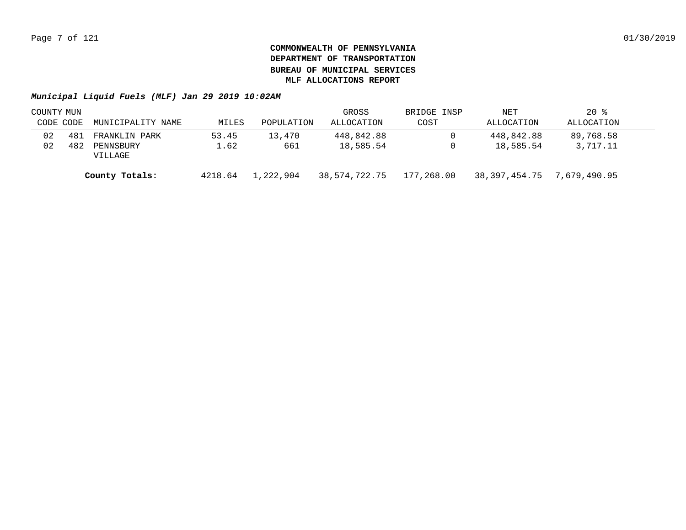| COUNTY MUN     |     |                      |           |               | GROSS      | BRIDGE INSP                | NET        | $20*$      |  |
|----------------|-----|----------------------|-----------|---------------|------------|----------------------------|------------|------------|--|
| CODE CODE      |     | MUNICIPALITY NAME    | MILES     | POPULATION    | ALLOCATION | COST                       | ALLOCATION | ALLOCATION |  |
| 02             | 481 | FRANKLIN PARK        | 53.45     | 13,470        | 448,842.88 |                            | 448,842.88 | 89,768.58  |  |
| 02             | 482 | PENNSBURY<br>VILLAGE | 1.62      | 661           | 18,585.54  |                            | 18,585.54  | 3,717.11   |  |
| County Totals: |     | 4218.64              | 1,222,904 | 38,574,722.75 | 177,268.00 | 38,397,454.75 7,679,490.95 |            |            |  |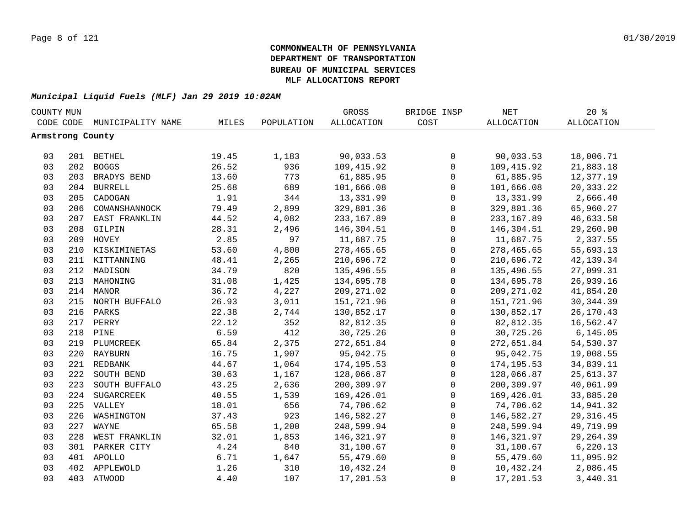|    | COUNTY MUN       |                   |       |            | GROSS             | BRIDGE INSP  | $\operatorname{NET}$ | $20*$      |  |
|----|------------------|-------------------|-------|------------|-------------------|--------------|----------------------|------------|--|
|    | CODE CODE        | MUNICIPALITY NAME | MILES | POPULATION | <b>ALLOCATION</b> | COST         | <b>ALLOCATION</b>    | ALLOCATION |  |
|    | Armstrong County |                   |       |            |                   |              |                      |            |  |
|    |                  |                   |       |            |                   |              |                      |            |  |
| 03 |                  | 201 BETHEL        | 19.45 | 1,183      | 90,033.53         | 0            | 90,033.53            | 18,006.71  |  |
| 03 |                  | 202 BOGGS         | 26.52 | 936        | 109,415.92        | $\mathsf{O}$ | 109,415.92           | 21,883.18  |  |
| 03 |                  | 203 BRADYS BEND   | 13.60 | 773        | 61,885.95         | 0            | 61,885.95            | 12,377.19  |  |
| 03 |                  | 204 BURRELL       | 25.68 | 689        | 101,666.08        | 0            | 101,666.08           | 20,333.22  |  |
| 03 | 205              | CADOGAN           | 1.91  | 344        | 13,331.99         | 0            | 13,331.99            | 2,666.40   |  |
| 03 | 206              | COWANSHANNOCK     | 79.49 | 2,899      | 329,801.36        | 0            | 329,801.36           | 65,960.27  |  |
| 03 | 207              | EAST FRANKLIN     | 44.52 | 4,082      | 233, 167.89       | $\mathbf 0$  | 233, 167.89          | 46,633.58  |  |
| 03 | 208              | GILPIN            | 28.31 | 2,496      | 146,304.51        | $\mathbf 0$  | 146,304.51           | 29,260.90  |  |
| 03 | 209              | HOVEY             | 2.85  | 97         | 11,687.75         | $\mathbf 0$  | 11,687.75            | 2,337.55   |  |
| 03 | 210              | KISKIMINETAS      | 53.60 | 4,800      | 278,465.65        | $\mathsf{O}$ | 278,465.65           | 55,693.13  |  |
| 03 |                  | 211 KITTANNING    | 48.41 | 2,265      | 210,696.72        | $\mathbf 0$  | 210,696.72           | 42, 139.34 |  |
| 03 | 212              | MADISON           | 34.79 | 820        | 135,496.55        | $\mathsf{O}$ | 135,496.55           | 27,099.31  |  |
| 03 | 213              | MAHONING          | 31.08 | 1,425      | 134,695.78        | $\mathsf 0$  | 134,695.78           | 26,939.16  |  |
| 03 |                  | 214 MANOR         | 36.72 | 4,227      | 209, 271.02       | $\mathsf 0$  | 209, 271.02          | 41,854.20  |  |
| 03 |                  | 215 NORTH BUFFALO | 26.93 | 3,011      | 151,721.96        | $\mathsf 0$  | 151,721.96           | 30, 344.39 |  |
| 03 |                  | 216 PARKS         | 22.38 | 2,744      | 130,852.17        | $\mathbf 0$  | 130,852.17           | 26,170.43  |  |
| 03 |                  | 217 PERRY         | 22.12 | 352        | 82,812.35         | 0            | 82,812.35            | 16,562.47  |  |
| 03 |                  | 218 PINE          | 6.59  | 412        | 30,725.26         | $\mathsf{O}$ | 30,725.26            | 6, 145.05  |  |
| 03 |                  | 219 PLUMCREEK     | 65.84 | 2,375      | 272,651.84        | $\mathsf{O}$ | 272,651.84           | 54,530.37  |  |
| 03 |                  | 220 RAYBURN       | 16.75 | 1,907      | 95,042.75         | $\mathsf{O}$ | 95,042.75            | 19,008.55  |  |
| 03 |                  | 221 REDBANK       | 44.67 | 1,064      | 174, 195.53       | $\mathbf 0$  | 174, 195.53          | 34,839.11  |  |
| 03 | 222              | SOUTH BEND        | 30.63 | 1,167      | 128,066.87        | $\mathbf 0$  | 128,066.87           | 25,613.37  |  |
| 03 | 223              | SOUTH BUFFALO     | 43.25 | 2,636      | 200,309.97        | $\mathbf 0$  | 200,309.97           | 40,061.99  |  |
| 03 | 224              | SUGARCREEK        | 40.55 | 1,539      | 169,426.01        | $\Omega$     | 169,426.01           | 33,885.20  |  |
| 03 |                  | 225 VALLEY        | 18.01 | 656        | 74,706.62         | $\mathbf 0$  | 74,706.62            | 14,941.32  |  |
| 03 | 226              | WASHINGTON        | 37.43 | 923        | 146,582.27        | $\mathbf 0$  | 146,582.27           | 29, 316.45 |  |
| 03 | 227              | WAYNE             | 65.58 | 1,200      | 248,599.94        | 0            | 248,599.94           | 49,719.99  |  |
| 03 | 228              | WEST FRANKLIN     | 32.01 | 1,853      | 146,321.97        | $\mathbf 0$  | 146,321.97           | 29, 264.39 |  |
| 03 | 301              | PARKER CITY       | 4.24  | 840        | 31,100.67         | $\mathsf{O}$ | 31,100.67            | 6,220.13   |  |
| 03 |                  | 401 APOLLO        | 6.71  | 1,647      | 55,479.60         | 0            | 55,479.60            | 11,095.92  |  |
| 03 | 402              | APPLEWOLD         | 1.26  | 310        | 10,432.24         | $\mathsf 0$  | 10,432.24            | 2,086.45   |  |
| 03 |                  | 403 ATWOOD        | 4.40  | 107        | 17,201.53         | $\mathbf 0$  | 17,201.53            | 3,440.31   |  |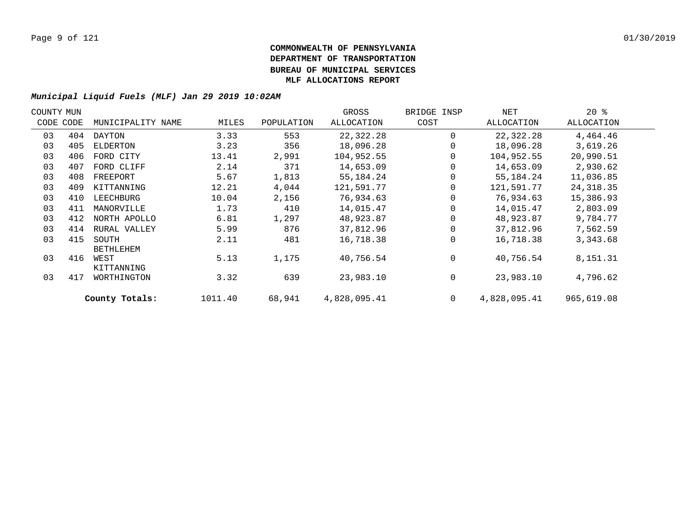| COUNTY MUN |           |                   |         |            | GROSS        | BRIDGE INSP  | NET          | $20*$      |  |
|------------|-----------|-------------------|---------|------------|--------------|--------------|--------------|------------|--|
|            | CODE CODE | MUNICIPALITY NAME | MILES   | POPULATION | ALLOCATION   | COST         | ALLOCATION   | ALLOCATION |  |
| 03         | 404       | DAYTON            | 3.33    | 553        | 22,322.28    | $\Omega$     | 22,322.28    | 4,464.46   |  |
| 03         | 405       | ELDERTON          | 3.23    | 356        | 18,096.28    | 0            | 18,096.28    | 3,619.26   |  |
| 03         | 406       | FORD CITY         | 13.41   | 2,991      | 104,952.55   | 0            | 104,952.55   | 20,990.51  |  |
| 03         | 407       | FORD CLIFF        | 2.14    | 371        | 14,653.09    | 0            | 14,653.09    | 2,930.62   |  |
| 03         | 408       | FREEPORT          | 5.67    | 1,813      | 55,184.24    | 0            | 55,184.24    | 11,036.85  |  |
| 03         | 409       | KITTANNING        | 12.21   | 4,044      | 121,591.77   | $\mathbf 0$  | 121,591.77   | 24, 318.35 |  |
| 03         | 410       | LEECHBURG         | 10.04   | 2,156      | 76,934.63    | 0            | 76,934.63    | 15,386.93  |  |
| 03         | 411       | MANORVILLE        | 1.73    | 410        | 14,015.47    | $\mathbf 0$  | 14,015.47    | 2,803.09   |  |
| 03         | 412       | NORTH APOLLO      | 6.81    | 1,297      | 48,923.87    | $\Omega$     | 48,923.87    | 9,784.77   |  |
| 03         | 414       | RURAL VALLEY      | 5.99    | 876        | 37,812.96    | $\Omega$     | 37,812.96    | 7,562.59   |  |
| 03         | 415       | SOUTH             | 2.11    | 481        | 16,718.38    | $\Omega$     | 16,718.38    | 3,343.68   |  |
|            |           | <b>BETHLEHEM</b>  |         |            |              |              |              |            |  |
| 03         | 416       | WEST              | 5.13    | 1,175      | 40,756.54    | $\Omega$     | 40,756.54    | 8,151.31   |  |
|            |           | KITTANNING        |         |            |              |              |              |            |  |
| 03         | 417       | WORTHINGTON       | 3.32    | 639        | 23,983.10    | $\mathbf 0$  | 23,983.10    | 4,796.62   |  |
|            |           | County Totals:    | 1011.40 | 68,941     | 4,828,095.41 | $\mathbf{0}$ | 4,828,095.41 | 965,619.08 |  |
|            |           |                   |         |            |              |              |              |            |  |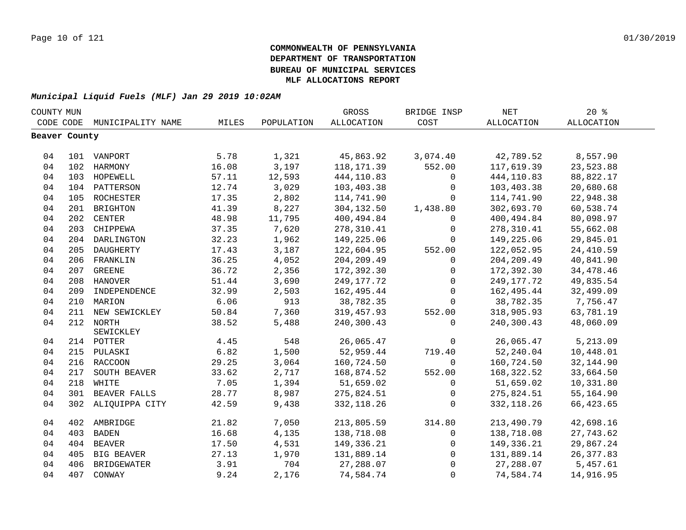| CODE CODE<br>MILES<br><b>ALLOCATION</b><br>COST<br>ALLOCATION<br>ALLOCATION<br>MUNICIPALITY NAME<br>POPULATION<br>Beaver County<br>5.78<br>1,321<br>45,863.92<br>3,074.40<br>42,789.52<br>8,557.90<br>04<br>101 VANPORT<br>3,197<br>552.00<br>23,523.88<br>04<br>102 HARMONY<br>16.08<br>118, 171.39<br>117,619.39<br>04<br>57.11<br>12,593<br>444,110.83<br>444,110.83<br>88,822.17<br>103 HOPEWELL<br>$\mathbf 0$<br>12.74<br>3,029<br>04<br>104 PATTERSON<br>103,403.38<br>103,403.38<br>20,680.68<br>$\mathbf 0$<br>04<br>ROCHESTER<br>17.35<br>2,802<br>114,741.90<br>114,741.90<br>22,948.38<br>105<br>$\Omega$<br>8,227<br>04<br>41.39<br>304,132.50<br>302,693.70<br>60,538.74<br>201<br><b>BRIGHTON</b><br>1,438.80<br>04<br><b>CENTER</b><br>48.98<br>400,494.84<br>80,098.97<br>202<br>11,795<br>400,494.84<br>$\Omega$<br>7,620<br>04<br>203<br>CHIPPEWA<br>37.35<br>278,310.41<br>278,310.41<br>55,662.08<br>$\mathbf 0$<br>04<br>DARLINGTON<br>32.23<br>1,962<br>149,225.06<br>149,225.06<br>29,845.01<br>204<br>$\Omega$<br>04<br>17.43<br>3,187<br>24, 410.59<br>205<br>DAUGHERTY<br>122,604.95<br>552.00<br>122,052.95<br>4,052<br>04<br>206 FRANKLIN<br>36.25<br>204, 209.49<br>204, 209.49<br>40,841.90<br>$\mathbf 0$<br>04<br>36.72<br>2,356<br>172,392.30<br>34, 478. 46<br>207 GREENE<br>172,392.30<br>0<br>04<br>3,690<br>249, 177. 72<br>49,835.54<br>208 HANOVER<br>51.44<br>249, 177. 72<br>0<br>04<br>32.99<br>2,503<br>162,495.44<br>$\mathbf{0}$<br>162,495.44<br>32,499.09<br>209<br>INDEPENDENCE<br>6.06<br>04<br>913<br>38,782.35<br>38,782.35<br>7,756.47<br>210 MARION<br>$\Omega$<br>04<br>7,360<br>211<br>NEW SEWICKLEY<br>50.84<br>319,457.93<br>552.00<br>318,905.93<br>63,781.19<br>04<br>212 NORTH<br>38.52<br>5,488<br>240,300.43<br>48,060.09<br>240,300.43<br>$\Omega$ |  |
|--------------------------------------------------------------------------------------------------------------------------------------------------------------------------------------------------------------------------------------------------------------------------------------------------------------------------------------------------------------------------------------------------------------------------------------------------------------------------------------------------------------------------------------------------------------------------------------------------------------------------------------------------------------------------------------------------------------------------------------------------------------------------------------------------------------------------------------------------------------------------------------------------------------------------------------------------------------------------------------------------------------------------------------------------------------------------------------------------------------------------------------------------------------------------------------------------------------------------------------------------------------------------------------------------------------------------------------------------------------------------------------------------------------------------------------------------------------------------------------------------------------------------------------------------------------------------------------------------------------------------------------------------------------------------------------------------------------------------------------------------------------------------------------------------------------------|--|
|                                                                                                                                                                                                                                                                                                                                                                                                                                                                                                                                                                                                                                                                                                                                                                                                                                                                                                                                                                                                                                                                                                                                                                                                                                                                                                                                                                                                                                                                                                                                                                                                                                                                                                                                                                                                                    |  |
|                                                                                                                                                                                                                                                                                                                                                                                                                                                                                                                                                                                                                                                                                                                                                                                                                                                                                                                                                                                                                                                                                                                                                                                                                                                                                                                                                                                                                                                                                                                                                                                                                                                                                                                                                                                                                    |  |
|                                                                                                                                                                                                                                                                                                                                                                                                                                                                                                                                                                                                                                                                                                                                                                                                                                                                                                                                                                                                                                                                                                                                                                                                                                                                                                                                                                                                                                                                                                                                                                                                                                                                                                                                                                                                                    |  |
|                                                                                                                                                                                                                                                                                                                                                                                                                                                                                                                                                                                                                                                                                                                                                                                                                                                                                                                                                                                                                                                                                                                                                                                                                                                                                                                                                                                                                                                                                                                                                                                                                                                                                                                                                                                                                    |  |
|                                                                                                                                                                                                                                                                                                                                                                                                                                                                                                                                                                                                                                                                                                                                                                                                                                                                                                                                                                                                                                                                                                                                                                                                                                                                                                                                                                                                                                                                                                                                                                                                                                                                                                                                                                                                                    |  |
|                                                                                                                                                                                                                                                                                                                                                                                                                                                                                                                                                                                                                                                                                                                                                                                                                                                                                                                                                                                                                                                                                                                                                                                                                                                                                                                                                                                                                                                                                                                                                                                                                                                                                                                                                                                                                    |  |
|                                                                                                                                                                                                                                                                                                                                                                                                                                                                                                                                                                                                                                                                                                                                                                                                                                                                                                                                                                                                                                                                                                                                                                                                                                                                                                                                                                                                                                                                                                                                                                                                                                                                                                                                                                                                                    |  |
|                                                                                                                                                                                                                                                                                                                                                                                                                                                                                                                                                                                                                                                                                                                                                                                                                                                                                                                                                                                                                                                                                                                                                                                                                                                                                                                                                                                                                                                                                                                                                                                                                                                                                                                                                                                                                    |  |
|                                                                                                                                                                                                                                                                                                                                                                                                                                                                                                                                                                                                                                                                                                                                                                                                                                                                                                                                                                                                                                                                                                                                                                                                                                                                                                                                                                                                                                                                                                                                                                                                                                                                                                                                                                                                                    |  |
|                                                                                                                                                                                                                                                                                                                                                                                                                                                                                                                                                                                                                                                                                                                                                                                                                                                                                                                                                                                                                                                                                                                                                                                                                                                                                                                                                                                                                                                                                                                                                                                                                                                                                                                                                                                                                    |  |
|                                                                                                                                                                                                                                                                                                                                                                                                                                                                                                                                                                                                                                                                                                                                                                                                                                                                                                                                                                                                                                                                                                                                                                                                                                                                                                                                                                                                                                                                                                                                                                                                                                                                                                                                                                                                                    |  |
|                                                                                                                                                                                                                                                                                                                                                                                                                                                                                                                                                                                                                                                                                                                                                                                                                                                                                                                                                                                                                                                                                                                                                                                                                                                                                                                                                                                                                                                                                                                                                                                                                                                                                                                                                                                                                    |  |
|                                                                                                                                                                                                                                                                                                                                                                                                                                                                                                                                                                                                                                                                                                                                                                                                                                                                                                                                                                                                                                                                                                                                                                                                                                                                                                                                                                                                                                                                                                                                                                                                                                                                                                                                                                                                                    |  |
|                                                                                                                                                                                                                                                                                                                                                                                                                                                                                                                                                                                                                                                                                                                                                                                                                                                                                                                                                                                                                                                                                                                                                                                                                                                                                                                                                                                                                                                                                                                                                                                                                                                                                                                                                                                                                    |  |
|                                                                                                                                                                                                                                                                                                                                                                                                                                                                                                                                                                                                                                                                                                                                                                                                                                                                                                                                                                                                                                                                                                                                                                                                                                                                                                                                                                                                                                                                                                                                                                                                                                                                                                                                                                                                                    |  |
|                                                                                                                                                                                                                                                                                                                                                                                                                                                                                                                                                                                                                                                                                                                                                                                                                                                                                                                                                                                                                                                                                                                                                                                                                                                                                                                                                                                                                                                                                                                                                                                                                                                                                                                                                                                                                    |  |
|                                                                                                                                                                                                                                                                                                                                                                                                                                                                                                                                                                                                                                                                                                                                                                                                                                                                                                                                                                                                                                                                                                                                                                                                                                                                                                                                                                                                                                                                                                                                                                                                                                                                                                                                                                                                                    |  |
|                                                                                                                                                                                                                                                                                                                                                                                                                                                                                                                                                                                                                                                                                                                                                                                                                                                                                                                                                                                                                                                                                                                                                                                                                                                                                                                                                                                                                                                                                                                                                                                                                                                                                                                                                                                                                    |  |
|                                                                                                                                                                                                                                                                                                                                                                                                                                                                                                                                                                                                                                                                                                                                                                                                                                                                                                                                                                                                                                                                                                                                                                                                                                                                                                                                                                                                                                                                                                                                                                                                                                                                                                                                                                                                                    |  |
|                                                                                                                                                                                                                                                                                                                                                                                                                                                                                                                                                                                                                                                                                                                                                                                                                                                                                                                                                                                                                                                                                                                                                                                                                                                                                                                                                                                                                                                                                                                                                                                                                                                                                                                                                                                                                    |  |
| SEWICKLEY                                                                                                                                                                                                                                                                                                                                                                                                                                                                                                                                                                                                                                                                                                                                                                                                                                                                                                                                                                                                                                                                                                                                                                                                                                                                                                                                                                                                                                                                                                                                                                                                                                                                                                                                                                                                          |  |
| 548<br>$\mathbf 0$<br>5,213.09<br>04<br>4.45<br>26,065.47<br>26,065.47<br>214 POTTER                                                                                                                                                                                                                                                                                                                                                                                                                                                                                                                                                                                                                                                                                                                                                                                                                                                                                                                                                                                                                                                                                                                                                                                                                                                                                                                                                                                                                                                                                                                                                                                                                                                                                                                               |  |
| 6.82<br>04<br>1,500<br>52,959.44<br>52,240.04<br>10,448.01<br>215 PULASKI<br>719.40                                                                                                                                                                                                                                                                                                                                                                                                                                                                                                                                                                                                                                                                                                                                                                                                                                                                                                                                                                                                                                                                                                                                                                                                                                                                                                                                                                                                                                                                                                                                                                                                                                                                                                                                |  |
| 29.25<br>04<br>216 RACCOON<br>3,064<br>160,724.50<br>160,724.50<br>32, 144.90<br>$\Omega$                                                                                                                                                                                                                                                                                                                                                                                                                                                                                                                                                                                                                                                                                                                                                                                                                                                                                                                                                                                                                                                                                                                                                                                                                                                                                                                                                                                                                                                                                                                                                                                                                                                                                                                          |  |
| 04<br>33.62<br>2,717<br>552.00<br>168,322.52<br>33,664.50<br>217<br>SOUTH BEAVER<br>168,874.52                                                                                                                                                                                                                                                                                                                                                                                                                                                                                                                                                                                                                                                                                                                                                                                                                                                                                                                                                                                                                                                                                                                                                                                                                                                                                                                                                                                                                                                                                                                                                                                                                                                                                                                     |  |
| 04<br>218 WHITE<br>7.05<br>1,394<br>51,659.02<br>51,659.02<br>10,331.80<br>$\mathbf 0$                                                                                                                                                                                                                                                                                                                                                                                                                                                                                                                                                                                                                                                                                                                                                                                                                                                                                                                                                                                                                                                                                                                                                                                                                                                                                                                                                                                                                                                                                                                                                                                                                                                                                                                             |  |
| 04<br>301 BEAVER FALLS<br>28.77<br>8,987<br>275,824.51<br>275,824.51<br>55,164.90<br>$\mathbf 0$                                                                                                                                                                                                                                                                                                                                                                                                                                                                                                                                                                                                                                                                                                                                                                                                                                                                                                                                                                                                                                                                                                                                                                                                                                                                                                                                                                                                                                                                                                                                                                                                                                                                                                                   |  |
| 04<br>302 ALIQUIPPA CITY<br>9,438<br>42.59<br>332, 118.26<br>332, 118.26<br>66, 423.65<br>$\Omega$                                                                                                                                                                                                                                                                                                                                                                                                                                                                                                                                                                                                                                                                                                                                                                                                                                                                                                                                                                                                                                                                                                                                                                                                                                                                                                                                                                                                                                                                                                                                                                                                                                                                                                                 |  |
| 21.82<br>7,050<br>213,805.59<br>314.80<br>42,698.16<br>04<br>402 AMBRIDGE<br>213,490.79                                                                                                                                                                                                                                                                                                                                                                                                                                                                                                                                                                                                                                                                                                                                                                                                                                                                                                                                                                                                                                                                                                                                                                                                                                                                                                                                                                                                                                                                                                                                                                                                                                                                                                                            |  |
| 04<br>16.68<br>4,135<br>138,718.08<br>138,718.08<br>403<br><b>BADEN</b><br>$\mathbf 0$<br>27,743.62                                                                                                                                                                                                                                                                                                                                                                                                                                                                                                                                                                                                                                                                                                                                                                                                                                                                                                                                                                                                                                                                                                                                                                                                                                                                                                                                                                                                                                                                                                                                                                                                                                                                                                                |  |
| 04<br>4,531<br>404<br><b>BEAVER</b><br>17.50<br>149,336.21<br>149,336.21<br>29,867.24<br>$\mathbf 0$                                                                                                                                                                                                                                                                                                                                                                                                                                                                                                                                                                                                                                                                                                                                                                                                                                                                                                                                                                                                                                                                                                                                                                                                                                                                                                                                                                                                                                                                                                                                                                                                                                                                                                               |  |
| 04<br>27.13<br>1,970<br>131,889.14<br>131,889.14<br>26,377.83<br>405<br>BIG BEAVER<br>$\mathbf 0$                                                                                                                                                                                                                                                                                                                                                                                                                                                                                                                                                                                                                                                                                                                                                                                                                                                                                                                                                                                                                                                                                                                                                                                                                                                                                                                                                                                                                                                                                                                                                                                                                                                                                                                  |  |
| 04<br>3.91<br>704<br>27,288.07<br>27,288.07<br>5,457.61<br>406<br>BRIDGEWATER<br>$\Omega$                                                                                                                                                                                                                                                                                                                                                                                                                                                                                                                                                                                                                                                                                                                                                                                                                                                                                                                                                                                                                                                                                                                                                                                                                                                                                                                                                                                                                                                                                                                                                                                                                                                                                                                          |  |
| 04<br>407 CONWAY<br>9.24<br>2,176<br>74,584.74<br>$\mathbf 0$<br>74,584.74<br>14,916.95                                                                                                                                                                                                                                                                                                                                                                                                                                                                                                                                                                                                                                                                                                                                                                                                                                                                                                                                                                                                                                                                                                                                                                                                                                                                                                                                                                                                                                                                                                                                                                                                                                                                                                                            |  |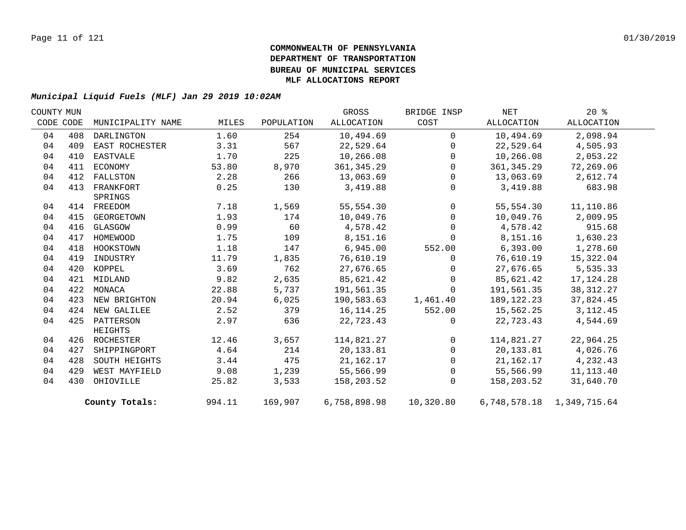| COUNTY MUN |     |                   |        |            | GROSS        | BRIDGE INSP  | NET         | $20*$                     |  |
|------------|-----|-------------------|--------|------------|--------------|--------------|-------------|---------------------------|--|
| CODE CODE  |     | MUNICIPALITY NAME | MILES  | POPULATION | ALLOCATION   | COST         | ALLOCATION  | ALLOCATION                |  |
| 04         | 408 | DARLINGTON        | 1.60   | 254        | 10,494.69    | $\Omega$     | 10,494.69   | 2,098.94                  |  |
| 04         | 409 | EAST ROCHESTER    | 3.31   | 567        | 22,529.64    | $\Omega$     | 22,529.64   | 4,505.93                  |  |
| 04         | 410 | EASTVALE          | 1.70   | 225        | 10,266.08    | $\Omega$     | 10,266.08   | 2,053.22                  |  |
| 04         | 411 | ECONOMY           | 53.80  | 8,970      | 361, 345.29  | $\Omega$     | 361, 345.29 | 72,269.06                 |  |
| 04         | 412 | FALLSTON          | 2.28   | 266        | 13,063.69    | $\mathbf 0$  | 13,063.69   | 2,612.74                  |  |
| 04         | 413 | FRANKFORT         | 0.25   | 130        | 3,419.88     | $\mathbf 0$  | 3,419.88    | 683.98                    |  |
|            |     | SPRINGS           |        |            |              |              |             |                           |  |
| 04         |     | 414 FREEDOM       | 7.18   | 1,569      | 55,554.30    | $\Omega$     | 55,554.30   | 11,110.86                 |  |
| 04         | 415 | GEORGETOWN        | 1.93   | 174        | 10,049.76    | $\Omega$     | 10,049.76   | 2,009.95                  |  |
| 04         | 416 | GLASGOW           | 0.99   | 60         | 4,578.42     | $\Omega$     | 4,578.42    | 915.68                    |  |
| 04         | 417 | HOMEWOOD          | 1.75   | 109        | 8,151.16     | $\Omega$     | 8,151.16    | 1,630.23                  |  |
| 04         | 418 | HOOKSTOWN         | 1.18   | 147        | 6,945.00     | 552.00       | 6,393.00    | 1,278.60                  |  |
| 04         | 419 | INDUSTRY          | 11.79  | 1,835      | 76,610.19    | $\Omega$     | 76,610.19   | 15,322.04                 |  |
| 04         | 420 | KOPPEL            | 3.69   | 762        | 27,676.65    | $\mathbf{0}$ | 27,676.65   | 5,535.33                  |  |
| 04         | 421 | MIDLAND           | 9.82   | 2,635      | 85,621.42    | $\Omega$     | 85,621.42   | 17, 124. 28               |  |
| 04         | 422 | MONACA            | 22.88  | 5,737      | 191,561.35   | $\Omega$     | 191,561.35  | 38, 312. 27               |  |
| 04         | 423 | NEW BRIGHTON      | 20.94  | 6,025      | 190,583.63   | 1,461.40     | 189,122.23  | 37,824.45                 |  |
| 04         | 424 | NEW GALILEE       | 2.52   | 379        | 16, 114. 25  | 552.00       | 15,562.25   | 3, 112. 45                |  |
| 04         | 425 | PATTERSON         | 2.97   | 636        | 22,723.43    | $\Omega$     | 22,723.43   | 4,544.69                  |  |
|            |     | HEIGHTS           |        |            |              |              |             |                           |  |
| 04         |     | 426 ROCHESTER     | 12.46  | 3,657      | 114,821.27   | $\mathbf 0$  | 114,821.27  | 22,964.25                 |  |
| 04         | 427 | SHIPPINGPORT      | 4.64   | 214        | 20, 133.81   | $\Omega$     | 20,133.81   | 4,026.76                  |  |
| 04         | 428 | SOUTH HEIGHTS     | 3.44   | 475        | 21,162.17    | $\mathbf 0$  | 21,162.17   | 4,232.43                  |  |
| 04         | 429 | WEST MAYFIELD     | 9.08   | 1,239      | 55,566.99    | $\mathbf 0$  | 55,566.99   | 11, 113.40                |  |
| 04         | 430 | OHIOVILLE         | 25.82  | 3,533      | 158,203.52   | $\mathbf 0$  | 158,203.52  | 31,640.70                 |  |
|            |     | County Totals:    | 994.11 | 169,907    | 6,758,898.98 | 10,320.80    |             | 6,748,578.18 1,349,715.64 |  |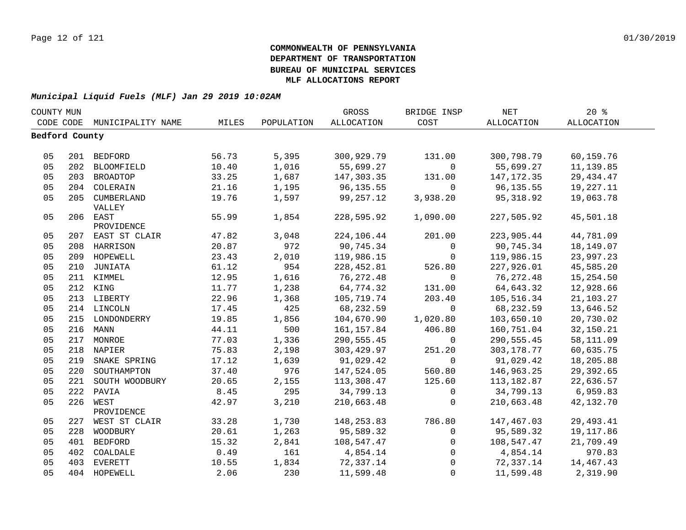|                | COUNTY MUN |                    |       |            | GROSS       | BRIDGE INSP    | NET         | $20*$      |  |
|----------------|------------|--------------------|-------|------------|-------------|----------------|-------------|------------|--|
| CODE CODE      |            | MUNICIPALITY NAME  | MILES | POPULATION | ALLOCATION  | COST           | ALLOCATION  | ALLOCATION |  |
| Bedford County |            |                    |       |            |             |                |             |            |  |
|                |            |                    |       |            |             |                |             |            |  |
| 05             |            | 201 BEDFORD        | 56.73 | 5,395      | 300,929.79  | 131.00         | 300,798.79  | 60,159.76  |  |
| 05             |            | 202 BLOOMFIELD     | 10.40 | 1,016      | 55,699.27   | $\overline{0}$ | 55,699.27   | 11, 139.85 |  |
| 05             |            | 203 BROADTOP       | 33.25 | 1,687      | 147,303.35  | 131.00         | 147,172.35  | 29, 434.47 |  |
| 05             |            | 204 COLERAIN       | 21.16 | 1,195      | 96,135.55   | $\Omega$       | 96,135.55   | 19,227.11  |  |
| 05             |            | 205 CUMBERLAND     | 19.76 | 1,597      | 99,257.12   | 3,938.20       | 95,318.92   | 19,063.78  |  |
|                |            | VALLEY             |       |            |             |                |             |            |  |
| 05             |            | 206 EAST           | 55.99 | 1,854      | 228,595.92  | 1,090.00       | 227,505.92  | 45,501.18  |  |
|                |            | PROVIDENCE         |       |            |             |                |             |            |  |
| 05             |            | 207 EAST ST CLAIR  | 47.82 | 3,048      | 224,106.44  | 201.00         | 223,905.44  | 44,781.09  |  |
| 05             |            | 208 HARRISON       | 20.87 | 972        | 90,745.34   | $\overline{0}$ | 90,745.34   | 18,149.07  |  |
| 05             |            | 209 HOPEWELL       | 23.43 | 2,010      | 119,986.15  | $\overline{0}$ | 119,986.15  | 23,997.23  |  |
| 05             |            | 210 JUNIATA        | 61.12 | 954        | 228,452.81  | 526.80         | 227,926.01  | 45,585.20  |  |
| 05             |            | 211 KIMMEL         | 12.95 | 1,616      | 76,272.48   | $\Omega$       | 76,272.48   | 15,254.50  |  |
| 05             |            | 212 KING           | 11.77 | 1,238      | 64,774.32   | 131.00         | 64,643.32   | 12,928.66  |  |
| 05             |            | 213 LIBERTY        | 22.96 | 1,368      | 105,719.74  | 203.40         | 105,516.34  | 21,103.27  |  |
| 05             |            | 214 LINCOLN        | 17.45 | 425        | 68,232.59   | $\overline{0}$ | 68,232.59   | 13,646.52  |  |
| 05             |            | 215 LONDONDERRY    | 19.85 | 1,856      | 104,670.90  | 1,020.80       | 103,650.10  | 20,730.02  |  |
| 05             |            | 216 MANN           | 44.11 | 500        | 161, 157.84 | 406.80         | 160,751.04  | 32,150.21  |  |
| 05             |            | 217 MONROE         | 77.03 | 1,336      | 290,555.45  | $\overline{0}$ | 290,555.45  | 58,111.09  |  |
| 05             |            | 218 NAPIER         | 75.83 | 2,198      | 303,429.97  | 251.20         | 303, 178.77 | 60,635.75  |  |
| 05             |            | 219 SNAKE SPRING   | 17.12 | 1,639      | 91,029.42   | $\overline{0}$ | 91,029.42   | 18,205.88  |  |
| 05             |            | 220 SOUTHAMPTON    | 37.40 | 976        | 147,524.05  | 560.80         | 146,963.25  | 29,392.65  |  |
| 05             |            | 221 SOUTH WOODBURY | 20.65 | 2,155      | 113,308.47  | 125.60         | 113,182.87  | 22,636.57  |  |
| 05             |            | 222 PAVIA          | 8.45  | 295        | 34,799.13   | $\overline{0}$ | 34,799.13   | 6,959.83   |  |
| 05             |            | 226 WEST           | 42.97 | 3,210      | 210,663.48  | $\Omega$       | 210,663.48  | 42,132.70  |  |
|                |            | PROVIDENCE         |       |            |             |                |             |            |  |
| 05             |            | 227 WEST ST CLAIR  | 33.28 | 1,730      | 148,253.83  | 786.80         | 147,467.03  | 29,493.41  |  |
| 05             |            | 228 WOODBURY       | 20.61 | 1,263      | 95,589.32   | $\overline{0}$ | 95,589.32   | 19,117.86  |  |
| 05             |            | 401 BEDFORD        | 15.32 | 2,841      | 108,547.47  | $\overline{0}$ | 108,547.47  | 21,709.49  |  |
| 05             | 402        | COALDALE           | 0.49  | 161        | 4,854.14    | $\overline{0}$ | 4,854.14    | 970.83     |  |
| 05             | 403        | <b>EVERETT</b>     | 10.55 | 1,834      | 72,337.14   | $\overline{0}$ | 72,337.14   | 14,467.43  |  |
| 05             |            | 404 HOPEWELL       | 2.06  | 230        | 11,599.48   | $\Omega$       | 11,599.48   | 2,319.90   |  |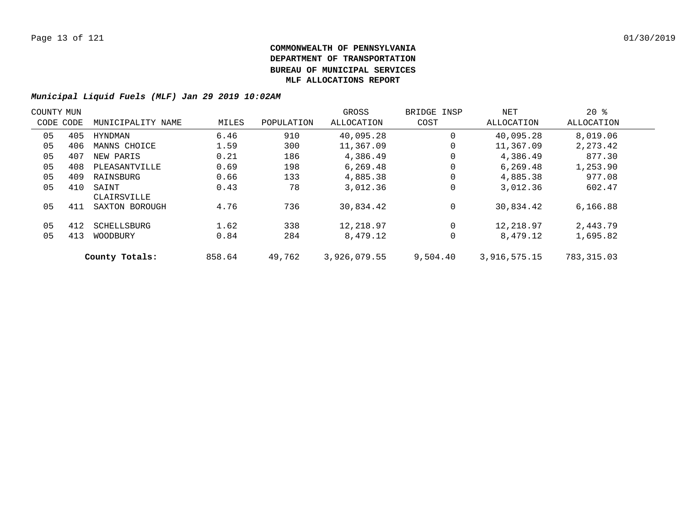| COUNTY MUN |           |                      |        |            | GROSS        | BRIDGE INSP | NET          | $20*$      |  |
|------------|-----------|----------------------|--------|------------|--------------|-------------|--------------|------------|--|
|            | CODE CODE | MUNICIPALITY NAME    | MILES  | POPULATION | ALLOCATION   | COST        | ALLOCATION   | ALLOCATION |  |
| 05         | 405       | HYNDMAN              | 6.46   | 910        | 40,095.28    | 0           | 40,095.28    | 8,019.06   |  |
| 05         | 406       | MANNS CHOICE         | 1.59   | 300        | 11,367.09    | 0           | 11,367.09    | 2, 273.42  |  |
| 05         | 407       | NEW PARIS            | 0.21   | 186        | 4,386.49     | 0           | 4,386.49     | 877.30     |  |
| 05         | 408       | PLEASANTVILLE        | 0.69   | 198        | 6,269.48     | 0           | 6.269.48     | 1,253.90   |  |
| 05         | 409       | RAINSBURG            | 0.66   | 133        | 4,885.38     | 0           | 4,885.38     | 977.08     |  |
| 05         | 410       | SAINT<br>CLAIRSVILLE | 0.43   | 78         | 3,012.36     | 0           | 3,012.36     | 602.47     |  |
| 05         | 411       | SAXTON BOROUGH       | 4.76   | 736        | 30,834.42    | 0           | 30,834.42    | 6,166.88   |  |
| 05         | 412       | SCHELLSBURG          | 1.62   | 338        | 12,218.97    | 0           | 12,218.97    | 2,443.79   |  |
| 05         | 413       | WOODBURY             | 0.84   | 284        | 8,479.12     | 0           | 8,479.12     | 1,695.82   |  |
|            |           | County Totals:       | 858.64 | 49,762     | 3,926,079.55 | 9.504.40    | 3,916,575.15 | 783,315.03 |  |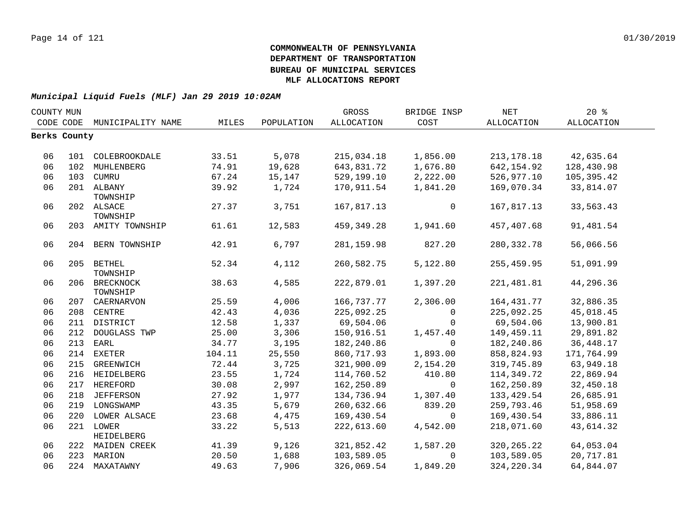| COUNTY MUN |              |                             |        |            | GROSS       | BRIDGE INSP    | NET          | 20%        |  |
|------------|--------------|-----------------------------|--------|------------|-------------|----------------|--------------|------------|--|
|            |              | CODE CODE MUNICIPALITY NAME | MILES  | POPULATION | ALLOCATION  | COST           | ALLOCATION   | ALLOCATION |  |
|            | Berks County |                             |        |            |             |                |              |            |  |
|            |              |                             |        |            |             |                |              |            |  |
| 06         |              | 101 COLEBROOKDALE           | 33.51  | 5,078      | 215,034.18  | 1,856.00       | 213, 178. 18 | 42,635.64  |  |
| 06         | 102          | MUHLENBERG                  | 74.91  | 19,628     | 643,831.72  | 1,676.80       | 642,154.92   | 128,430.98 |  |
| 06         | 103          | CUMRU                       | 67.24  | 15,147     | 529,199.10  | 2,222.00       | 526,977.10   | 105,395.42 |  |
| 06         |              | 201 ALBANY                  | 39.92  | 1,724      | 170,911.54  | 1,841.20       | 169,070.34   | 33,814.07  |  |
|            |              | TOWNSHIP                    |        |            |             |                |              |            |  |
| 06         |              | 202 ALSACE                  | 27.37  | 3,751      | 167,817.13  | $\mathbf 0$    | 167,817.13   | 33,563.43  |  |
|            |              | TOWNSHIP                    |        |            |             |                |              |            |  |
| 06         |              | 203 AMITY TOWNSHIP          | 61.61  | 12,583     | 459,349.28  | 1,941.60       | 457,407.68   | 91,481.54  |  |
| 06         |              | 204 BERN TOWNSHIP           | 42.91  | 6,797      | 281, 159.98 | 827.20         | 280, 332.78  | 56,066.56  |  |
| 06         |              | 205 BETHEL                  | 52.34  | 4,112      | 260,582.75  | 5,122.80       | 255,459.95   | 51,091.99  |  |
|            |              | TOWNSHIP                    |        |            |             |                |              |            |  |
| 06         |              | 206 BRECKNOCK               | 38.63  | 4,585      | 222,879.01  | 1,397.20       | 221,481.81   | 44,296.36  |  |
|            |              | TOWNSHIP                    |        |            |             |                |              |            |  |
| 06         |              | 207 CAERNARVON              | 25.59  | 4,006      | 166,737.77  | 2,306.00       | 164,431.77   | 32,886.35  |  |
| 06         |              | 208 CENTRE                  | 42.43  | 4,036      | 225,092.25  | $\overline{0}$ | 225,092.25   | 45,018.45  |  |
| 06         |              | 211 DISTRICT                | 12.58  | 1,337      | 69,504.06   | $\mathbf{0}$   | 69,504.06    | 13,900.81  |  |
| 06         | 212          | DOUGLASS TWP                | 25.00  | 3,306      | 150,916.51  | 1,457.40       | 149,459.11   | 29,891.82  |  |
| 06         | 213          | EARL                        | 34.77  | 3,195      | 182,240.86  | $\Omega$       | 182,240.86   | 36, 448.17 |  |
| 06         | 214          | EXETER                      | 104.11 | 25,550     | 860,717.93  | 1,893.00       | 858,824.93   | 171,764.99 |  |
| 06         | 215          | GREENWICH                   | 72.44  | 3,725      | 321,900.09  | 2,154.20       | 319,745.89   | 63,949.18  |  |
| 06         |              | 216 HEIDELBERG              | 23.55  | 1,724      | 114,760.52  | 410.80         | 114,349.72   | 22,869.94  |  |
| 06         |              | 217 HEREFORD                | 30.08  | 2,997      | 162,250.89  | $\mathsf{O}$   | 162,250.89   | 32,450.18  |  |
| 06         |              | 218 JEFFERSON               | 27.92  | 1,977      | 134,736.94  | 1,307.40       | 133, 429.54  | 26,685.91  |  |
| 06         |              | 219 LONGSWAMP               | 43.35  | 5,679      | 260,632.66  | 839.20         | 259,793.46   | 51,958.69  |  |
| 06         |              | 220 LOWER ALSACE            | 23.68  | 4,475      | 169,430.54  | $\overline{0}$ | 169,430.54   | 33,886.11  |  |
| 06         |              | 221 LOWER                   | 33.22  | 5,513      | 222,613.60  | 4,542.00       | 218,071.60   | 43,614.32  |  |
|            |              | <b>HEIDELBERG</b>           |        |            |             |                |              |            |  |
| 06         |              | 222 MAIDEN CREEK            | 41.39  | 9,126      | 321,852.42  | 1,587.20       | 320, 265. 22 | 64,053.04  |  |
| 06         |              | 223 MARION                  | 20.50  | 1,688      | 103,589.05  | $\Omega$       | 103,589.05   | 20,717.81  |  |
| 06         |              | 224 MAXATAWNY               | 49.63  | 7,906      | 326,069.54  | 1,849.20       | 324, 220.34  | 64,844.07  |  |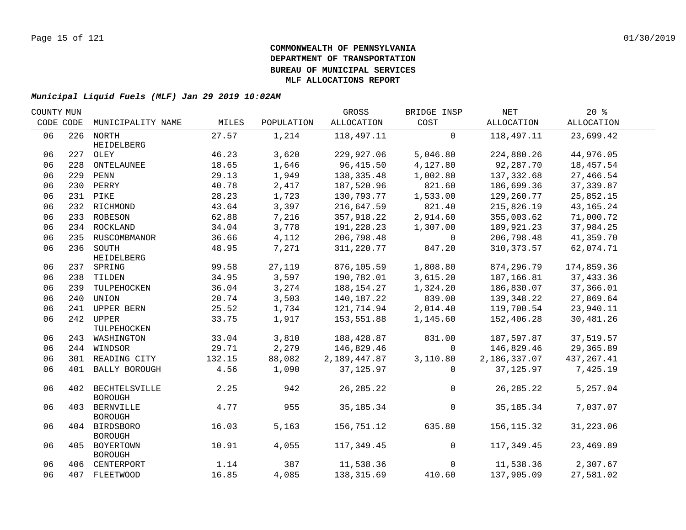| COUNTY MUN |           |                                     |        |            | GROSS        | BRIDGE INSP    | NET          | 20%         |  |
|------------|-----------|-------------------------------------|--------|------------|--------------|----------------|--------------|-------------|--|
|            | CODE CODE | MUNICIPALITY NAME                   | MILES  | POPULATION | ALLOCATION   | COST           | ALLOCATION   | ALLOCATION  |  |
| 06         |           | 226 NORTH                           | 27.57  | 1,214      | 118,497.11   | $\Omega$       | 118,497.11   | 23,699.42   |  |
| 06         |           | HEIDELBERG<br>227 OLEY              | 46.23  | 3,620      | 229,927.06   | 5,046.80       | 224,880.26   | 44,976.05   |  |
| 06         | 228       | ONTELAUNEE                          | 18.65  | 1,646      | 96,415.50    | 4,127.80       | 92,287.70    | 18,457.54   |  |
| 06         |           | 229 PENN                            | 29.13  | 1,949      | 138, 335.48  | 1,002.80       | 137,332.68   | 27,466.54   |  |
| 06         |           | 230 PERRY                           | 40.78  | 2,417      | 187,520.96   | 821.60         | 186,699.36   | 37,339.87   |  |
| 06         |           | 231 PIKE                            | 28.23  | 1,723      | 130,793.77   | 1,533.00       | 129,260.77   | 25,852.15   |  |
| 06         |           | 232 RICHMOND                        | 43.64  | 3,397      | 216,647.59   | 821.40         | 215,826.19   | 43, 165. 24 |  |
| 06         |           | 233 ROBESON                         | 62.88  | 7,216      | 357,918.22   | 2,914.60       | 355,003.62   | 71,000.72   |  |
| 06         |           | 234 ROCKLAND                        | 34.04  | 3,778      | 191,228.23   | 1,307.00       | 189,921.23   | 37,984.25   |  |
| 06         |           | 235 RUSCOMBMANOR                    | 36.66  | 4,112      | 206,798.48   | $\overline{0}$ | 206,798.48   | 41,359.70   |  |
| 06         |           | 236 SOUTH                           | 48.95  | 7,271      | 311,220.77   | 847.20         | 310, 373.57  | 62,074.71   |  |
|            |           | HEIDELBERG                          |        |            |              |                |              |             |  |
| 06         |           | 237 SPRING                          | 99.58  | 27,119     | 876,105.59   | 1,808.80       | 874,296.79   | 174,859.36  |  |
| 06         |           | 238 TILDEN                          | 34.95  | 3,597      | 190,782.01   | 3,615.20       | 187,166.81   | 37,433.36   |  |
| 06         |           | 239 TULPEHOCKEN                     | 36.04  | 3,274      | 188,154.27   | 1,324.20       | 186,830.07   | 37,366.01   |  |
| 06         | 240       | UNION                               | 20.74  | 3,503      | 140,187.22   | 839.00         | 139,348.22   | 27,869.64   |  |
| 06         | 241       | UPPER BERN                          | 25.52  | 1,734      | 121,714.94   | 2,014.40       | 119,700.54   | 23,940.11   |  |
| 06         | 242       | UPPER<br>TULPEHOCKEN                | 33.75  | 1,917      | 153,551.88   | 1,145.60       | 152,406.28   | 30,481.26   |  |
| 06         |           | 243 WASHINGTON                      | 33.04  | 3,810      | 188,428.87   | 831.00         | 187,597.87   | 37,519.57   |  |
| 06         |           | 244 WINDSOR                         | 29.71  | 2,279      | 146,829.46   | $\Omega$       | 146,829.46   | 29,365.89   |  |
| 06         |           | 301 READING CITY                    | 132.15 | 88,082     | 2,189,447.87 | 3,110.80       | 2,186,337.07 | 437, 267.41 |  |
| 06         |           | 401 BALLY BOROUGH                   | 4.56   | 1,090      | 37, 125.97   | $\Omega$       | 37,125.97    | 7,425.19    |  |
| 06         |           | 402 BECHTELSVILLE<br><b>BOROUGH</b> | 2.25   | 942        | 26, 285. 22  | $\Omega$       | 26, 285. 22  | 5,257.04    |  |
| 06         |           | 403 BERNVILLE<br><b>BOROUGH</b>     | 4.77   | 955        | 35, 185. 34  | $\mathbf 0$    | 35,185.34    | 7,037.07    |  |
| 06         |           | 404 BIRDSBORO<br><b>BOROUGH</b>     | 16.03  | 5,163      | 156,751.12   | 635.80         | 156, 115.32  | 31,223.06   |  |
| 06         |           | 405 BOYERTOWN<br><b>BOROUGH</b>     | 10.91  | 4,055      | 117,349.45   | $\overline{0}$ | 117,349.45   | 23,469.89   |  |
| 06         |           | 406 CENTERPORT                      | 1.14   | 387        | 11,538.36    | $\Omega$       | 11,538.36    | 2,307.67    |  |
| 06         |           | 407 FLEETWOOD                       | 16.85  | 4,085      | 138,315.69   | 410.60         | 137,905.09   | 27,581.02   |  |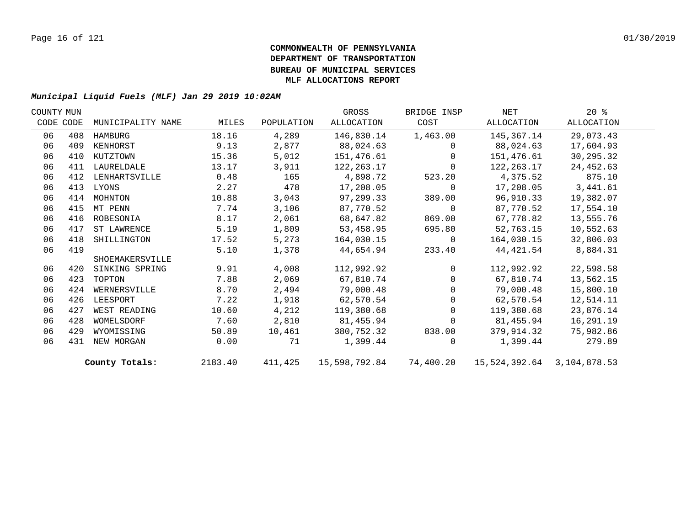| COUNTY MUN |           |                   |         |            | GROSS         | BRIDGE INSP    | NET                        | $20*$      |  |
|------------|-----------|-------------------|---------|------------|---------------|----------------|----------------------------|------------|--|
|            | CODE CODE | MUNICIPALITY NAME | MILES   | POPULATION | ALLOCATION    | COST           | ALLOCATION                 | ALLOCATION |  |
| 06         | 408       | HAMBURG           | 18.16   | 4,289      | 146,830.14    | 1,463.00       | 145,367.14                 | 29,073.43  |  |
| 06         | 409       | KENHORST          | 9.13    | 2,877      | 88,024.63     | $\Omega$       | 88,024.63                  | 17,604.93  |  |
| 06         | 410       | KUTZTOWN          | 15.36   | 5,012      | 151,476.61    | $\mathbf 0$    | 151,476.61                 | 30,295.32  |  |
| 06         | 411       | LAURELDALE        | 13.17   | 3,911      | 122,263.17    | $\mathbf 0$    | 122,263.17                 | 24,452.63  |  |
| 06         | 412       | LENHARTSVILLE     | 0.48    | 165        | 4,898.72      | 523.20         | 4,375.52                   | 875.10     |  |
| 06         | 413       | LYONS             | 2.27    | 478        | 17,208.05     | $\mathbf 0$    | 17,208.05                  | 3,441.61   |  |
| 06         | 414       | MOHNTON           | 10.88   | 3,043      | 97,299.33     | 389.00         | 96,910.33                  | 19,382.07  |  |
| 06         | 415       | MT PENN           | 7.74    | 3,106      | 87,770.52     | $\mathbf 0$    | 87,770.52                  | 17,554.10  |  |
| 06         | 416       | ROBESONIA         | 8.17    | 2,061      | 68,647.82     | 869.00         | 67,778.82                  | 13,555.76  |  |
| 06         | 417       | ST LAWRENCE       | 5.19    | 1,809      | 53,458.95     | 695.80         | 52,763.15                  | 10,552.63  |  |
| 06         | 418       | SHILLINGTON       | 17.52   | 5,273      | 164,030.15    | $\overline{0}$ | 164,030.15                 | 32,806.03  |  |
| 06         | 419       |                   | 5.10    | 1,378      | 44,654.94     | 233.40         | 44,421.54                  | 8,884.31   |  |
|            |           | SHOEMAKERSVILLE   |         |            |               |                |                            |            |  |
| 06         | 420       | SINKING SPRING    | 9.91    | 4,008      | 112,992.92    | $\Omega$       | 112,992.92                 | 22,598.58  |  |
| 06         | 423       | TOPTON            | 7.88    | 2,069      | 67,810.74     | $\Omega$       | 67,810.74                  | 13,562.15  |  |
| 06         | 424       | WERNERSVILLE      | 8.70    | 2,494      | 79,000.48     | $\Omega$       | 79,000.48                  | 15,800.10  |  |
| 06         | 426       | LEESPORT          | 7.22    | 1,918      | 62,570.54     | $\Omega$       | 62,570.54                  | 12,514.11  |  |
| 06         | 427       | WEST READING      | 10.60   | 4,212      | 119,380.68    | $\Omega$       | 119,380.68                 | 23,876.14  |  |
| 06         | 428       | WOMELSDORF        | 7.60    | 2,810      | 81,455.94     | $\Omega$       | 81,455.94                  | 16,291.19  |  |
| 06         | 429       | WYOMISSING        | 50.89   | 10,461     | 380,752.32    | 838.00         | 379,914.32                 | 75,982.86  |  |
| 06         | 431       | NEW MORGAN        | 0.00    | 71         | 1,399.44      | $\Omega$       | 1,399.44                   | 279.89     |  |
|            |           | County Totals:    | 2183.40 | 411,425    | 15,598,792.84 | 74,400.20      | 15,524,392.64 3,104,878.53 |            |  |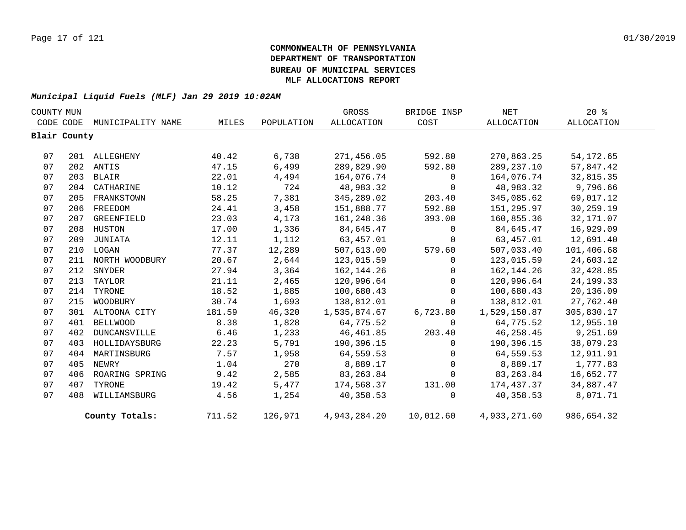| COUNTY MUN |              |                   |        |            | GROSS             | BRIDGE INSP  | NET          | $20*$       |  |
|------------|--------------|-------------------|--------|------------|-------------------|--------------|--------------|-------------|--|
|            | CODE CODE    | MUNICIPALITY NAME | MILES  | POPULATION | <b>ALLOCATION</b> | COST         | ALLOCATION   | ALLOCATION  |  |
|            | Blair County |                   |        |            |                   |              |              |             |  |
|            |              |                   |        |            |                   |              |              |             |  |
| 07         |              | 201 ALLEGHENY     | 40.42  | 6,738      | 271,456.05        | 592.80       | 270,863.25   | 54, 172.65  |  |
| 07         |              | 202 ANTIS         | 47.15  | 6,499      | 289,829.90        | 592.80       | 289, 237. 10 | 57,847.42   |  |
| 07         |              | 203 BLAIR         | 22.01  | 4,494      | 164,076.74        | $\mathbf 0$  | 164,076.74   | 32,815.35   |  |
| 07         |              | 204 CATHARINE     | 10.12  | 724        | 48,983.32         | $\Omega$     | 48,983.32    | 9,796.66    |  |
| 07         | 205          | FRANKSTOWN        | 58.25  | 7,381      | 345,289.02        | 203.40       | 345,085.62   | 69,017.12   |  |
| 07         | 206          | FREEDOM           | 24.41  | 3,458      | 151,888.77        | 592.80       | 151,295.97   | 30,259.19   |  |
| 07         | 207          | GREENFIELD        | 23.03  | 4,173      | 161,248.36        | 393.00       | 160,855.36   | 32,171.07   |  |
| 07         |              | 208 HUSTON        | 17.00  | 1,336      | 84,645.47         | $\mathbf 0$  | 84,645.47    | 16,929.09   |  |
| 07         | 209          | JUNIATA           | 12.11  | 1,112      | 63,457.01         | $\mathbf 0$  | 63,457.01    | 12,691.40   |  |
| 07         |              | 210 LOGAN         | 77.37  | 12,289     | 507,613.00        | 579.60       | 507,033.40   | 101,406.68  |  |
| 07         | 211          | NORTH WOODBURY    | 20.67  | 2,644      | 123,015.59        | $\mathbf 0$  | 123,015.59   | 24,603.12   |  |
| 07         |              | 212 SNYDER        | 27.94  | 3,364      | 162,144.26        | $\Omega$     | 162,144.26   | 32,428.85   |  |
| 07         |              | 213 TAYLOR        | 21.11  | 2,465      | 120,996.64        | $\mathbf 0$  | 120,996.64   | 24, 199. 33 |  |
| 07         |              | 214 TYRONE        | 18.52  | 1,885      | 100,680.43        | $\mathbf 0$  | 100,680.43   | 20,136.09   |  |
| 07         |              | 215 WOODBURY      | 30.74  | 1,693      | 138,812.01        | $\Omega$     | 138,812.01   | 27,762.40   |  |
| 07         |              | 301 ALTOONA CITY  | 181.59 | 46,320     | 1,535,874.67      | 6,723.80     | 1,529,150.87 | 305,830.17  |  |
| 07         | 401          | <b>BELLWOOD</b>   | 8.38   | 1,828      | 64,775.52         | $\Omega$     | 64,775.52    | 12,955.10   |  |
| 07         | 402          | DUNCANSVILLE      | 6.46   | 1,233      | 46,461.85         | 203.40       | 46,258.45    | 9,251.69    |  |
| 07         | 403          | HOLLIDAYSBURG     | 22.23  | 5,791      | 190,396.15        | $\Omega$     | 190,396.15   | 38,079.23   |  |
| 07         | 404          | MARTINSBURG       | 7.57   | 1,958      | 64,559.53         | $\mathbf 0$  | 64,559.53    | 12,911.91   |  |
| 07         | 405          | NEWRY             | 1.04   | 270        | 8,889.17          | $\Omega$     | 8,889.17     | 1,777.83    |  |
| 07         | 406          | ROARING SPRING    | 9.42   | 2,585      | 83, 263.84        | $\mathbf 0$  | 83,263.84    | 16,652.77   |  |
| 07         | 407          | TYRONE            | 19.42  | 5,477      | 174,568.37        | 131.00       | 174,437.37   | 34,887.47   |  |
| 07         | 408          | WILLIAMSBURG      | 4.56   | 1,254      | 40,358.53         | $\mathbf{0}$ | 40,358.53    | 8,071.71    |  |
|            |              | County Totals:    | 711.52 | 126,971    | 4,943,284.20      | 10,012.60    | 4,933,271.60 | 986,654.32  |  |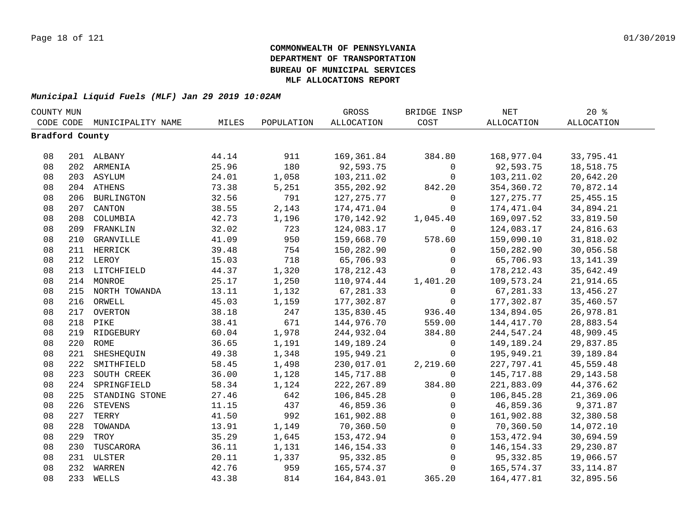| COUNTY MUN      |     |                   |       | GROSS      | BRIDGE INSP       | $\operatorname{NET}$ | $20*$             |                   |  |
|-----------------|-----|-------------------|-------|------------|-------------------|----------------------|-------------------|-------------------|--|
| CODE CODE       |     | MUNICIPALITY NAME | MILES | POPULATION | <b>ALLOCATION</b> | COST                 | <b>ALLOCATION</b> | <b>ALLOCATION</b> |  |
| Bradford County |     |                   |       |            |                   |                      |                   |                   |  |
|                 |     |                   |       |            |                   |                      |                   |                   |  |
| 08              |     | 201 ALBANY        | 44.14 | 911        | 169,361.84        | 384.80               | 168,977.04        | 33,795.41         |  |
| 08              |     | 202 ARMENIA       | 25.96 | 180        | 92,593.75         | $\mathsf{O}$         | 92,593.75         | 18,518.75         |  |
| 08              |     | 203 ASYLUM        | 24.01 | 1,058      | 103, 211.02       | 0                    | 103, 211.02       | 20,642.20         |  |
| 08              |     | 204 ATHENS        | 73.38 | 5,251      | 355,202.92        | 842.20               | 354,360.72        | 70,872.14         |  |
| 08              |     | 206 BURLINGTON    | 32.56 | 791        | 127, 275.77       | 0                    | 127, 275.77       | 25, 455. 15       |  |
| 08              | 207 | CANTON            | 38.55 | 2,143      | 174,471.04        | $\mathbf 0$          | 174,471.04        | 34,894.21         |  |
| 08              | 208 | COLUMBIA          | 42.73 | 1,196      | 170,142.92        | 1,045.40             | 169,097.52        | 33,819.50         |  |
| 08              | 209 | FRANKLIN          | 32.02 | 723        | 124,083.17        | $\mathbf 0$          | 124,083.17        | 24,816.63         |  |
| 08              | 210 | GRANVILLE         | 41.09 | 950        | 159,668.70        | 578.60               | 159,090.10        | 31,818.02         |  |
| 08              | 211 | HERRICK           | 39.48 | 754        | 150,282.90        | $\mathbf 0$          | 150,282.90        | 30,056.58         |  |
| 08              |     | 212 LEROY         | 15.03 | 718        | 65,706.93         | $\mathbf 0$          | 65,706.93         | 13, 141.39        |  |
| 08              |     | 213 LITCHFIELD    | 44.37 | 1,320      | 178,212.43        | $\Omega$             | 178,212.43        | 35,642.49         |  |
| 08              |     | 214 MONROE        | 25.17 | 1,250      | 110,974.44        | 1,401.20             | 109,573.24        | 21,914.65         |  |
| 08              |     | 215 NORTH TOWANDA | 13.11 | 1,132      | 67,281.33         | $\mathbf 0$          | 67,281.33         | 13,456.27         |  |
| 08              |     | 216 ORWELL        | 45.03 | 1,159      | 177,302.87        | $\mathbf 0$          | 177,302.87        | 35,460.57         |  |
| 08              |     | 217 OVERTON       | 38.18 | 247        | 135,830.45        | 936.40               | 134,894.05        | 26,978.81         |  |
| 08              |     | 218 PIKE          | 38.41 | 671        | 144,976.70        | 559.00               | 144, 417.70       | 28,883.54         |  |
| 08              |     | 219 RIDGEBURY     | 60.04 | 1,978      | 244,932.04        | 384.80               | 244,547.24        | 48,909.45         |  |
| 08              |     | 220 ROME          | 36.65 | 1,191      | 149,189.24        | 0                    | 149,189.24        | 29,837.85         |  |
| 08              | 221 | SHESHEQUIN        | 49.38 | 1,348      | 195,949.21        | $\mathbf 0$          | 195,949.21        | 39,189.84         |  |
| 08              | 222 | SMITHFIELD        | 58.45 | 1,498      | 230,017.01        | 2,219.60             | 227,797.41        | 45,559.48         |  |
| 08              | 223 | SOUTH CREEK       | 36.00 | 1,128      | 145,717.88        | $\Omega$             | 145,717.88        | 29, 143.58        |  |
| 08              | 224 | SPRINGFIELD       | 58.34 | 1,124      | 222,267.89        | 384.80               | 221,883.09        | 44,376.62         |  |
| 08              | 225 | STANDING STONE    | 27.46 | 642        | 106,845.28        | $\mathbf 0$          | 106,845.28        | 21,369.06         |  |
| 08              | 226 | <b>STEVENS</b>    | 11.15 | 437        | 46,859.36         | 0                    | 46,859.36         | 9,371.87          |  |
| 08              | 227 | TERRY             | 41.50 | 992        | 161,902.88        | $\mathbf 0$          | 161,902.88        | 32,380.58         |  |
| 08              | 228 | TOWANDA           | 13.91 | 1,149      | 70,360.50         | $\mathbf 0$          | 70,360.50         | 14,072.10         |  |
| 08              | 229 | TROY              | 35.29 | 1,645      | 153,472.94        | $\mathbf 0$          | 153,472.94        | 30,694.59         |  |
| 08              | 230 | TUSCARORA         | 36.11 | 1,131      | 146,154.33        | $\mathsf{O}$         | 146,154.33        | 29,230.87         |  |
| 08              |     | 231 ULSTER        | 20.11 | 1,337      | 95,332.85         | 0                    | 95,332.85         | 19,066.57         |  |
| 08              |     | 232 WARREN        | 42.76 | 959        | 165,574.37        | $\mathbf 0$          | 165,574.37        | 33, 114.87        |  |
| 08              |     | 233 WELLS         | 43.38 | 814        | 164,843.01        | 365.20               | 164, 477.81       | 32,895.56         |  |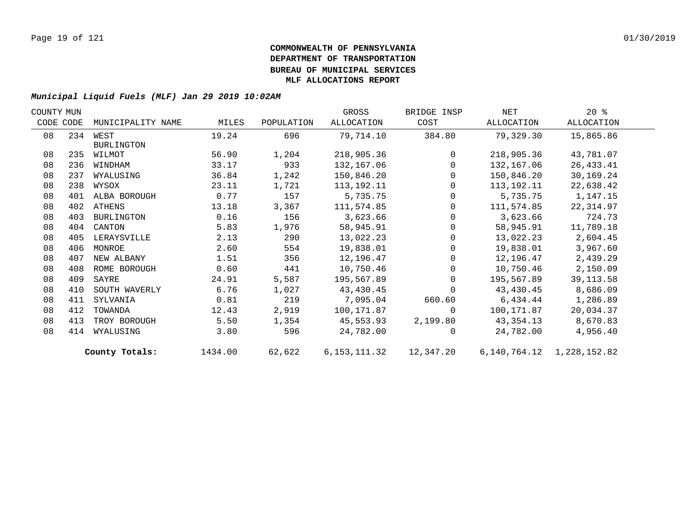| COUNTY MUN |           |                   |         |            | GROSS        | BRIDGE INSP    | NET        | $20*$                           |  |
|------------|-----------|-------------------|---------|------------|--------------|----------------|------------|---------------------------------|--|
|            | CODE CODE | MUNICIPALITY NAME | MILES   | POPULATION | ALLOCATION   | COST           | ALLOCATION | ALLOCATION                      |  |
| 08         |           | 234 WEST          | 19.24   | 696        | 79,714.10    | 384.80         | 79,329.30  | 15,865.86                       |  |
|            |           | <b>BURLINGTON</b> |         |            |              |                |            |                                 |  |
| 08         | 235       | WILMOT            | 56.90   | 1,204      | 218,905.36   | $\Omega$       | 218,905.36 | 43,781.07                       |  |
| 08         | 236       | WINDHAM           | 33.17   | 933        | 132,167.06   | $\mathbf{0}$   | 132,167.06 | 26, 433. 41                     |  |
| 08         | 237       | WYALUSING         | 36.84   | 1,242      | 150,846.20   | $\overline{0}$ | 150,846.20 | 30,169.24                       |  |
| 08         | 238       | WYSOX             | 23.11   | 1,721      | 113,192.11   | $\Omega$       | 113,192.11 | 22,638.42                       |  |
| 08         | 401       | ALBA BOROUGH      | 0.77    | 157        | 5,735.75     | $\Omega$       | 5,735.75   | 1,147.15                        |  |
| 08         | 402       | ATHENS            | 13.18   | 3,367      | 111,574.85   | $\Omega$       | 111,574.85 | 22,314.97                       |  |
| 08         | 403       | BURLINGTON        | 0.16    | 156        | 3,623.66     | $\mathbf 0$    | 3,623.66   | 724.73                          |  |
| 08         | 404       | CANTON            | 5.83    | 1,976      | 58,945.91    | 0              | 58,945.91  | 11,789.18                       |  |
| 08         | 405       | LERAYSVILLE       | 2.13    | 290        | 13,022.23    | 0              | 13,022.23  | 2,604.45                        |  |
| 08         | 406       | MONROE            | 2.60    | 554        | 19,838.01    | $\mathbf{0}$   | 19,838.01  | 3,967.60                        |  |
| 08         | 407       | NEW ALBANY        | 1.51    | 356        | 12,196.47    | $\mathbf 0$    | 12,196.47  | 2,439.29                        |  |
| 08         | 408       | ROME BOROUGH      | 0.60    | 441        | 10,750.46    | $\mathbf{0}$   | 10,750.46  | 2,150.09                        |  |
| 08         | 409       | SAYRE             | 24.91   | 5,587      | 195,567.89   | $\Omega$       | 195,567.89 | 39, 113.58                      |  |
| 08         | 410       | SOUTH WAVERLY     | 6.76    | 1,027      | 43,430.45    | $\Omega$       | 43,430.45  | 8,686.09                        |  |
| 08         | 411       | SYLVANIA          | 0.81    | 219        | 7,095.04     | 660.60         | 6,434.44   | 1,286.89                        |  |
| 08         | 412       | TOWANDA           | 12.43   | 2,919      | 100,171.87   | $\Omega$       | 100,171.87 | 20,034.37                       |  |
| 08         | 413       | TROY BOROUGH      | 5.50    | 1,354      | 45,553.93    | 2,199.80       | 43,354.13  | 8,670.83                        |  |
| 08         | 414       | WYALUSING         | 3.80    | 596        | 24,782.00    | $\Omega$       | 24,782.00  | 4,956.40                        |  |
|            |           | County Totals:    | 1434.00 | 62,622     | 6,153,111.32 | 12,347.20      |            | 6, 140, 764. 12 1, 228, 152. 82 |  |
|            |           |                   |         |            |              |                |            |                                 |  |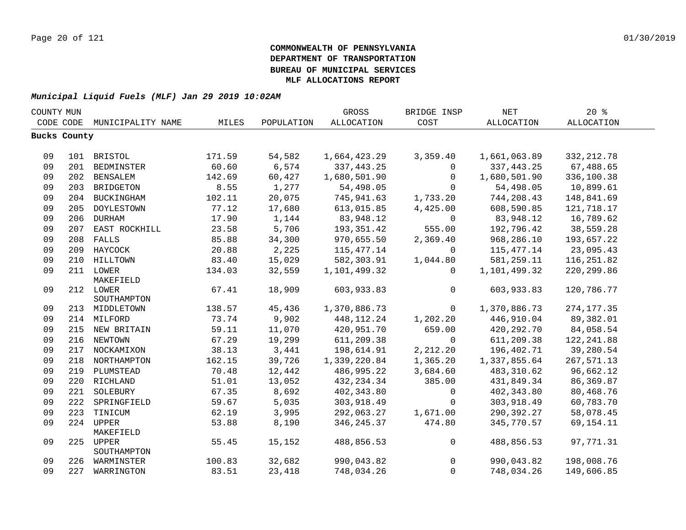| COUNTY MUN |              |                   |        |            | GROSS             | BRIDGE INSP    | <b>NET</b>        | $20*$             |  |
|------------|--------------|-------------------|--------|------------|-------------------|----------------|-------------------|-------------------|--|
|            | CODE CODE    | MUNICIPALITY NAME | MILES  | POPULATION | <b>ALLOCATION</b> | COST           | <b>ALLOCATION</b> | <b>ALLOCATION</b> |  |
|            | Bucks County |                   |        |            |                   |                |                   |                   |  |
|            |              |                   |        |            |                   |                |                   |                   |  |
| 09         |              | 101 BRISTOL       | 171.59 | 54,582     | 1,664,423.29      | 3,359.40       | 1,661,063.89      | 332, 212.78       |  |
| 09         |              | 201 BEDMINSTER    | 60.60  | 6,574      | 337, 443.25       | $\mathbf 0$    | 337, 443.25       | 67,488.65         |  |
| 09         |              | 202 BENSALEM      | 142.69 | 60,427     | 1,680,501.90      | $\mathbf{0}$   | 1,680,501.90      | 336,100.38        |  |
| 09         | 203          | <b>BRIDGETON</b>  | 8.55   | 1,277      | 54,498.05         | $\Omega$       | 54,498.05         | 10,899.61         |  |
| 09         |              | 204 BUCKINGHAM    | 102.11 | 20,075     | 745,941.63        | 1,733.20       | 744,208.43        | 148,841.69        |  |
| 09         | 205          | DOYLESTOWN        | 77.12  | 17,680     | 613,015.85        | 4,425.00       | 608,590.85        | 121,718.17        |  |
| 09         | 206          | <b>DURHAM</b>     | 17.90  | 1,144      | 83,948.12         | $\mathbf 0$    | 83,948.12         | 16,789.62         |  |
| 09         |              | 207 EAST ROCKHILL | 23.58  | 5,706      | 193, 351.42       | 555.00         | 192,796.42        | 38,559.28         |  |
| 09         |              | 208 FALLS         | 85.88  | 34,300     | 970,655.50        | 2,369.40       | 968,286.10        | 193,657.22        |  |
| 09         |              | 209 HAYCOCK       | 20.88  | 2,225      | 115,477.14        | $\mathbf 0$    | 115, 477. 14      | 23,095.43         |  |
| 09         |              | 210 HILLTOWN      | 83.40  | 15,029     | 582,303.91        | 1,044.80       | 581,259.11        | 116, 251.82       |  |
| 09         |              | 211 LOWER         | 134.03 | 32,559     | 1,101,499.32      | $\Omega$       | 1,101,499.32      | 220, 299.86       |  |
|            |              | MAKEFIELD         |        |            |                   |                |                   |                   |  |
| 09         |              | 212 LOWER         | 67.41  | 18,909     | 603,933.83        | $\mathbf 0$    | 603,933.83        | 120,786.77        |  |
|            |              | SOUTHAMPTON       |        |            |                   |                |                   |                   |  |
| 09         |              | 213 MIDDLETOWN    | 138.57 | 45,436     | 1,370,886.73      | $\overline{0}$ | 1,370,886.73      | 274, 177.35       |  |
| 09         |              | 214 MILFORD       | 73.74  | 9,902      | 448, 112. 24      | 1,202.20       | 446,910.04        | 89,382.01         |  |
| 09         |              | 215 NEW BRITAIN   | 59.11  | 11,070     | 420,951.70        | 659.00         | 420, 292. 70      | 84,058.54         |  |
| 09         |              | 216 NEWTOWN       | 67.29  | 19,299     | 611,209.38        | $\mathbf 0$    | 611,209.38        | 122, 241.88       |  |
| 09         |              | 217 NOCKAMIXON    | 38.13  | 3,441      | 198,614.91        | 2,212.20       | 196,402.71        | 39,280.54         |  |
| 09         |              | 218 NORTHAMPTON   | 162.15 | 39,726     | 1,339,220.84      | 1,365.20       | 1,337,855.64      | 267,571.13        |  |
| 09         | 219          | PLUMSTEAD         | 70.48  | 12,442     | 486,995.22        | 3,684.60       | 483, 310.62       | 96,662.12         |  |
| 09         |              | 220 RICHLAND      | 51.01  | 13,052     | 432, 234.34       | 385.00         | 431,849.34        | 86,369.87         |  |
| 09         | 221          | SOLEBURY          | 67.35  | 8,692      | 402,343.80        | $\mathbf 0$    | 402,343.80        | 80,468.76         |  |
| 09         | 222          | SPRINGFIELD       | 59.67  | 5,035      | 303,918.49        | $\Omega$       | 303,918.49        | 60,783.70         |  |
| 09         |              | 223 TINICUM       | 62.19  | 3,995      | 292,063.27        | 1,671.00       | 290,392.27        | 58,078.45         |  |
| 09         |              | 224 UPPER         | 53.88  | 8,190      | 346, 245.37       | 474.80         | 345,770.57        | 69, 154. 11       |  |
|            |              | MAKEFIELD         |        |            |                   |                |                   |                   |  |
| 09         |              | 225 UPPER         | 55.45  | 15,152     | 488,856.53        | $\mathsf{O}$   | 488,856.53        | 97,771.31         |  |
| 09         |              | SOUTHAMPTON       | 100.83 | 32,682     | 990,043.82        | 0              | 990,043.82        | 198,008.76        |  |
| 09         |              | 226 WARMINSTER    |        |            |                   | $\mathbf 0$    |                   | 149,606.85        |  |
|            |              | 227 WARRINGTON    | 83.51  | 23,418     | 748,034.26        |                | 748,034.26        |                   |  |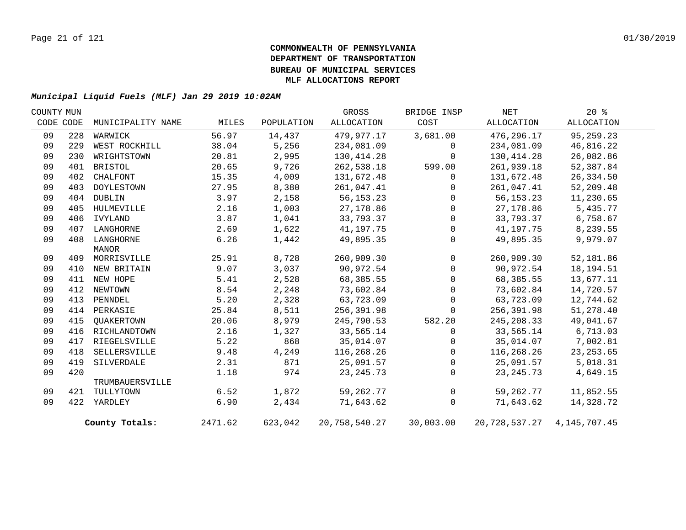| COUNTY MUN |     |                   |         |            | GROSS                   | BRIDGE INSP | NET                              | $20*$      |  |
|------------|-----|-------------------|---------|------------|-------------------------|-------------|----------------------------------|------------|--|
| CODE CODE  |     | MUNICIPALITY NAME | MILES   | POPULATION | ALLOCATION              | COST        | ALLOCATION                       | ALLOCATION |  |
| 09         | 228 | WARWICK           | 56.97   | 14,437     | 479,977.17              | 3,681.00    | 476,296.17                       | 95,259.23  |  |
| 09         | 229 | WEST ROCKHILL     | 38.04   | 5,256      | 234,081.09              | 0           | 234,081.09                       | 46,816.22  |  |
| 09         | 230 | WRIGHTSTOWN       | 20.81   | 2,995      | 130,414.28              | $\Omega$    | 130,414.28                       | 26,082.86  |  |
| 09         | 401 | BRISTOL           | 20.65   | 9,726      | 262,538.18              | 599.00      | 261,939.18                       | 52,387.84  |  |
| 09         | 402 | CHALFONT          | 15.35   | 4,009      | 131,672.48              | 0           | 131,672.48                       | 26,334.50  |  |
| 09         | 403 | DOYLESTOWN        | 27.95   | 8,380      | 261,047.41              | $\Omega$    | 261,047.41                       | 52,209.48  |  |
| 09         | 404 | DUBLIN            | 3.97    | 2,158      | 56, 153. 23             | 0           | 56,153.23                        | 11,230.65  |  |
| 09         | 405 | HULMEVILLE        | 2.16    | 1,003      | 27,178.86               | $\Omega$    | 27,178.86                        | 5,435.77   |  |
| 09         | 406 | IVYLAND           | 3.87    | 1,041      | 33,793.37               | $\Omega$    | 33,793.37                        | 6,758.67   |  |
| 09         | 407 | LANGHORNE         | 2.69    | 1,622      | 41,197.75               | 0           | 41,197.75                        | 8,239.55   |  |
| 09         | 408 | LANGHORNE         | 6.26    | 1,442      | 49,895.35               | $\Omega$    | 49,895.35                        | 9,979.07   |  |
|            |     | MANOR             |         |            |                         |             |                                  |            |  |
| 09         |     | 409 MORRISVILLE   | 25.91   | 8,728      | 260,909.30              | $\mathbf 0$ | 260,909.30                       | 52,181.86  |  |
| 09         | 410 | NEW BRITAIN       | 9.07    | 3,037      | 90,972.54               | $\mathbf 0$ | 90,972.54                        | 18,194.51  |  |
| 09         | 411 | NEW HOPE          | 5.41    | 2,528      | 68,385.55               | 0           | 68,385.55                        | 13,677.11  |  |
| 09         | 412 | NEWTOWN           | 8.54    | 2,248      | 73,602.84               | $\Omega$    | 73,602.84                        | 14,720.57  |  |
| 09         | 413 | PENNDEL           | 5.20    | 2,328      | 63,723.09               | $\Omega$    | 63,723.09                        | 12,744.62  |  |
| 09         |     | 414 PERKASIE      | 25.84   | 8,511      | 256,391.98              | 0           | 256,391.98                       | 51,278.40  |  |
| 09         | 415 | OUAKERTOWN        | 20.06   | 8,979      | 245,790.53              | 582.20      | 245,208.33                       | 49,041.67  |  |
| 09         | 416 | RICHLANDTOWN      | 2.16    | 1,327      | 33,565.14               | 0           | 33,565.14                        | 6,713.03   |  |
| 09         | 417 | RIEGELSVILLE      | 5.22    | 868        | 35,014.07               | 0           | 35,014.07                        | 7,002.81   |  |
| 09         | 418 | SELLERSVILLE      | 9.48    | 4,249      | 116,268.26              | $\mathbf 0$ | 116,268.26                       | 23, 253.65 |  |
| 09         | 419 | SILVERDALE        | 2.31    | 871        | 25,091.57               | $\Omega$    | 25,091.57                        | 5,018.31   |  |
| 09         | 420 |                   | 1.18    | 974        | 23, 245. 73             | 0           | 23, 245. 73                      | 4,649.15   |  |
|            |     | TRUMBAUERSVILLE   |         |            |                         |             |                                  |            |  |
| 09         |     | 421 TULLYTOWN     | 6.52    | 1,872      | 59,262.77               | $\mathbf 0$ | 59,262.77                        | 11,852.55  |  |
| 09         |     | 422 YARDLEY       | 6.90    | 2,434      | 71,643.62               | 0           | 71,643.62                        | 14,328.72  |  |
|            |     | County Totals:    | 2471.62 | 623,042    | 20,758,540.27 30,003.00 |             | 20, 728, 537. 27 4, 145, 707. 45 |            |  |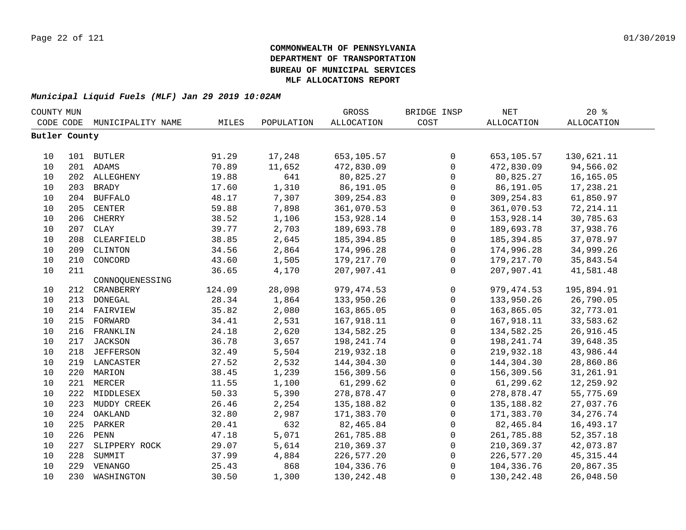| COUNTY MUN    |     |                   |        |            | GROSS       | BRIDGE INSP         | NET               | 20%               |  |
|---------------|-----|-------------------|--------|------------|-------------|---------------------|-------------------|-------------------|--|
| CODE CODE     |     | MUNICIPALITY NAME | MILES  | POPULATION | ALLOCATION  | COST                | <b>ALLOCATION</b> | <b>ALLOCATION</b> |  |
| Butler County |     |                   |        |            |             |                     |                   |                   |  |
|               |     |                   |        |            |             |                     |                   |                   |  |
| 10            |     | 101 BUTLER        | 91.29  | 17,248     | 653,105.57  | $\mathbf 0$         | 653,105.57        | 130,621.11        |  |
| 10            |     | 201 ADAMS         | 70.89  | 11,652     | 472,830.09  | $\mathbf 0$         | 472,830.09        | 94,566.02         |  |
| 10            |     | 202 ALLEGHENY     | 19.88  | 641        | 80,825.27   | $\mathbf 0$         | 80,825.27         | 16,165.05         |  |
| 10            |     | 203 BRADY         | 17.60  | 1,310      | 86,191.05   | 0                   | 86,191.05         | 17,238.21         |  |
| 10            | 204 | <b>BUFFALO</b>    | 48.17  | 7,307      | 309,254.83  | $\mathsf{O}\xspace$ | 309, 254.83       | 61,850.97         |  |
| 10            | 205 | <b>CENTER</b>     | 59.88  | 7,898      | 361,070.53  | $\mathbf 0$         | 361,070.53        | 72, 214.11        |  |
| 10            | 206 | CHERRY            | 38.52  | 1,106      | 153,928.14  | $\mathbf 0$         | 153,928.14        | 30,785.63         |  |
| 10            | 207 | <b>CLAY</b>       | 39.77  | 2,703      | 189,693.78  | $\mathbf 0$         | 189,693.78        | 37,938.76         |  |
| 10            | 208 | CLEARFIELD        | 38.85  | 2,645      | 185,394.85  | $\mathbf 0$         | 185,394.85        | 37,078.97         |  |
| 10            | 209 | CLINTON           | 34.56  | 2,864      | 174,996.28  | $\mathbf 0$         | 174,996.28        | 34,999.26         |  |
| $10$          | 210 | CONCORD           | 43.60  | 1,505      | 179, 217.70 | $\mathbf 0$         | 179, 217.70       | 35,843.54         |  |
| 10            | 211 |                   | 36.65  | 4,170      | 207,907.41  | $\Omega$            | 207,907.41        | 41,581.48         |  |
|               |     | CONNOQUENESSING   |        |            |             |                     |                   |                   |  |
| 10            | 212 | CRANBERRY         | 124.09 | 28,098     | 979, 474.53 | $\mathsf{O}$        | 979, 474.53       | 195,894.91        |  |
| 10            | 213 | DONEGAL           | 28.34  | 1,864      | 133,950.26  | $\mathbf 0$         | 133,950.26        | 26,790.05         |  |
| 10            | 214 | FAIRVIEW          | 35.82  | 2,080      | 163,865.05  | $\mathbf 0$         | 163,865.05        | 32,773.01         |  |
| 10            | 215 | FORWARD           | 34.41  | 2,531      | 167,918.11  | $\mathbf 0$         | 167,918.11        | 33,583.62         |  |
| 10            | 216 | FRANKLIN          | 24.18  | 2,620      | 134,582.25  | $\mathbf 0$         | 134,582.25        | 26,916.45         |  |
| 10            | 217 | JACKSON           | 36.78  | 3,657      | 198,241.74  | $\mathbf 0$         | 198,241.74        | 39,648.35         |  |
| 10            |     | 218 JEFFERSON     | 32.49  | 5,504      | 219,932.18  | $\mathbf 0$         | 219,932.18        | 43,986.44         |  |
| 10            |     | 219 LANCASTER     | 27.52  | 2,532      | 144,304.30  | $\mathbf 0$         | 144,304.30        | 28,860.86         |  |
| 10            |     | 220 MARION        | 38.45  | 1,239      | 156,309.56  | $\mathsf 0$         | 156,309.56        | 31,261.91         |  |
| 10            |     | 221 MERCER        | 11.55  | 1,100      | 61,299.62   | $\mathsf{O}\xspace$ | 61,299.62         | 12,259.92         |  |
| 10            |     | 222 MIDDLESEX     | 50.33  | 5,390      | 278,878.47  | $\mathsf{O}$        | 278,878.47        | 55,775.69         |  |
| 10            | 223 | MUDDY CREEK       | 26.46  | 2,254      | 135,188.82  | $\mathbf 0$         | 135,188.82        | 27,037.76         |  |
| 10            | 224 | OAKLAND           | 32.80  | 2,987      | 171,383.70  | $\mathbf 0$         | 171,383.70        | 34, 276. 74       |  |
| 10            | 225 | PARKER            | 20.41  | 632        | 82,465.84   | $\mathbf 0$         | 82,465.84         | 16,493.17         |  |
| 10            | 226 | ${\tt PENN}$      | 47.18  | 5,071      | 261,785.88  | $\mathbf 0$         | 261,785.88        | 52, 357. 18       |  |
| 10            | 227 | SLIPPERY ROCK     | 29.07  | 5,614      | 210,369.37  | $\mathbf 0$         | 210,369.37        | 42,073.87         |  |
| 10            | 228 | SUMMIT            | 37.99  | 4,884      | 226,577.20  | $\mathbf 0$         | 226,577.20        | 45, 315. 44       |  |
| 10            | 229 | VENANGO           | 25.43  | 868        | 104,336.76  | $\mathbf 0$         | 104,336.76        | 20,867.35         |  |
| 10            | 230 | WASHINGTON        | 30.50  | 1,300      | 130,242.48  | $\Omega$            | 130, 242.48       | 26,048.50         |  |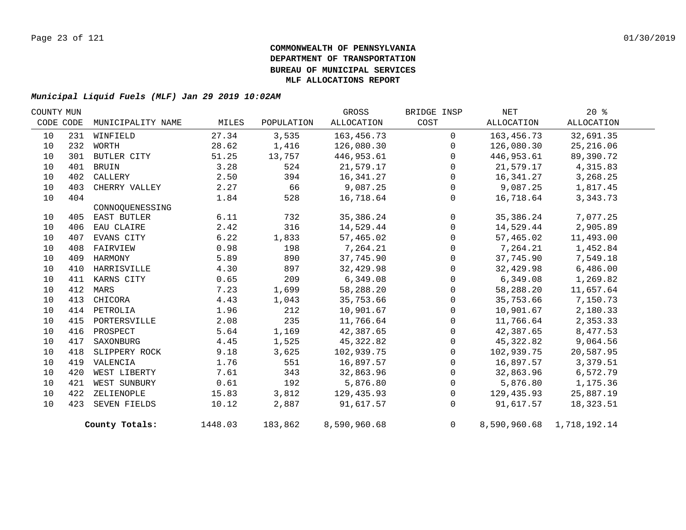| COUNTY MUN |     |                   |         |            | GROSS        | BRIDGE INSP  | NET        | $20*$                     |  |
|------------|-----|-------------------|---------|------------|--------------|--------------|------------|---------------------------|--|
| CODE CODE  |     | MUNICIPALITY NAME | MILES   | POPULATION | ALLOCATION   | COST         | ALLOCATION | ALLOCATION                |  |
| 10         | 231 | WINFIELD          | 27.34   | 3,535      | 163,456.73   | $\mathbf 0$  | 163,456.73 | 32,691.35                 |  |
| 10         | 232 | WORTH             | 28.62   | 1,416      | 126,080.30   | $\Omega$     | 126,080.30 | 25, 216.06                |  |
| 10         |     | 301 BUTLER CITY   | 51.25   | 13,757     | 446,953.61   | $\Omega$     | 446,953.61 | 89,390.72                 |  |
| 10         | 401 | BRUIN             | 3.28    | 524        | 21,579.17    | $\Omega$     | 21,579.17  | 4,315.83                  |  |
| 10         | 402 | CALLERY           | 2.50    | 394        | 16,341.27    | $\mathbf 0$  | 16,341.27  | 3,268.25                  |  |
| 10         | 403 | CHERRY VALLEY     | 2.27    | 66         | 9,087.25     | $\Omega$     | 9,087.25   | 1,817.45                  |  |
| 10         | 404 |                   | 1.84    | 528        | 16,718.64    | $\mathbf 0$  | 16,718.64  | 3,343.73                  |  |
|            |     | CONNOQUENESSING   |         |            |              |              |            |                           |  |
| 10         |     | 405 EAST BUTLER   | 6.11    | 732        | 35,386.24    | $\mathbf 0$  | 35,386.24  | 7,077.25                  |  |
| 10         | 406 | EAU CLAIRE        | 2.42    | 316        | 14,529.44    | $\Omega$     | 14,529.44  | 2,905.89                  |  |
| 10         | 407 | EVANS CITY        | 6.22    | 1,833      | 57,465.02    | $\mathbf 0$  | 57,465.02  | 11,493.00                 |  |
| 10         | 408 | FAIRVIEW          | 0.98    | 198        | 7,264.21     | $\mathbf 0$  | 7,264.21   | 1,452.84                  |  |
| 10         | 409 | HARMONY           | 5.89    | 890        | 37,745.90    | $\mathbf{0}$ | 37,745.90  | 7,549.18                  |  |
| 10         | 410 | HARRISVILLE       | 4.30    | 897        | 32,429.98    | $\mathbf{0}$ | 32,429.98  | 6,486.00                  |  |
| 10         |     | 411 KARNS CITY    | 0.65    | 209        | 6,349.08     | $\Omega$     | 6,349.08   | 1,269.82                  |  |
| 10         | 412 | MARS              | 7.23    | 1,699      | 58,288.20    | $\mathbf 0$  | 58,288.20  | 11,657.64                 |  |
| 10         | 413 | CHICORA           | 4.43    | 1,043      | 35,753.66    | $\Omega$     | 35,753.66  | 7,150.73                  |  |
| 10         | 414 | PETROLIA          | 1.96    | 212        | 10,901.67    | $\mathbf{0}$ | 10,901.67  | 2,180.33                  |  |
| 10         | 415 | PORTERSVILLE      | 2.08    | 235        | 11,766.64    | $\Omega$     | 11,766.64  | 2,353.33                  |  |
| 10         | 416 | PROSPECT          | 5.64    | 1,169      | 42,387.65    | $\Omega$     | 42,387.65  | 8,477.53                  |  |
| 10         | 417 | SAXONBURG         | 4.45    | 1,525      | 45,322.82    | $\mathbf 0$  | 45,322.82  | 9,064.56                  |  |
| 10         | 418 | SLIPPERY ROCK     | 9.18    | 3,625      | 102,939.75   | $\Omega$     | 102,939.75 | 20,587.95                 |  |
| 10         | 419 | VALENCIA          | 1.76    | 551        | 16,897.57    | $\mathbf{0}$ | 16,897.57  | 3,379.51                  |  |
| 10         | 420 | WEST LIBERTY      | 7.61    | 343        | 32,863.96    | $\mathbf 0$  | 32,863.96  | 6,572.79                  |  |
| 10         | 421 | WEST SUNBURY      | 0.61    | 192        | 5,876.80     | $\Omega$     | 5,876.80   | 1,175.36                  |  |
| 10         | 422 | ZELIENOPLE        | 15.83   | 3,812      | 129,435.93   | 0            | 129,435.93 | 25,887.19                 |  |
| 10         |     | 423 SEVEN FIELDS  | 10.12   | 2,887      | 91,617.57    | $\Omega$     | 91,617.57  | 18,323.51                 |  |
|            |     | County Totals:    | 1448.03 | 183,862    | 8,590,960.68 | 0            |            | 8,590,960.68 1,718,192.14 |  |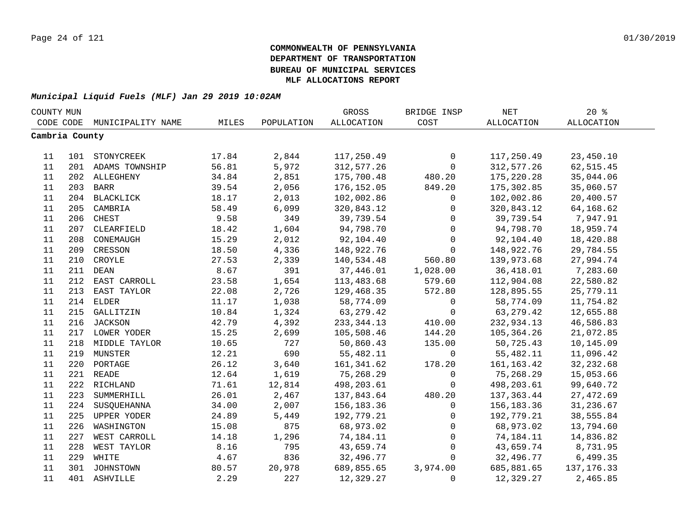| COUNTY MUN     |     |                    |       |            | GROSS             | BRIDGE INSP  | NET          | 20%               |  |
|----------------|-----|--------------------|-------|------------|-------------------|--------------|--------------|-------------------|--|
| CODE CODE      |     | MUNICIPALITY NAME  | MILES | POPULATION | <b>ALLOCATION</b> | COST         | ALLOCATION   | <b>ALLOCATION</b> |  |
| Cambria County |     |                    |       |            |                   |              |              |                   |  |
|                |     |                    |       |            |                   |              |              |                   |  |
| 11             |     | 101 STONYCREEK     | 17.84 | 2,844      | 117,250.49        | 0            | 117,250.49   | 23,450.10         |  |
| 11             |     | 201 ADAMS TOWNSHIP | 56.81 | 5,972      | 312,577.26        | $\mathsf{O}$ | 312,577.26   | 62, 515.45        |  |
| 11             |     | 202 ALLEGHENY      | 34.84 | 2,851      | 175,700.48        | 480.20       | 175,220.28   | 35,044.06         |  |
| $11\,$         | 203 | <b>BARR</b>        | 39.54 | 2,056      | 176, 152.05       | 849.20       | 175,302.85   | 35,060.57         |  |
| 11             | 204 | <b>BLACKLICK</b>   | 18.17 | 2,013      | 102,002.86        | 0            | 102,002.86   | 20,400.57         |  |
| 11             | 205 | CAMBRIA            | 58.49 | 6,099      | 320,843.12        | 0            | 320,843.12   | 64,168.62         |  |
| 11             | 206 | CHEST              | 9.58  | 349        | 39,739.54         | $\mathbf 0$  | 39,739.54    | 7,947.91          |  |
| 11             | 207 | CLEARFIELD         | 18.42 | 1,604      | 94,798.70         | $\mathsf{O}$ | 94,798.70    | 18,959.74         |  |
| 11             | 208 | CONEMAUGH          | 15.29 | 2,012      | 92,104.40         | $\Omega$     | 92,104.40    | 18,420.88         |  |
| 11             | 209 | CRESSON            | 18.50 | 4,336      | 148,922.76        | $\Omega$     | 148,922.76   | 29,784.55         |  |
| 11             | 210 | CROYLE             | 27.53 | 2,339      | 140,534.48        | 560.80       | 139,973.68   | 27,994.74         |  |
| 11             | 211 | <b>DEAN</b>        | 8.67  | 391        | 37,446.01         | 1,028.00     | 36,418.01    | 7,283.60          |  |
| 11             | 212 | EAST CARROLL       | 23.58 | 1,654      | 113,483.68        | 579.60       | 112,904.08   | 22,580.82         |  |
| 11             | 213 | EAST TAYLOR        | 22.08 | 2,726      | 129,468.35        | 572.80       | 128,895.55   | 25,779.11         |  |
| 11             |     | 214 ELDER          | 11.17 | 1,038      | 58,774.09         | 0            | 58,774.09    | 11,754.82         |  |
| 11             |     | 215 GALLITZIN      | 10.84 | 1,324      | 63, 279. 42       | 0            | 63, 279. 42  | 12,655.88         |  |
| 11             |     | 216 JACKSON        | 42.79 | 4,392      | 233, 344. 13      | 410.00       | 232,934.13   | 46,586.83         |  |
| 11             |     | 217 LOWER YODER    | 15.25 | 2,699      | 105,508.46        | 144.20       | 105,364.26   | 21,072.85         |  |
| 11             |     | 218 MIDDLE TAYLOR  | 10.65 | 727        | 50,860.43         | 135.00       | 50,725.43    | 10,145.09         |  |
| 11             |     | 219 MUNSTER        | 12.21 | 690        | 55,482.11         | $\mathsf{O}$ | 55,482.11    | 11,096.42         |  |
| 11             |     | 220 PORTAGE        | 26.12 | 3,640      | 161,341.62        | 178.20       | 161, 163. 42 | 32, 232.68        |  |
| 11             |     | 221 READE          | 12.64 | 1,619      | 75,268.29         | $\mathbf 0$  | 75,268.29    | 15,053.66         |  |
| 11             |     | 222 RICHLAND       | 71.61 | 12,814     | 498,203.61        | $\Omega$     | 498,203.61   | 99,640.72         |  |
| 11             | 223 | SUMMERHILL         | 26.01 | 2,467      | 137,843.64        | 480.20       | 137,363.44   | 27, 472.69        |  |
| 11             | 224 | SUSQUEHANNA        | 34.00 | 2,007      | 156,183.36        | $\mathbf 0$  | 156,183.36   | 31,236.67         |  |
| 11             | 225 | UPPER YODER        | 24.89 | 5,449      | 192,779.21        | 0            | 192,779.21   | 38,555.84         |  |
| 11             | 226 | WASHINGTON         | 15.08 | 875        | 68,973.02         | 0            | 68,973.02    | 13,794.60         |  |
| 11             | 227 | WEST CARROLL       | 14.18 | 1,296      | 74,184.11         | 0            | 74,184.11    | 14,836.82         |  |
| 11             | 228 | WEST TAYLOR        | 8.16  | 795        | 43,659.74         | 0            | 43,659.74    | 8,731.95          |  |
| 11             | 229 | WHITE              | 4.67  | 836        | 32,496.77         | $\mathbf 0$  | 32,496.77    | 6,499.35          |  |
| 11             | 301 | JOHNSTOWN          | 80.57 | 20,978     | 689,855.65        | 3,974.00     | 685,881.65   | 137, 176.33       |  |
| 11             |     | 401 ASHVILLE       | 2.29  | 227        | 12,329.27         | 0            | 12,329.27    | 2,465.85          |  |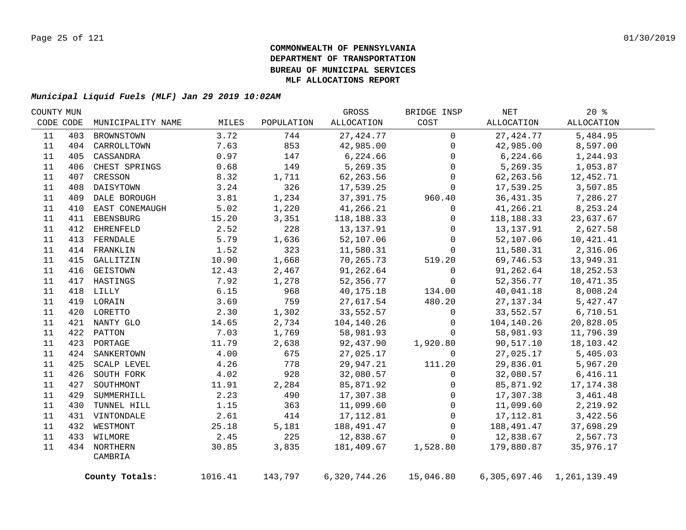| COUNTY MUN |     |                   |         |            | GROSS        | BRIDGE INSP  | NET        | $20*$                           |
|------------|-----|-------------------|---------|------------|--------------|--------------|------------|---------------------------------|
| CODE CODE  |     | MUNICIPALITY NAME | MILES   | POPULATION | ALLOCATION   | COST         | ALLOCATION | ALLOCATION                      |
| 11         | 403 | BROWNSTOWN        | 3.72    | 744        | 27, 424. 77  | $\mathbf 0$  | 27, 424.77 | 5,484.95                        |
| 11         |     | 404 CARROLLTOWN   | 7.63    | 853        | 42,985.00    | $\mathbf{0}$ | 42,985.00  | 8,597.00                        |
| 11         | 405 | CASSANDRA         | 0.97    | 147        | 6,224.66     | $\mathbf 0$  | 6,224.66   | 1,244.93                        |
| 11         | 406 | CHEST SPRINGS     | 0.68    | 149        | 5,269.35     | $\Omega$     | 5,269.35   | 1,053.87                        |
| 11         | 407 | CRESSON           | 8.32    | 1,711      | 62, 263.56   | $\mathbf 0$  | 62,263.56  | 12,452.71                       |
| 11         | 408 | DAISYTOWN         | 3.24    | 326        | 17,539.25    | $\mathbf 0$  | 17,539.25  | 3,507.85                        |
| 11         | 409 | DALE BOROUGH      | 3.81    | 1,234      | 37,391.75    | 960.40       | 36, 431.35 | 7,286.27                        |
| 11         | 410 | EAST CONEMAUGH    | 5.02    | 1,220      | 41,266.21    | 0            | 41,266.21  | 8,253.24                        |
| 11         | 411 | EBENSBURG         | 15.20   | 3,351      | 118,188.33   | $\mathbf 0$  | 118,188.33 | 23,637.67                       |
| 11         | 412 | EHRENFELD         | 2.52    | 228        | 13, 137.91   | $\mathbf{0}$ | 13,137.91  | 2,627.58                        |
| 11         | 413 | FERNDALE          | 5.79    | 1,636      | 52,107.06    | $\mathbf 0$  | 52,107.06  | 10,421.41                       |
| 11         |     | 414 FRANKLIN      | 1.52    | 323        | 11,580.31    | $\mathbf{0}$ | 11,580.31  | 2,316.06                        |
| 11         | 415 | GALLITZIN         | 10.90   | 1,668      | 70,265.73    | 519.20       | 69,746.53  | 13,949.31                       |
| 11         | 416 | GEISTOWN          | 12.43   | 2,467      | 91,262.64    | $\mathbf 0$  | 91,262.64  | 18, 252.53                      |
| 11         | 417 | HASTINGS          | 7.92    | 1,278      | 52,356.77    | $\mathbf 0$  | 52,356.77  | 10,471.35                       |
| 11         |     | 418 LILLY         | 6.15    | 968        | 40,175.18    | 134.00       | 40,041.18  | 8,008.24                        |
| 11         |     | 419 LORAIN        | 3.69    | 759        | 27,617.54    | 480.20       | 27, 137.34 | 5,427.47                        |
| 11         |     | 420 LORETTO       | 2.30    | 1,302      | 33,552.57    | $\mathsf{O}$ | 33,552.57  | 6,710.51                        |
| 11         |     | 421 NANTY GLO     | 14.65   | 2,734      | 104,140.26   | $\mathsf{O}$ | 104,140.26 | 20,828.05                       |
| 11         |     | 422 PATTON        | 7.03    | 1,769      | 58,981.93    | $\mathbf 0$  | 58,981.93  | 11,796.39                       |
| $11\,$     |     | 423 PORTAGE       | 11.79   | 2,638      | 92,437.90    | 1,920.80     | 90,517.10  | 18,103.42                       |
| 11         |     | 424 SANKERTOWN    | 4.00    | 675        | 27,025.17    | $\Omega$     | 27,025.17  | 5,405.03                        |
| 11         | 425 | SCALP LEVEL       | 4.26    | 778        | 29,947.21    | 111.20       | 29,836.01  | 5,967.20                        |
| 11         | 426 | SOUTH FORK        | 4.02    | 928        | 32,080.57    | $\mathbf 0$  | 32,080.57  | 6,416.11                        |
| 11         | 427 | SOUTHMONT         | 11.91   | 2,284      | 85,871.92    | $\mathbf 0$  | 85,871.92  | 17, 174.38                      |
| 11         | 429 | SUMMERHILL        | 2.23    | 490        | 17,307.38    | $\mathbf 0$  | 17,307.38  | 3,461.48                        |
| 11         | 430 | TUNNEL HILL       | 1.15    | 363        | 11,099.60    | $\mathbf 0$  | 11,099.60  | 2,219.92                        |
| 11         |     | 431 VINTONDALE    | 2.61    | 414        | 17,112.81    | $\mathbf 0$  | 17,112.81  | 3,422.56                        |
| 11         |     | 432 WESTMONT      | 25.18   | 5,181      | 188,491.47   | $\mathbf 0$  | 188,491.47 | 37,698.29                       |
| 11         |     | 433 WILMORE       | 2.45    | 225        | 12,838.67    | $\mathbf 0$  | 12,838.67  | 2,567.73                        |
| 11         |     | 434 NORTHERN      | 30.85   | 3,835      | 181,409.67   | 1,528.80     | 179,880.87 | 35,976.17                       |
|            |     | CAMBRIA           |         |            |              |              |            |                                 |
|            |     | County Totals:    | 1016.41 | 143,797    | 6,320,744.26 | 15,046.80    |            | 6, 305, 697. 46 1, 261, 139. 49 |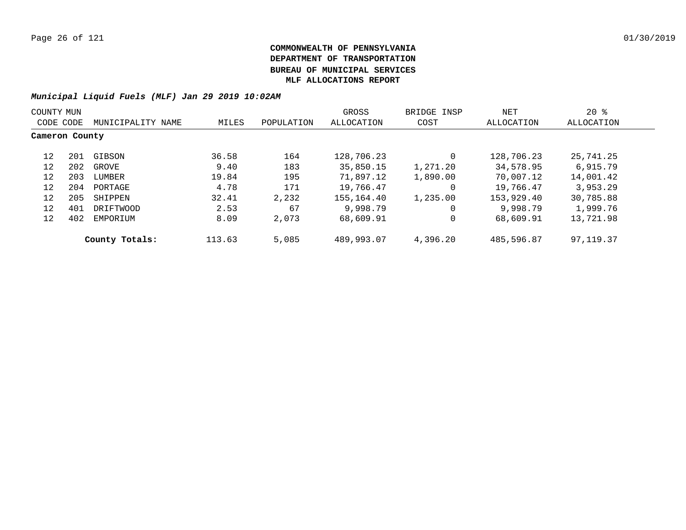| COUNTY MUN     |     |                   |        |            | GROSS        | BRIDGE INSP | NET        | $20*$       |  |
|----------------|-----|-------------------|--------|------------|--------------|-------------|------------|-------------|--|
| CODE CODE      |     | MUNICIPALITY NAME | MILES  | POPULATION | ALLOCATION   | COST        | ALLOCATION | ALLOCATION  |  |
| Cameron County |     |                   |        |            |              |             |            |             |  |
| 12             | 201 | GIBSON            | 36.58  | 164        | 128,706.23   | 0           | 128,706.23 | 25,741.25   |  |
| 12             | 202 | GROVE             | 9.40   | 183        | 35,850.15    | 1,271.20    | 34,578.95  | 6,915.79    |  |
| 12             | 203 | LUMBER            | 19.84  | 195        | 71,897.12    | 1,890.00    | 70,007.12  | 14,001.42   |  |
| 12             | 204 | PORTAGE           | 4.78   | 171        | 19,766.47    | 0           | 19,766.47  | 3,953.29    |  |
| 12             | 205 | SHIPPEN           | 32.41  | 2,232      | 155, 164, 40 | 1,235.00    | 153,929.40 | 30,785.88   |  |
| 12             | 401 | DRIFTWOOD         | 2.53   | 67         | 9,998.79     | 0           | 9,998.79   | 1,999.76    |  |
| 12             | 402 | EMPORIUM          | 8.09   | 2,073      | 68,609.91    | 0           | 68,609.91  | 13,721.98   |  |
|                |     | County Totals:    | 113.63 | 5,085      | 489,993.07   | 4,396.20    | 485,596.87 | 97, 119, 37 |  |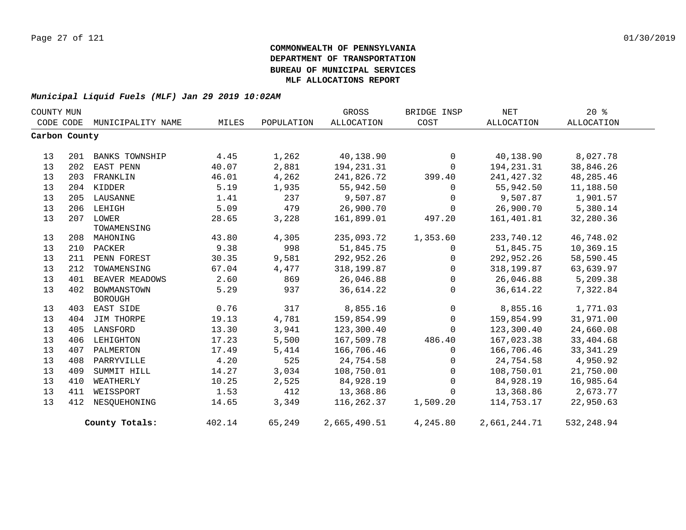| COUNTY MUN    |     |                       |        |            | GROSS             | BRIDGE INSP  | NET          | 20%         |
|---------------|-----|-----------------------|--------|------------|-------------------|--------------|--------------|-------------|
| CODE CODE     |     | MUNICIPALITY NAME     | MILES  | POPULATION | <b>ALLOCATION</b> | COST         | ALLOCATION   | ALLOCATION  |
| Carbon County |     |                       |        |            |                   |              |              |             |
|               |     |                       |        |            |                   |              |              |             |
| 13            | 201 | <b>BANKS TOWNSHIP</b> | 4.45   | 1,262      | 40,138.90         | $\mathbf 0$  | 40,138.90    | 8,027.78    |
| 13            | 202 | EAST PENN             | 40.07  | 2,881      | 194,231.31        | $\mathbf 0$  | 194,231.31   | 38,846.26   |
| 13            | 203 | FRANKLIN              | 46.01  | 4,262      | 241,826.72        | 399.40       | 241,427.32   | 48,285.46   |
| 13            |     | 204 KIDDER            | 5.19   | 1,935      | 55,942.50         | $\Omega$     | 55,942.50    | 11,188.50   |
| 13            | 205 | LAUSANNE              | 1.41   | 237        | 9,507.87          | $\mathbf 0$  | 9,507.87     | 1,901.57    |
| 13            | 206 | LEHIGH                | 5.09   | 479        | 26,900.70         | 0            | 26,900.70    | 5,380.14    |
| 13            |     | 207 LOWER             | 28.65  | 3,228      | 161,899.01        | 497.20       | 161,401.81   | 32,280.36   |
|               |     | TOWAMENSING           |        |            |                   |              |              |             |
| 13            | 208 | MAHONING              | 43.80  | 4,305      | 235,093.72        | 1,353.60     | 233,740.12   | 46,748.02   |
| 13            | 210 | PACKER                | 9.38   | 998        | 51,845.75         | 0            | 51,845.75    | 10,369.15   |
| 13            | 211 | PENN FOREST           | 30.35  | 9,581      | 292,952.26        | $\Omega$     | 292,952.26   | 58,590.45   |
| 13            | 212 | TOWAMENSING           | 67.04  | 4,477      | 318,199.87        | 0            | 318,199.87   | 63,639.97   |
| 13            | 401 | BEAVER MEADOWS        | 2.60   | 869        | 26,046.88         | $\mathbf 0$  | 26,046.88    | 5,209.38    |
| 13            | 402 | BOWMANSTOWN           | 5.29   | 937        | 36,614.22         | $\Omega$     | 36,614.22    | 7,322.84    |
|               |     | <b>BOROUGH</b>        |        |            |                   |              |              |             |
| 13            | 403 | EAST SIDE             | 0.76   | 317        | 8,855.16          | $\mathsf{O}$ | 8,855.16     | 1,771.03    |
| 13            | 404 | JIM THORPE            | 19.13  | 4,781      | 159,854.99        | $\mathbf 0$  | 159,854.99   | 31,971.00   |
| 13            | 405 | LANSFORD              | 13.30  | 3,941      | 123,300.40        | 0            | 123,300.40   | 24,660.08   |
| 13            | 406 | LEHIGHTON             | 17.23  | 5,500      | 167,509.78        | 486.40       | 167,023.38   | 33,404.68   |
| 13            | 407 | PALMERTON             | 17.49  | 5,414      | 166,706.46        | $\Omega$     | 166,706.46   | 33, 341.29  |
| 13            | 408 | PARRYVILLE            | 4.20   | 525        | 24,754.58         | 0            | 24,754.58    | 4,950.92    |
| 13            | 409 | SUMMIT HILL           | 14.27  | 3,034      | 108,750.01        | $\Omega$     | 108,750.01   | 21,750.00   |
| 13            | 410 | WEATHERLY             | 10.25  | 2,525      | 84,928.19         | $\Omega$     | 84,928.19    | 16,985.64   |
| 13            | 411 | WEISSPORT             | 1.53   | 412        | 13,368.86         | $\Omega$     | 13,368.86    | 2,673.77    |
| 13            | 412 | NESOUEHONING          | 14.65  | 3,349      | 116,262.37        | 1,509.20     | 114,753.17   | 22,950.63   |
|               |     | County Totals:        | 402.14 | 65,249     | 2,665,490.51      | 4,245.80     | 2,661,244.71 | 532, 248.94 |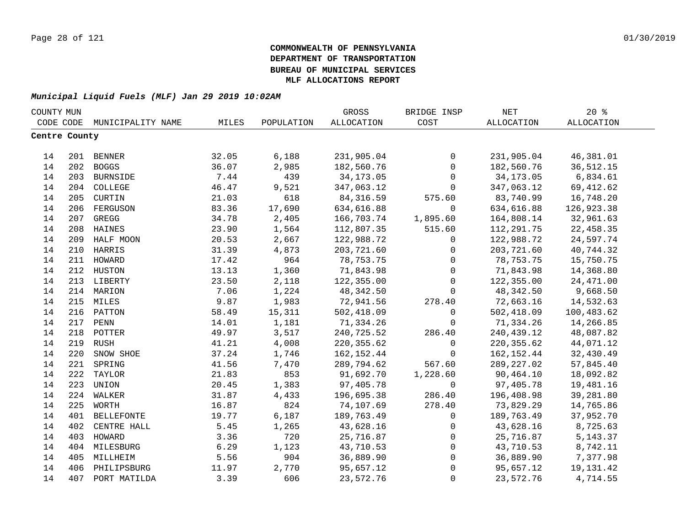| COUNTY MUN    |     |                   |       |            | GROSS       | BRIDGE INSP         | NET               | 20%               |  |
|---------------|-----|-------------------|-------|------------|-------------|---------------------|-------------------|-------------------|--|
| CODE CODE     |     | MUNICIPALITY NAME | MILES | POPULATION | ALLOCATION  | COST                | <b>ALLOCATION</b> | <b>ALLOCATION</b> |  |
| Centre County |     |                   |       |            |             |                     |                   |                   |  |
|               |     |                   |       |            |             |                     |                   |                   |  |
| 14            |     | 201 BENNER        | 32.05 | 6,188      | 231,905.04  | $\mathsf{O}$        | 231,905.04        | 46,381.01         |  |
| 14            |     | 202 BOGGS         | 36.07 | 2,985      | 182,560.76  | $\mathsf{O}$        | 182,560.76        | 36, 512. 15       |  |
| 14            |     | 203 BURNSIDE      | 7.44  | 439        | 34, 173.05  | $\mathsf{O}$        | 34, 173.05        | 6,834.61          |  |
| 14            |     | 204 COLLEGE       | 46.47 | 9,521      | 347,063.12  | $\mathbf 0$         | 347,063.12        | 69, 412.62        |  |
| 14            | 205 | CURTIN            | 21.03 | 618        | 84, 316.59  | 575.60              | 83,740.99         | 16,748.20         |  |
| 14            | 206 | FERGUSON          | 83.36 | 17,690     | 634,616.88  | $\mathbf{0}$        | 634,616.88        | 126,923.38        |  |
| 14            | 207 | GREGG             | 34.78 | 2,405      | 166,703.74  | 1,895.60            | 164,808.14        | 32,961.63         |  |
| 14            | 208 | HAINES            | 23.90 | 1,564      | 112,807.35  | 515.60              | 112,291.75        | 22,458.35         |  |
| 14            | 209 | HALF MOON         | 20.53 | 2,667      | 122,988.72  | 0                   | 122,988.72        | 24,597.74         |  |
| 14            | 210 | HARRIS            | 31.39 | 4,873      | 203,721.60  | $\mathsf{O}$        | 203,721.60        | 40,744.32         |  |
| 14            | 211 | HOWARD            | 17.42 | 964        | 78,753.75   | $\mathbf 0$         | 78,753.75         | 15,750.75         |  |
| 14            | 212 | HUSTON            | 13.13 | 1,360      | 71,843.98   | $\mathbf 0$         | 71,843.98         | 14,368.80         |  |
| 14            |     | 213 LIBERTY       | 23.50 | 2,118      | 122,355.00  | $\mathbf 0$         | 122,355.00        | 24,471.00         |  |
| 14            |     | 214 MARION        | 7.06  | 1,224      | 48,342.50   | $\mathbf 0$         | 48,342.50         | 9,668.50          |  |
| 14            |     | 215 MILES         | 9.87  | 1,983      | 72,941.56   | 278.40              | 72,663.16         | 14,532.63         |  |
| 14            |     | 216 PATTON        | 58.49 | 15,311     | 502,418.09  | $\mathsf{O}$        | 502,418.09        | 100,483.62        |  |
| 14            |     | 217 PENN          | 14.01 | 1,181      | 71,334.26   | $\mathsf{O}$        | 71,334.26         | 14,266.85         |  |
| 14            |     | 218 POTTER        | 49.97 | 3,517      | 240,725.52  | 286.40              | 240,439.12        | 48,087.82         |  |
| 14            | 219 | <b>RUSH</b>       | 41.21 | 4,008      | 220, 355.62 | $\mathbf 0$         | 220, 355.62       | 44,071.12         |  |
| 14            | 220 | SNOW SHOE         | 37.24 | 1,746      | 162,152.44  | $\mathbf 0$         | 162, 152.44       | 32,430.49         |  |
| 14            | 221 | SPRING            | 41.56 | 7,470      | 289,794.62  | 567.60              | 289, 227.02       | 57,845.40         |  |
| 14            | 222 | TAYLOR            | 21.83 | 853        | 91,692.70   | 1,228.60            | 90,464.10         | 18,092.82         |  |
| 14            | 223 | UNION             | 20.45 | 1,383      | 97,405.78   | 0                   | 97,405.78         | 19,481.16         |  |
| 14            | 224 | WALKER            | 31.87 | 4,433      | 196,695.38  | 286.40              | 196,408.98        | 39,281.80         |  |
| 14            | 225 | WORTH             | 16.87 | 824        | 74,107.69   | 278.40              | 73,829.29         | 14,765.86         |  |
| 14            | 401 | <b>BELLEFONTE</b> | 19.77 | 6,187      | 189,763.49  | $\mathbf 0$         | 189,763.49        | 37,952.70         |  |
| 14            | 402 | CENTRE HALL       | 5.45  | 1,265      | 43,628.16   | $\mathbf 0$         | 43,628.16         | 8,725.63          |  |
| 14            | 403 | HOWARD            | 3.36  | 720        | 25,716.87   | 0                   | 25,716.87         | 5, 143.37         |  |
| 14            |     | 404 MILESBURG     | 6.29  | 1,123      | 43,710.53   | 0                   | 43,710.53         | 8,742.11          |  |
| 14            | 405 | MILLHEIM          | 5.56  | 904        | 36,889.90   | 0                   | 36,889.90         | 7,377.98          |  |
| 14            | 406 | PHILIPSBURG       | 11.97 | 2,770      | 95,657.12   | $\mathsf{O}\xspace$ | 95,657.12         | 19, 131. 42       |  |
| 14            | 407 | PORT MATILDA      | 3.39  | 606        | 23,572.76   | $\mathbf{0}$        | 23,572.76         | 4,714.55          |  |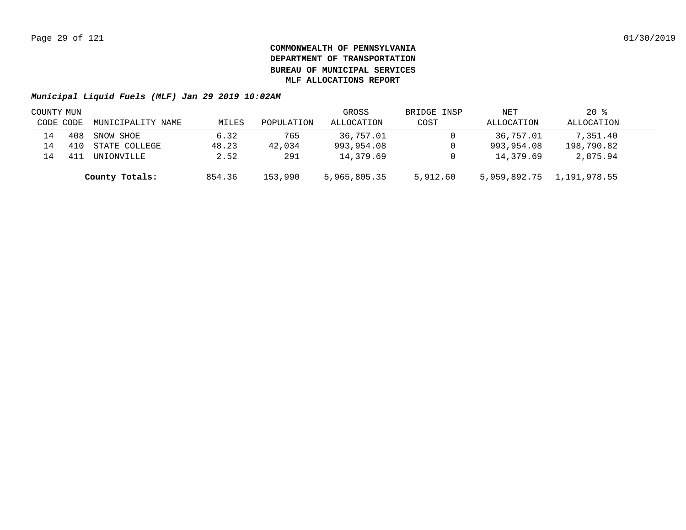| COUNTY MUN |     |                   |        |            | GROSS        | BRIDGE INSP | NET        | $20*$                     |  |
|------------|-----|-------------------|--------|------------|--------------|-------------|------------|---------------------------|--|
| CODE CODE  |     | MUNICIPALITY NAME | MILES  | POPULATION | ALLOCATION   | COST        | ALLOCATION | ALLOCATION                |  |
| 14         | 408 | SNOW SHOE         | 6.32   | 765        | 36,757.01    |             | 36,757.01  | 7,351.40                  |  |
|            |     | STATE COLLEGE     | 48.23  | 42,034     | 993,954.08   |             | 993,954.08 | 198,790.82                |  |
|            |     | UNIONVILLE        | 2.52   | 291        | 14,379.69    | 0           | 14,379.69  | 2,875.94                  |  |
|            |     | County Totals:    | 854.36 | 153,990    | 5,965,805.35 | 5,912.60    |            | 5,959,892.75 1,191,978.55 |  |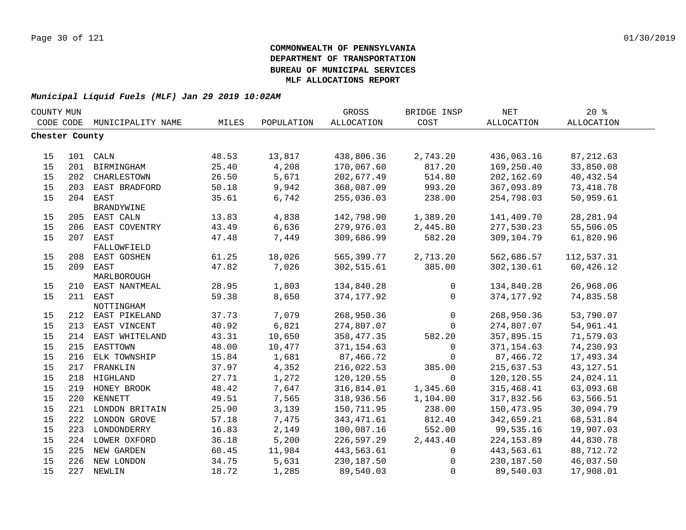| COUNTY MUN     |     |                                 |                |            | GROSS             | BRIDGE INSP        | $\operatorname{NET}$ | 20%               |  |
|----------------|-----|---------------------------------|----------------|------------|-------------------|--------------------|----------------------|-------------------|--|
| CODE CODE      |     | MUNICIPALITY NAME               | MILES          | POPULATION | <b>ALLOCATION</b> | COST               | <b>ALLOCATION</b>    | <b>ALLOCATION</b> |  |
| Chester County |     |                                 |                |            |                   |                    |                      |                   |  |
|                |     |                                 |                |            |                   |                    |                      |                   |  |
| 15             |     | 101 CALN                        | 48.53          | 13,817     | 438,806.36        | 2,743.20           | 436,063.16           | 87, 212.63        |  |
| 15             | 201 | BIRMINGHAM                      | 25.40          | 4,208      | 170,067.60        | 817.20             | 169,250.40           | 33,850.08         |  |
| 15             | 202 | CHARLESTOWN                     | 26.50          | 5,671      | 202,677.49        | 514.80             | 202,162.69           | 40,432.54         |  |
| 15             | 203 | EAST BRADFORD                   | 50.18          | 9,942      | 368,087.09        | 993.20             | 367,093.89           | 73, 418.78        |  |
| 15             | 204 | EAST                            | 35.61          | 6,742      | 255,036.03        | 238.00             | 254,798.03           | 50,959.61         |  |
|                |     | <b>BRANDYWINE</b>               |                |            |                   |                    |                      |                   |  |
| 15             |     | 205 EAST CALN                   | 13.83          | 4,838      | 142,798.90        | 1,389.20           | 141,409.70           | 28, 281.94        |  |
| 15             | 206 | EAST COVENTRY                   | 43.49          | 6,636      | 279,976.03        | 2,445.80           | 277,530.23           | 55,506.05         |  |
| 15             | 207 | EAST                            | 47.48          | 7,449      | 309,686.99        | 582.20             | 309,104.79           | 61,820.96         |  |
|                |     | FALLOWFIELD                     |                |            |                   |                    |                      |                   |  |
| 15             | 208 | EAST GOSHEN                     | 61.25          | 18,026     | 565,399.77        | 2,713.20           | 562,686.57           | 112,537.31        |  |
| 15             | 209 | EAST                            | 47.82          | 7,026      | 302,515.61        | 385.00             | 302,130.61           | 60,426.12         |  |
|                |     | MARLBOROUGH                     |                |            |                   |                    |                      |                   |  |
| 15             |     | 210 EAST NANTMEAL               | 28.95          | 1,803      | 134,840.28        | 0                  | 134,840.28           | 26,968.06         |  |
| 15             |     | 211 EAST                        | 59.38          | 8,650      | 374, 177.92       | $\Omega$           | 374, 177.92          | 74,835.58         |  |
| 15             |     | NOTTINGHAM<br>212 EAST PIKELAND | 37.73          | 7,079      | 268,950.36        | 0                  | 268,950.36           | 53,790.07         |  |
| 15             | 213 | EAST VINCENT                    | 40.92          | 6,821      | 274,807.07        | 0                  | 274,807.07           | 54,961.41         |  |
| 15             | 214 | EAST WHITELAND                  | 43.31          | 10,650     | 358,477.35        | 582.20             | 357,895.15           | 71,579.03         |  |
| 15             | 215 | EASTTOWN                        | 48.00          | 10,477     | 371,154.63        | $\mathbf{0}$       | 371, 154.63          | 74,230.93         |  |
| 15             | 216 | ELK TOWNSHIP                    | 15.84          | 1,681      | 87,466.72         | $\Omega$           | 87,466.72            | 17,493.34         |  |
| 15             | 217 | FRANKLIN                        | 37.97          | 4,352      | 216,022.53        | 385.00             | 215,637.53           | 43, 127.51        |  |
| 15             |     | 218 HIGHLAND                    |                | 1,272      | 120,120.55        | $\Omega$           | 120,120.55           | 24,024.11         |  |
| 15             |     |                                 | 27.71          | 7,647      |                   | 1,345.60           |                      |                   |  |
|                |     | 219 HONEY BROOK                 | 48.42          |            | 316,814.01        |                    | 315,468.41           | 63,093.68         |  |
| 15<br>15       |     | 220 KENNETT                     | 49.51<br>25.90 | 7,565      | 318,936.56        | 1,104.00<br>238.00 | 317,832.56           | 63,566.51         |  |
|                |     | 221 LONDON BRITAIN              |                | 3,139      | 150,711.95        |                    | 150,473.95           | 30,094.79         |  |
| 15             |     | 222 LONDON GROVE                | 57.18          | 7,475      | 343, 471.61       | 812.40             | 342,659.21           | 68,531.84         |  |
| 15             |     | 223 LONDONDERRY                 | 16.83          | 2,149      | 100,087.16        | 552.00             | 99,535.16            | 19,907.03         |  |
| 15             |     | 224 LOWER OXFORD                | 36.18          | 5,200      | 226,597.29        | 2,443.40           | 224, 153.89          | 44,830.78         |  |
| 15             | 225 | NEW GARDEN                      | 60.45          | 11,984     | 443,563.61        | $\mathbf{0}$       | 443,563.61           | 88,712.72         |  |
| 15             |     | 226 NEW LONDON                  | 34.75          | 5,631      | 230,187.50        | 0                  | 230,187.50           | 46,037.50         |  |
| 15             |     | 227 NEWLIN                      | 18.72          | 1,285      | 89,540.03         | $\mathbf 0$        | 89,540.03            | 17,908.01         |  |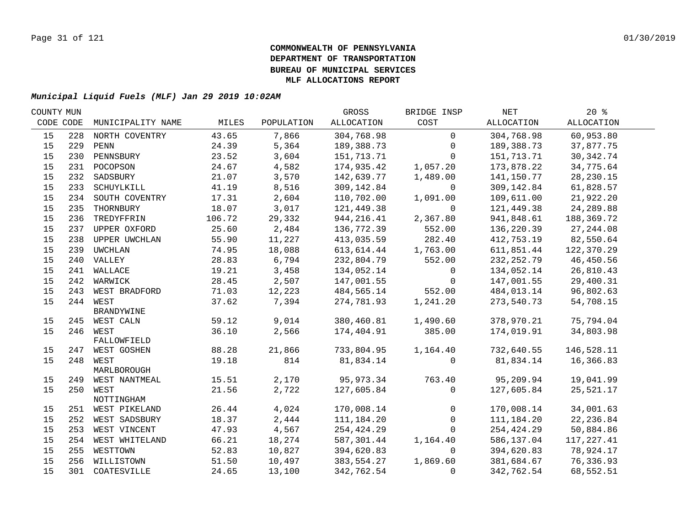| COUNTY MUN |     |                         |                |               | GROSS                   | BRIDGE INSP  | NET          | $20*$       |  |
|------------|-----|-------------------------|----------------|---------------|-------------------------|--------------|--------------|-------------|--|
| CODE CODE  |     | MUNICIPALITY NAME       | MILES          | POPULATION    | ALLOCATION              | COST         | ALLOCATION   | ALLOCATION  |  |
| 15         | 228 | NORTH COVENTRY          | 43.65          | 7,866         | 304,768.98              | $\mathbf 0$  | 304,768.98   | 60,953.80   |  |
| 15         | 229 | PENN                    | 24.39          | 5,364         | 189,388.73              | 0            | 189,388.73   | 37,877.75   |  |
| 15         | 230 | PENNSBURY               | 23.52          | 3,604         | 151,713.71              | $\Omega$     | 151,713.71   | 30, 342. 74 |  |
| 15         |     | 231 POCOPSON            | 24.67          | 4,582         | 174,935.42              | 1,057.20     | 173,878.22   | 34,775.64   |  |
| 15         | 232 | SADSBURY                | 21.07          | 3,570         | 142,639.77              | 1,489.00     | 141,150.77   | 28, 230. 15 |  |
| 15         | 233 | SCHUYLKILL              | 41.19          | 8,516         | 309,142.84              | $\mathbf 0$  | 309,142.84   | 61,828.57   |  |
| 15         | 234 | SOUTH COVENTRY          | 17.31          | 2,604         | 110,702.00              | 1,091.00     | 109,611.00   | 21,922.20   |  |
| 15         | 235 | THORNBURY               | 18.07          | 3,017         | 121,449.38              | 0            | 121,449.38   | 24,289.88   |  |
| 15         | 236 | TREDYFFRIN              | 106.72         | 29,332        | 944,216.41              | 2,367.80     | 941,848.61   | 188,369.72  |  |
| 15         | 237 | UPPER OXFORD            | 25.60          | 2,484         | 136,772.39              | 552.00       | 136,220.39   | 27, 244.08  |  |
| 15         | 238 | UPPER UWCHLAN           | 55.90          | 11,227        | 413,035.59              | 282.40       | 412,753.19   | 82,550.64   |  |
| 15         | 239 | UWCHLAN                 | 74.95          | 18,088        | 613,614.44              | 1,763.00     | 611,851.44   | 122,370.29  |  |
| 15         |     | 240 VALLEY              | 28.83          | 6,794         | 232,804.79              | 552.00       | 232, 252.79  | 46,450.56   |  |
| 15         |     | 241 WALLACE             | 19.21          | 3,458         | 134,052.14              | $\mathbf 0$  | 134,052.14   | 26,810.43   |  |
| 15         |     | 242 WARWICK             | 28.45          | 2,507         | 147,001.55              | $\mathbf 0$  | 147,001.55   | 29,400.31   |  |
| 15         |     | 243 WEST BRADFORD       | 71.03          | 12,223        | 484,565.14              | 552.00       | 484,013.14   | 96,802.63   |  |
| 15         |     | 244 WEST                | 37.62          | 7,394         | 274,781.93              | 1,241.20     | 273,540.73   | 54,708.15   |  |
|            |     | <b>BRANDYWINE</b>       |                |               |                         |              |              |             |  |
| 15         |     | 245 WEST CALN           | 59.12          | 9,014         | 380,460.81              | 1,490.60     | 378,970.21   | 75,794.04   |  |
| 15         |     | 246 WEST                | 36.10          | 2,566         | 174,404.91              | 385.00       | 174,019.91   | 34,803.98   |  |
|            |     | FALLOWFIELD             |                |               |                         |              |              |             |  |
| 15         |     | 247 WEST GOSHEN         | 88.28<br>19.18 | 21,866<br>814 | 733,804.95<br>81,834.14 | 1,164.40     | 732,640.55   | 146,528.11  |  |
| 15         |     | 248 WEST<br>MARLBOROUGH |                |               |                         | $\Omega$     | 81,834.14    | 16,366.83   |  |
| 15         |     | 249 WEST NANTMEAL       | 15.51          | 2,170         | 95,973.34               | 763.40       | 95,209.94    | 19,041.99   |  |
| 15         |     | 250 WEST                | 21.56          | 2,722         | 127,605.84              | $\mathbf 0$  | 127,605.84   | 25,521.17   |  |
|            |     | NOTTINGHAM              |                |               |                         |              |              |             |  |
| 15         |     | 251 WEST PIKELAND       | 26.44          | 4,024         | 170,008.14              | $\mathbf 0$  | 170,008.14   | 34,001.63   |  |
| 15         |     | 252 WEST SADSBURY       | 18.37          | 2,444         | 111,184.20              | $\mathsf{O}$ | 111, 184. 20 | 22, 236.84  |  |
| 15         |     | 253 WEST VINCENT        | 47.93          | 4,567         | 254,424.29              | $\Omega$     | 254,424.29   | 50,884.86   |  |
| 15         |     | 254 WEST WHITELAND      | 66.21          | 18,274        | 587,301.44              | 1,164.40     | 586,137.04   | 117,227.41  |  |
| 15         | 255 | WESTTOWN                | 52.83          | 10,827        | 394,620.83              | 0            | 394,620.83   | 78,924.17   |  |
| 15         | 256 | WILLISTOWN              | 51.50          | 10,497        | 383,554.27              | 1,869.60     | 381,684.67   | 76,336.93   |  |
| 15         |     | 301 COATESVILLE         | 24.65          | 13,100        | 342,762.54              | 0            | 342,762.54   | 68,552.51   |  |
|            |     |                         |                |               |                         |              |              |             |  |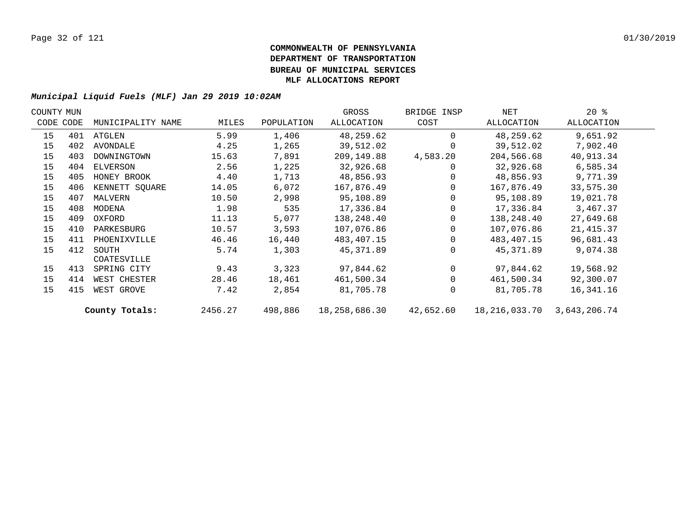| COUNTY MUN |           |                   |         |            | GROSS         | BRIDGE INSP | NET           | $20*$        |  |
|------------|-----------|-------------------|---------|------------|---------------|-------------|---------------|--------------|--|
|            | CODE CODE | MUNICIPALITY NAME | MILES   | POPULATION | ALLOCATION    | COST        | ALLOCATION    | ALLOCATION   |  |
| 15         | 401       | ATGLEN            | 5.99    | 1,406      | 48,259.62     | $\Omega$    | 48,259.62     | 9,651.92     |  |
| 15         | 402       | AVONDALE          | 4.25    | 1,265      | 39,512.02     | $\Omega$    | 39,512.02     | 7,902.40     |  |
| 15         | 403       | DOWNINGTOWN       | 15.63   | 7,891      | 209,149.88    | 4,583.20    | 204,566.68    | 40,913.34    |  |
| 15         | 404       | ELVERSON          | 2.56    | 1,225      | 32,926.68     | 0           | 32,926.68     | 6,585.34     |  |
| 15         | 405       | HONEY BROOK       | 4.40    | 1,713      | 48,856.93     | $\Omega$    | 48,856.93     | 9,771.39     |  |
| 15         | 406       | KENNETT SQUARE    | 14.05   | 6,072      | 167,876.49    | $\Omega$    | 167,876.49    | 33,575.30    |  |
| 15         | 407       | MALVERN           | 10.50   | 2,998      | 95,108.89     | $\Omega$    | 95,108.89     | 19,021.78    |  |
| 15         | 408       | MODENA            | 1.98    | 535        | 17,336.84     | $\Omega$    | 17,336.84     | 3,467.37     |  |
| 15         | 409       | OXFORD            | 11.13   | 5,077      | 138,248.40    | $\Omega$    | 138,248.40    | 27,649.68    |  |
| 15         | 410       | PARKESBURG        | 10.57   | 3,593      | 107,076.86    | $\Omega$    | 107,076.86    | 21, 415.37   |  |
| 15         | 411       | PHOENIXVILLE      | 46.46   | 16,440     | 483, 407. 15  | $\Omega$    | 483,407.15    | 96,681.43    |  |
| 15         | 412       | SOUTH             | 5.74    | 1,303      | 45,371.89     | $\Omega$    | 45,371.89     | 9,074.38     |  |
|            |           | COATESVILLE       |         |            |               |             |               |              |  |
| 15         | 413       | SPRING CITY       | 9.43    | 3,323      | 97,844.62     | $\Omega$    | 97,844.62     | 19,568.92    |  |
| 15         | 414       | WEST CHESTER      | 28.46   | 18,461     | 461,500.34    | $\Omega$    | 461,500.34    | 92,300.07    |  |
| 15         | 415       | WEST GROVE        | 7.42    | 2,854      | 81,705.78     | $\Omega$    | 81,705.78     | 16,341.16    |  |
|            |           | County Totals:    | 2456.27 | 498,886    | 18,258,686.30 | 42,652.60   | 18,216,033.70 | 3,643,206.74 |  |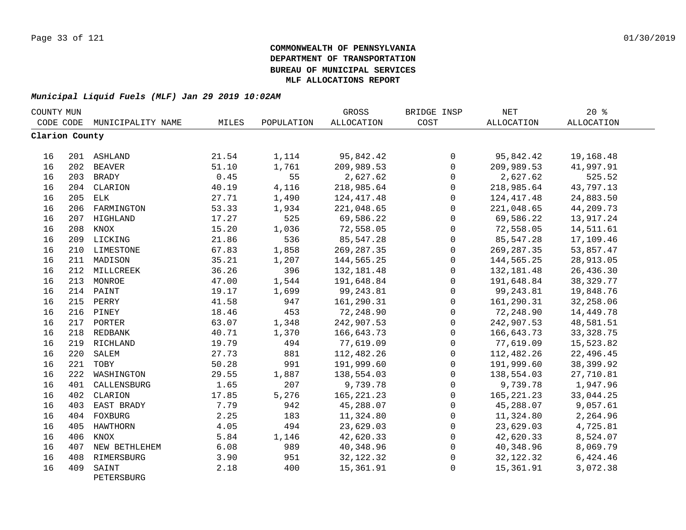| COUNTY MUN     |     |                     |       |            | GROSS        | BRIDGE INSP  | <b>NET</b>        | 20%         |  |
|----------------|-----|---------------------|-------|------------|--------------|--------------|-------------------|-------------|--|
| CODE CODE      |     | MUNICIPALITY NAME   | MILES | POPULATION | ALLOCATION   | COST         | <b>ALLOCATION</b> | ALLOCATION  |  |
| Clarion County |     |                     |       |            |              |              |                   |             |  |
| 16             |     | 201 ASHLAND         | 21.54 | 1,114      | 95,842.42    | 0            | 95,842.42         | 19,168.48   |  |
| 16             |     | 202 BEAVER          | 51.10 | 1,761      | 209,989.53   | $\mathsf{O}$ | 209,989.53        | 41,997.91   |  |
| 16             |     | 203 BRADY           | 0.45  | 55         | 2,627.62     | $\Omega$     | 2,627.62          | 525.52      |  |
| 16             |     | 204 CLARION         | 40.19 | 4,116      | 218,985.64   | $\mathbf 0$  | 218,985.64        | 43,797.13   |  |
| 16             | 205 | ELK                 | 27.71 | 1,490      | 124, 417. 48 | $\Omega$     | 124,417.48        | 24,883.50   |  |
| 16             | 206 | FARMINGTON          | 53.33 | 1,934      | 221,048.65   | $\Omega$     | 221,048.65        | 44,209.73   |  |
| 16             |     | 207 HIGHLAND        | 17.27 | 525        | 69,586.22    | $\Omega$     | 69,586.22         | 13,917.24   |  |
| 16             | 208 | KNOX                | 15.20 | 1,036      | 72,558.05    | $\mathbf 0$  | 72,558.05         | 14,511.61   |  |
| 16             |     | 209 LICKING         | 21.86 | 536        | 85,547.28    | $\mathbf 0$  | 85,547.28         | 17,109.46   |  |
| 16             |     | 210 LIMESTONE       | 67.83 | 1,858      | 269, 287.35  | $\mathbf 0$  | 269, 287.35       | 53,857.47   |  |
| 16             |     | 211 MADISON         | 35.21 | 1,207      | 144,565.25   | $\mathbf 0$  | 144,565.25        | 28,913.05   |  |
| 16             |     | 212 MILLCREEK       | 36.26 | 396        | 132, 181.48  | 0            | 132,181.48        | 26,436.30   |  |
| 16             |     | 213 MONROE          | 47.00 | 1,544      | 191,648.84   | $\mathsf 0$  | 191,648.84        | 38, 329. 77 |  |
| 16             |     | 214 PAINT           | 19.17 | 1,699      | 99,243.81    | $\mathbf 0$  | 99, 243.81        | 19,848.76   |  |
| 16             |     | 215 PERRY           | 41.58 | 947        | 161,290.31   | $\mathbf 0$  | 161,290.31        | 32,258.06   |  |
| 16             |     | 216 PINEY           | 18.46 | 453        | 72,248.90    | $\mathbf 0$  | 72,248.90         | 14,449.78   |  |
| 16             |     | 217 PORTER          | 63.07 | 1,348      | 242,907.53   | $\mathbf 0$  | 242,907.53        | 48,581.51   |  |
| 16             |     | 218 REDBANK         | 40.71 | 1,370      | 166,643.73   | $\Omega$     | 166,643.73        | 33, 328.75  |  |
| 16             |     | 219 RICHLAND        | 19.79 | 494        | 77,619.09    | $\mathbf 0$  | 77,619.09         | 15,523.82   |  |
| 16             | 220 | SALEM               | 27.73 | 881        | 112,482.26   | $\mathbf 0$  | 112,482.26        | 22,496.45   |  |
| 16             | 221 | TOBY                | 50.28 | 991        | 191,999.60   | $\Omega$     | 191,999.60        | 38,399.92   |  |
| 16             | 222 | WASHINGTON          | 29.55 | 1,887      | 138,554.03   | $\Omega$     | 138,554.03        | 27,710.81   |  |
| 16             | 401 | CALLENSBURG         | 1.65  | 207        | 9,739.78     | $\mathbf 0$  | 9,739.78          | 1,947.96    |  |
| 16             |     | 402 CLARION         | 17.85 | 5,276      | 165, 221. 23 | $\mathbf 0$  | 165, 221. 23      | 33,044.25   |  |
| 16             | 403 | EAST BRADY          | 7.79  | 942        | 45,288.07    | 0            | 45,288.07         | 9,057.61    |  |
| 16             |     | 404 FOXBURG         | 2.25  | 183        | 11,324.80    | 0            | 11,324.80         | 2,264.96    |  |
| 16             | 405 | HAWTHORN            | 4.05  | 494        | 23,629.03    | 0            | 23,629.03         | 4,725.81    |  |
| 16             | 406 | KNOX                | 5.84  | 1,146      | 42,620.33    | 0            | 42,620.33         | 8,524.07    |  |
| 16             | 407 | NEW BETHLEHEM       | 6.08  | 989        | 40,348.96    | $\mathbf 0$  | 40,348.96         | 8,069.79    |  |
| 16             | 408 | RIMERSBURG          | 3.90  | 951        | 32, 122.32   | 0            | 32, 122. 32       | 6,424.46    |  |
| 16             | 409 | SAINT<br>PETERSBURG | 2.18  | 400        | 15,361.91    | $\mathbf 0$  | 15,361.91         | 3,072.38    |  |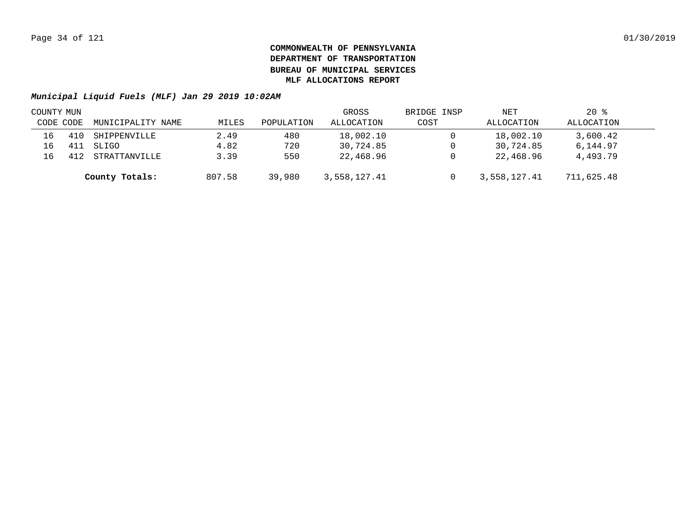|           | COUNTY MUN |                   |        |            | GROSS        | BRIDGE INSP | NET          | $20*$      |  |
|-----------|------------|-------------------|--------|------------|--------------|-------------|--------------|------------|--|
| CODE CODE |            | MUNICIPALITY NAME | MILES  | POPULATION | ALLOCATION   | COST        | ALLOCATION   | ALLOCATION |  |
| 16        | 410        | SHIPPENVILLE      | 2.49   | 480        | 18,002.10    |             | 18,002.10    | 3,600.42   |  |
| 16        | 411        | SLIGO             | 4.82   | 720        | 30,724.85    |             | 30,724.85    | 6,144.97   |  |
| 16        | 412        | STRATTANVILLE     | 3.39   | 550        | 22,468.96    |             | 22,468.96    | 4,493.79   |  |
|           |            | County Totals:    | 807.58 | 39,980     | 3,558,127.41 |             | 3,558,127.41 | 711,625.48 |  |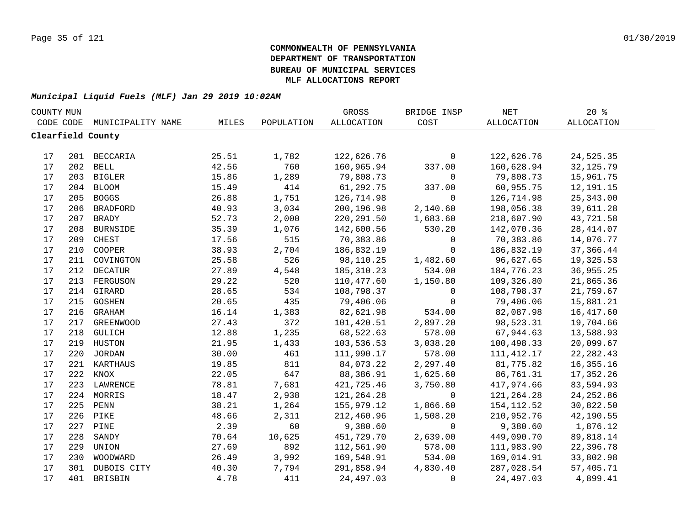| COUNTY MUN |     |                   |       |            | GROSS       | BRIDGE INSP    | $\operatorname{NET}$ | 20%               |  |
|------------|-----|-------------------|-------|------------|-------------|----------------|----------------------|-------------------|--|
| CODE CODE  |     | MUNICIPALITY NAME | MILES | POPULATION | ALLOCATION  | COST           | ALLOCATION           | <b>ALLOCATION</b> |  |
|            |     | Clearfield County |       |            |             |                |                      |                   |  |
|            |     |                   |       |            |             |                |                      |                   |  |
| 17         |     | 201 BECCARIA      | 25.51 | 1,782      | 122,626.76  | $\mathbf 0$    | 122,626.76           | 24,525.35         |  |
| 17         |     | 202 BELL          | 42.56 | 760        | 160,965.94  | 337.00         | 160,628.94           | 32, 125.79        |  |
| 17         |     | 203 BIGLER        | 15.86 | 1,289      | 79,808.73   | $\mathbf 0$    | 79,808.73            | 15,961.75         |  |
| 17         | 204 | <b>BLOOM</b>      | 15.49 | 414        | 61,292.75   | 337.00         | 60,955.75            | 12,191.15         |  |
| 17         | 205 | <b>BOGGS</b>      | 26.88 | 1,751      | 126,714.98  | $\mathbf 0$    | 126,714.98           | 25, 343.00        |  |
| 17         | 206 | <b>BRADFORD</b>   | 40.93 | 3,034      | 200,196.98  | 2,140.60       | 198,056.38           | 39,611.28         |  |
| $17$       | 207 | <b>BRADY</b>      | 52.73 | 2,000      | 220,291.50  | 1,683.60       | 218,607.90           | 43,721.58         |  |
| 17         | 208 | <b>BURNSIDE</b>   | 35.39 | 1,076      | 142,600.56  | 530.20         | 142,070.36           | 28, 414.07        |  |
| 17         | 209 | CHEST             | 17.56 | 515        | 70,383.86   | $\mathbf 0$    | 70,383.86            | 14,076.77         |  |
| 17         | 210 | COOPER            | 38.93 | 2,704      | 186,832.19  | $\Omega$       | 186,832.19           | 37,366.44         |  |
| 17         | 211 | COVINGTON         | 25.58 | 526        | 98,110.25   | 1,482.60       | 96,627.65            | 19,325.53         |  |
| 17         | 212 | <b>DECATUR</b>    | 27.89 | 4,548      | 185, 310.23 | 534.00         | 184,776.23           | 36,955.25         |  |
| 17         | 213 | FERGUSON          | 29.22 | 520        | 110,477.60  | 1,150.80       | 109,326.80           | 21,865.36         |  |
| $17$       |     | 214 GIRARD        | 28.65 | 534        | 108,798.37  | $\mathbf 0$    | 108,798.37           | 21,759.67         |  |
| $17$       |     | 215 GOSHEN        | 20.65 | 435        | 79,406.06   | $\mathbf 0$    | 79,406.06            | 15,881.21         |  |
| $17$       |     | 216 GRAHAM        | 16.14 | 1,383      | 82,621.98   | 534.00         | 82,087.98            | 16,417.60         |  |
| 17         |     | 217 GREENWOOD     | 27.43 | 372        | 101,420.51  | 2,897.20       | 98,523.31            | 19,704.66         |  |
| $17$       |     | 218 GULICH        | 12.88 | 1,235      | 68,522.63   | 578.00         | 67,944.63            | 13,588.93         |  |
| 17         |     | 219 HUSTON        | 21.95 | 1,433      | 103,536.53  | 3,038.20       | 100,498.33           | 20,099.67         |  |
| 17         |     | 220 JORDAN        | 30.00 | 461        | 111,990.17  | 578.00         | 111, 412.17          | 22, 282.43        |  |
| 17         |     | 221 KARTHAUS      | 19.85 | 811        | 84,073.22   | 2,297.40       | 81,775.82            | 16, 355. 16       |  |
| 17         | 222 | KNOX              | 22.05 | 647        | 88,386.91   | 1,625.60       | 86,761.31            | 17,352.26         |  |
| 17         | 223 | LAWRENCE          | 78.81 | 7,681      | 421,725.46  | 3,750.80       | 417,974.66           | 83,594.93         |  |
| 17         | 224 | MORRIS            | 18.47 | 2,938      | 121,264.28  | $\mathbf 0$    | 121,264.28           | 24, 252.86        |  |
| 17         | 225 | PENN              | 38.21 | 1,264      | 155,979.12  | 1,866.60       | 154,112.52           | 30,822.50         |  |
| 17         | 226 | PIKE              | 48.66 | 2,311      | 212,460.96  | 1,508.20       | 210,952.76           | 42,190.55         |  |
| 17         | 227 | PINE              | 2.39  | 60         | 9,380.60    | $\overline{0}$ | 9,380.60             | 1,876.12          |  |
| 17         | 228 | SANDY             | 70.64 | 10,625     | 451,729.70  | 2,639.00       | 449,090.70           | 89,818.14         |  |
| 17         | 229 | UNION             | 27.69 | 892        | 112,561.90  | 578.00         | 111,983.90           | 22,396.78         |  |
| 17         | 230 | WOODWARD          | 26.49 | 3,992      | 169,548.91  | 534.00         | 169,014.91           | 33,802.98         |  |
| 17         |     | 301 DUBOIS CITY   | 40.30 | 7,794      | 291,858.94  | 4,830.40       | 287,028.54           | 57,405.71         |  |
| 17         |     | 401 BRISBIN       | 4.78  | 411        | 24,497.03   | $\Omega$       | 24,497.03            | 4,899.41          |  |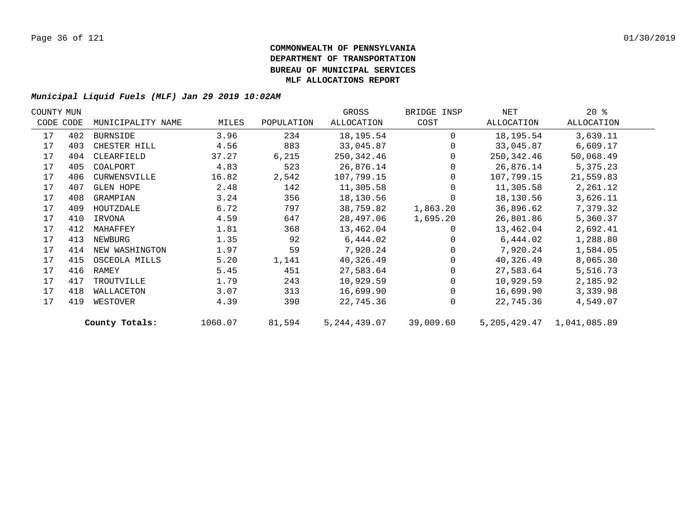| COUNTY MUN |           |                   |         |            | GROSS          | BRIDGE INSP | NET         | $20*$                         |  |
|------------|-----------|-------------------|---------|------------|----------------|-------------|-------------|-------------------------------|--|
|            | CODE CODE | MUNICIPALITY NAME | MILES   | POPULATION | ALLOCATION     | COST        | ALLOCATION  | ALLOCATION                    |  |
| 17         | 402       | BURNSIDE          | 3.96    | 234        | 18,195.54      | $\Omega$    | 18, 195. 54 | 3,639.11                      |  |
| 17         | 403       | CHESTER HILL      | 4.56    | 883        | 33,045.87      | $\Omega$    | 33,045.87   | 6,609.17                      |  |
| 17         | 404       | CLEARFIELD        | 37.27   | 6,215      | 250,342.46     | $\Omega$    | 250,342.46  | 50,068.49                     |  |
| 17         | 405       | COALPORT          | 4.83    | 523        | 26,876.14      |             | 26,876.14   | 5,375.23                      |  |
| 17         | 406       | CURWENSVILLE      | 16.82   | 2,542      | 107,799.15     | $\Omega$    | 107,799.15  | 21,559.83                     |  |
| 17         | 407       | <b>GLEN HOPE</b>  | 2.48    | 142        | 11,305.58      | $\Omega$    | 11,305.58   | 2,261.12                      |  |
| 17         | 408       | GRAMPIAN          | 3.24    | 356        | 18,130.56      | 0           | 18,130.56   | 3,626.11                      |  |
| 17         | 409       | HOUTZDALE         | 6.72    | 797        | 38,759.82      | 1,863.20    | 36,896.62   | 7,379.32                      |  |
| 17         | 410       | IRVONA            | 4.59    | 647        | 28,497.06      | 1,695.20    | 26,801.86   | 5,360.37                      |  |
| 17         | 412       | MAHAFFEY          | 1.81    | 368        | 13,462.04      | 0           | 13,462.04   | 2,692.41                      |  |
| 17         | 413       | NEWBURG           | 1.35    | 92         | 6,444.02       |             | 6,444.02    | 1,288.80                      |  |
| 17         | 414       | NEW WASHINGTON    | 1.97    | 59         | 7,920.24       |             | 7,920.24    | 1,584.05                      |  |
| 17         | 415       | OSCEOLA MILLS     | 5.20    | 1,141      | 40,326.49      | $\Omega$    | 40,326.49   | 8,065.30                      |  |
| 17         | 416       | RAMEY             | 5.45    | 451        | 27,583.64      |             | 27,583.64   | 5,516.73                      |  |
| 17         | 417       | TROUTVILLE        | 1.79    | 243        | 10,929.59      |             | 10,929.59   | 2,185.92                      |  |
| 17         | 418       | WALLACETON        | 3.07    | 313        | 16,699.90      | $\Omega$    | 16,699.90   | 3,339.98                      |  |
| 17         | 419       | WESTOVER          | 4.39    | 390        | 22,745.36      | $\Omega$    | 22,745.36   | 4,549.07                      |  |
|            |           | County Totals:    | 1060.07 | 81,594     | 5, 244, 439.07 | 39,009.60   |             | 5, 205, 429.47 1, 041, 085.89 |  |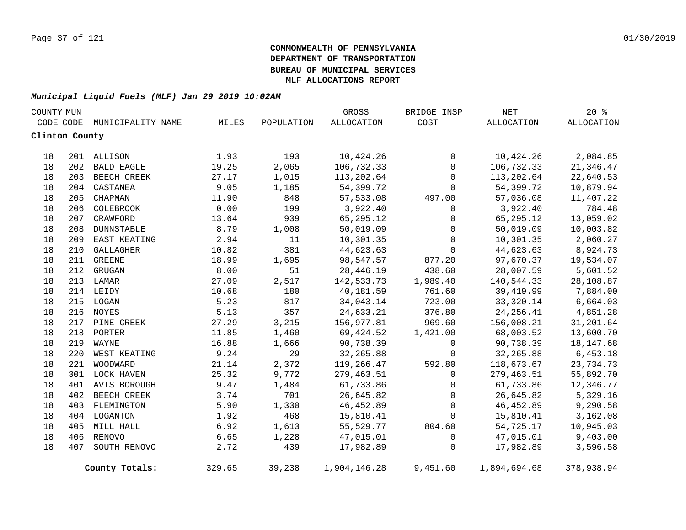| COUNTY MUN     |     |                   |        |            | GROSS        | BRIDGE INSP  | $\operatorname{NET}$ | 20%        |  |
|----------------|-----|-------------------|--------|------------|--------------|--------------|----------------------|------------|--|
| CODE CODE      |     | MUNICIPALITY NAME | MILES  | POPULATION | ALLOCATION   | COST         | <b>ALLOCATION</b>    | ALLOCATION |  |
| Clinton County |     |                   |        |            |              |              |                      |            |  |
|                |     |                   |        |            |              |              |                      |            |  |
| 18             |     | 201 ALLISON       | 1.93   | 193        | 10,424.26    | 0            | 10,424.26            | 2,084.85   |  |
| 18             | 202 | <b>BALD EAGLE</b> | 19.25  | 2,065      | 106,732.33   | $\mathbf 0$  | 106,732.33           | 21,346.47  |  |
| 18             | 203 | BEECH CREEK       | 27.17  | 1,015      | 113,202.64   | $\mathbf 0$  | 113,202.64           | 22,640.53  |  |
| 18             | 204 | CASTANEA          | 9.05   | 1,185      | 54,399.72    | $\mathbf 0$  | 54,399.72            | 10,879.94  |  |
| 18             | 205 | CHAPMAN           | 11.90  | 848        | 57,533.08    | 497.00       | 57,036.08            | 11,407.22  |  |
| 18             | 206 | COLEBROOK         | 0.00   | 199        | 3,922.40     | 0            | 3,922.40             | 784.48     |  |
| 18             |     | 207 CRAWFORD      | 13.64  | 939        | 65,295.12    | 0            | 65, 295. 12          | 13,059.02  |  |
| 18             | 208 | DUNNSTABLE        | 8.79   | 1,008      | 50,019.09    | 0            | 50,019.09            | 10,003.82  |  |
| 18             | 209 | EAST KEATING      | 2.94   | 11         | 10,301.35    | 0            | 10,301.35            | 2,060.27   |  |
| 18             | 210 | <b>GALLAGHER</b>  | 10.82  | 381        | 44,623.63    | $\mathbf 0$  | 44,623.63            | 8,924.73   |  |
| 18             |     | 211 GREENE        | 18.99  | 1,695      | 98,547.57    | 877.20       | 97,670.37            | 19,534.07  |  |
| 18             |     | 212 GRUGAN        | 8.00   | 51         | 28,446.19    | 438.60       | 28,007.59            | 5,601.52   |  |
| 18             |     | 213 LAMAR         | 27.09  | 2,517      | 142,533.73   | 1,989.40     | 140,544.33           | 28,108.87  |  |
| 18             |     | 214 LEIDY         | 10.68  | 180        | 40,181.59    | 761.60       | 39,419.99            | 7,884.00   |  |
| 18             |     | 215 LOGAN         | 5.23   | 817        | 34,043.14    | 723.00       | 33,320.14            | 6,664.03   |  |
| 18             |     | 216 NOYES         | 5.13   | 357        | 24,633.21    | 376.80       | 24, 256.41           | 4,851.28   |  |
| 18             |     | 217 PINE CREEK    | 27.29  | 3,215      | 156,977.81   | 969.60       | 156,008.21           | 31,201.64  |  |
| 18             | 218 | PORTER            | 11.85  | 1,460      | 69,424.52    | 1,421.00     | 68,003.52            | 13,600.70  |  |
| 18             | 219 | WAYNE             | 16.88  | 1,666      | 90,738.39    | 0            | 90,738.39            | 18, 147.68 |  |
| 18             | 220 | WEST KEATING      | 9.24   | 29         | 32,265.88    | 0            | 32,265.88            | 6,453.18   |  |
| 18             | 221 | WOODWARD          | 21.14  | 2,372      | 119,266.47   | 592.80       | 118,673.67           | 23,734.73  |  |
| 18             |     | 301 LOCK HAVEN    | 25.32  | 9,772      | 279,463.51   | $\mathbf{0}$ | 279,463.51           | 55,892.70  |  |
| 18             |     | 401 AVIS BOROUGH  | 9.47   | 1,484      | 61,733.86    | 0            | 61,733.86            | 12,346.77  |  |
| 18             |     | 402 BEECH CREEK   | 3.74   | 701        | 26,645.82    | $\mathbf{0}$ | 26,645.82            | 5,329.16   |  |
| 18             |     | 403 FLEMINGTON    | 5.90   | 1,330      | 46, 452.89   | $\mathbf 0$  | 46,452.89            | 9,290.58   |  |
| 18             |     | 404 LOGANTON      | 1.92   | 468        | 15,810.41    | 0            | 15,810.41            | 3,162.08   |  |
| 18             |     | 405 MILL HALL     | 6.92   | 1,613      | 55,529.77    | 804.60       | 54,725.17            | 10,945.03  |  |
| 18             |     | 406 RENOVO        | 6.65   | 1,228      | 47,015.01    | 0            | 47,015.01            | 9,403.00   |  |
| 18             |     | 407 SOUTH RENOVO  | 2.72   | 439        | 17,982.89    | 0            | 17,982.89            | 3,596.58   |  |
|                |     |                   |        |            |              |              |                      |            |  |
|                |     | County Totals:    | 329.65 | 39,238     | 1,904,146.28 | 9,451.60     | 1,894,694.68         | 378,938.94 |  |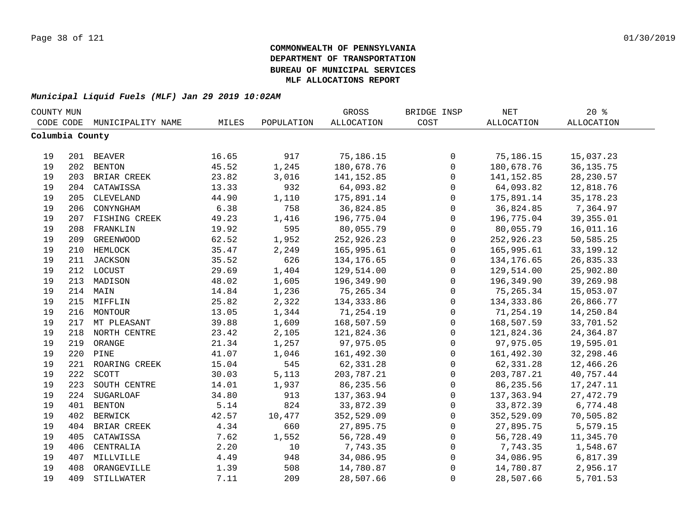| COUNTY MUN |                 |                   |       |            | GROSS             | BRIDGE INSP         | NET         | 20%               |  |
|------------|-----------------|-------------------|-------|------------|-------------------|---------------------|-------------|-------------------|--|
|            | CODE CODE       | MUNICIPALITY NAME | MILES | POPULATION | <b>ALLOCATION</b> | COST                | ALLOCATION  | <b>ALLOCATION</b> |  |
|            | Columbia County |                   |       |            |                   |                     |             |                   |  |
|            |                 |                   |       |            |                   |                     |             |                   |  |
| 19         |                 | 201 BEAVER        | 16.65 | 917        | 75,186.15         | 0                   | 75,186.15   | 15,037.23         |  |
| 19         |                 | 202 BENTON        | 45.52 | 1,245      | 180,678.76        | $\mathsf{O}\xspace$ | 180,678.76  | 36, 135. 75       |  |
| 19         |                 | 203 BRIAR CREEK   | 23.82 | 3,016      | 141, 152.85       | $\mathbf 0$         | 141, 152.85 | 28, 230.57        |  |
| 19         |                 | 204 CATAWISSA     | 13.33 | 932        | 64,093.82         | $\mathbf 0$         | 64,093.82   | 12,818.76         |  |
| 19         | 205             | CLEVELAND         | 44.90 | 1,110      | 175,891.14        | $\mathbf 0$         | 175,891.14  | 35, 178. 23       |  |
| 19         | 206             | CONYNGHAM         | 6.38  | 758        | 36,824.85         | $\mathbf{0}$        | 36,824.85   | 7,364.97          |  |
| 19         | 207             | FISHING CREEK     | 49.23 | 1,416      | 196,775.04        | $\mathbf 0$         | 196,775.04  | 39, 355.01        |  |
| 19         | 208             | FRANKLIN          | 19.92 | 595        | 80,055.79         | $\mathbf 0$         | 80,055.79   | 16,011.16         |  |
| 19         | 209             | <b>GREENWOOD</b>  | 62.52 | 1,952      | 252,926.23        | $\mathbf 0$         | 252,926.23  | 50,585.25         |  |
| 19         |                 | 210 HEMLOCK       | 35.47 | 2,249      | 165,995.61        | $\mathbf 0$         | 165,995.61  | 33, 199. 12       |  |
| 19         | 211             | JACKSON           | 35.52 | 626        | 134,176.65        | $\mathbf 0$         | 134,176.65  | 26,835.33         |  |
| 19         |                 | 212 LOCUST        | 29.69 | 1,404      | 129,514.00        | $\mathbf 0$         | 129,514.00  | 25,902.80         |  |
| 19         | 213             | MADISON           | 48.02 | 1,605      | 196,349.90        | $\mathbf 0$         | 196,349.90  | 39,269.98         |  |
| 19         |                 | 214 MAIN          | 14.84 | 1,236      | 75,265.34         | $\mathbf 0$         | 75, 265.34  | 15,053.07         |  |
| 19         |                 | 215 MIFFLIN       | 25.82 | 2,322      | 134, 333.86       | $\mathbf 0$         | 134,333.86  | 26,866.77         |  |
| 19         |                 | 216 MONTOUR       | 13.05 | 1,344      | 71,254.19         | $\mathbf 0$         | 71,254.19   | 14,250.84         |  |
| 19         |                 | 217 MT PLEASANT   | 39.88 | 1,609      | 168,507.59        | $\mathbf 0$         | 168,507.59  | 33,701.52         |  |
| 19         |                 | 218 NORTH CENTRE  | 23.42 | 2,105      | 121,824.36        | $\mathbf 0$         | 121,824.36  | 24, 364.87        |  |
| 19         |                 | 219 ORANGE        | 21.34 | 1,257      | 97,975.05         | $\mathbf 0$         | 97,975.05   | 19,595.01         |  |
| 19         |                 | 220 PINE          | 41.07 | 1,046      | 161,492.30        | $\mathbf 0$         | 161,492.30  | 32,298.46         |  |
| 19         |                 | 221 ROARING CREEK | 15.04 | 545        | 62,331.28         | $\mathbf 0$         | 62,331.28   | 12,466.26         |  |
| 19         | 222             | SCOTT             | 30.03 | 5,113      | 203,787.21        | $\mathbf 0$         | 203,787.21  | 40,757.44         |  |
| 19         | 223             | SOUTH CENTRE      | 14.01 | 1,937      | 86, 235.56        | $\mathbf 0$         | 86,235.56   | 17,247.11         |  |
| 19         | 224             | <b>SUGARLOAF</b>  | 34.80 | 913        | 137,363.94        | $\mathbf 0$         | 137,363.94  | 27, 472.79        |  |
| 19         | 401             | <b>BENTON</b>     | 5.14  | 824        | 33,872.39         | $\mathbf 0$         | 33,872.39   | 6,774.48          |  |
| 19         | 402             | <b>BERWICK</b>    | 42.57 | 10,477     | 352,529.09        | $\mathbf 0$         | 352,529.09  | 70,505.82         |  |
| 19         | 404             | BRIAR CREEK       | 4.34  | 660        | 27,895.75         | $\mathbf 0$         | 27,895.75   | 5,579.15          |  |
| 19         | 405             | CATAWISSA         | 7.62  | 1,552      | 56,728.49         | $\mathbf 0$         | 56,728.49   | 11,345.70         |  |
| 19         | 406             | CENTRALIA         | 2.20  | 10         | 7,743.35          | $\mathbf 0$         | 7,743.35    | 1,548.67          |  |
| 19         |                 | 407 MILLVILLE     | 4.49  | 948        | 34,086.95         | 0                   | 34,086.95   | 6,817.39          |  |
| 19         | 408             | ORANGEVILLE       | 1.39  | 508        | 14,780.87         | $\mathsf 0$         | 14,780.87   | 2,956.17          |  |
| 19         | 409             | STILLWATER        | 7.11  | 209        | 28,507.66         | $\mathbf 0$         | 28,507.66   | 5,701.53          |  |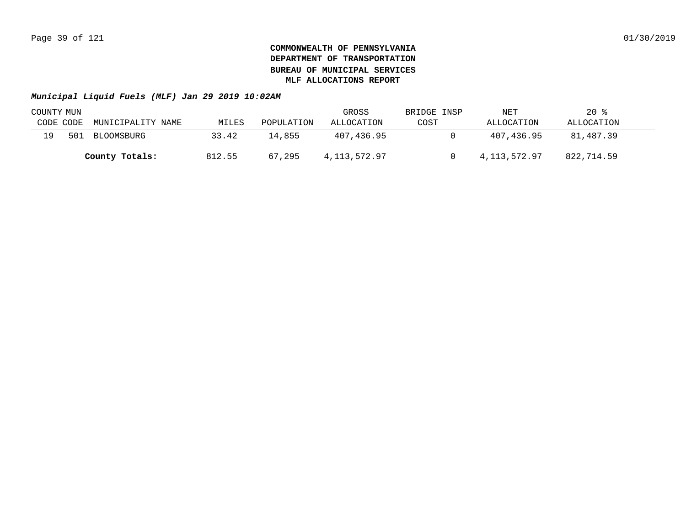|           | COUNTY MUN |                   |        |            | GROSS        | BRIDGE INSP | NET          | $20*$      |  |
|-----------|------------|-------------------|--------|------------|--------------|-------------|--------------|------------|--|
| CODE CODE |            | MUNICIPALITY NAME | MILES  | POPULATION | ALLOCATION   | COST        | ALLOCATION   | ALLOCATION |  |
| 19        | 501        | BLOOMSBURG        | 33.42  | 14,855     | 407,436.95   |             | 407,436.95   | 81,487.39  |  |
|           |            | County Totals:    | 812.55 | 67,295     | 4,113,572.97 |             | 4,113,572.97 | 822,714.59 |  |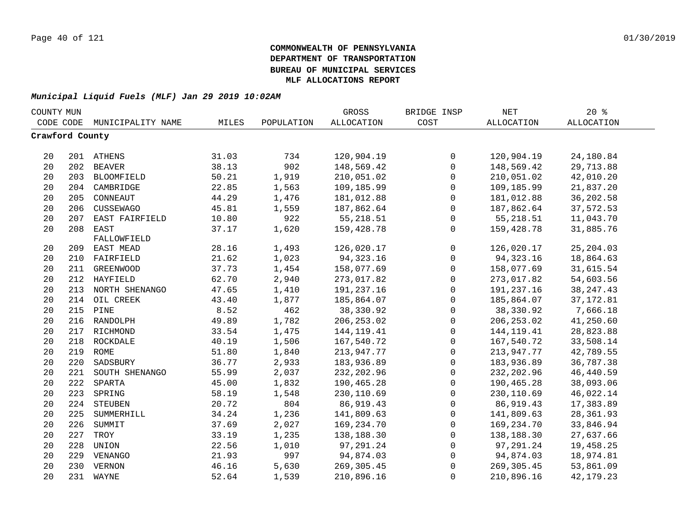|                 | COUNTY MUN |                    |       |            | GROSS             | BRIDGE INSP  | NET               | $20*$             |  |
|-----------------|------------|--------------------|-------|------------|-------------------|--------------|-------------------|-------------------|--|
| CODE CODE       |            | MUNICIPALITY NAME  | MILES | POPULATION | <b>ALLOCATION</b> | COST         | <b>ALLOCATION</b> | <b>ALLOCATION</b> |  |
| Crawford County |            |                    |       |            |                   |              |                   |                   |  |
|                 |            |                    |       |            |                   |              |                   |                   |  |
| 20              |            | 201 ATHENS         | 31.03 | 734        | 120,904.19        | $\mathbf 0$  | 120,904.19        | 24,180.84         |  |
| 20              |            | 202 BEAVER         | 38.13 | 902        | 148,569.42        | $\mathsf{O}$ | 148,569.42        | 29,713.88         |  |
| 20              |            | 203 BLOOMFIELD     | 50.21 | 1,919      | 210,051.02        | $\mathsf{O}$ | 210,051.02        | 42,010.20         |  |
| 20              |            | 204 CAMBRIDGE      | 22.85 | 1,563      | 109,185.99        | $\mathsf 0$  | 109,185.99        | 21,837.20         |  |
| 20              | 205        | CONNEAUT           | 44.29 | 1,476      | 181,012.88        | $\mathsf 0$  | 181,012.88        | 36,202.58         |  |
| 20              | 206        | CUSSEWAGO          | 45.81 | 1,559      | 187,862.64        | $\mathsf{O}$ | 187,862.64        | 37,572.53         |  |
| 20              | 207        | EAST FAIRFIELD     | 10.80 | 922        | 55, 218.51        | $\mathsf{O}$ | 55,218.51         | 11,043.70         |  |
| 20              | 208        | EAST               | 37.17 | 1,620      | 159,428.78        | $\mathbf 0$  | 159,428.78        | 31,885.76         |  |
|                 |            | FALLOWFIELD        |       |            |                   |              |                   |                   |  |
| 20              |            | 209 EAST MEAD      | 28.16 | 1,493      | 126,020.17        | 0            | 126,020.17        | 25, 204.03        |  |
| 20              | 210        | FAIRFIELD          | 21.62 | 1,023      | 94, 323. 16       | 0            | 94, 323. 16       | 18,864.63         |  |
| 20              | 211        | <b>GREENWOOD</b>   | 37.73 | 1,454      | 158,077.69        | $\mathsf{O}$ | 158,077.69        | 31,615.54         |  |
| 20              | 212        | HAYFIELD           | 62.70 | 2,940      | 273,017.82        | $\mathbf 0$  | 273,017.82        | 54,603.56         |  |
| 20              | 213        | NORTH SHENANGO     | 47.65 | 1,410      | 191,237.16        | $\mathbf 0$  | 191,237.16        | 38, 247. 43       |  |
| 20              | 214        | OIL CREEK          | 43.40 | 1,877      | 185,864.07        | $\mathbf 0$  | 185,864.07        | 37, 172.81        |  |
| 20              | 215        | PINE               | 8.52  | 462        | 38,330.92         | 0            | 38,330.92         | 7,666.18          |  |
| 20              | 216        | RANDOLPH           | 49.89 | 1,782      | 206, 253.02       | $\mathsf{O}$ | 206, 253.02       | 41,250.60         |  |
| 20              | 217        | RICHMOND           | 33.54 | 1,475      | 144, 119. 41      | $\mathbf{0}$ | 144, 119. 41      | 28,823.88         |  |
| 20              |            | 218 ROCKDALE       | 40.19 | 1,506      | 167,540.72        | $\mathsf 0$  | 167,540.72        | 33,508.14         |  |
| 20              |            | 219 ROME           | 51.80 | 1,840      | 213,947.77        | 0            | 213,947.77        | 42,789.55         |  |
| 20              |            | 220 SADSBURY       | 36.77 | 2,933      | 183,936.89        | 0            | 183,936.89        | 36,787.38         |  |
| 20              |            | 221 SOUTH SHENANGO | 55.99 | 2,037      | 232, 202.96       | $\mathsf 0$  | 232, 202.96       | 46, 440.59        |  |
| 20              |            | 222 SPARTA         | 45.00 | 1,832      | 190,465.28        | $\mathsf 0$  | 190,465.28        | 38,093.06         |  |
| 20              | 223        | SPRING             | 58.19 | 1,548      | 230,110.69        | 0            | 230,110.69        | 46,022.14         |  |
| 20              | 224        | STEUBEN            | 20.72 | 804        | 86,919.43         | $\mathbf 0$  | 86, 919.43        | 17,383.89         |  |
| 20              | 225        | SUMMERHILL         | 34.24 | 1,236      | 141,809.63        | 0            | 141,809.63        | 28,361.93         |  |
| 20              | 226        | SUMMIT             | 37.69 | 2,027      | 169,234.70        | $\mathsf{O}$ | 169,234.70        | 33,846.94         |  |
| 20              | 227        | TROY               | 33.19 | 1,235      | 138,188.30        | $\mathsf{O}$ | 138,188.30        | 27,637.66         |  |
| 20              | 228        | UNION              | 22.56 | 1,010      | 97,291.24         | $\mathbf 0$  | 97,291.24         | 19,458.25         |  |
| 20              |            | 229 VENANGO        | 21.93 | 997        | 94,874.03         | 0            | 94,874.03         | 18,974.81         |  |
| 20              | 230        | VERNON             | 46.16 | 5,630      | 269,305.45        | $\mathbf 0$  | 269, 305.45       | 53,861.09         |  |
| 20              |            | 231 WAYNE          | 52.64 | 1,539      | 210,896.16        | $\mathbf 0$  | 210,896.16        | 42, 179. 23       |  |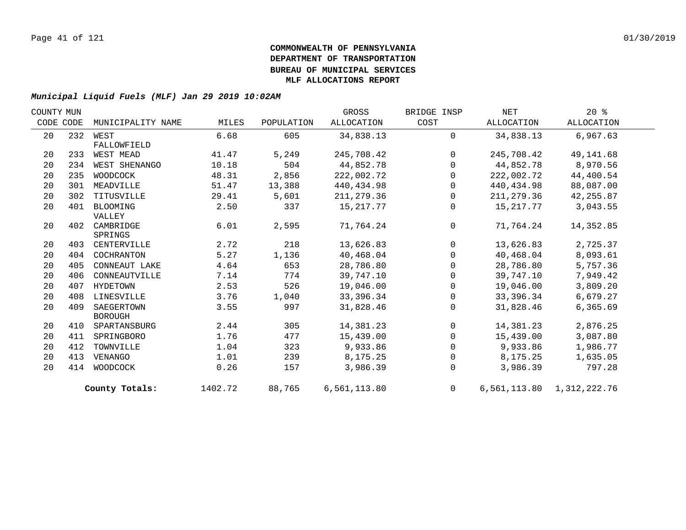| COUNTY MUN |     |                   |         |            | GROSS        | BRIDGE INSP  | NET        | $20*$                     |  |
|------------|-----|-------------------|---------|------------|--------------|--------------|------------|---------------------------|--|
| CODE CODE  |     | MUNICIPALITY NAME | MILES   | POPULATION | ALLOCATION   | COST         | ALLOCATION | ALLOCATION                |  |
| 20         |     | 232 WEST          | 6.68    | 605        | 34,838.13    | $\mathbf 0$  | 34,838.13  | 6,967.63                  |  |
|            |     | FALLOWFIELD       |         |            |              |              |            |                           |  |
| 20         | 233 | WEST MEAD         | 41.47   | 5,249      | 245,708.42   | $\Omega$     | 245,708.42 | 49,141.68                 |  |
| 20         | 234 | WEST SHENANGO     | 10.18   | 504        | 44,852.78    | $\mathbf{0}$ | 44,852.78  | 8,970.56                  |  |
| 20         | 235 | WOODCOCK          | 48.31   | 2,856      | 222,002.72   | $\Omega$     | 222,002.72 | 44,400.54                 |  |
| 20         | 301 | MEADVILLE         | 51.47   | 13,388     | 440,434.98   | $\Omega$     | 440,434.98 | 88,087.00                 |  |
| 20         | 302 | TITUSVILLE        | 29.41   | 5,601      | 211, 279.36  | $\mathbf{0}$ | 211,279.36 | 42,255.87                 |  |
| 20         | 401 | BLOOMING          | 2.50    | 337        | 15,217.77    | 0            | 15,217.77  | 3,043.55                  |  |
|            |     | VALLEY            |         |            |              |              |            |                           |  |
| 20         | 402 | CAMBRIDGE         | 6.01    | 2,595      | 71,764.24    | $\mathbf 0$  | 71,764.24  | 14,352.85                 |  |
|            |     | SPRINGS           |         |            |              |              |            |                           |  |
| 20         | 403 | CENTERVILLE       | 2.72    | 218        | 13,626.83    | $\Omega$     | 13,626.83  | 2,725.37                  |  |
| 20         | 404 | COCHRANTON        | 5.27    | 1,136      | 40,468.04    | $\Omega$     | 40,468.04  | 8,093.61                  |  |
| 20         | 405 | CONNEAUT LAKE     | 4.64    | 653        | 28,786.80    | $\Omega$     | 28,786.80  | 5,757.36                  |  |
| 20         | 406 | CONNEAUTVILLE     | 7.14    | 774        | 39,747.10    | $\mathbf 0$  | 39,747.10  | 7,949.42                  |  |
| 20         | 407 | HYDETOWN          | 2.53    | 526        | 19,046.00    | $\Omega$     | 19,046.00  | 3,809.20                  |  |
| 20         | 408 | LINESVILLE        | 3.76    | 1,040      | 33,396.34    | $\Omega$     | 33,396.34  | 6,679.27                  |  |
| 20         | 409 | SAEGERTOWN        | 3.55    | 997        | 31,828.46    | $\mathbf 0$  | 31,828.46  | 6,365.69                  |  |
|            |     | <b>BOROUGH</b>    |         |            |              |              |            |                           |  |
| 20         | 410 | SPARTANSBURG      | 2.44    | 305        | 14,381.23    | $\mathbf 0$  | 14,381.23  | 2,876.25                  |  |
| 20         | 411 | SPRINGBORO        | 1.76    | 477        | 15,439.00    | $\Omega$     | 15,439.00  | 3,087.80                  |  |
| 20         | 412 | TOWNVILLE         | 1.04    | 323        | 9,933.86     | $\Omega$     | 9,933.86   | 1,986.77                  |  |
| 20         | 413 | VENANGO           | 1.01    | 239        | 8,175.25     | $\mathbf 0$  | 8,175.25   | 1,635.05                  |  |
| 20         | 414 | WOODCOCK          | 0.26    | 157        | 3,986.39     | 0            | 3,986.39   | 797.28                    |  |
|            |     | County Totals:    | 1402.72 | 88,765     | 6,561,113.80 | $\mathbf 0$  |            | 6,561,113.80 1,312,222.76 |  |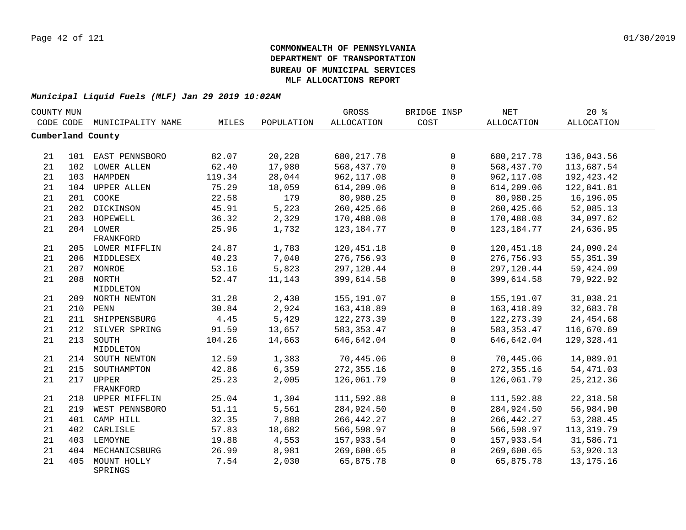| COUNTY MUN |     |                        |        |            | GROSS             | BRIDGE INSP  | <b>NET</b>        | 20%               |  |
|------------|-----|------------------------|--------|------------|-------------------|--------------|-------------------|-------------------|--|
| CODE CODE  |     | MUNICIPALITY NAME      | MILES  | POPULATION | <b>ALLOCATION</b> | COST         | <b>ALLOCATION</b> | <b>ALLOCATION</b> |  |
|            |     | Cumberland County      |        |            |                   |              |                   |                   |  |
|            |     |                        |        |            |                   |              |                   |                   |  |
| 21         |     | 101 EAST PENNSBORO     | 82.07  | 20,228     | 680, 217.78       | $\mathbf 0$  | 680, 217.78       | 136,043.56        |  |
| 21         |     | 102 LOWER ALLEN        | 62.40  | 17,980     | 568,437.70        | $\Omega$     | 568,437.70        | 113,687.54        |  |
| 21         | 103 | HAMPDEN                | 119.34 | 28,044     | 962, 117.08       | $\Omega$     | 962, 117.08       | 192, 423. 42      |  |
| 21         | 104 | <b>UPPER ALLEN</b>     | 75.29  | 18,059     | 614,209.06        | $\Omega$     | 614,209.06        | 122,841.81        |  |
| 21         | 201 | COOKE                  | 22.58  | 179        | 80,980.25         | $\Omega$     | 80,980.25         | 16,196.05         |  |
| 21         | 202 | DICKINSON              | 45.91  | 5,223      | 260, 425.66       | $\mathbf 0$  | 260,425.66        | 52,085.13         |  |
| 21         |     | 203 HOPEWELL           | 36.32  | 2,329      | 170,488.08        | $\mathbf 0$  | 170,488.08        | 34,097.62         |  |
| 21         |     | 204 LOWER              | 25.96  | 1,732      | 123, 184. 77      | $\Omega$     | 123, 184. 77      | 24,636.95         |  |
|            |     | FRANKFORD              |        |            |                   |              |                   |                   |  |
| 21         |     | 205 LOWER MIFFLIN      | 24.87  | 1,783      | 120, 451. 18      | $\mathbf 0$  | 120, 451. 18      | 24,090.24         |  |
| 21         |     | 206 MIDDLESEX          | 40.23  | 7,040      | 276,756.93        | $\mathbf 0$  | 276,756.93        | 55, 351.39        |  |
| 21         |     | 207 MONROE             | 53.16  | 5,823      | 297,120.44        | $\mathbf 0$  | 297,120.44        | 59,424.09         |  |
| 21         |     | 208 NORTH              | 52.47  | 11,143     | 399,614.58        | $\Omega$     | 399,614.58        | 79,922.92         |  |
|            |     | MIDDLETON              |        |            |                   |              |                   |                   |  |
| 21         |     | 209 NORTH NEWTON       | 31.28  | 2,430      | 155,191.07        | $\mathbf 0$  | 155,191.07        | 31,038.21         |  |
| 21         |     | 210 PENN               | 30.84  | 2,924      | 163, 418.89       | $\mathbf 0$  | 163, 418.89       | 32,683.78         |  |
| 21         |     | 211 SHIPPENSBURG       | 4.45   | 5,429      | 122, 273.39       | $\Omega$     | 122, 273.39       | 24, 454.68        |  |
| 21         |     | 212 SILVER SPRING      | 91.59  | 13,657     | 583, 353.47       | $\mathbf{0}$ | 583, 353.47       | 116,670.69        |  |
| 21         | 213 | SOUTH                  | 104.26 | 14,663     | 646,642.04        | $\Omega$     | 646,642.04        | 129,328.41        |  |
|            |     | MIDDLETON              |        |            |                   |              |                   |                   |  |
| 21         |     | 214 SOUTH NEWTON       | 12.59  | 1,383      | 70,445.06         | $\Omega$     | 70,445.06         | 14,089.01         |  |
| 21         | 215 | SOUTHAMPTON            | 42.86  | 6,359      | 272,355.16        | $\mathbf 0$  | 272,355.16        | 54,471.03         |  |
| 21         | 217 | UPPER                  | 25.23  | 2,005      | 126,061.79        | $\mathbf{0}$ | 126,061.79        | 25, 212.36        |  |
|            |     | FRANKFORD              |        |            |                   |              |                   |                   |  |
| 21         |     | 218 UPPER MIFFLIN      | 25.04  | 1,304      | 111,592.88        | $\mathbf{0}$ | 111,592.88        | 22, 318.58        |  |
| 21         | 219 | WEST PENNSBORO         | 51.11  | 5,561      | 284,924.50        | $\mathbf{0}$ | 284,924.50        | 56,984.90         |  |
| 21         | 401 | CAMP HILL              | 32.35  | 7,888      | 266, 442.27       | $\Omega$     | 266, 442.27       | 53, 288.45        |  |
| 21         | 402 | CARLISLE               | 57.83  | 18,682     | 566,598.97        | $\mathbf 0$  | 566,598.97        | 113, 319.79       |  |
| 21         |     | 403 LEMOYNE            | 19.88  | 4,553      | 157,933.54        | $\mathbf 0$  | 157,933.54        | 31,586.71         |  |
| 21         | 404 | MECHANICSBURG          | 26.99  | 8,981      | 269,600.65        | $\mathbf{0}$ | 269,600.65        | 53,920.13         |  |
| 21         | 405 | MOUNT HOLLY<br>SPRINGS | 7.54   | 2,030      | 65,875.78         | $\Omega$     | 65,875.78         | 13, 175. 16       |  |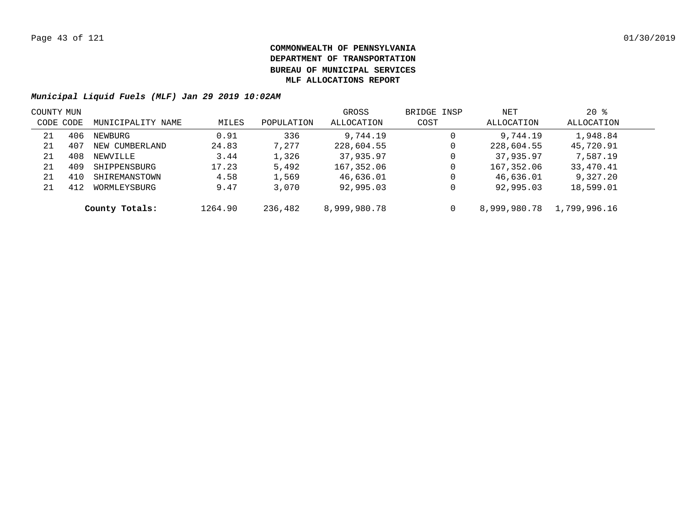| COUNTY MUN |     |                   |         |            | GROSS        | BRIDGE INSP | NET          | $20*$        |  |
|------------|-----|-------------------|---------|------------|--------------|-------------|--------------|--------------|--|
| CODE CODE  |     | MUNICIPALITY NAME | MILES   | POPULATION | ALLOCATION   | COST        | ALLOCATION   | ALLOCATION   |  |
| 21         | 406 | NEWBURG           | 0.91    | 336        | 9,744.19     | 0           | 9,744.19     | 1,948.84     |  |
| 21         | 407 | NEW CUMBERLAND    | 24.83   | 7,277      | 228,604.55   | 0           | 228,604.55   | 45,720.91    |  |
| 21         | 408 | NEWVILLE          | 3.44    | 1,326      | 37,935.97    | 0           | 37,935.97    | 7,587.19     |  |
| 21         | 409 | SHIPPENSBURG      | 17.23   | 5,492      | 167,352.06   | 0           | 167,352.06   | 33,470.41    |  |
| 21         | 410 | SHIREMANSTOWN     | 4.58    | 1,569      | 46,636.01    | 0           | 46,636.01    | 9,327.20     |  |
| 21         | 412 | WORMLEYSBURG      | 9.47    | 3,070      | 92,995.03    | 0           | 92,995.03    | 18,599.01    |  |
|            |     | County Totals:    | 1264.90 | 236,482    | 8,999,980.78 | 0           | 8,999,980.78 | 1,799,996.16 |  |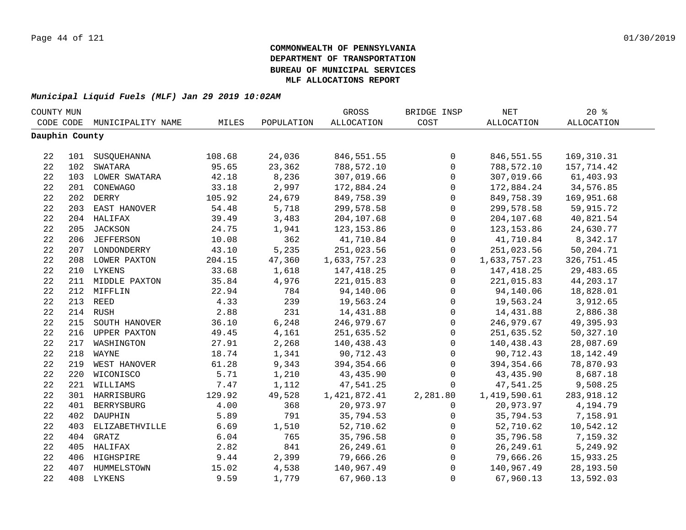| COUNTY MUN     |                    |        |            | GROSS             | BRIDGE INSP         | $\operatorname{NET}$ | $20*$             |  |
|----------------|--------------------|--------|------------|-------------------|---------------------|----------------------|-------------------|--|
| CODE CODE      | MUNICIPALITY NAME  | MILES  | POPULATION | <b>ALLOCATION</b> | COST                | ALLOCATION           | <b>ALLOCATION</b> |  |
| Dauphin County |                    |        |            |                   |                     |                      |                   |  |
|                |                    |        |            |                   |                     |                      |                   |  |
| 22             | 101 SUSQUEHANNA    | 108.68 | 24,036     | 846,551.55        | $\mathbf 0$         | 846,551.55           | 169,310.31        |  |
| 22             | 102 SWATARA        | 95.65  | 23,362     | 788,572.10        | $\mathbf 0$         | 788,572.10           | 157,714.42        |  |
| 22             | 103 LOWER SWATARA  | 42.18  | 8,236      | 307,019.66        | $\mathbf 0$         | 307,019.66           | 61,403.93         |  |
| 22             | 201 CONEWAGO       | 33.18  | 2,997      | 172,884.24        | $\mathbf 0$         | 172,884.24           | 34,576.85         |  |
| 22             | 202 DERRY          | 105.92 | 24,679     | 849,758.39        | $\mathsf{O}$        | 849,758.39           | 169,951.68        |  |
| 22             | 203 EAST HANOVER   | 54.48  | 5,718      | 299,578.58        | $\mathbf 0$         | 299,578.58           | 59,915.72         |  |
| 22             | 204 HALIFAX        | 39.49  | 3,483      | 204,107.68        | $\mathbf 0$         | 204,107.68           | 40,821.54         |  |
| 22             | 205 JACKSON        | 24.75  | 1,941      | 123, 153.86       | $\mathbf 0$         | 123, 153.86          | 24,630.77         |  |
| 22             | 206 JEFFERSON      | 10.08  | 362        | 41,710.84         | $\mathbf 0$         | 41,710.84            | 8,342.17          |  |
| 22             | 207 LONDONDERRY    | 43.10  | 5,235      | 251,023.56        | 0                   | 251,023.56           | 50,204.71         |  |
| 22             | 208 LOWER PAXTON   | 204.15 | 47,360     | 1,633,757.23      | $\mathbf 0$         | 1,633,757.23         | 326,751.45        |  |
| 22             | 210 LYKENS         | 33.68  | 1,618      | 147,418.25        | $\mathbf 0$         | 147,418.25           | 29,483.65         |  |
| 22             | 211 MIDDLE PAXTON  | 35.84  | 4,976      | 221,015.83        | $\mathbf 0$         | 221,015.83           | 44,203.17         |  |
| 22             | 212 MIFFLIN        | 22.94  | 784        | 94,140.06         | $\mathbf 0$         | 94,140.06            | 18,828.01         |  |
| 22             | 213 REED           | 4.33   | 239        | 19,563.24         | $\mathsf{O}\xspace$ | 19,563.24            | 3,912.65          |  |
| 22             | 214 RUSH           | 2.88   | 231        | 14,431.88         | $\mathsf 0$         | 14,431.88            | 2,886.38          |  |
| 22             | 215 SOUTH HANOVER  | 36.10  | 6,248      | 246,979.67        | $\mathsf 0$         | 246,979.67           | 49,395.93         |  |
| 22             | 216 UPPER PAXTON   | 49.45  | 4,161      | 251,635.52        | $\mathbf 0$         | 251,635.52           | 50, 327.10        |  |
| 22             | 217 WASHINGTON     | 27.91  | 2,268      | 140,438.43        | $\mathbf 0$         | 140,438.43           | 28,087.69         |  |
| 22             | 218 WAYNE          | 18.74  | 1,341      | 90,712.43         | $\mathbf 0$         | 90,712.43            | 18, 142. 49       |  |
| 22             | 219 WEST HANOVER   | 61.28  | 9,343      | 394,354.66        | $\mathbf 0$         | 394,354.66           | 78,870.93         |  |
| 22             | 220 WICONISCO      | 5.71   | 1,210      | 43,435.90         | $\mathbf 0$         | 43,435.90            | 8,687.18          |  |
| 22             | 221 WILLIAMS       | 7.47   | 1,112      | 47,541.25         | $\mathbf{0}$        | 47,541.25            | 9,508.25          |  |
| 22             | 301 HARRISBURG     | 129.92 | 49,528     | 1,421,872.41      | 2,281.80            | 1,419,590.61         | 283, 918.12       |  |
| 22             | 401 BERRYSBURG     | 4.00   | 368        | 20,973.97         | 0                   | 20,973.97            | 4,194.79          |  |
| 22             | 402 DAUPHIN        | 5.89   | 791        | 35,794.53         | $\mathbf{0}$        | 35,794.53            | 7,158.91          |  |
| 22             | 403 ELIZABETHVILLE | 6.69   | 1,510      | 52,710.62         | $\mathbf 0$         | 52,710.62            | 10,542.12         |  |
| 22             | 404 GRATZ          | 6.04   | 765        | 35,796.58         | $\mathbf 0$         | 35,796.58            | 7,159.32          |  |
| 22             | 405 HALIFAX        | 2.82   | 841        | 26, 249.61        | $\mathbf 0$         | 26,249.61            | 5,249.92          |  |
| 22             | 406 HIGHSPIRE      | 9.44   | 2,399      | 79,666.26         | $\mathbf 0$         | 79,666.26            | 15,933.25         |  |
| 22             | 407 HUMMELSTOWN    | 15.02  | 4,538      | 140,967.49        | $\mathbf 0$         | 140,967.49           | 28,193.50         |  |
| 22             | 408 LYKENS         | 9.59   | 1,779      | 67,960.13         | $\mathbf 0$         | 67,960.13            | 13,592.03         |  |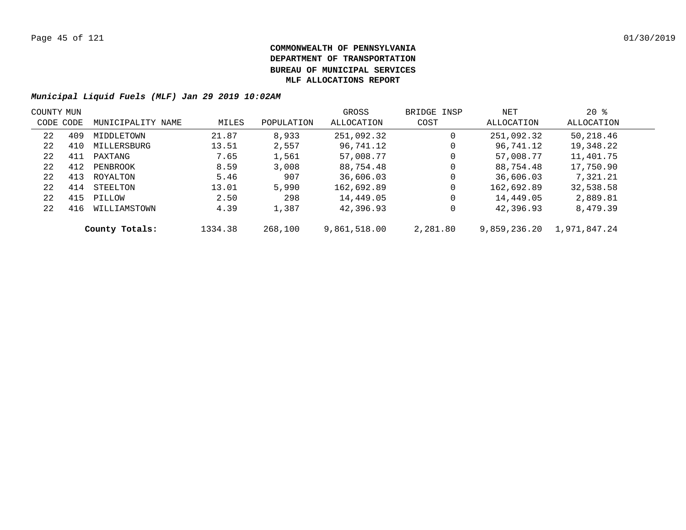| COUNTY MUN |     |                   |         |            | GROSS        | BRIDGE INSP | NET          | $20*$        |  |
|------------|-----|-------------------|---------|------------|--------------|-------------|--------------|--------------|--|
| CODE CODE  |     | MUNICIPALITY NAME | MILES   | POPULATION | ALLOCATION   | COST        | ALLOCATION   | ALLOCATION   |  |
| 22         | 409 | MIDDLETOWN        | 21.87   | 8,933      | 251,092.32   | 0           | 251,092.32   | 50,218.46    |  |
| 22         | 410 | MILLERSBURG       | 13.51   | 2,557      | 96,741.12    | 0           | 96,741.12    | 19,348.22    |  |
| 22         | 411 | PAXTANG           | 7.65    | 1,561      | 57,008.77    | 0           | 57,008.77    | 11,401.75    |  |
| 22         | 412 | PENBROOK          | 8.59    | 3,008      | 88,754.48    | 0           | 88,754.48    | 17,750.90    |  |
| 22         | 413 | ROYALTON          | 5.46    | 907        | 36,606.03    | 0           | 36,606.03    | 7,321.21     |  |
| 22         | 414 | STEELTON          | 13.01   | 5,990      | 162,692.89   | 0           | 162,692.89   | 32,538.58    |  |
| 22         | 415 | PILLOW            | 2.50    | 298        | 14,449.05    | 0           | 14,449.05    | 2,889.81     |  |
| 22         | 416 | WILLIAMSTOWN      | 4.39    | 1,387      | 42,396.93    | 0           | 42,396.93    | 8,479.39     |  |
|            |     | County Totals:    | 1334.38 | 268,100    | 9,861,518.00 | 2,281.80    | 9,859,236.20 | 1,971,847.24 |  |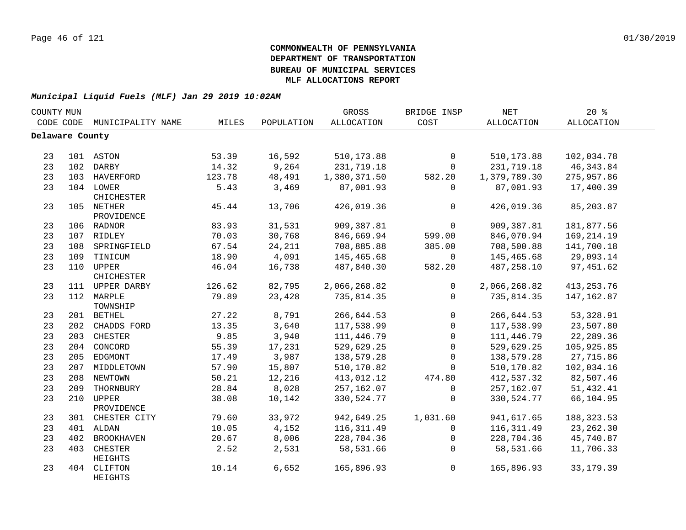| COUNTY MUN      |     |                          |        |            | GROSS        | BRIDGE INSP  | <b>NET</b>        | 20%               |  |
|-----------------|-----|--------------------------|--------|------------|--------------|--------------|-------------------|-------------------|--|
| CODE CODE       |     | MUNICIPALITY NAME        | MILES  | POPULATION | ALLOCATION   | COST         | <b>ALLOCATION</b> | <b>ALLOCATION</b> |  |
| Delaware County |     |                          |        |            |              |              |                   |                   |  |
|                 |     |                          |        |            |              |              |                   |                   |  |
| 23              |     | 101 ASTON                | 53.39  | 16,592     | 510, 173.88  | $\mathsf 0$  | 510, 173.88       | 102,034.78        |  |
| 23              |     | 102 DARBY                | 14.32  | 9,264      | 231,719.18   | $\mathbf 0$  | 231,719.18        | 46, 343.84        |  |
| 23              |     | 103 HAVERFORD            | 123.78 | 48,491     | 1,380,371.50 | 582.20       | 1,379,789.30      | 275,957.86        |  |
| 23              |     | 104 LOWER<br>CHICHESTER  | 5.43   | 3,469      | 87,001.93    | $\mathbf 0$  | 87,001.93         | 17,400.39         |  |
| 23              |     | 105 NETHER<br>PROVIDENCE | 45.44  | 13,706     | 426,019.36   | 0            | 426,019.36        | 85,203.87         |  |
| 23              |     | 106 RADNOR               | 83.93  | 31,531     | 909,387.81   | $\mathbf 0$  | 909,387.81        | 181,877.56        |  |
| 23              |     | 107 RIDLEY               | 70.03  | 30,768     | 846,669.94   | 599.00       | 846,070.94        | 169, 214.19       |  |
| 23              |     | 108 SPRINGFIELD          | 67.54  | 24,211     | 708,885.88   | 385.00       | 708,500.88        | 141,700.18        |  |
| 23              |     | 109 TINICUM              | 18.90  | 4,091      | 145,465.68   | $\mathbf 0$  | 145,465.68        | 29,093.14         |  |
| 23              |     | 110 UPPER<br>CHICHESTER  | 46.04  | 16,738     | 487,840.30   | 582.20       | 487,258.10        | 97,451.62         |  |
| 23              |     | 111 UPPER DARBY          | 126.62 | 82,795     | 2,066,268.82 | $\mathbf 0$  | 2,066,268.82      | 413, 253. 76      |  |
| 23              |     | 112 MARPLE<br>TOWNSHIP   | 79.89  | 23,428     | 735,814.35   | 0            | 735,814.35        | 147, 162.87       |  |
| 23              |     | 201 BETHEL               | 27.22  | 8,791      | 266,644.53   | 0            | 266,644.53        | 53,328.91         |  |
| 23              |     | 202 CHADDS FORD          | 13.35  | 3,640      | 117,538.99   | $\mathbf{0}$ | 117,538.99        | 23,507.80         |  |
| 23              |     | 203 CHESTER              | 9.85   | 3,940      | 111,446.79   | $\Omega$     | 111,446.79        | 22, 289.36        |  |
| 23              |     | 204 CONCORD              | 55.39  | 17,231     | 529,629.25   | $\mathbf 0$  | 529,629.25        | 105,925.85        |  |
| 23              |     | 205 EDGMONT              | 17.49  | 3,987      | 138,579.28   | $\mathbf 0$  | 138,579.28        | 27,715.86         |  |
| 23              |     | 207 MIDDLETOWN           | 57.90  | 15,807     | 510,170.82   | $\mathbf{0}$ | 510,170.82        | 102,034.16        |  |
| 23              | 208 | NEWTOWN                  | 50.21  | 12,216     | 413,012.12   | 474.80       | 412,537.32        | 82,507.46         |  |
| 23              | 209 | THORNBURY                | 28.84  | 8,028      | 257,162.07   | 0            | 257,162.07        | 51,432.41         |  |
| 23              | 210 | UPPER<br>PROVIDENCE      | 38.08  | 10,142     | 330,524.77   | $\mathbf 0$  | 330,524.77        | 66,104.95         |  |
| 23              | 301 | CHESTER CITY             | 79.60  | 33,972     | 942,649.25   | 1,031.60     | 941,617.65        | 188, 323.53       |  |
| 23              | 401 | ALDAN                    | 10.05  | 4,152      | 116, 311.49  | $\mathbf 0$  | 116, 311.49       | 23, 262.30        |  |
| 23              | 402 | <b>BROOKHAVEN</b>        | 20.67  | 8,006      | 228,704.36   | $\mathbf 0$  | 228,704.36        | 45,740.87         |  |
| 23              | 403 | CHESTER<br>HEIGHTS       | 2.52   | 2,531      | 58,531.66    | $\Omega$     | 58,531.66         | 11,706.33         |  |
| 23              | 404 | CLIFTON<br>HEIGHTS       | 10.14  | 6,652      | 165,896.93   | $\mathsf{O}$ | 165,896.93        | 33, 179.39        |  |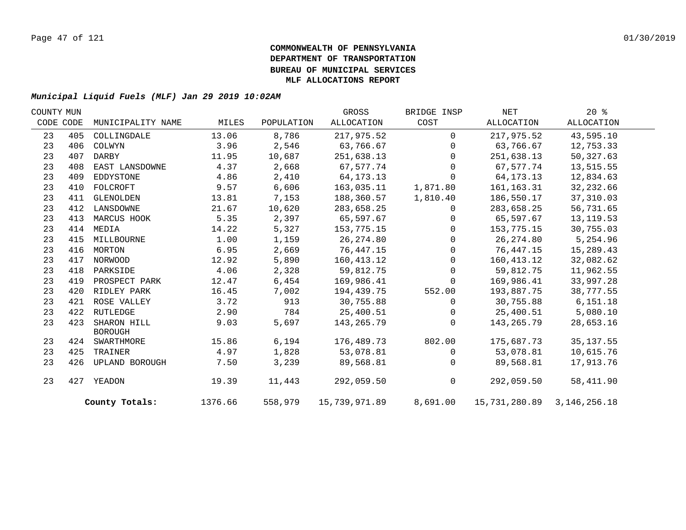| COUNTY MUN |     |                               |         |            | GROSS         | BRIDGE INSP  | NET                        | $20*$      |  |
|------------|-----|-------------------------------|---------|------------|---------------|--------------|----------------------------|------------|--|
| CODE CODE  |     | MUNICIPALITY NAME             | MILES   | POPULATION | ALLOCATION    | COST         | ALLOCATION                 | ALLOCATION |  |
| 23         | 405 | COLLINGDALE                   | 13.06   | 8,786      | 217,975.52    | $\Omega$     | 217,975.52                 | 43,595.10  |  |
| 23         | 406 | COLWYN                        | 3.96    | 2,546      | 63,766.67     | $\Omega$     | 63,766.67                  | 12,753.33  |  |
| 23         | 407 | DARBY                         | 11.95   | 10,687     | 251,638.13    | $\Omega$     | 251,638.13                 | 50,327.63  |  |
| 23         | 408 | EAST LANSDOWNE                | 4.37    | 2,668      | 67,577.74     | 0            | 67,577.74                  | 13,515.55  |  |
| 23         | 409 | EDDYSTONE                     | 4.86    | 2,410      | 64, 173. 13   | $\Omega$     | 64, 173. 13                | 12,834.63  |  |
| 23         | 410 | FOLCROFT                      | 9.57    | 6,606      | 163,035.11    | 1,871.80     | 161,163.31                 | 32,232.66  |  |
| 23         | 411 | GLENOLDEN                     | 13.81   | 7,153      | 188,360.57    | 1,810.40     | 186,550.17                 | 37,310.03  |  |
| 23         | 412 | LANSDOWNE                     | 21.67   | 10,620     | 283,658.25    | $\mathbf{0}$ | 283,658.25                 | 56,731.65  |  |
| 23         | 413 | MARCUS HOOK                   | 5.35    | 2,397      | 65,597.67     | $\Omega$     | 65,597.67                  | 13, 119.53 |  |
| 23         | 414 | MEDIA                         | 14.22   | 5,327      | 153,775.15    | $\Omega$     | 153,775.15                 | 30,755.03  |  |
| 23         | 415 | MILLBOURNE                    | 1.00    | 1,159      | 26, 274.80    | $\Omega$     | 26, 274.80                 | 5,254.96   |  |
| 23         |     | 416 MORTON                    | 6.95    | 2,669      | 76,447.15     | $\Omega$     | 76,447.15                  | 15,289.43  |  |
| 23         | 417 | NORWOOD                       | 12.92   | 5,890      | 160,413.12    | $\mathbf{0}$ | 160, 413.12                | 32,082.62  |  |
| 23         | 418 | PARKSIDE                      | 4.06    | 2,328      | 59,812.75     | $\Omega$     | 59,812.75                  | 11,962.55  |  |
| 23         | 419 | PROSPECT PARK                 | 12.47   | 6,454      | 169,986.41    | 0            | 169,986.41                 | 33,997.28  |  |
| 23         | 420 | RIDLEY PARK                   | 16.45   | 7,002      | 194,439.75    | 552.00       | 193,887.75                 | 38,777.55  |  |
| 23         | 421 | ROSE VALLEY                   | 3.72    | 913        | 30,755.88     | $\Omega$     | 30,755.88                  | 6, 151.18  |  |
| 23         | 422 | RUTLEDGE                      | 2.90    | 784        | 25,400.51     | $\mathbf{0}$ | 25,400.51                  | 5,080.10   |  |
| 23         | 423 | SHARON HILL<br><b>BOROUGH</b> | 9.03    | 5,697      | 143,265.79    | $\Omega$     | 143,265.79                 | 28,653.16  |  |
| 23         |     | 424 SWARTHMORE                | 15.86   | 6,194      | 176,489.73    | 802.00       | 175,687.73                 | 35, 137.55 |  |
| 23         | 425 | TRAINER                       | 4.97    | 1,828      | 53,078.81     | $\Omega$     | 53,078.81                  | 10,615.76  |  |
| 23         | 426 | UPLAND BOROUGH                | 7.50    | 3,239      | 89,568.81     | $\mathbf{0}$ | 89,568.81                  | 17,913.76  |  |
| 23         | 427 | YEADON                        | 19.39   | 11,443     | 292,059.50    | $\mathsf{O}$ | 292,059.50                 | 58,411.90  |  |
|            |     | County Totals:                | 1376.66 | 558,979    | 15,739,971.89 | 8,691.00     | 15,731,280.89 3,146,256.18 |            |  |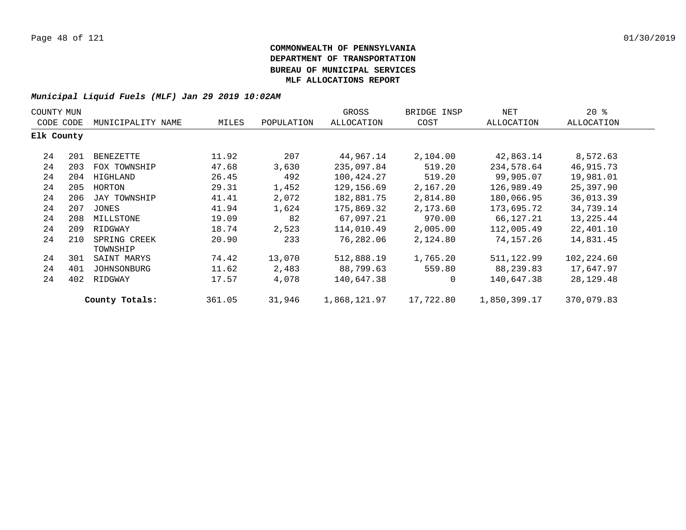|            | COUNTY MUN |                          |        |            | GROSS        | BRIDGE INSP | NET          | $20*$      |  |
|------------|------------|--------------------------|--------|------------|--------------|-------------|--------------|------------|--|
| CODE CODE  |            | MUNICIPALITY NAME        | MILES  | POPULATION | ALLOCATION   | COST        | ALLOCATION   | ALLOCATION |  |
| Elk County |            |                          |        |            |              |             |              |            |  |
| 24         | 201        | BENEZETTE                | 11.92  | 207        | 44,967.14    | 2,104.00    | 42,863.14    | 8,572.63   |  |
| 24         | 203        | FOX TOWNSHIP             | 47.68  | 3,630      | 235,097.84   | 519.20      | 234,578.64   | 46,915.73  |  |
| 24         | 204        | HIGHLAND                 | 26.45  | 492        | 100,424.27   | 519.20      | 99,905.07    | 19,981.01  |  |
| 24         | 205        | HORTON                   | 29.31  | 1,452      | 129, 156.69  | 2,167.20    | 126,989.49   | 25,397.90  |  |
| 24         | 206        | JAY TOWNSHIP             | 41.41  | 2,072      | 182,881.75   | 2,814.80    | 180,066.95   | 36,013.39  |  |
| 24         | 207        | JONES                    | 41.94  | 1,624      | 175,869.32   | 2,173.60    | 173,695.72   | 34,739.14  |  |
| 24         | 208        | MILLSTONE                | 19.09  | 82         | 67,097.21    | 970.00      | 66,127.21    | 13,225.44  |  |
| 24         | 209        | RIDGWAY                  | 18.74  | 2,523      | 114,010.49   | 2,005.00    | 112,005.49   | 22,401.10  |  |
| 24         | 210        | SPRING CREEK<br>TOWNSHIP | 20.90  | 233        | 76,282.06    | 2,124.80    | 74,157.26    | 14,831.45  |  |
| 24         | 301        | SAINT MARYS              | 74.42  | 13,070     | 512,888.19   | 1,765.20    | 511,122.99   | 102,224.60 |  |
| 24         | 401        | JOHNSONBURG              | 11.62  | 2,483      | 88,799.63    | 559.80      | 88,239.83    | 17,647.97  |  |
| 24         | 402        | RIDGWAY                  | 17.57  | 4,078      | 140,647.38   | $\mathbf 0$ | 140,647.38   | 28,129.48  |  |
|            |            | County Totals:           | 361.05 | 31,946     | 1,868,121.97 | 17,722.80   | 1,850,399.17 | 370,079.83 |  |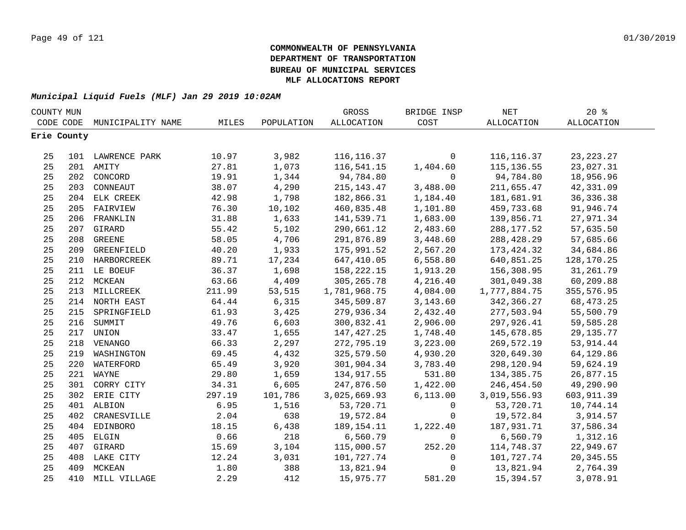| COUNTY MUN |             |                   |        |            | GROSS        | BRIDGE INSP  | $\operatorname{NET}$ | $20*$       |  |
|------------|-------------|-------------------|--------|------------|--------------|--------------|----------------------|-------------|--|
| CODE CODE  |             | MUNICIPALITY NAME | MILES  | POPULATION | ALLOCATION   | COST         | ALLOCATION           | ALLOCATION  |  |
|            | Erie County |                   |        |            |              |              |                      |             |  |
|            |             |                   |        |            |              |              |                      |             |  |
| 25         |             | 101 LAWRENCE PARK | 10.97  | 3,982      | 116, 116.37  | $\mathbf 0$  | 116, 116.37          | 23, 223. 27 |  |
| 25         |             | 201 AMITY         | 27.81  | 1,073      | 116,541.15   | 1,404.60     | 115, 136.55          | 23,027.31   |  |
| 25         |             | 202 CONCORD       | 19.91  | 1,344      | 94,784.80    | $\mathbf 0$  | 94,784.80            | 18,956.96   |  |
| 25         |             | 203 CONNEAUT      | 38.07  | 4,290      | 215, 143. 47 | 3,488.00     | 211,655.47           | 42,331.09   |  |
| 25         |             | 204 ELK CREEK     | 42.98  | 1,798      | 182,866.31   | 1,184.40     | 181,681.91           | 36, 336. 38 |  |
| 25         | 205         | FAIRVIEW          | 76.30  | 10,102     | 460,835.48   | 1,101.80     | 459,733.68           | 91,946.74   |  |
| 25         | 206         | FRANKLIN          | 31.88  | 1,633      | 141,539.71   | 1,683.00     | 139,856.71           | 27,971.34   |  |
| 25         | 207         | GIRARD            | 55.42  | 5,102      | 290,661.12   | 2,483.60     | 288, 177.52          | 57,635.50   |  |
| 25         | 208         | <b>GREENE</b>     | 58.05  | 4,706      | 291,876.89   | 3,448.60     | 288,428.29           | 57,685.66   |  |
| 25         | 209         | GREENFIELD        | 40.20  | 1,933      | 175,991.52   | 2,567.20     | 173,424.32           | 34,684.86   |  |
| 25         |             | 210 HARBORCREEK   | 89.71  | 17,234     | 647,410.05   | 6,558.80     | 640,851.25           | 128,170.25  |  |
| 25         |             | 211 LE BOEUF      | 36.37  | 1,698      | 158,222.15   | 1,913.20     | 156,308.95           | 31,261.79   |  |
| 25         |             | 212 MCKEAN        | 63.66  | 4,409      | 305, 265.78  | 4,216.40     | 301,049.38           | 60,209.88   |  |
| 25         | 213         | MILLCREEK         | 211.99 | 53,515     | 1,781,968.75 | 4,084.00     | 1,777,884.75         | 355,576.95  |  |
| 25         |             | 214 NORTH EAST    | 64.44  | 6,315      | 345,509.87   | 3,143.60     | 342,366.27           | 68, 473. 25 |  |
| 25         |             | 215 SPRINGFIELD   | 61.93  | 3,425      | 279,936.34   | 2,432.40     | 277,503.94           | 55,500.79   |  |
| 25         |             | 216 SUMMIT        | 49.76  | 6,603      | 300,832.41   | 2,906.00     | 297,926.41           | 59,585.28   |  |
| 25         |             | 217 UNION         | 33.47  | 1,655      | 147, 427. 25 | 1,748.40     | 145,678.85           | 29, 135. 77 |  |
| 25         |             | 218 VENANGO       | 66.33  | 2,297      | 272,795.19   | 3,223.00     | 269,572.19           | 53, 914.44  |  |
| 25         |             | 219 WASHINGTON    | 69.45  | 4,432      | 325,579.50   | 4,930.20     | 320,649.30           | 64,129.86   |  |
| 25         | 220         | WATERFORD         | 65.49  | 3,920      | 301,904.34   | 3,783.40     | 298,120.94           | 59,624.19   |  |
| 25         |             | 221 WAYNE         | 29.80  | 1,659      | 134,917.55   | 531.80       | 134,385.75           | 26,877.15   |  |
| 25         |             | 301 CORRY CITY    | 34.31  | 6,605      | 247,876.50   | 1,422.00     | 246,454.50           | 49,290.90   |  |
| 25         |             | 302 ERIE CITY     | 297.19 | 101,786    | 3,025,669.93 | 6,113.00     | 3,019,556.93         | 603, 911.39 |  |
| 25         |             | 401 ALBION        | 6.95   | 1,516      | 53,720.71    | $\mathsf{O}$ | 53,720.71            | 10,744.14   |  |
| 25         | 402         | CRANESVILLE       | 2.04   | 638        | 19,572.84    | $\mathbf 0$  | 19,572.84            | 3,914.57    |  |
| 25         | 404         | EDINBORO          | 18.15  | 6,438      | 189, 154. 11 | 1,222.40     | 187,931.71           | 37,586.34   |  |
| 25         | 405         | ELGIN             | 0.66   | 218        | 6,560.79     | $\mathbf 0$  | 6,560.79             | 1,312.16    |  |
| 25         | 407         | GIRARD            | 15.69  | 3,104      | 115,000.57   | 252.20       | 114,748.37           | 22,949.67   |  |
| 25         | 408         | LAKE CITY         | 12.24  | 3,031      | 101,727.74   | $\mathsf{O}$ | 101,727.74           | 20, 345.55  |  |
| 25         | 409         | MCKEAN            | 1.80   | 388        | 13,821.94    | 0            | 13,821.94            | 2,764.39    |  |
| 25         | 410         | MILL VILLAGE      | 2.29   | 412        | 15,975.77    | 581.20       | 15,394.57            | 3,078.91    |  |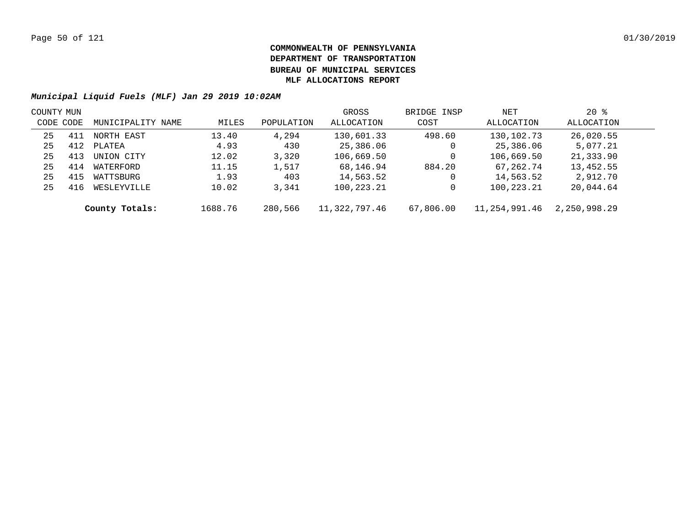| COUNTY MUN |     |                   |         |            | GROSS         | BRIDGE INSP | NET           | $20*$        |  |
|------------|-----|-------------------|---------|------------|---------------|-------------|---------------|--------------|--|
| CODE CODE  |     | MUNICIPALITY NAME | MILES   | POPULATION | ALLOCATION    | COST        | ALLOCATION    | ALLOCATION   |  |
| 25         | 411 | NORTH EAST        | 13.40   | 4,294      | 130,601.33    | 498.60      | 130,102.73    | 26,020.55    |  |
| 25         | 412 | PLATEA            | 4.93    | 430        | 25,386.06     | 0           | 25,386.06     | 5,077.21     |  |
| 25         | 413 | UNION CITY        | 12.02   | 3,320      | 106,669.50    | 0           | 106,669.50    | 21,333.90    |  |
| 25         | 414 | WATERFORD         | 11.15   | 1,517      | 68,146.94     | 884.20      | 67,262.74     | 13,452.55    |  |
| 25         | 415 | WATTSBURG         | 1.93    | 403        | 14,563.52     | 0           | 14,563.52     | 2,912.70     |  |
| 25         | 416 | WESLEYVILLE       | 10.02   | 3,341      | 100,223.21    |             | 100,223.21    | 20,044.64    |  |
|            |     | County Totals:    | 1688.76 | 280,566    | 11,322,797.46 | 67,806.00   | 11,254,991.46 | 2,250,998.29 |  |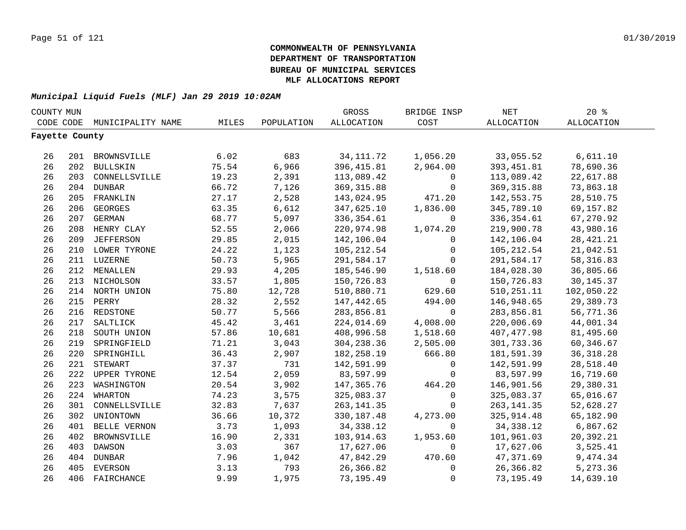| COUNTY MUN     |     |                   |       |            | GROSS       | BRIDGE INSP  | NET          | 20%               |  |
|----------------|-----|-------------------|-------|------------|-------------|--------------|--------------|-------------------|--|
| CODE CODE      |     | MUNICIPALITY NAME | MILES | POPULATION | ALLOCATION  | COST         | ALLOCATION   | <b>ALLOCATION</b> |  |
| Fayette County |     |                   |       |            |             |              |              |                   |  |
|                |     |                   |       |            |             |              |              |                   |  |
| 26             |     | 201 BROWNSVILLE   | 6.02  | 683        | 34, 111.72  | 1,056.20     | 33,055.52    | 6,611.10          |  |
| 26             |     | 202 BULLSKIN      | 75.54 | 6,966      | 396, 415.81 | 2,964.00     | 393, 451.81  | 78,690.36         |  |
| 26             |     | 203 CONNELLSVILLE | 19.23 | 2,391      | 113,089.42  | 0            | 113,089.42   | 22,617.88         |  |
| 26             |     | 204 DUNBAR        | 66.72 | 7,126      | 369, 315.88 | 0            | 369, 315.88  | 73,863.18         |  |
| 26             | 205 | FRANKLIN          | 27.17 | 2,528      | 143,024.95  | 471.20       | 142,553.75   | 28,510.75         |  |
| 26             | 206 | <b>GEORGES</b>    | 63.35 | 6,612      | 347,625.10  | 1,836.00     | 345,789.10   | 69,157.82         |  |
| 26             | 207 | <b>GERMAN</b>     | 68.77 | 5,097      | 336, 354.61 | 0            | 336, 354.61  | 67,270.92         |  |
| 26             | 208 | HENRY CLAY        | 52.55 | 2,066      | 220,974.98  | 1,074.20     | 219,900.78   | 43,980.16         |  |
| 26             | 209 | <b>JEFFERSON</b>  | 29.85 | 2,015      | 142,106.04  | $\Omega$     | 142,106.04   | 28, 421. 21       |  |
| 26             |     | 210 LOWER TYRONE  | 24.22 | 1,123      | 105, 212.54 | $\mathbf 0$  | 105,212.54   | 21,042.51         |  |
| 26             |     | 211 LUZERNE       | 50.73 | 5,965      | 291,584.17  | $\Omega$     | 291,584.17   | 58, 316.83        |  |
| 26             |     | 212 MENALLEN      | 29.93 | 4,205      | 185,546.90  | 1,518.60     | 184,028.30   | 36,805.66         |  |
| 26             |     | 213 NICHOLSON     | 33.57 | 1,805      | 150,726.83  | $\mathbf 0$  | 150,726.83   | 30, 145. 37       |  |
| 26             |     | 214 NORTH UNION   | 75.80 | 12,728     | 510,880.71  | 629.60       | 510, 251. 11 | 102,050.22        |  |
| 26             |     | 215 PERRY         | 28.32 | 2,552      | 147,442.65  | 494.00       | 146,948.65   | 29,389.73         |  |
| 26             |     | 216 REDSTONE      | 50.77 | 5,566      | 283,856.81  | $\mathsf{O}$ | 283,856.81   | 56,771.36         |  |
| 26             |     | 217 SALTLICK      | 45.42 | 3,461      | 224,014.69  | 4,008.00     | 220,006.69   | 44,001.34         |  |
| 26             |     | 218 SOUTH UNION   | 57.86 | 10,681     | 408,996.58  | 1,518.60     | 407, 477.98  | 81,495.60         |  |
| 26             |     | 219 SPRINGFIELD   | 71.21 | 3,043      | 304, 238.36 | 2,505.00     | 301,733.36   | 60,346.67         |  |
| 26             | 220 | SPRINGHILL        | 36.43 | 2,907      | 182,258.19  | 666.80       | 181,591.39   | 36, 318.28        |  |
| 26             | 221 | STEWART           | 37.37 | 731        | 142,591.99  | $\mathbf 0$  | 142,591.99   | 28,518.40         |  |
| 26             |     | 222 UPPER TYRONE  | 12.54 | 2,059      | 83,597.99   | $\Omega$     | 83,597.99    | 16,719.60         |  |
| 26             | 223 | WASHINGTON        | 20.54 | 3,902      | 147,365.76  | 464.20       | 146,901.56   | 29,380.31         |  |
| 26             | 224 | WHARTON           | 74.23 | 3,575      | 325,083.37  | $\mathbf 0$  | 325,083.37   | 65,016.67         |  |
| 26             | 301 | CONNELLSVILLE     | 32.83 | 7,637      | 263, 141.35 | $\Omega$     | 263,141.35   | 52,628.27         |  |
| 26             | 302 | UNIONTOWN         | 36.66 | 10,372     | 330,187.48  | 4,273.00     | 325,914.48   | 65,182.90         |  |
| 26             | 401 | BELLE VERNON      | 3.73  | 1,093      | 34, 338. 12 | $\mathbf 0$  | 34,338.12    | 6,867.62          |  |
| 26             | 402 | BROWNSVILLE       | 16.90 | 2,331      | 103,914.63  | 1,953.60     | 101,961.03   | 20,392.21         |  |
| 26             | 403 | DAWSON            | 3.03  | 367        | 17,627.06   | $\mathbf 0$  | 17,627.06    | 3,525.41          |  |
| 26             | 404 | <b>DUNBAR</b>     | 7.96  | 1,042      | 47,842.29   | 470.60       | 47,371.69    | 9,474.34          |  |
| 26             | 405 | EVERSON           | 3.13  | 793        | 26,366.82   | $\mathsf{O}$ | 26,366.82    | 5,273.36          |  |
| 26             | 406 | FAIRCHANCE        | 9.99  | 1,975      | 73, 195.49  | $\mathbf 0$  | 73,195.49    | 14,639.10         |  |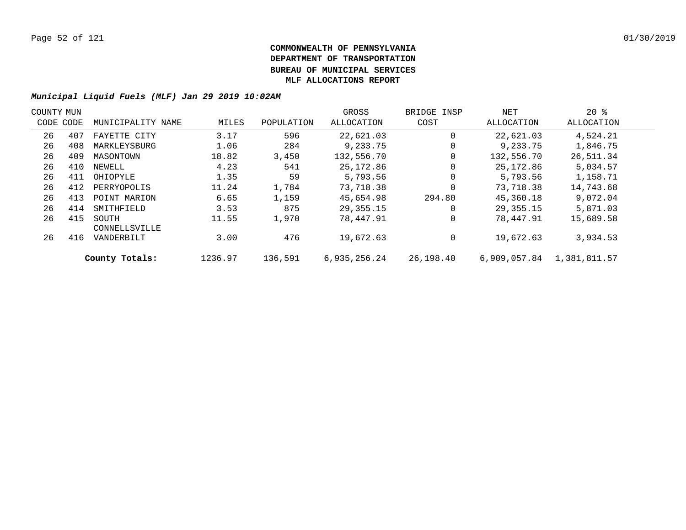| COUNTY MUN |           |                        |         |            | GROSS        | BRIDGE INSP | NET          | $20*$        |  |
|------------|-----------|------------------------|---------|------------|--------------|-------------|--------------|--------------|--|
|            | CODE CODE | MUNICIPALITY NAME      | MILES   | POPULATION | ALLOCATION   | COST        | ALLOCATION   | ALLOCATION   |  |
| 26         | 407       | FAYETTE CITY           | 3.17    | 596        | 22,621.03    |             | 22,621.03    | 4,524.21     |  |
| 26         | 408       | MARKLEYSBURG           | 1.06    | 284        | 9,233.75     | $\Omega$    | 9,233.75     | 1,846.75     |  |
| 26         | 409       | MASONTOWN              | 18.82   | 3,450      | 132,556.70   |             | 132,556.70   | 26,511.34    |  |
| 26         | 410       | NEWELL                 | 4.23    | 541        | 25,172.86    | $\Omega$    | 25,172.86    | 5,034.57     |  |
| 26         | 411       | OHIOPYLE               | 1.35    | 59         | 5,793.56     |             | 5,793.56     | 1,158.71     |  |
| 26         | 412       | PERRYOPOLIS            | 11.24   | 1,784      | 73,718.38    | $\Omega$    | 73,718.38    | 14,743.68    |  |
| 26         | 413       | POINT MARION           | 6.65    | 1,159      | 45,654.98    | 294.80      | 45,360.18    | 9,072.04     |  |
| 26         | 414       | SMITHFIELD             | 3.53    | 875        | 29,355.15    | O           | 29,355.15    | 5,871.03     |  |
| 26         | 415       | SOUTH<br>CONNELLSVILLE | 11.55   | 1,970      | 78,447.91    |             | 78,447.91    | 15,689.58    |  |
| 26         | 416       | VANDERBILT             | 3.00    | 476        | 19,672.63    | $\Omega$    | 19,672.63    | 3,934.53     |  |
|            |           | County Totals:         | 1236.97 | 136,591    | 6.935.256.24 | 26,198.40   | 6.909.057.84 | 1,381,811.57 |  |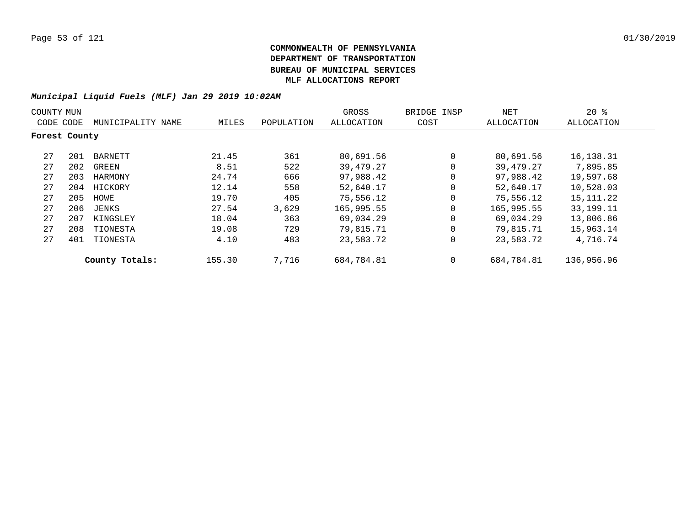|               | COUNTY MUN |                   |        |            | GROSS      | BRIDGE INSP | NET        | $20*$       |
|---------------|------------|-------------------|--------|------------|------------|-------------|------------|-------------|
| CODE CODE     |            | MUNICIPALITY NAME | MILES  | POPULATION | ALLOCATION | COST        | ALLOCATION | ALLOCATION  |
| Forest County |            |                   |        |            |            |             |            |             |
| 27            | 201        | BARNETT           | 21.45  | 361        | 80,691.56  | 0           | 80,691.56  | 16,138.31   |
| 27            | 202        | GREEN             | 8.51   | 522        | 39,479.27  | $\Omega$    | 39,479.27  | 7,895.85    |
| 27            | 203        | HARMONY           | 24.74  | 666        | 97,988.42  | 0           | 97,988.42  | 19,597.68   |
| 27            | 204        | HICKORY           | 12.14  | 558        | 52,640.17  | 0           | 52,640.17  | 10,528.03   |
| 27            | 205        | HOWE              | 19.70  | 405        | 75,556.12  | $\Omega$    | 75,556.12  | 15,111.22   |
| 27            | 206        | JENKS             | 27.54  | 3,629      | 165,995.55 | 0           | 165,995.55 | 33, 199. 11 |
| 27            | 207        | KINGSLEY          | 18.04  | 363        | 69,034.29  | $\Omega$    | 69,034.29  | 13,806.86   |
| 27            | 208        | TIONESTA          | 19.08  | 729        | 79,815.71  | 0           | 79,815.71  | 15,963.14   |
| 27            | 401        | TIONESTA          | 4.10   | 483        | 23,583.72  | 0           | 23,583.72  | 4,716.74    |
|               |            | County Totals:    | 155.30 | 7,716      | 684,784.81 | 0           | 684,784.81 | 136,956.96  |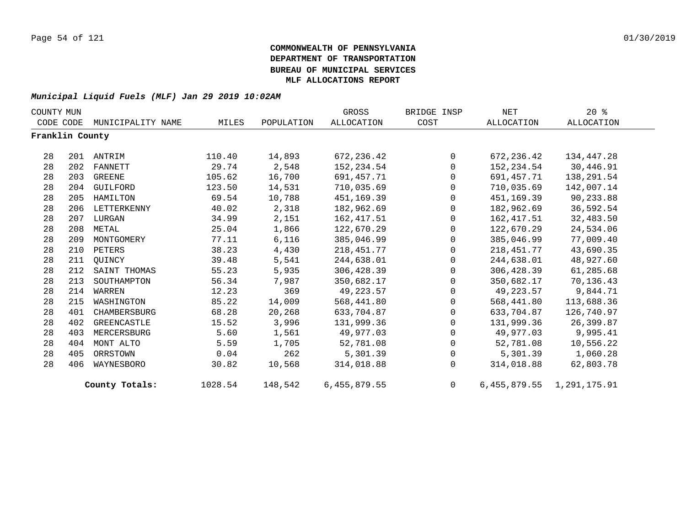| COUNTY MUN      |     |                   |         |            | GROSS          | BRIDGE INSP    | <b>NET</b>  | $20*$                         |  |
|-----------------|-----|-------------------|---------|------------|----------------|----------------|-------------|-------------------------------|--|
| CODE CODE       |     | MUNICIPALITY NAME | MILES   | POPULATION | ALLOCATION     | COST           | ALLOCATION  | ALLOCATION                    |  |
| Franklin County |     |                   |         |            |                |                |             |                               |  |
| 28              |     | 201 ANTRIM        | 110.40  | 14,893     | 672, 236.42    | $\overline{0}$ | 672, 236.42 | 134,447.28                    |  |
| 28              | 202 | <b>FANNETT</b>    | 29.74   | 2,548      | 152,234.54     | $\mathbf{0}$   | 152,234.54  | 30,446.91                     |  |
| 28              | 203 | GREENE            | 105.62  | 16,700     | 691,457.71     | $\mathbf{0}$   | 691,457.71  | 138,291.54                    |  |
| 28              | 204 | GUILFORD          | 123.50  | 14,531     | 710,035.69     | $\Omega$       | 710,035.69  | 142,007.14                    |  |
| 28              | 205 | HAMILTON          | 69.54   | 10,788     | 451,169.39     | $\overline{0}$ | 451,169.39  | 90,233.88                     |  |
| 28              | 206 | LETTERKENNY       | 40.02   | 2,318      | 182,962.69     | $\mathbf 0$    | 182,962.69  | 36,592.54                     |  |
| 28              | 207 | LURGAN            | 34.99   | 2,151      | 162,417.51     | 0              | 162,417.51  | 32,483.50                     |  |
| 28              | 208 | METAL             | 25.04   | 1,866      | 122,670.29     | $\mathbf{0}$   | 122,670.29  | 24,534.06                     |  |
| 28              | 209 | MONTGOMERY        | 77.11   | 6,116      | 385,046.99     | $\mathbf{0}$   | 385,046.99  | 77,009.40                     |  |
| 28              | 210 | PETERS            | 38.23   | 4,430      | 218,451.77     | $\mathsf{O}$   | 218,451.77  | 43,690.35                     |  |
| 28              | 211 | OUINCY            | 39.48   | 5,541      | 244,638.01     | $\mathbf{0}$   | 244,638.01  | 48,927.60                     |  |
| 28              | 212 | SAINT THOMAS      | 55.23   | 5,935      | 306,428.39     | $\mathbf{0}$   | 306,428.39  | 61,285.68                     |  |
| 28              | 213 | SOUTHAMPTON       | 56.34   | 7,987      | 350,682.17     | $\mathbf{0}$   | 350,682.17  | 70,136.43                     |  |
| 28              | 214 | WARREN            | 12.23   | 369        | 49,223.57      | $\mathbf{0}$   | 49,223.57   | 9,844.71                      |  |
| 28              | 215 | WASHINGTON        | 85.22   | 14,009     | 568,441.80     | $\mathsf{O}$   | 568,441.80  | 113,688.36                    |  |
| 28              | 401 | CHAMBERSBURG      | 68.28   | 20,268     | 633,704.87     | $\mathbf{0}$   | 633,704.87  | 126,740.97                    |  |
| 28              | 402 | GREENCASTLE       | 15.52   | 3,996      | 131,999.36     | $\Omega$       | 131,999.36  | 26,399.87                     |  |
| 28              | 403 | MERCERSBURG       | 5.60    | 1,561      | 49,977.03      | $\mathbf{0}$   | 49,977.03   | 9,995.41                      |  |
| 28              | 404 | MONT ALTO         | 5.59    | 1,705      | 52,781.08      | 0              | 52,781.08   | 10,556.22                     |  |
| 28              | 405 | ORRSTOWN          | 0.04    | 262        | 5,301.39       | $\mathbf 0$    | 5,301.39    | 1,060.28                      |  |
| 28              | 406 | WAYNESBORO        | 30.82   | 10,568     | 314,018.88     | $\Omega$       | 314,018.88  | 62,803.78                     |  |
|                 |     | County Totals:    | 1028.54 | 148,542    | 6, 455, 879.55 | $\overline{0}$ |             | 6, 455, 879.55 1, 291, 175.91 |  |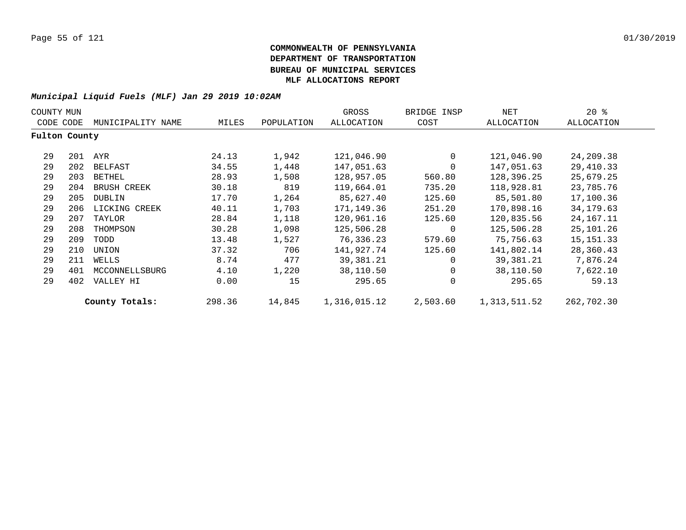| COUNTY MUN    |     |                    |        |            | GROSS        | BRIDGE INSP | NET          | $20*$       |  |
|---------------|-----|--------------------|--------|------------|--------------|-------------|--------------|-------------|--|
| CODE CODE     |     | MUNICIPALITY NAME  | MILES  | POPULATION | ALLOCATION   | COST        | ALLOCATION   | ALLOCATION  |  |
| Fulton County |     |                    |        |            |              |             |              |             |  |
| 29            | 201 | AYR                | 24.13  | 1,942      | 121,046.90   | 0           | 121,046.90   | 24,209.38   |  |
| 29            | 202 | BELFAST            | 34.55  | 1,448      | 147,051.63   | 0           | 147,051.63   | 29,410.33   |  |
| 29            | 203 | BETHEL             | 28.93  | 1,508      | 128,957.05   | 560.80      | 128,396.25   | 25,679.25   |  |
| 29            | 204 | <b>BRUSH CREEK</b> | 30.18  | 819        | 119,664.01   | 735.20      | 118,928.81   | 23,785.76   |  |
| 29            | 205 | DUBLIN             | 17.70  | 1,264      | 85,627.40    | 125.60      | 85,501.80    | 17,100.36   |  |
| 29            | 206 | LICKING CREEK      | 40.11  | 1,703      | 171,149.36   | 251.20      | 170,898.16   | 34,179.63   |  |
| 29            | 207 | TAYLOR             | 28.84  | 1,118      | 120,961.16   | 125.60      | 120,835.56   | 24, 167. 11 |  |
| 29            | 208 | THOMPSON           | 30.28  | 1,098      | 125,506.28   | 0           | 125,506.28   | 25,101.26   |  |
| 29            | 209 | TODD               | 13.48  | 1,527      | 76,336.23    | 579.60      | 75,756.63    | 15, 151. 33 |  |
| 29            | 210 | UNION              | 37.32  | 706        | 141,927.74   | 125.60      | 141,802.14   | 28,360.43   |  |
| 29            | 211 | WELLS              | 8.74   | 477        | 39,381.21    | $\Omega$    | 39,381.21    | 7,876.24    |  |
| 29            | 401 | MCCONNELLSBURG     | 4.10   | 1,220      | 38,110.50    | 0           | 38,110.50    | 7,622.10    |  |
| 29            | 402 | VALLEY HI          | 0.00   | 15         | 295.65       | $\mathbf 0$ | 295.65       | 59.13       |  |
|               |     | County Totals:     | 298.36 | 14,845     | 1,316,015.12 | 2,503.60    | 1,313,511.52 | 262,702.30  |  |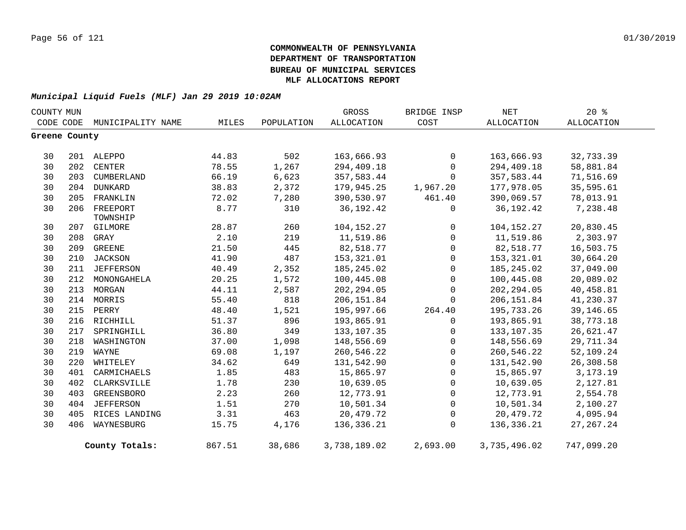| COUNTY MUN    |     |                             |        |            | GROSS        | BRIDGE INSP         | NET          | $20*$       |
|---------------|-----|-----------------------------|--------|------------|--------------|---------------------|--------------|-------------|
|               |     | CODE CODE MUNICIPALITY NAME | MILES  | POPULATION | ALLOCATION   | COST                | ALLOCATION   | ALLOCATION  |
| Greene County |     |                             |        |            |              |                     |              |             |
| 30            |     | 201 ALEPPO                  | 44.83  | 502        | 163,666.93   | 0                   | 163,666.93   | 32,733.39   |
| 30            |     | 202 CENTER                  | 78.55  | 1,267      | 294,409.18   | $\mathbf 0$         | 294,409.18   | 58,881.84   |
| 30            | 203 | CUMBERLAND                  | 66.19  | 6,623      | 357,583.44   | $\mathbf 0$         | 357,583.44   | 71,516.69   |
| 30            | 204 | <b>DUNKARD</b>              | 38.83  | 2,372      | 179,945.25   | 1,967.20            | 177,978.05   | 35,595.61   |
| 30            | 205 | FRANKLIN                    | 72.02  | 7,280      | 390,530.97   | 461.40              | 390,069.57   | 78,013.91   |
| 30            | 206 | FREEPORT<br>TOWNSHIP        | 8.77   | 310        | 36, 192. 42  | 0                   | 36, 192.42   | 7,238.48    |
| 30            | 207 | GILMORE                     | 28.87  | 260        | 104,152.27   | $\overline{0}$      | 104,152.27   | 20,830.45   |
| 30            | 208 | GRAY                        | 2.10   | 219        | 11,519.86    | $\mathbf 0$         | 11,519.86    | 2,303.97    |
| 30            | 209 | GREENE                      | 21.50  | 445        | 82,518.77    | $\mathbf 0$         | 82,518.77    | 16,503.75   |
| 30            | 210 | JACKSON                     | 41.90  | 487        | 153,321.01   | $\mathbf 0$         | 153,321.01   | 30,664.20   |
| 30            | 211 | JEFFERSON                   | 40.49  | 2,352      | 185, 245.02  | 0                   | 185,245.02   | 37,049.00   |
| 30            | 212 | MONONGAHELA                 | 20.25  | 1,572      | 100,445.08   | $\mathbf 0$         | 100,445.08   | 20,089.02   |
| 30            | 213 | MORGAN                      | 44.11  | 2,587      | 202, 294.05  | $\mathbf 0$         | 202, 294.05  | 40,458.81   |
| 30            |     | 214 MORRIS                  | 55.40  | 818        | 206,151.84   | $\mathbf{0}$        | 206, 151.84  | 41,230.37   |
| 30            | 215 | PERRY                       | 48.40  | 1,521      | 195,997.66   | 264.40              | 195,733.26   | 39,146.65   |
| 30            | 216 | RICHHILL                    | 51.37  | 896        | 193,865.91   | $\mathbf 0$         | 193,865.91   | 38,773.18   |
| 30            | 217 | SPRINGHILL                  | 36.80  | 349        | 133, 107.35  | 0                   | 133, 107.35  | 26,621.47   |
| 30            | 218 | WASHINGTON                  | 37.00  | 1,098      | 148,556.69   | $\mathsf{O}\xspace$ | 148,556.69   | 29,711.34   |
| 30            | 219 | WAYNE                       | 69.08  | 1,197      | 260,546.22   | $\mathsf{O}$        | 260,546.22   | 52,109.24   |
| 30            | 220 | WHITELEY                    | 34.62  | 649        | 131,542.90   | $\mathsf{O}$        | 131,542.90   | 26,308.58   |
| 30            | 401 | CARMICHAELS                 | 1.85   | 483        | 15,865.97    | $\mathsf{O}$        | 15,865.97    | 3, 173. 19  |
| 30            | 402 | CLARKSVILLE                 | 1.78   | 230        | 10,639.05    | $\mathsf{O}$        | 10,639.05    | 2,127.81    |
| 30            | 403 | GREENSBORO                  | 2.23   | 260        | 12,773.91    | $\mathsf{O}$        | 12,773.91    | 2,554.78    |
| 30            | 404 | <b>JEFFERSON</b>            | 1.51   | 270        | 10,501.34    | 0                   | 10,501.34    | 2,100.27    |
| 30            | 405 | RICES LANDING               | 3.31   | 463        | 20,479.72    | $\mathbf 0$         | 20,479.72    | 4,095.94    |
| 30            | 406 | WAYNESBURG                  | 15.75  | 4,176      | 136,336.21   | $\Omega$            | 136,336.21   | 27, 267. 24 |
|               |     | County Totals:              | 867.51 | 38,686     | 3,738,189.02 | 2,693.00            | 3,735,496.02 | 747,099.20  |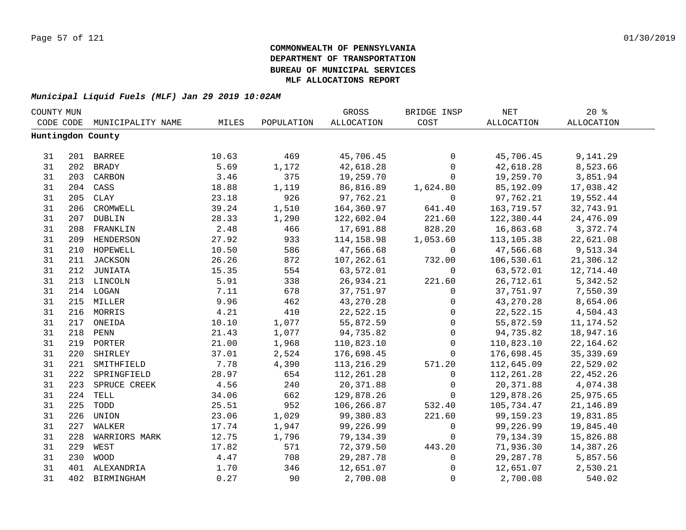| COUNTY MUN |     |                   |       |            | GROSS        | BRIDGE INSP | $\operatorname{NET}$ | $20*$             |  |
|------------|-----|-------------------|-------|------------|--------------|-------------|----------------------|-------------------|--|
| CODE CODE  |     | MUNICIPALITY NAME | MILES | POPULATION | ALLOCATION   | COST        | <b>ALLOCATION</b>    | <b>ALLOCATION</b> |  |
|            |     | Huntingdon County |       |            |              |             |                      |                   |  |
|            |     |                   |       |            |              |             |                      |                   |  |
| 31         |     | 201 BARREE        | 10.63 | 469        | 45,706.45    | $\mathbf 0$ | 45,706.45            | 9,141.29          |  |
| 31         | 202 | <b>BRADY</b>      | 5.69  | 1,172      | 42,618.28    | $\mathbf 0$ | 42,618.28            | 8,523.66          |  |
| 31         | 203 | CARBON            | 3.46  | 375        | 19,259.70    | $\mathbf 0$ | 19,259.70            | 3,851.94          |  |
| 31         |     | 204 CASS          | 18.88 | 1,119      | 86,816.89    | 1,624.80    | 85,192.09            | 17,038.42         |  |
| 31         | 205 | <b>CLAY</b>       | 23.18 | 926        | 97,762.21    | $\mathbf 0$ | 97,762.21            | 19,552.44         |  |
| 31         | 206 | CROMWELL          | 39.24 | 1,510      | 164,360.97   | 641.40      | 163,719.57           | 32,743.91         |  |
| 31         | 207 | DUBLIN            | 28.33 | 1,290      | 122,602.04   | 221.60      | 122,380.44           | 24,476.09         |  |
| 31         | 208 | FRANKLIN          | 2.48  | 466        | 17,691.88    | 828.20      | 16,863.68            | 3,372.74          |  |
| 31         | 209 | HENDERSON         | 27.92 | 933        | 114,158.98   | 1,053.60    | 113,105.38           | 22,621.08         |  |
| 31         | 210 | HOPEWELL          | 10.50 | 586        | 47,566.68    | 0           | 47,566.68            | 9,513.34          |  |
| 31         | 211 | JACKSON           | 26.26 | 872        | 107,262.61   | 732.00      | 106,530.61           | 21,306.12         |  |
| 31         | 212 | JUNIATA           | 15.35 | 554        | 63,572.01    | $\mathbf 0$ | 63,572.01            | 12,714.40         |  |
| 31         |     | 213 LINCOLN       | 5.91  | 338        | 26,934.21    | 221.60      | 26,712.61            | 5,342.52          |  |
| 31         |     | 214 LOGAN         | 7.11  | 678        | 37,751.97    | $\mathbf 0$ | 37,751.97            | 7,550.39          |  |
| 31         |     | 215 MILLER        | 9.96  | 462        | 43, 270. 28  | $\mathbf 0$ | 43,270.28            | 8,654.06          |  |
| 31         |     | 216 MORRIS        | 4.21  | 410        | 22,522.15    | $\mathbf 0$ | 22,522.15            | 4,504.43          |  |
| 31         |     | 217 ONEIDA        | 10.10 | 1,077      | 55,872.59    | $\mathbf 0$ | 55,872.59            | 11, 174.52        |  |
| 31         | 218 | PENN              | 21.43 | 1,077      | 94,735.82    | $\mathbf 0$ | 94,735.82            | 18,947.16         |  |
| 31         |     | 219 PORTER        | 21.00 | 1,968      | 110,823.10   | $\mathbf 0$ | 110,823.10           | 22, 164.62        |  |
| 31         | 220 | SHIRLEY           | 37.01 | 2,524      | 176,698.45   | $\Omega$    | 176,698.45           | 35, 339.69        |  |
| 31         | 221 | SMITHFIELD        | 7.78  | 4,390      | 113, 216. 29 | 571.20      | 112,645.09           | 22,529.02         |  |
| 31         | 222 | SPRINGFIELD       | 28.97 | 654        | 112, 261.28  | $\mathbf 0$ | 112,261.28           | 22, 452.26        |  |
| 31         | 223 | SPRUCE CREEK      | 4.56  | 240        | 20,371.88    | $\mathbf 0$ | 20,371.88            | 4,074.38          |  |
| 31         | 224 | TELL              | 34.06 | 662        | 129,878.26   | $\mathbf 0$ | 129,878.26           | 25,975.65         |  |
| 31         | 225 | TODD              | 25.51 | 952        | 106,266.87   | 532.40      | 105,734.47           | 21,146.89         |  |
| 31         | 226 | UNION             | 23.06 | 1,029      | 99,380.83    | 221.60      | 99,159.23            | 19,831.85         |  |
| 31         | 227 | WALKER            | 17.74 | 1,947      | 99,226.99    | $\mathbf 0$ | 99,226.99            | 19,845.40         |  |
| 31         | 228 | WARRIORS MARK     | 12.75 | 1,796      | 79,134.39    | $\Omega$    | 79,134.39            | 15,826.88         |  |
| 31         | 229 | WEST              | 17.82 | 571        | 72,379.50    | 443.20      | 71,936.30            | 14,387.26         |  |
| 31         | 230 | <b>WOOD</b>       | 4.47  | 708        | 29, 287. 78  | 0           | 29, 287. 78          | 5,857.56          |  |
| 31         | 401 | ALEXANDRIA        | 1.70  | 346        | 12,651.07    | $\mathbf 0$ | 12,651.07            | 2,530.21          |  |
| 31         | 402 | BIRMINGHAM        | 0.27  | 90         | 2,700.08     | $\mathbf 0$ | 2,700.08             | 540.02            |  |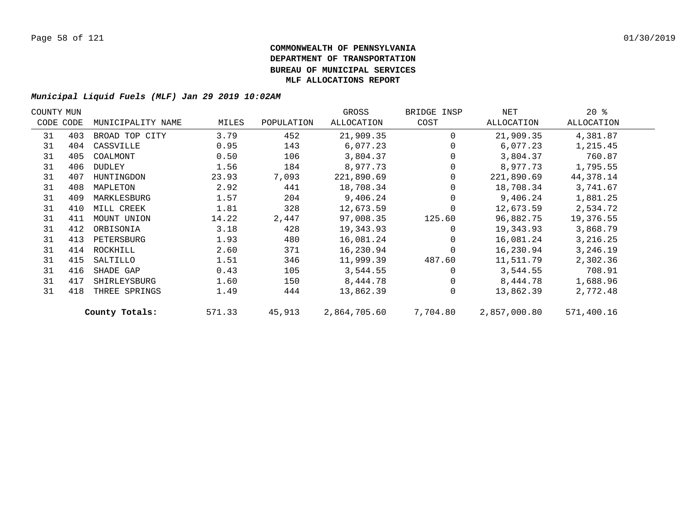| COUNTY MUN |           |                   |        |            | GROSS        | BRIDGE INSP | NET          | $20*$      |  |
|------------|-----------|-------------------|--------|------------|--------------|-------------|--------------|------------|--|
|            | CODE CODE | MUNICIPALITY NAME | MILES  | POPULATION | ALLOCATION   | COST        | ALLOCATION   | ALLOCATION |  |
| 31         | 403       | BROAD TOP CITY    | 3.79   | 452        | 21,909.35    | $\Omega$    | 21,909.35    | 4,381.87   |  |
| 31         | 404       | CASSVILLE         | 0.95   | 143        | 6,077.23     |             | 6,077.23     | 1,215.45   |  |
| 31         | 405       | COALMONT          | 0.50   | 106        | 3,804.37     |             | 3,804.37     | 760.87     |  |
| 31         | 406       | DUDLEY            | 1.56   | 184        | 8,977.73     |             | 8,977.73     | 1,795.55   |  |
| 31         | 407       | HUNTINGDON        | 23.93  | 7,093      | 221,890.69   | $\Omega$    | 221,890.69   | 44,378.14  |  |
| 31         | 408       | MAPLETON          | 2.92   | 441        | 18,708.34    |             | 18,708.34    | 3,741.67   |  |
| 31         | 409       | MARKLESBURG       | 1.57   | 204        | 9,406.24     |             | 9,406.24     | 1,881.25   |  |
| 31         | 410       | MILL CREEK        | 1.81   | 328        | 12,673.59    |             | 12,673.59    | 2,534.72   |  |
| 31         | 411       | MOUNT UNION       | 14.22  | 2,447      | 97,008.35    | 125.60      | 96,882.75    | 19,376.55  |  |
| 31         | 412       | ORBISONIA         | 3.18   | 428        | 19,343.93    | $\Omega$    | 19,343.93    | 3,868.79   |  |
| 31         | 413       | PETERSBURG        | 1.93   | 480        | 16,081.24    | $\Omega$    | 16,081.24    | 3, 216. 25 |  |
| 31         | 414       | ROCKHILL          | 2.60   | 371        | 16,230.94    | $\Omega$    | 16,230.94    | 3,246.19   |  |
| 31         | 415       | SALTILLO          | 1.51   | 346        | 11,999.39    | 487.60      | 11,511.79    | 2,302.36   |  |
| 31         | 416       | SHADE GAP         | 0.43   | 105        | 3,544.55     |             | 3,544.55     | 708.91     |  |
| 31         | 417       | SHIRLEYSBURG      | 1.60   | 150        | 8,444.78     | $\Omega$    | 8,444.78     | 1,688.96   |  |
| 31         | 418       | THREE SPRINGS     | 1.49   | 444        | 13,862.39    | $\Omega$    | 13,862.39    | 2,772.48   |  |
|            |           | County Totals:    | 571.33 | 45,913     | 2,864,705.60 | 7,704.80    | 2,857,000.80 | 571,400.16 |  |
|            |           |                   |        |            |              |             |              |            |  |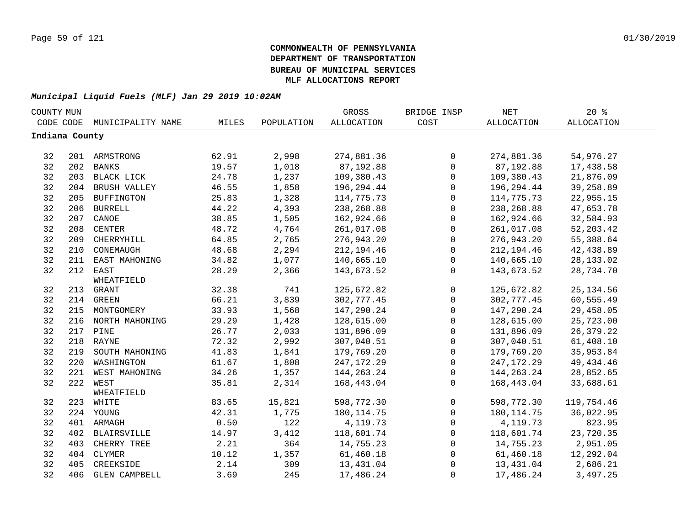| COUNTY MUN     |     |                      |       |            | GROSS        | BRIDGE INSP  | <b>NET</b>   | 20%               |  |
|----------------|-----|----------------------|-------|------------|--------------|--------------|--------------|-------------------|--|
| CODE CODE      |     | MUNICIPALITY NAME    | MILES | POPULATION | ALLOCATION   | COST         | ALLOCATION   | <b>ALLOCATION</b> |  |
| Indiana County |     |                      |       |            |              |              |              |                   |  |
|                |     |                      |       |            |              |              |              |                   |  |
| 32             |     | 201 ARMSTRONG        | 62.91 | 2,998      | 274,881.36   | $\mathsf{O}$ | 274,881.36   | 54,976.27         |  |
| 32             | 202 | <b>BANKS</b>         | 19.57 | 1,018      | 87,192.88    | $\mathsf{O}$ | 87,192.88    | 17,438.58         |  |
| 32             |     | 203 BLACK LICK       | 24.78 | 1,237      | 109,380.43   | $\mathsf{O}$ | 109,380.43   | 21,876.09         |  |
| 32             | 204 | BRUSH VALLEY         | 46.55 | 1,858      | 196,294.44   | $\mathsf{O}$ | 196,294.44   | 39,258.89         |  |
| 32             | 205 | <b>BUFFINGTON</b>    | 25.83 | 1,328      | 114,775.73   | $\mathbf 0$  | 114,775.73   | 22,955.15         |  |
| 32             | 206 | <b>BURRELL</b>       | 44.22 | 4,393      | 238, 268.88  | 0            | 238,268.88   | 47,653.78         |  |
| 32             | 207 | CANOE                | 38.85 | 1,505      | 162,924.66   | $\mathbf 0$  | 162,924.66   | 32,584.93         |  |
| 32             | 208 | <b>CENTER</b>        | 48.72 | 4,764      | 261,017.08   | $\mathbf 0$  | 261,017.08   | 52, 203.42        |  |
| 32             | 209 | CHERRYHILL           | 64.85 | 2,765      | 276,943.20   | 0            | 276,943.20   | 55,388.64         |  |
| 32             | 210 | CONEMAUGH            | 48.68 | 2,294      | 212,194.46   | $\mathbf 0$  | 212,194.46   | 42,438.89         |  |
| 32             | 211 | EAST MAHONING        | 34.82 | 1,077      | 140,665.10   | 0            | 140,665.10   | 28, 133.02        |  |
| 32             | 212 | EAST                 | 28.29 | 2,366      | 143,673.52   | $\mathbf 0$  | 143,673.52   | 28,734.70         |  |
|                |     | WHEATFIELD           |       |            |              |              |              |                   |  |
| 32             | 213 | GRANT                | 32.38 | 741        | 125,672.82   | 0            | 125,672.82   | 25, 134.56        |  |
| 32             | 214 | GREEN                | 66.21 | 3,839      | 302,777.45   | 0            | 302,777.45   | 60,555.49         |  |
| 32             |     | 215 MONTGOMERY       | 33.93 | 1,568      | 147,290.24   | $\mathsf 0$  | 147,290.24   | 29,458.05         |  |
| 32             |     | 216 NORTH MAHONING   | 29.29 | 1,428      | 128,615.00   | $\mathsf 0$  | 128,615.00   | 25,723.00         |  |
| 32             |     | 217 PINE             | 26.77 | 2,033      | 131,896.09   | 0            | 131,896.09   | 26, 379. 22       |  |
| 32             |     | 218 RAYNE            | 72.32 | 2,992      | 307,040.51   | $\mathsf 0$  | 307,040.51   | 61,408.10         |  |
| 32             | 219 | SOUTH MAHONING       | 41.83 | 1,841      | 179,769.20   | 0            | 179,769.20   | 35,953.84         |  |
| 32             | 220 | WASHINGTON           | 61.67 | 1,808      | 247, 172. 29 | $\mathsf{O}$ | 247, 172. 29 | 49, 434. 46       |  |
| 32             | 221 | WEST MAHONING        | 34.26 | 1,357      | 144, 263. 24 | $\mathbf 0$  | 144, 263. 24 | 28,852.65         |  |
| 32             | 222 | WEST                 | 35.81 | 2,314      | 168,443.04   | $\Omega$     | 168,443.04   | 33,688.61         |  |
|                |     | WHEATFIELD           |       |            |              |              |              |                   |  |
| 32             | 223 | WHITE                | 83.65 | 15,821     | 598,772.30   | $\mathbf 0$  | 598,772.30   | 119,754.46        |  |
| 32             |     | 224 YOUNG            | 42.31 | 1,775      | 180, 114.75  | $\mathbf 0$  | 180, 114.75  | 36,022.95         |  |
| 32             |     | 401 ARMAGH           | 0.50  | 122        | 4,119.73     | $\mathbf 0$  | 4,119.73     | 823.95            |  |
| 32             | 402 | <b>BLAIRSVILLE</b>   | 14.97 | 3,412      | 118,601.74   | $\mathbf 0$  | 118,601.74   | 23,720.35         |  |
| 32             | 403 | CHERRY TREE          | 2.21  | 364        | 14,755.23    | $\mathbf 0$  | 14,755.23    | 2,951.05          |  |
| 32             | 404 | CLYMER               | 10.12 | 1,357      | 61,460.18    | 0            | 61,460.18    | 12,292.04         |  |
| 32             | 405 | CREEKSIDE            | 2.14  | 309        | 13,431.04    | $\mathbf 0$  | 13,431.04    | 2,686.21          |  |
| 32             | 406 | <b>GLEN CAMPBELL</b> | 3.69  | 245        | 17,486.24    | $\mathbf{0}$ | 17,486.24    | 3,497.25          |  |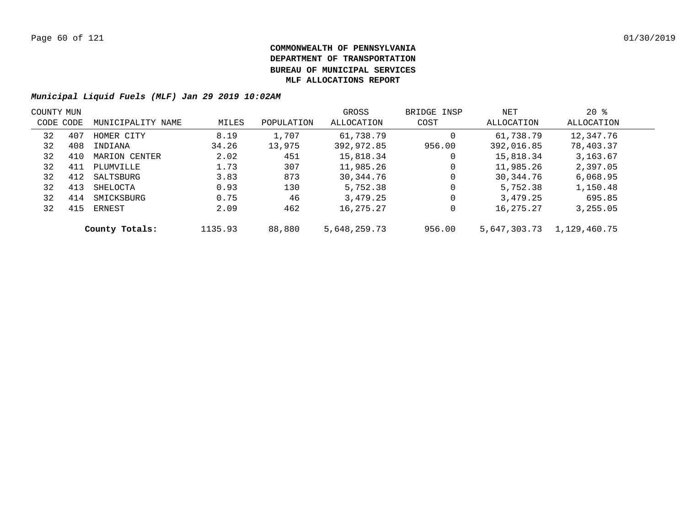|           | COUNTY MUN |                   |         |            | GROSS        | BRIDGE INSP | NET          | $20*$        |  |
|-----------|------------|-------------------|---------|------------|--------------|-------------|--------------|--------------|--|
| CODE CODE |            | MUNICIPALITY NAME | MILES   | POPULATION | ALLOCATION   | COST        | ALLOCATION   | ALLOCATION   |  |
| 32        | 407        | HOMER CITY        | 8.19    | 1,707      | 61,738.79    | 0           | 61,738.79    | 12,347.76    |  |
| 32        | 408        | INDIANA           | 34.26   | 13,975     | 392,972.85   | 956.00      | 392,016.85   | 78,403.37    |  |
| 32        | 410        | MARION CENTER     | 2.02    | 451        | 15,818.34    | 0           | 15,818.34    | 3,163.67     |  |
| 32        | 411        | PLUMVILLE         | 1.73    | 307        | 11,985.26    | 0           | 11,985.26    | 2,397.05     |  |
| 32        | 412        | SALTSBURG         | 3.83    | 873        | 30,344.76    | 0           | 30,344.76    | 6,068.95     |  |
| 32        | 413        | SHELOCTA          | 0.93    | 130        | 5,752.38     | 0           | 5,752.38     | 1,150.48     |  |
| 32        | 414        | SMICKSBURG        | 0.75    | 46         | 3,479.25     | 0           | 3,479.25     | 695.85       |  |
| 32        | 415        | ERNEST            | 2.09    | 462        | 16,275.27    | 0           | 16,275.27    | 3,255.05     |  |
|           |            | County Totals:    | 1135.93 | 88,880     | 5,648,259.73 | 956.00      | 5,647,303.73 | 1,129,460.75 |  |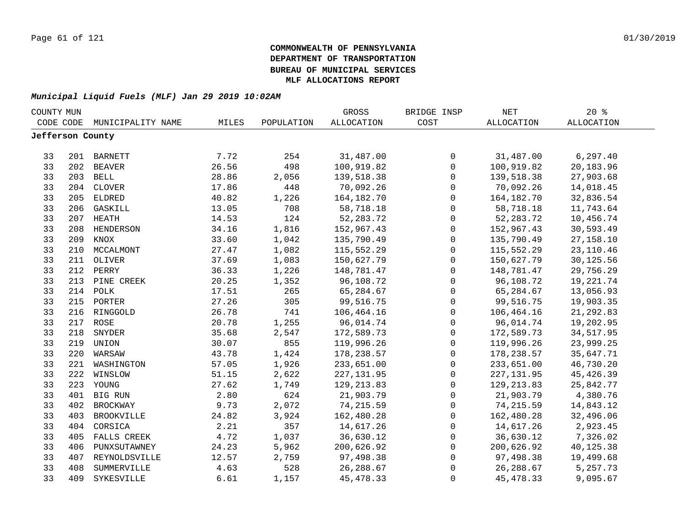| COUNTY MUN       |     |                   |       |            | GROSS             | BRIDGE INSP         | NET          | $20*$             |  |
|------------------|-----|-------------------|-------|------------|-------------------|---------------------|--------------|-------------------|--|
| CODE CODE        |     | MUNICIPALITY NAME | MILES | POPULATION | <b>ALLOCATION</b> | COST                | ALLOCATION   | <b>ALLOCATION</b> |  |
| Jefferson County |     |                   |       |            |                   |                     |              |                   |  |
|                  |     |                   |       |            |                   |                     |              |                   |  |
| 33               |     | 201 BARNETT       | 7.72  | 254        | 31,487.00         | 0                   | 31,487.00    | 6, 297.40         |  |
| 33               | 202 | BEAVER            | 26.56 | 498        | 100,919.82        | $\mathsf{O}$        | 100,919.82   | 20,183.96         |  |
| 33               |     | 203 BELL          | 28.86 | 2,056      | 139,518.38        | $\mathsf{O}$        | 139,518.38   | 27,903.68         |  |
| 33               | 204 | <b>CLOVER</b>     | 17.86 | 448        | 70,092.26         | 0                   | 70,092.26    | 14,018.45         |  |
| 33               | 205 | ELDRED            | 40.82 | 1,226      | 164, 182. 70      | 0                   | 164, 182. 70 | 32,836.54         |  |
| 33               | 206 | GASKILL           | 13.05 | 708        | 58,718.18         | $\mathbf 0$         | 58,718.18    | 11,743.64         |  |
| 33               | 207 | HEATH             | 14.53 | 124        | 52, 283. 72       | $\mathbf 0$         | 52, 283. 72  | 10,456.74         |  |
| 33               | 208 | HENDERSON         | 34.16 | 1,816      | 152,967.43        | $\mathsf{O}$        | 152,967.43   | 30,593.49         |  |
| 33               | 209 | KNOX              | 33.60 | 1,042      | 135,790.49        | $\mathbf 0$         | 135,790.49   | 27, 158. 10       |  |
| 33               | 210 | MCCALMONT         | 27.47 | 1,082      | 115,552.29        | $\mathbf 0$         | 115,552.29   | 23, 110.46        |  |
| 33               | 211 | OLIVER            | 37.69 | 1,083      | 150,627.79        | $\mathbf 0$         | 150,627.79   | 30,125.56         |  |
| 33               | 212 | PERRY             | 36.33 | 1,226      | 148,781.47        | $\mathbf 0$         | 148,781.47   | 29,756.29         |  |
| 33               | 213 | PINE CREEK        | 20.25 | 1,352      | 96,108.72         | $\mathbf 0$         | 96,108.72    | 19,221.74         |  |
| 33               | 214 | POLK              | 17.51 | 265        | 65,284.67         | 0                   | 65,284.67    | 13,056.93         |  |
| 33               | 215 | PORTER            | 27.26 | 305        | 99,516.75         | 0                   | 99,516.75    | 19,903.35         |  |
| 33               |     | 216 RINGGOLD      | 26.78 | 741        | 106,464.16        | 0                   | 106,464.16   | 21, 292.83        |  |
| 33               |     | 217 ROSE          | 20.78 | 1,255      | 96,014.74         | $\mathsf 0$         | 96,014.74    | 19,202.95         |  |
| 33               | 218 | SNYDER            | 35.68 | 2,547      | 172,589.73        | $\mathsf{O}\xspace$ | 172,589.73   | 34,517.95         |  |
| 33               |     | 219 UNION         | 30.07 | 855        | 119,996.26        | $\mathsf{O}\xspace$ | 119,996.26   | 23,999.25         |  |
| 33               | 220 | WARSAW            | 43.78 | 1,424      | 178,238.57        | $\mathsf{O}$        | 178,238.57   | 35,647.71         |  |
| 33               | 221 | WASHINGTON        | 57.05 | 1,926      | 233,651.00        | $\mathsf{O}$        | 233,651.00   | 46,730.20         |  |
| 33               | 222 | WINSLOW           | 51.15 | 2,622      | 227, 131.95       | $\mathbf 0$         | 227, 131.95  | 45, 426.39        |  |
| 33               |     | 223 YOUNG         | 27.62 | 1,749      | 129, 213.83       | $\mathbf 0$         | 129, 213.83  | 25,842.77         |  |
| 33               |     | 401 BIG RUN       | 2.80  | 624        | 21,903.79         | $\mathbf 0$         | 21,903.79    | 4,380.76          |  |
| 33               | 402 | <b>BROCKWAY</b>   | 9.73  | 2,072      | 74, 215.59        | $\mathbf 0$         | 74, 215.59   | 14,843.12         |  |
| 33               | 403 | <b>BROOKVILLE</b> | 24.82 | 3,924      | 162,480.28        | $\mathbf 0$         | 162,480.28   | 32,496.06         |  |
| 33               | 404 | CORSICA           | 2.21  | 357        | 14,617.26         | 0                   | 14,617.26    | 2,923.45          |  |
| 33               | 405 | FALLS CREEK       | 4.72  | 1,037      | 36,630.12         | 0                   | 36,630.12    | 7,326.02          |  |
| 33               | 406 | PUNXSUTAWNEY      | 24.23 | 5,962      | 200,626.92        | $\mathsf{O}$        | 200,626.92   | 40,125.38         |  |
| 33               | 407 | REYNOLDSVILLE     | 12.57 | 2,759      | 97,498.38         | $\mathbf 0$         | 97,498.38    | 19,499.68         |  |
| 33               | 408 | SUMMERVILLE       | 4.63  | 528        | 26, 288.67        | 0                   | 26, 288.67   | 5,257.73          |  |
| 33               | 409 | SYKESVILLE        | 6.61  | 1,157      | 45, 478.33        | 0                   | 45, 478.33   | 9,095.67          |  |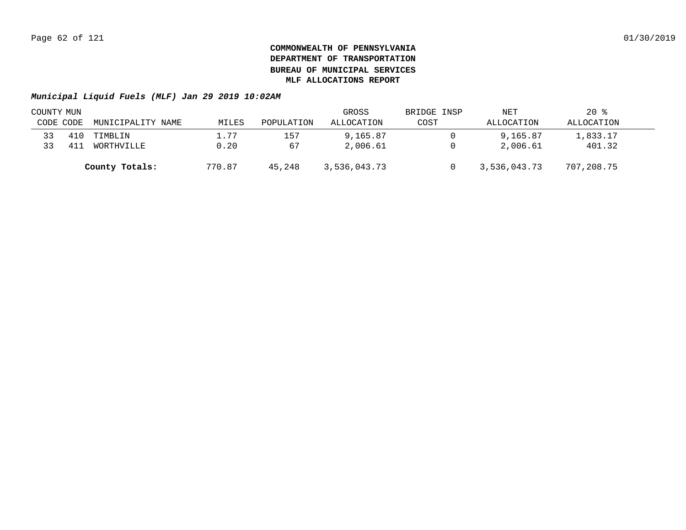|           | COUNTY MUN |                   |        |            | GROSS        | BRIDGE INSP | NET          | $20*$      |  |
|-----------|------------|-------------------|--------|------------|--------------|-------------|--------------|------------|--|
| CODE CODE |            | MUNICIPALITY NAME | MILES  | POPULATION | ALLOCATION   | COST        | ALLOCATION   | ALLOCATION |  |
| 33        | 410        | TIMBLIN           | 1.77   | 157        | 9,165.87     |             | 9,165.87     | 1,833.17   |  |
| 33        | 41.        | WORTHVILLE        | 0.20   | 67         | 2,006.61     |             | 2,006.61     | 401.32     |  |
|           |            | County Totals:    | 770.87 | 45,248     | 3,536,043.73 |             | 3,536,043.73 | 707,208.75 |  |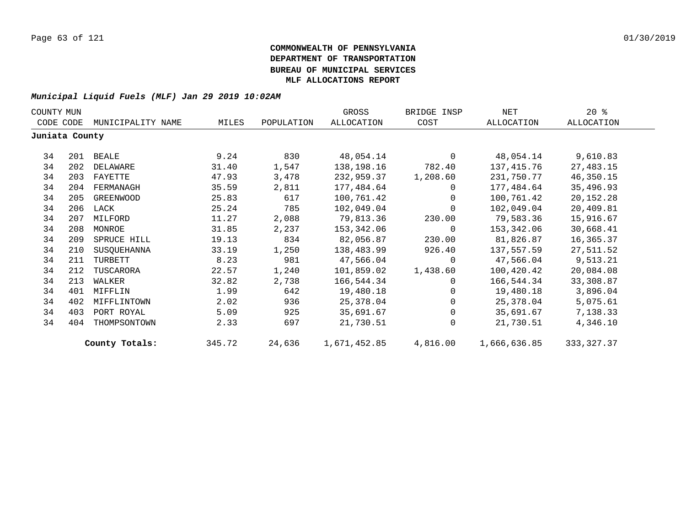| COUNTY MUN     |     |                   |        |            | GROSS        | BRIDGE INSP | NET          | $20*$       |
|----------------|-----|-------------------|--------|------------|--------------|-------------|--------------|-------------|
| CODE CODE      |     | MUNICIPALITY NAME | MILES  | POPULATION | ALLOCATION   | COST        | ALLOCATION   | ALLOCATION  |
| Juniata County |     |                   |        |            |              |             |              |             |
| 34             |     | 201 BEALE         | 9.24   | 830        | 48,054.14    | $\Omega$    | 48,054.14    | 9,610.83    |
| 34             | 202 | DELAWARE          | 31.40  | 1,547      | 138,198.16   | 782.40      | 137,415.76   | 27,483.15   |
| 34             | 203 | FAYETTE           | 47.93  | 3,478      | 232,959.37   | 1,208.60    | 231,750.77   | 46,350.15   |
| 34             | 204 | FERMANAGH         | 35.59  | 2,811      | 177,484.64   | $\Omega$    | 177,484.64   | 35,496.93   |
| 34             | 205 | GREENWOOD         | 25.83  | 617        | 100,761.42   | $\Omega$    | 100,761.42   | 20,152.28   |
| 34             |     | 206 LACK          | 25.24  | 785        | 102,049.04   | $\Omega$    | 102,049.04   | 20,409.81   |
| 34             | 207 | MILFORD           | 11.27  | 2,088      | 79,813.36    | 230.00      | 79,583.36    | 15,916.67   |
| 34             | 208 | MONROE            | 31.85  | 2,237      | 153,342.06   | 0           | 153,342.06   | 30,668.41   |
| 34             | 209 | SPRUCE HILL       | 19.13  | 834        | 82,056.87    | 230.00      | 81,826.87    | 16,365.37   |
| 34             | 210 | SUSQUEHANNA       | 33.19  | 1,250      | 138,483.99   | 926.40      | 137,557.59   | 27,511.52   |
| 34             | 211 | TURBETT           | 8.23   | 981        | 47,566.04    | $\Omega$    | 47,566.04    | 9,513.21    |
| 34             | 212 | TUSCARORA         | 22.57  | 1,240      | 101,859.02   | 1,438.60    | 100,420.42   | 20,084.08   |
| 34             | 213 | WALKER            | 32.82  | 2,738      | 166,544.34   | $\Omega$    | 166,544.34   | 33,308.87   |
| 34             | 401 | MIFFLIN           | 1.99   | 642        | 19,480.18    | $\Omega$    | 19,480.18    | 3,896.04    |
| 34             | 402 | MIFFLINTOWN       | 2.02   | 936        | 25,378.04    | $\mathbf 0$ | 25,378.04    | 5,075.61    |
| 34             | 403 | PORT ROYAL        | 5.09   | 925        | 35,691.67    | $\Omega$    | 35,691.67    | 7,138.33    |
| 34             | 404 | THOMPSONTOWN      | 2.33   | 697        | 21,730.51    | $\Omega$    | 21,730.51    | 4,346.10    |
|                |     | County Totals:    | 345.72 | 24,636     | 1,671,452.85 | 4,816.00    | 1,666,636.85 | 333, 327.37 |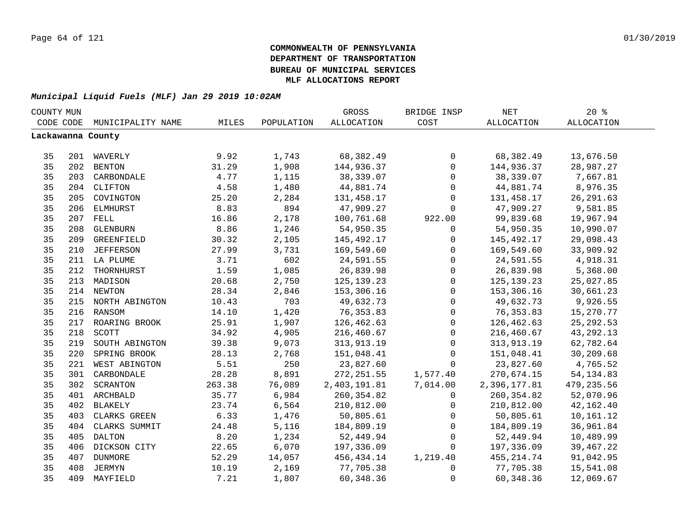| COUNTY MUN |     |                    |        |            | GROSS             | BRIDGE INSP         | NET          | 20%               |  |
|------------|-----|--------------------|--------|------------|-------------------|---------------------|--------------|-------------------|--|
| CODE CODE  |     | MUNICIPALITY NAME  | MILES  | POPULATION | <b>ALLOCATION</b> | COST                | ALLOCATION   | <b>ALLOCATION</b> |  |
|            |     | Lackawanna County  |        |            |                   |                     |              |                   |  |
|            |     |                    |        |            |                   |                     |              |                   |  |
| 35         |     | 201 WAVERLY        | 9.92   | 1,743      | 68,382.49         | $\mathsf{O}$        | 68,382.49    | 13,676.50         |  |
| 35         |     | 202 BENTON         | 31.29  | 1,908      | 144,936.37        | $\mathbf 0$         | 144,936.37   | 28,987.27         |  |
| 35         |     | 203 CARBONDALE     | 4.77   | 1,115      | 38,339.07         | $\mathsf{O}$        | 38,339.07    | 7,667.81          |  |
| 35         |     | 204 CLIFTON        | 4.58   | 1,480      | 44,881.74         | $\mathsf{O}\xspace$ | 44,881.74    | 8,976.35          |  |
| 35         | 205 | COVINGTON          | 25.20  | 2,284      | 131,458.17        | $\mathsf{O}$        | 131,458.17   | 26, 291.63        |  |
| 35         | 206 | ELMHURST           | 8.83   | 894        | 47,909.27         | $\Omega$            | 47,909.27    | 9,581.85          |  |
| 35         | 207 | FELL               | 16.86  | 2,178      | 100,761.68        | 922.00              | 99,839.68    | 19,967.94         |  |
| 35         | 208 | GLENBURN           | 8.86   | 1,246      | 54,950.35         | $\mathbf 0$         | 54,950.35    | 10,990.07         |  |
| 35         | 209 | GREENFIELD         | 30.32  | 2,105      | 145,492.17        | 0                   | 145,492.17   | 29,098.43         |  |
| 35         | 210 | <b>JEFFERSON</b>   | 27.99  | 3,731      | 169,549.60        | $\mathbf 0$         | 169,549.60   | 33,909.92         |  |
| 35         |     | 211 LA PLUME       | 3.71   | 602        | 24,591.55         | $\mathbf 0$         | 24,591.55    | 4,918.31          |  |
| 35         | 212 | THORNHURST         | 1.59   | 1,085      | 26,839.98         | $\mathsf{O}\xspace$ | 26,839.98    | 5,368.00          |  |
| 35         | 213 | MADISON            | 20.68  | 2,750      | 125, 139. 23      | $\mathbf 0$         | 125, 139. 23 | 25,027.85         |  |
| 35         | 214 | <b>NEWTON</b>      | 28.34  | 2,846      | 153,306.16        | $\mathsf 0$         | 153,306.16   | 30,661.23         |  |
| 35         |     | 215 NORTH ABINGTON | 10.43  | 703        | 49,632.73         | $\mathbf 0$         | 49,632.73    | 9,926.55          |  |
| 35         |     | 216 RANSOM         | 14.10  | 1,420      | 76, 353.83        | $\mathbf 0$         | 76, 353.83   | 15,270.77         |  |
| 35         |     | 217 ROARING BROOK  | 25.91  | 1,907      | 126,462.63        | $\mathbf 0$         | 126,462.63   | 25, 292.53        |  |
| 35         | 218 | SCOTT              | 34.92  | 4,905      | 216,460.67        | $\mathsf{O}$        | 216,460.67   | 43, 292. 13       |  |
| 35         | 219 | SOUTH ABINGTON     | 39.38  | 9,073      | 313,913.19        | $\mathsf{O}$        | 313, 913. 19 | 62,782.64         |  |
| 35         | 220 | SPRING BROOK       | 28.13  | 2,768      | 151,048.41        | 0                   | 151,048.41   | 30,209.68         |  |
| 35         | 221 | WEST ABINGTON      | 5.51   | 250        | 23,827.60         | $\mathbf 0$         | 23,827.60    | 4,765.52          |  |
| 35         | 301 | CARBONDALE         | 28.28  | 8,891      | 272, 251.55       | 1,577.40            | 270,674.15   | 54, 134.83        |  |
| 35         | 302 | SCRANTON           | 263.38 | 76,089     | 2,403,191.81      | 7,014.00            | 2,396,177.81 | 479, 235.56       |  |
| 35         |     | 401 ARCHBALD       | 35.77  | 6,984      | 260,354.82        | $\mathbf 0$         | 260, 354.82  | 52,070.96         |  |
| 35         | 402 | BLAKELY            | 23.74  | 6,564      | 210,812.00        | $\mathbf 0$         | 210,812.00   | 42, 162. 40       |  |
| 35         | 403 | CLARKS GREEN       | 6.33   | 1,476      | 50,805.61         | $\mathbf 0$         | 50,805.61    | 10,161.12         |  |
| 35         | 404 | CLARKS SUMMIT      | 24.48  | 5,116      | 184,809.19        | $\mathbf 0$         | 184,809.19   | 36,961.84         |  |
| 35         | 405 | <b>DALTON</b>      | 8.20   | 1,234      | 52,449.94         | $\mathbf 0$         | 52,449.94    | 10,489.99         |  |
| 35         | 406 | DICKSON CITY       | 22.65  | 6,070      | 197,336.09        | $\Omega$            | 197,336.09   | 39,467.22         |  |
| 35         | 407 | DUNMORE            | 52.29  | 14,057     | 456,434.14        | 1,219.40            | 455, 214.74  | 91,042.95         |  |
| 35         | 408 | JERMYN             | 10.19  | 2,169      | 77,705.38         | 0                   | 77,705.38    | 15,541.08         |  |
| 35         | 409 | MAYFIELD           | 7.21   | 1,807      | 60,348.36         | 0                   | 60,348.36    | 12,069.67         |  |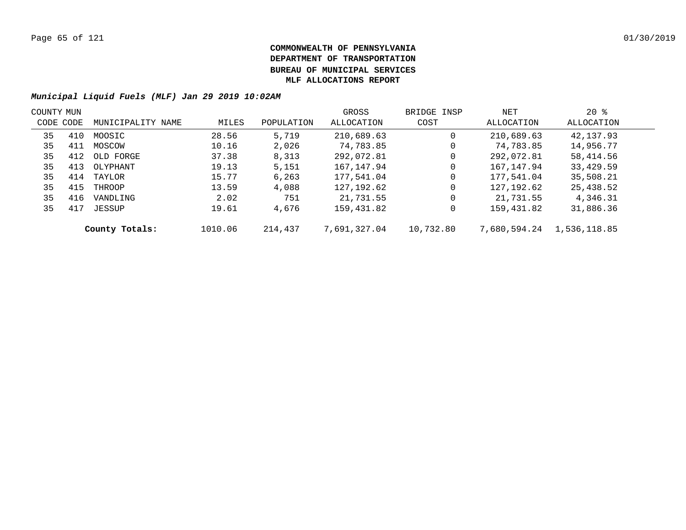| COUNTY MUN |     |                   |         |            | GROSS        | BRIDGE INSP | NET          | 20%          |  |
|------------|-----|-------------------|---------|------------|--------------|-------------|--------------|--------------|--|
| CODE CODE  |     | MUNICIPALITY NAME | MILES   | POPULATION | ALLOCATION   | COST        | ALLOCATION   | ALLOCATION   |  |
| 35         | 410 | MOOSIC            | 28.56   | 5,719      | 210,689.63   | 0           | 210,689.63   | 42,137.93    |  |
| 35         | 411 | MOSCOW            | 10.16   | 2,026      | 74,783.85    | 0           | 74,783.85    | 14,956.77    |  |
| 35         | 412 | OLD FORGE         | 37.38   | 8,313      | 292,072.81   | 0           | 292,072.81   | 58,414.56    |  |
| 35         | 413 | OLYPHANT          | 19.13   | 5,151      | 167,147.94   | 0           | 167, 147.94  | 33,429.59    |  |
| 35         | 414 | TAYLOR            | 15.77   | 6,263      | 177,541.04   | 0           | 177,541.04   | 35,508.21    |  |
| 35         | 415 | THROOP            | 13.59   | 4,088      | 127,192.62   | 0           | 127, 192.62  | 25,438.52    |  |
| 35         | 416 | VANDLING          | 2.02    | 751        | 21,731.55    | 0           | 21,731.55    | 4,346.31     |  |
| 35         | 417 | JESSUP            | 19.61   | 4,676      | 159,431.82   | 0           | 159,431.82   | 31,886.36    |  |
|            |     | County Totals:    | 1010.06 | 214,437    | 7,691,327.04 | 10,732.80   | 7,680,594.24 | 1,536,118.85 |  |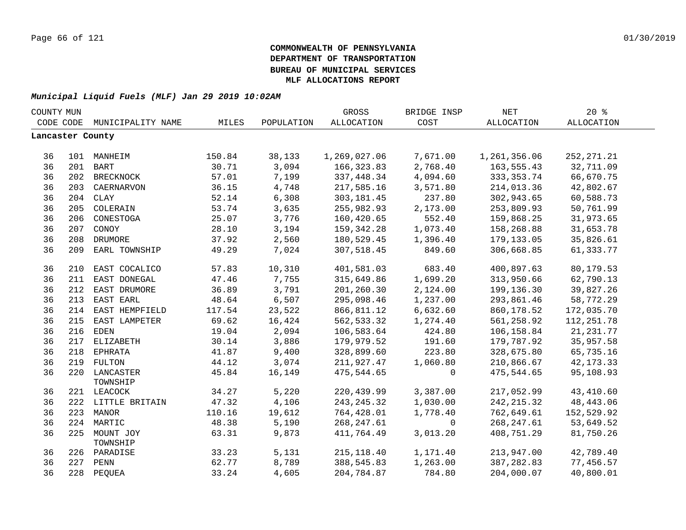| COUNTY MUN       |     |                           |        |            | GROSS        | BRIDGE INSP | <b>NET</b>        | 20%         |  |
|------------------|-----|---------------------------|--------|------------|--------------|-------------|-------------------|-------------|--|
| CODE CODE        |     | MUNICIPALITY NAME         | MILES  | POPULATION | ALLOCATION   | COST        | <b>ALLOCATION</b> | ALLOCATION  |  |
| Lancaster County |     |                           |        |            |              |             |                   |             |  |
|                  |     |                           |        |            |              |             |                   |             |  |
| 36               |     | 101 MANHEIM               | 150.84 | 38,133     | 1,269,027.06 | 7,671.00    | 1,261,356.06      | 252, 271.21 |  |
| 36               |     | 201 BART                  | 30.71  | 3,094      | 166, 323.83  | 2,768.40    | 163,555.43        | 32,711.09   |  |
| 36               |     | 202 BRECKNOCK             | 57.01  | 7,199      | 337,448.34   | 4,094.60    | 333, 353. 74      | 66,670.75   |  |
| 36               | 203 | CAERNARVON                | 36.15  | 4,748      | 217,585.16   | 3,571.80    | 214,013.36        | 42,802.67   |  |
| 36               |     | 204 CLAY                  | 52.14  | 6,308      | 303, 181.45  | 237.80      | 302,943.65        | 60,588.73   |  |
| 36               | 205 | COLERAIN                  | 53.74  | 3,635      | 255,982.93   | 2,173.00    | 253,809.93        | 50,761.99   |  |
| 36               | 206 | CONESTOGA                 | 25.07  | 3,776      | 160,420.65   | 552.40      | 159,868.25        | 31,973.65   |  |
| 36               | 207 | CONOY                     | 28.10  | 3,194      | 159,342.28   | 1,073.40    | 158,268.88        | 31,653.78   |  |
| 36               | 208 | DRUMORE                   | 37.92  | 2,560      | 180,529.45   | 1,396.40    | 179,133.05        | 35,826.61   |  |
| 36               | 209 | EARL TOWNSHIP             | 49.29  | 7,024      | 307,518.45   | 849.60      | 306,668.85        | 61,333.77   |  |
| 36               | 210 | EAST COCALICO             | 57.83  | 10,310     | 401,581.03   | 683.40      | 400,897.63        | 80,179.53   |  |
| 36               | 211 | EAST DONEGAL              | 47.46  | 7,755      | 315,649.86   | 1,699.20    | 313,950.66        | 62,790.13   |  |
| 36               |     | 212 EAST DRUMORE          | 36.89  | 3,791      | 201,260.30   | 2,124.00    | 199,136.30        | 39,827.26   |  |
| 36               |     | 213 EAST EARL             | 48.64  | 6,507      | 295,098.46   | 1,237.00    | 293,861.46        | 58,772.29   |  |
| 36               |     | 214 EAST HEMPFIELD        | 117.54 | 23,522     | 866,811.12   | 6,632.60    | 860,178.52        | 172,035.70  |  |
| 36               |     | 215 EAST LAMPETER         | 69.62  | 16,424     | 562, 533.32  | 1,274.40    | 561,258.92        | 112, 251.78 |  |
| 36               |     | 216 EDEN                  | 19.04  | 2,094      | 106,583.64   | 424.80      | 106,158.84        | 21, 231. 77 |  |
| 36               |     | 217 ELIZABETH             | 30.14  | 3,886      | 179,979.52   | 191.60      | 179,787.92        | 35,957.58   |  |
| 36               |     | 218 EPHRATA               | 41.87  | 9,400      | 328,899.60   | 223.80      | 328,675.80        | 65,735.16   |  |
| 36               |     | 219 FULTON                | 44.12  | 3,074      | 211,927.47   | 1,060.80    | 210,866.67        | 42, 173. 33 |  |
| 36               |     | 220 LANCASTER<br>TOWNSHIP | 45.84  | 16,149     | 475,544.65   | $\mathbf 0$ | 475,544.65        | 95,108.93   |  |
| 36               |     | 221 LEACOCK               | 34.27  | 5,220      | 220,439.99   | 3,387.00    | 217,052.99        | 43,410.60   |  |
| 36               |     | 222 LITTLE BRITAIN        | 47.32  | 4,106      | 243, 245. 32 | 1,030.00    | 242, 215.32       | 48, 443.06  |  |
| 36               |     | 223 MANOR                 | 110.16 | 19,612     | 764,428.01   | 1,778.40    | 762,649.61        | 152,529.92  |  |
| 36               |     | 224 MARTIC                | 48.38  | 5,190      | 268, 247.61  | $\mathbf 0$ | 268, 247.61       | 53,649.52   |  |
| 36               |     | 225 MOUNT JOY<br>TOWNSHIP | 63.31  | 9,873      | 411,764.49   | 3,013.20    | 408,751.29        | 81,750.26   |  |
| 36               |     | 226 PARADISE              | 33.23  | 5,131      | 215, 118.40  | 1,171.40    | 213,947.00        | 42,789.40   |  |
| 36               | 227 | PENN                      | 62.77  | 8,789      | 388,545.83   | 1,263.00    | 387, 282.83       | 77,456.57   |  |
| 36               | 228 | PEQUEA                    | 33.24  | 4,605      | 204,784.87   | 784.80      | 204,000.07        | 40,800.01   |  |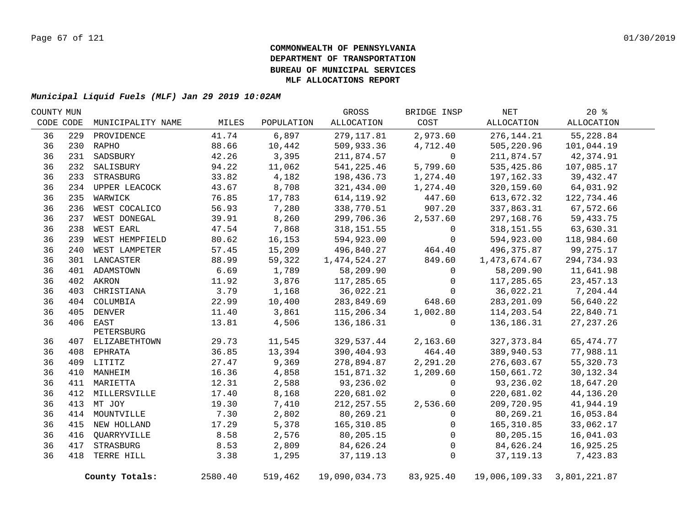| COUNTY MUN |     |                   |         |            | GROSS         | BRIDGE INSP | NET           | $20*$        |  |
|------------|-----|-------------------|---------|------------|---------------|-------------|---------------|--------------|--|
| CODE CODE  |     | MUNICIPALITY NAME | MILES   | POPULATION | ALLOCATION    | COST        | ALLOCATION    | ALLOCATION   |  |
| 36         | 229 | PROVIDENCE        | 41.74   | 6,897      | 279,117.81    | 2,973.60    | 276, 144. 21  | 55,228.84    |  |
| 36         |     | 230 RAPHO         | 88.66   | 10,442     | 509,933.36    | 4,712.40    | 505,220.96    | 101,044.19   |  |
| 36         | 231 | SADSBURY          | 42.26   | 3,395      | 211,874.57    | $\mathbf 0$ | 211,874.57    | 42,374.91    |  |
| 36         | 232 | SALISBURY         | 94.22   | 11,062     | 541, 225.46   | 5,799.60    | 535,425.86    | 107,085.17   |  |
| 36         |     | 233 STRASBURG     | 33.82   | 4,182      | 198,436.73    | 1,274.40    | 197,162.33    | 39,432.47    |  |
| 36         |     | 234 UPPER LEACOCK | 43.67   | 8,708      | 321,434.00    | 1,274.40    | 320,159.60    | 64,031.92    |  |
| 36         | 235 | WARWICK           | 76.85   | 17,783     | 614, 119.92   | 447.60      | 613,672.32    | 122,734.46   |  |
| 36         | 236 | WEST COCALICO     | 56.93   | 7,280      | 338,770.51    | 907.20      | 337,863.31    | 67,572.66    |  |
| 36         | 237 | WEST DONEGAL      | 39.91   | 8,260      | 299,706.36    | 2,537.60    | 297,168.76    | 59,433.75    |  |
| 36         | 238 | WEST EARL         | 47.54   | 7,868      | 318,151.55    | 0           | 318, 151.55   | 63,630.31    |  |
| 36         | 239 | WEST HEMPFIELD    | 80.62   | 16,153     | 594,923.00    | 0           | 594,923.00    | 118,984.60   |  |
| 36         | 240 | WEST LAMPETER     | 57.45   | 15,209     | 496,840.27    | 464.40      | 496,375.87    | 99,275.17    |  |
| 36         |     | 301 LANCASTER     | 88.99   | 59,322     | 1,474,524.27  | 849.60      | 1,473,674.67  | 294,734.93   |  |
| 36         |     | 401 ADAMSTOWN     | 6.69    | 1,789      | 58,209.90     | 0           | 58,209.90     | 11,641.98    |  |
| 36         |     | 402 AKRON         | 11.92   | 3,876      | 117,285.65    | 0           | 117,285.65    | 23, 457. 13  |  |
| 36         | 403 | CHRISTIANA        | 3.79    | 1,168      | 36,022.21     | $\Omega$    | 36,022.21     | 7,204.44     |  |
| 36         |     | 404 COLUMBIA      | 22.99   | 10,400     | 283,849.69    | 648.60      | 283, 201.09   | 56,640.22    |  |
| 36         |     | 405 DENVER        | 11.40   | 3,861      | 115,206.34    | 1,002.80    | 114,203.54    | 22,840.71    |  |
| 36         |     | 406 EAST          | 13.81   | 4,506      | 136,186.31    | $\mathbf 0$ | 136,186.31    | 27, 237. 26  |  |
|            |     | PETERSBURG        |         |            |               |             |               |              |  |
| 36         |     | 407 ELIZABETHTOWN | 29.73   | 11,545     | 329,537.44    | 2,163.60    | 327, 373.84   | 65, 474. 77  |  |
| 36         |     | 408 EPHRATA       | 36.85   | 13,394     | 390,404.93    | 464.40      | 389,940.53    | 77,988.11    |  |
| 36         |     | 409 LITITZ        | 27.47   | 9,369      | 278,894.87    | 2,291.20    | 276,603.67    | 55,320.73    |  |
| 36         |     | 410 MANHEIM       | 16.36   | 4,858      | 151,871.32    | 1,209.60    | 150,661.72    | 30,132.34    |  |
| 36         |     | 411 MARIETTA      | 12.31   | 2,588      | 93,236.02     | 0           | 93,236.02     | 18,647.20    |  |
| 36         |     | 412 MILLERSVILLE  | 17.40   | 8,168      | 220,681.02    | 0           | 220,681.02    | 44,136.20    |  |
| 36         |     | 413 MT JOY        | 19.30   | 7,410      | 212, 257.55   | 2,536.60    | 209,720.95    | 41,944.19    |  |
| 36         |     | 414 MOUNTVILLE    | 7.30    | 2,802      | 80,269.21     | 0           | 80,269.21     | 16,053.84    |  |
| 36         |     | 415 NEW HOLLAND   | 17.29   | 5,378      | 165,310.85    | 0           | 165,310.85    | 33,062.17    |  |
| 36         | 416 | QUARRYVILLE       | 8.58    | 2,576      | 80,205.15     | $\Omega$    | 80,205.15     | 16,041.03    |  |
| 36         | 417 | STRASBURG         | 8.53    | 2,809      | 84,626.24     | 0           | 84,626.24     | 16,925.25    |  |
| 36         | 418 | TERRE HILL        | 3.38    | 1,295      | 37, 119. 13   | $\mathsf 0$ | 37, 119. 13   | 7,423.83     |  |
|            |     | County Totals:    | 2580.40 | 519,462    | 19,090,034.73 | 83,925.40   | 19,006,109.33 | 3,801,221.87 |  |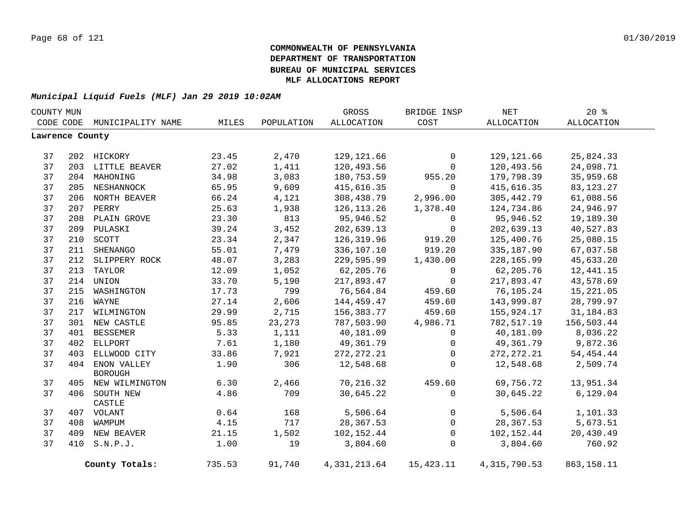|                 | COUNTY MUN |                    |        |            | GROSS          | BRIDGE INSP  | $\operatorname{NET}$ | 20%         |  |
|-----------------|------------|--------------------|--------|------------|----------------|--------------|----------------------|-------------|--|
| CODE CODE       |            | MUNICIPALITY NAME  | MILES  | POPULATION | ALLOCATION     | COST         | ALLOCATION           | ALLOCATION  |  |
| Lawrence County |            |                    |        |            |                |              |                      |             |  |
|                 |            |                    |        |            |                |              |                      |             |  |
| 37              |            | 202 HICKORY        | 23.45  | 2,470      | 129, 121.66    | $\mathbf{0}$ | 129, 121.66          | 25,824.33   |  |
| 37              |            | 203 LITTLE BEAVER  | 27.02  | 1,411      | 120,493.56     | $\mathbf 0$  | 120,493.56           | 24,098.71   |  |
| 37              |            | 204 MAHONING       | 34.98  | 3,083      | 180,753.59     | 955.20       | 179,798.39           | 35,959.68   |  |
| 37              |            | 205 NESHANNOCK     | 65.95  | 9,609      | 415,616.35     | $\mathbf 0$  | 415,616.35           | 83, 123. 27 |  |
| 37              |            | 206 NORTH BEAVER   | 66.24  | 4,121      | 308,438.79     | 2,996.00     | 305, 442.79          | 61,088.56   |  |
| 37              |            | 207 PERRY          | 25.63  | 1,938      | 126, 113. 26   | 1,378.40     | 124,734.86           | 24,946.97   |  |
| 37              |            | 208 PLAIN GROVE    | 23.30  | 813        | 95,946.52      | 0            | 95,946.52            | 19,189.30   |  |
| 37              |            | 209 PULASKI        | 39.24  | 3,452      | 202,639.13     | $\mathbf 0$  | 202,639.13           | 40,527.83   |  |
| 37              | 210        | SCOTT              | 23.34  | 2,347      | 126,319.96     | 919.20       | 125,400.76           | 25,080.15   |  |
| 37              | 211        | SHENANGO           | 55.01  | 7,479      | 336,107.10     | 919.20       | 335,187.90           | 67,037.58   |  |
| 37              | 212        | SLIPPERY ROCK      | 48.07  | 3,283      | 229,595.99     | 1,430.00     | 228,165.99           | 45,633.20   |  |
| 37              |            | 213 TAYLOR         | 12.09  | 1,052      | 62,205.76      | 0            | 62,205.76            | 12,441.15   |  |
| 37              |            | 214 UNION          | 33.70  | 5,190      | 217,893.47     | $\mathbf 0$  | 217,893.47           | 43,578.69   |  |
| 37              |            | 215 WASHINGTON     | 17.73  | 799        | 76,564.84      | 459.60       | 76,105.24            | 15,221.05   |  |
| 37              | 216        | WAYNE              | 27.14  | 2,606      | 144,459.47     | 459.60       | 143,999.87           | 28,799.97   |  |
| 37              | 217        | WILMINGTON         | 29.99  | 2,715      | 156,383.77     | 459.60       | 155,924.17           | 31, 184.83  |  |
| 37              |            | 301 NEW CASTLE     | 95.85  | 23,273     | 787,503.90     | 4,986.71     | 782,517.19           | 156,503.44  |  |
| 37              | 401        | <b>BESSEMER</b>    | 5.33   | 1,111      | 40,181.09      | $\mathbf 0$  | 40,181.09            | 8,036.22    |  |
| 37              | 402        | <b>ELLPORT</b>     | 7.61   | 1,180      | 49,361.79      | $\mathbf 0$  | 49,361.79            | 9,872.36    |  |
| 37              | 403        | ELLWOOD CITY       | 33.86  | 7,921      | 272, 272. 21   | $\mathbf 0$  | 272, 272. 21         | 54, 454. 44 |  |
| 37              |            | 404 ENON VALLEY    | 1.90   | 306        | 12,548.68      | $\mathbf 0$  | 12,548.68            | 2,509.74    |  |
|                 |            | <b>BOROUGH</b>     |        |            |                |              |                      |             |  |
| 37              |            | 405 NEW WILMINGTON | 6.30   | 2,466      | 70,216.32      | 459.60       | 69,756.72            | 13,951.34   |  |
| 37              |            | 406 SOUTH NEW      | 4.86   | 709        | 30,645.22      | $\mathbf 0$  | 30,645.22            | 6,129.04    |  |
|                 |            | CASTLE             |        |            |                |              |                      |             |  |
| 37              |            | 407 VOLANT         | 0.64   | 168        | 5,506.64       | 0            | 5,506.64             | 1,101.33    |  |
| 37              |            | 408 WAMPUM         | 4.15   | 717        | 28,367.53      | $\mathsf{O}$ | 28,367.53            | 5,673.51    |  |
| 37              |            | 409 NEW BEAVER     | 21.15  | 1,502      | 102,152.44     | 0            | 102,152.44           | 20,430.49   |  |
| 37              |            | 410 S.N.P.J.       | 1.00   | 19         | 3,804.60       | $\mathbf 0$  | 3,804.60             | 760.92      |  |
|                 |            | County Totals:     | 735.53 | 91,740     | 4, 331, 213.64 | 15,423.11    | 4, 315, 790.53       | 863,158.11  |  |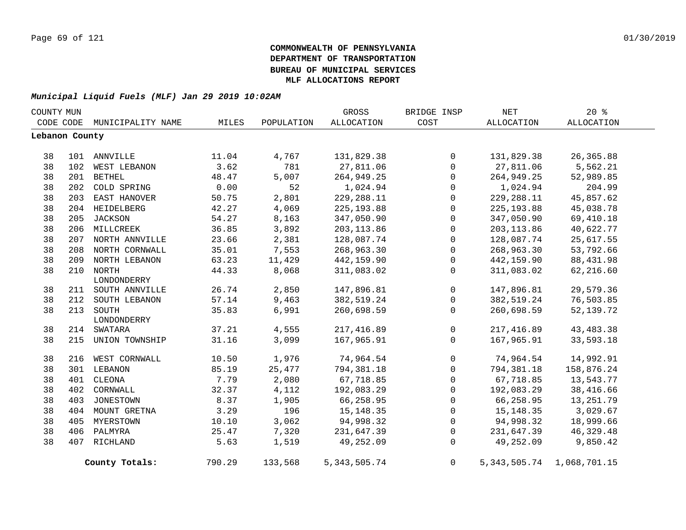| COUNTY MUN     |     |                    |        |            | GROSS             | BRIDGE INSP    | <b>NET</b>      | $20*$             |  |
|----------------|-----|--------------------|--------|------------|-------------------|----------------|-----------------|-------------------|--|
| CODE CODE      |     | MUNICIPALITY NAME  | MILES  | POPULATION | <b>ALLOCATION</b> | COST           | ALLOCATION      | <b>ALLOCATION</b> |  |
| Lebanon County |     |                    |        |            |                   |                |                 |                   |  |
|                |     |                    |        |            |                   |                |                 |                   |  |
| 38             |     | 101 ANNVILLE       | 11.04  | 4,767      | 131,829.38        | $\overline{0}$ | 131,829.38      | 26, 365.88        |  |
| 38             | 102 | WEST LEBANON       | 3.62   | 781        | 27,811.06         | $\Omega$       | 27,811.06       | 5,562.21          |  |
| 38             | 201 | <b>BETHEL</b>      | 48.47  | 5,007      | 264,949.25        | $\Omega$       | 264,949.25      | 52,989.85         |  |
| 38             | 202 | COLD SPRING        | 0.00   | 52         | 1,024.94          | $\mathbf 0$    | 1,024.94        | 204.99            |  |
| 38             |     | 203 EAST HANOVER   | 50.75  | 2,801      | 229, 288.11       | $\mathbf 0$    | 229,288.11      | 45,857.62         |  |
| 38             |     | 204 HEIDELBERG     | 42.27  | 4,069      | 225, 193.88       | $\mathbf 0$    | 225, 193.88     | 45,038.78         |  |
| 38             |     | 205 JACKSON        | 54.27  | 8,163      | 347,050.90        | $\mathbf 0$    | 347,050.90      | 69,410.18         |  |
| 38             |     | 206 MILLCREEK      | 36.85  | 3,892      | 203, 113.86       | $\Omega$       | 203, 113.86     | 40,622.77         |  |
| 38             |     | 207 NORTH ANNVILLE | 23.66  | 2,381      | 128,087.74        | $\Omega$       | 128,087.74      | 25,617.55         |  |
| 38             |     | 208 NORTH CORNWALL | 35.01  | 7,553      | 268,963.30        | $\mathbf 0$    | 268,963.30      | 53,792.66         |  |
| 38             |     | 209 NORTH LEBANON  | 63.23  | 11,429     | 442,159.90        | $\mathbf 0$    | 442,159.90      | 88, 431.98        |  |
| 38             |     | 210 NORTH          | 44.33  | 8,068      | 311,083.02        | 0              | 311,083.02      | 62,216.60         |  |
|                |     | LONDONDERRY        |        |            |                   |                |                 |                   |  |
| 38             |     | 211 SOUTH ANNVILLE | 26.74  | 2,850      | 147,896.81        | $\mathbf 0$    | 147,896.81      | 29,579.36         |  |
| 38             |     | 212 SOUTH LEBANON  | 57.14  | 9,463      | 382,519.24        | $\mathsf{O}$   | 382,519.24      | 76,503.85         |  |
| 38             | 213 | SOUTH              | 35.83  | 6,991      | 260,698.59        | 0              | 260,698.59      | 52, 139. 72       |  |
|                |     | LONDONDERRY        |        |            |                   |                |                 |                   |  |
| 38             | 214 | SWATARA            | 37.21  | 4,555      | 217, 416.89       | $\mathbf 0$    | 217,416.89      | 43, 483. 38       |  |
| 38             | 215 | UNION TOWNSHIP     | 31.16  | 3,099      | 167,965.91        | $\mathbf 0$    | 167,965.91      | 33,593.18         |  |
| 38             | 216 | WEST CORNWALL      | 10.50  | 1,976      | 74,964.54         | $\mathbf 0$    | 74,964.54       | 14,992.91         |  |
| 38             |     | 301 LEBANON        | 85.19  | 25,477     | 794,381.18        | $\mathbf 0$    | 794,381.18      | 158,876.24        |  |
| 38             | 401 | CLEONA             | 7.79   | 2,080      | 67,718.85         | $\mathbf 0$    | 67,718.85       | 13,543.77         |  |
| 38             | 402 | CORNWALL           | 32.37  | 4,112      | 192,083.29        | $\mathbf 0$    | 192,083.29      | 38,416.66         |  |
| 38             | 403 | <b>JONESTOWN</b>   | 8.37   | 1,905      | 66,258.95         | 0              | 66,258.95       | 13,251.79         |  |
| 38             |     | 404 MOUNT GRETNA   | 3.29   | 196        | 15, 148. 35       | $\mathbf 0$    | 15, 148. 35     | 3,029.67          |  |
| 38             |     | 405 MYERSTOWN      | 10.10  | 3,062      | 94,998.32         | 0              | 94,998.32       | 18,999.66         |  |
| 38             |     | 406 PALMYRA        | 25.47  | 7,320      | 231,647.39        | $\Omega$       | 231,647.39      | 46, 329. 48       |  |
| 38             |     | 407 RICHLAND       | 5.63   | 1,519      | 49,252.09         | $\mathbf 0$    | 49,252.09       | 9,850.42          |  |
|                |     | County Totals:     | 790.29 | 133,568    | 5, 343, 505. 74   | $\overline{0}$ | 5, 343, 505. 74 | 1,068,701.15      |  |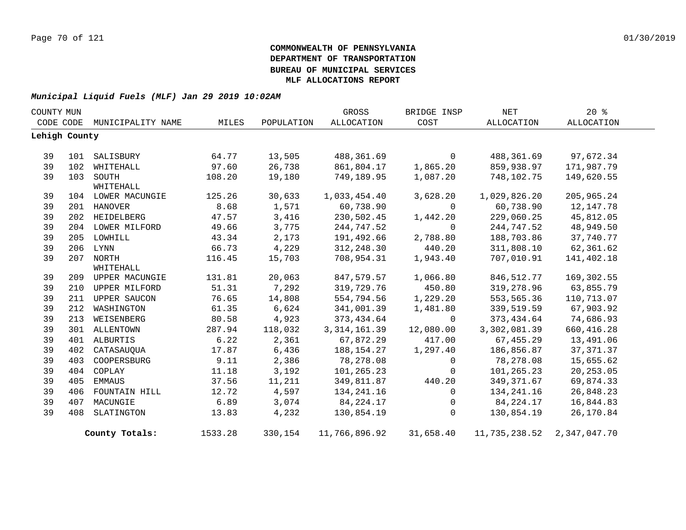| COUNTY MUN    |     |                             |         |            | GROSS          | BRIDGE INSP | <b>NET</b>    | 20%          |  |
|---------------|-----|-----------------------------|---------|------------|----------------|-------------|---------------|--------------|--|
|               |     | CODE CODE MUNICIPALITY NAME | MILES   | POPULATION | ALLOCATION     | COST        | ALLOCATION    | ALLOCATION   |  |
| Lehigh County |     |                             |         |            |                |             |               |              |  |
|               |     |                             |         |            |                |             |               |              |  |
| 39            | 101 | SALISBURY                   | 64.77   | 13,505     | 488,361.69     | $\Omega$    | 488,361.69    | 97,672.34    |  |
| 39            | 102 | WHITEHALL                   | 97.60   | 26,738     | 861,804.17     | 1,865.20    | 859,938.97    | 171,987.79   |  |
| 39            |     | 103 SOUTH                   | 108.20  | 19,180     | 749,189.95     | 1,087.20    | 748,102.75    | 149,620.55   |  |
|               |     | WHITEHALL                   |         |            |                |             |               |              |  |
| 39            |     | 104 LOWER MACUNGIE          | 125.26  | 30,633     | 1,033,454.40   | 3,628.20    | 1,029,826.20  | 205, 965.24  |  |
| 39            |     | 201 HANOVER                 | 8.68    | 1,571      | 60,738.90      | $\Omega$    | 60,738.90     | 12, 147. 78  |  |
| 39            | 202 | HEIDELBERG                  | 47.57   | 3,416      | 230,502.45     | 1,442.20    | 229,060.25    | 45,812.05    |  |
| 39            |     | 204 LOWER MILFORD           | 49.66   | 3,775      | 244,747.52     | $\Omega$    | 244,747.52    | 48,949.50    |  |
| 39            |     | 205 LOWHILL                 | 43.34   | 2,173      | 191,492.66     | 2,788.80    | 188,703.86    | 37,740.77    |  |
| 39            |     | 206 LYNN                    | 66.73   | 4,229      | 312,248.30     | 440.20      | 311,808.10    | 62,361.62    |  |
| 39            |     | 207 NORTH                   | 116.45  | 15,703     | 708,954.31     | 1,943.40    | 707,010.91    | 141,402.18   |  |
|               |     | WHITEHALL                   |         |            |                |             |               |              |  |
| 39            | 209 | UPPER MACUNGIE              | 131.81  | 20,063     | 847,579.57     | 1,066.80    | 846, 512.77   | 169,302.55   |  |
| 39            | 210 | UPPER MILFORD               | 51.31   | 7,292      | 319,729.76     | 450.80      | 319,278.96    | 63,855.79    |  |
| 39            |     | 211 UPPER SAUCON            | 76.65   | 14,808     | 554,794.56     | 1,229.20    | 553,565.36    | 110,713.07   |  |
| 39            |     | 212 WASHINGTON              | 61.35   | 6,624      | 341,001.39     | 1,481.80    | 339,519.59    | 67,903.92    |  |
| 39            |     | 213 WEISENBERG              | 80.58   | 4,923      | 373,434.64     | $\Omega$    | 373,434.64    | 74,686.93    |  |
| 39            |     | 301 ALLENTOWN               | 287.94  | 118,032    | 3, 314, 161.39 | 12,080.00   | 3,302,081.39  | 660, 416.28  |  |
| 39            |     | 401 ALBURTIS                | 6.22    | 2,361      | 67,872.29      | 417.00      | 67,455.29     | 13,491.06    |  |
| 39            | 402 | CATASAUQUA                  | 17.87   | 6,436      | 188, 154. 27   | 1,297.40    | 186,856.87    | 37, 371.37   |  |
| 39            | 403 | COOPERSBURG                 | 9.11    | 2,386      | 78,278.08      | 0           | 78,278.08     | 15,655.62    |  |
| 39            | 404 | COPLAY                      | 11.18   | 3,192      | 101,265.23     | 0           | 101,265.23    | 20, 253.05   |  |
| 39            | 405 | EMMAUS                      | 37.56   | 11,211     | 349,811.87     | 440.20      | 349, 371.67   | 69,874.33    |  |
| 39            |     | 406 FOUNTAIN HILL           | 12.72   | 4,597      | 134, 241. 16   | $\Omega$    | 134,241.16    | 26,848.23    |  |
| 39            | 407 | MACUNGIE                    | 6.89    | 3,074      | 84,224.17      | 0           | 84,224.17     | 16,844.83    |  |
| 39            | 408 | SLATINGTON                  | 13.83   | 4,232      | 130,854.19     | $\Omega$    | 130,854.19    | 26,170.84    |  |
|               |     | County Totals:              | 1533.28 | 330,154    | 11,766,896.92  | 31,658.40   | 11,735,238.52 | 2,347,047.70 |  |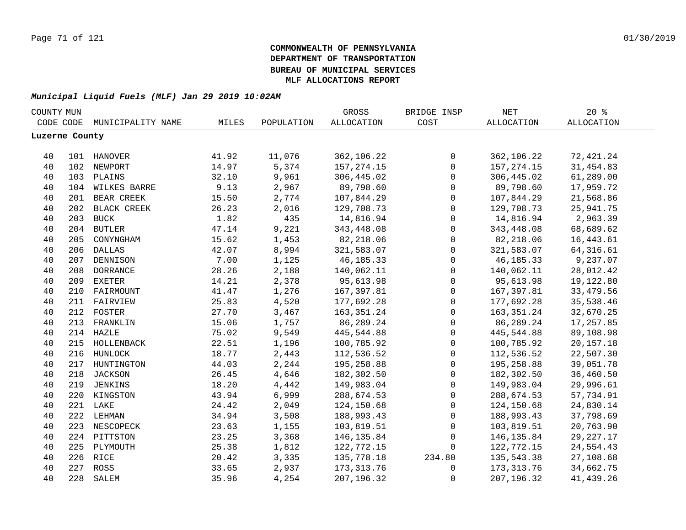| COUNTY MUN     |     |                   |       |            | GROSS             | BRIDGE INSP         | $\operatorname{NET}$ | 20%               |  |
|----------------|-----|-------------------|-------|------------|-------------------|---------------------|----------------------|-------------------|--|
| CODE CODE      |     | MUNICIPALITY NAME | MILES | POPULATION | <b>ALLOCATION</b> | COST                | <b>ALLOCATION</b>    | <b>ALLOCATION</b> |  |
| Luzerne County |     |                   |       |            |                   |                     |                      |                   |  |
|                |     |                   |       |            |                   |                     |                      |                   |  |
| 40             |     | 101 HANOVER       | 41.92 | 11,076     | 362,106.22        | $\mathbf 0$         | 362,106.22           | 72,421.24         |  |
| 40             |     | 102 NEWPORT       | 14.97 | 5,374      | 157, 274. 15      | $\mathsf{O}\xspace$ | 157, 274. 15         | 31,454.83         |  |
| 40             |     | 103 PLAINS        | 32.10 | 9,961      | 306,445.02        | $\mathbf 0$         | 306,445.02           | 61,289.00         |  |
| 40             |     | 104 WILKES BARRE  | 9.13  | 2,967      | 89,798.60         | $\mathbf 0$         | 89,798.60            | 17,959.72         |  |
| 40             |     | 201 BEAR CREEK    | 15.50 | 2,774      | 107,844.29        | $\mathsf{O}\xspace$ | 107,844.29           | 21,568.86         |  |
| 40             | 202 | BLACK CREEK       | 26.23 | 2,016      | 129,708.73        | $\mathbf 0$         | 129,708.73           | 25,941.75         |  |
| 40             | 203 | <b>BUCK</b>       | 1.82  | 435        | 14,816.94         | $\mathbf 0$         | 14,816.94            | 2,963.39          |  |
| 40             |     | 204 BUTLER        | 47.14 | 9,221      | 343,448.08        | $\mathbf 0$         | 343,448.08           | 68,689.62         |  |
| 40             | 205 | CONYNGHAM         | 15.62 | 1,453      | 82,218.06         | $\mathbf 0$         | 82,218.06            | 16, 443.61        |  |
| 40             | 206 | <b>DALLAS</b>     | 42.07 | 8,994      | 321,583.07        | $\mathbf 0$         | 321,583.07           | 64, 316.61        |  |
| 40             | 207 | <b>DENNISON</b>   | 7.00  | 1,125      | 46, 185. 33       | $\mathbf 0$         | 46, 185. 33          | 9,237.07          |  |
| 40             | 208 | <b>DORRANCE</b>   | 28.26 | 2,188      | 140,062.11        | $\mathbf 0$         | 140,062.11           | 28,012.42         |  |
| 40             | 209 | <b>EXETER</b>     | 14.21 | 2,378      | 95,613.98         | $\mathbf 0$         | 95,613.98            | 19,122.80         |  |
| 40             | 210 | FAIRMOUNT         | 41.47 | 1,276      | 167,397.81        | $\mathbf 0$         | 167,397.81           | 33, 479.56        |  |
| 40             |     | 211 FAIRVIEW      | 25.83 | 4,520      | 177,692.28        | $\mathbf 0$         | 177,692.28           | 35,538.46         |  |
| 40             |     | 212 FOSTER        | 27.70 | 3,467      | 163, 351. 24      | $\mathbf 0$         | 163, 351. 24         | 32,670.25         |  |
| 40             |     | 213 FRANKLIN      | 15.06 | 1,757      | 86,289.24         | $\mathsf 0$         | 86,289.24            | 17,257.85         |  |
| 40             |     | 214 HAZLE         | 75.02 | 9,549      | 445,544.88        | $\mathbf 0$         | 445,544.88           | 89,108.98         |  |
| 40             |     | 215 HOLLENBACK    | 22.51 | 1,196      | 100,785.92        | $\mathsf{O}\xspace$ | 100,785.92           | 20, 157. 18       |  |
| 40             |     | 216 HUNLOCK       | 18.77 | 2,443      | 112,536.52        | $\mathsf{O}$        | 112,536.52           | 22,507.30         |  |
| 40             |     | 217 HUNTINGTON    | 44.03 | 2,244      | 195,258.88        | $\mathbf 0$         | 195,258.88           | 39,051.78         |  |
| 40             |     | 218 JACKSON       | 26.45 | 4,646      | 182,302.50        | $\mathbf 0$         | 182,302.50           | 36,460.50         |  |
| 40             | 219 | JENKINS           | 18.20 | 4,442      | 149,983.04        | $\mathbf 0$         | 149,983.04           | 29,996.61         |  |
| 40             | 220 | KINGSTON          | 43.94 | 6,999      | 288,674.53        | $\mathbf 0$         | 288,674.53           | 57,734.91         |  |
| 40             |     | 221 LAKE          | 24.42 | 2,049      | 124,150.68        | $\mathbf 0$         | 124,150.68           | 24,830.14         |  |
| 40             |     | 222 LEHMAN        | 34.94 | 3,508      | 188,993.43        | $\mathbf 0$         | 188,993.43           | 37,798.69         |  |
| 40             | 223 | NESCOPECK         | 23.63 | 1,155      | 103,819.51        | $\mathbf 0$         | 103,819.51           | 20,763.90         |  |
| 40             | 224 | PITTSTON          | 23.25 | 3,368      | 146, 135.84       | $\mathbf 0$         | 146,135.84           | 29, 227. 17       |  |
| 40             | 225 | PLYMOUTH          | 25.38 | 1,812      | 122,772.15        | $\mathbf 0$         | 122,772.15           | 24,554.43         |  |
| 40             |     | 226 RICE          | 20.42 | 3,335      | 135,778.18        | 234.80              | 135,543.38           | 27,108.68         |  |
| 40             |     | 227 ROSS          | 33.65 | 2,937      | 173, 313.76       | 0                   | 173,313.76           | 34,662.75         |  |
| 40             | 228 | SALEM             | 35.96 | 4,254      | 207, 196.32       | $\mathbf 0$         | 207,196.32           | 41,439.26         |  |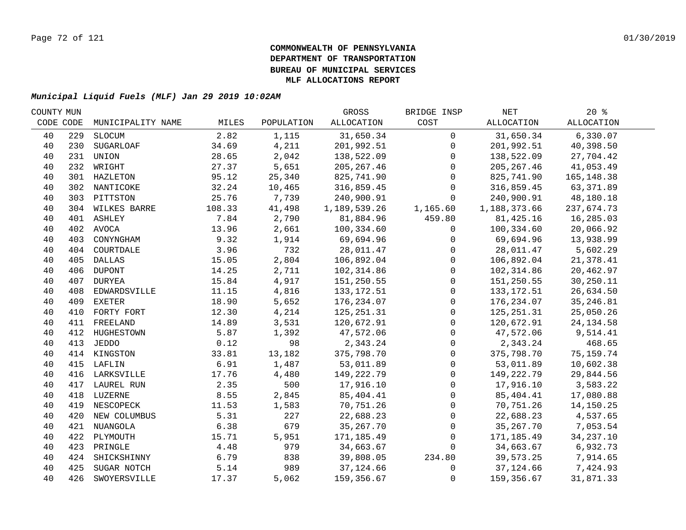| COUNTY MUN |     |                   |        |            | GROSS        | BRIDGE INSP  | NET          | 20%               |  |
|------------|-----|-------------------|--------|------------|--------------|--------------|--------------|-------------------|--|
| CODE CODE  |     | MUNICIPALITY NAME | MILES  | POPULATION | ALLOCATION   | COST         | ALLOCATION   | <b>ALLOCATION</b> |  |
| 40         | 229 | SLOCUM            | 2.82   | 1,115      | 31,650.34    | $\mathbf 0$  | 31,650.34    | 6,330.07          |  |
| 40         | 230 | SUGARLOAF         | 34.69  | 4,211      | 201,992.51   | $\mathbf 0$  | 201,992.51   | 40,398.50         |  |
| 40         | 231 | UNION             | 28.65  | 2,042      | 138,522.09   | $\Omega$     | 138,522.09   | 27,704.42         |  |
| 40         |     | 232 WRIGHT        | 27.37  | 5,651      | 205, 267.46  | $\Omega$     | 205, 267.46  | 41,053.49         |  |
| 40         |     | 301 HAZLETON      | 95.12  | 25,340     | 825,741.90   | $\Omega$     | 825,741.90   | 165, 148.38       |  |
| 40         |     | 302 NANTICOKE     | 32.24  | 10,465     | 316,859.45   | $\mathbf 0$  | 316,859.45   | 63,371.89         |  |
| 40         |     | 303 PITTSTON      | 25.76  | 7,739      | 240,900.91   | $\Omega$     | 240,900.91   | 48,180.18         |  |
| 40         |     | 304 WILKES BARRE  | 108.33 | 41,498     | 1,189,539.26 | 1,165.60     | 1,188,373.66 | 237,674.73        |  |
| 40         |     | 401 ASHLEY        | 7.84   | 2,790      | 81,884.96    | 459.80       | 81,425.16    | 16,285.03         |  |
| 40         |     | 402 AVOCA         | 13.96  | 2,661      | 100,334.60   | $\mathbf 0$  | 100,334.60   | 20,066.92         |  |
| 40         | 403 | CONYNGHAM         | 9.32   | 1,914      | 69,694.96    | $\mathbf{0}$ | 69,694.96    | 13,938.99         |  |
| 40         |     | 404 COURTDALE     | 3.96   | 732        | 28,011.47    | $\mathbf{0}$ | 28,011.47    | 5,602.29          |  |
| 40         | 405 | DALLAS            | 15.05  | 2,804      | 106,892.04   | $\mathbf{0}$ | 106,892.04   | 21,378.41         |  |
| 40         | 406 | <b>DUPONT</b>     | 14.25  | 2,711      | 102,314.86   | $\mathbf 0$  | 102,314.86   | 20,462.97         |  |
| 40         | 407 | DURYEA            | 15.84  | 4,917      | 151,250.55   | $\mathbf 0$  | 151,250.55   | 30,250.11         |  |
| 40         | 408 | EDWARDSVILLE      | 11.15  | 4,816      | 133, 172.51  | $\mathbf 0$  | 133, 172.51  | 26,634.50         |  |
| 40         | 409 | EXETER            | 18.90  | 5,652      | 176,234.07   | $\mathbf 0$  | 176,234.07   | 35, 246.81        |  |
| 40         | 410 | FORTY FORT        | 12.30  | 4,214      | 125, 251.31  | $\mathbf{0}$ | 125, 251.31  | 25,050.26         |  |
| 40         |     | 411 FREELAND      | 14.89  | 3,531      | 120,672.91   | $\mathbf 0$  | 120,672.91   | 24, 134.58        |  |
| 40         |     | 412 HUGHESTOWN    | 5.87   | 1,392      | 47,572.06    | $\mathbf 0$  | 47,572.06    | 9,514.41          |  |
| 40         |     | 413 JEDDO         | 0.12   | 98         | 2,343.24     | $\mathbf 0$  | 2,343.24     | 468.65            |  |
| 40         |     | 414 KINGSTON      | 33.81  | 13,182     | 375,798.70   | $\mathbf 0$  | 375,798.70   | 75, 159. 74       |  |
| 40         |     | 415 LAFLIN        | 6.91   | 1,487      | 53,011.89    | $\mathbf 0$  | 53,011.89    | 10,602.38         |  |
| 40         |     | 416 LARKSVILLE    | 17.76  | 4,480      | 149,222.79   | $\mathbf 0$  | 149,222.79   | 29,844.56         |  |
| 40         | 417 | LAUREL RUN        | 2.35   | 500        | 17,916.10    | $\Omega$     | 17,916.10    | 3,583.22          |  |
| 40         | 418 | LUZERNE           | 8.55   | 2,845      | 85,404.41    | $\Omega$     | 85,404.41    | 17,080.88         |  |
| 40         | 419 | NESCOPECK         | 11.53  | 1,583      | 70,751.26    | $\Omega$     | 70,751.26    | 14,150.25         |  |
| 40         | 420 | NEW COLUMBUS      | 5.31   | 227        | 22,688.23    | $\Omega$     | 22,688.23    | 4,537.65          |  |
| 40         | 421 | NUANGOLA          | 6.38   | 679        | 35,267.70    | $\mathbf{0}$ | 35,267.70    | 7,053.54          |  |
| 40         | 422 | PLYMOUTH          | 15.71  | 5,951      | 171,185.49   | $\mathbf 0$  | 171,185.49   | 34, 237. 10       |  |
| 40         | 423 | PRINGLE           | 4.48   | 979        | 34,663.67    | $\Omega$     | 34,663.67    | 6,932.73          |  |
| 40         |     | 424 SHICKSHINNY   | 6.79   | 838        | 39,808.05    | 234.80       | 39,573.25    | 7,914.65          |  |
| 40         | 425 | SUGAR NOTCH       | 5.14   | 989        | 37,124.66    | 0            | 37,124.66    | 7,424.93          |  |
| 40         | 426 | SWOYERSVILLE      | 17.37  | 5,062      | 159,356.67   | $\mathbf 0$  | 159,356.67   | 31,871.33         |  |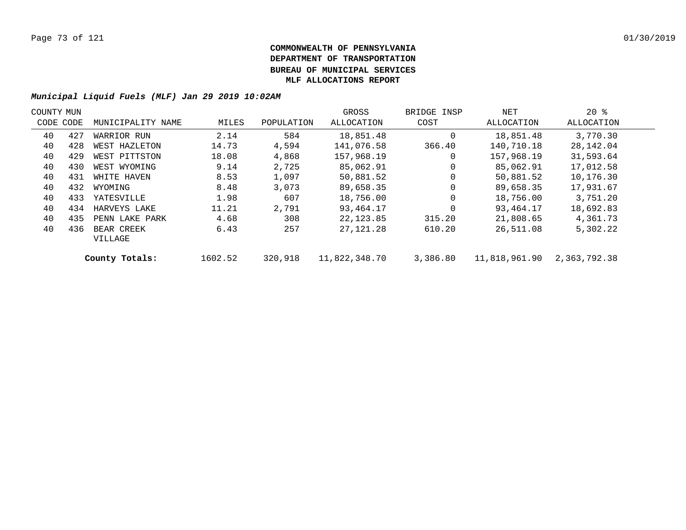| COUNTY MUN |           |                       |         |            | GROSS         | BRIDGE INSP | NET           | $20*$        |  |
|------------|-----------|-----------------------|---------|------------|---------------|-------------|---------------|--------------|--|
|            | CODE CODE | MUNICIPALITY NAME     | MILES   | POPULATION | ALLOCATION    | COST        | ALLOCATION    | ALLOCATION   |  |
| 40         | 427       | WARRIOR RUN           | 2.14    | 584        | 18,851.48     | $\Omega$    | 18,851.48     | 3,770.30     |  |
| 40         | 428       | WEST HAZLETON         | 14.73   | 4,594      | 141,076.58    | 366.40      | 140,710.18    | 28,142.04    |  |
| 40         | 429       | WEST PITTSTON         | 18.08   | 4,868      | 157,968.19    | 0           | 157,968.19    | 31,593.64    |  |
| 40         | 430       | WEST WYOMING          | 9.14    | 2,725      | 85,062.91     | $\Omega$    | 85,062.91     | 17,012.58    |  |
| 40         | 431       | WHITE HAVEN           | 8.53    | 1,097      | 50,881.52     | $\mathbf 0$ | 50,881.52     | 10,176.30    |  |
| 40         | 432       | WYOMING               | 8.48    | 3,073      | 89,658.35     | $\Omega$    | 89,658.35     | 17,931.67    |  |
| 40         | 433       | YATESVILLE            | 1.98    | 607        | 18,756.00     | $\mathbf 0$ | 18,756.00     | 3,751.20     |  |
| 40         | 434       | HARVEYS LAKE          | 11.21   | 2,791      | 93,464.17     | $\Omega$    | 93,464.17     | 18,692.83    |  |
| 40         | 435       | PENN LAKE PARK        | 4.68    | 308        | 22, 123.85    | 315.20      | 21,808.65     | 4,361.73     |  |
| 40         | 436       | BEAR CREEK<br>VILLAGE | 6.43    | 257        | 27,121.28     | 610.20      | 26,511.08     | 5,302.22     |  |
|            |           | County Totals:        | 1602.52 | 320,918    | 11,822,348.70 | 3,386.80    | 11,818,961.90 | 2,363,792.38 |  |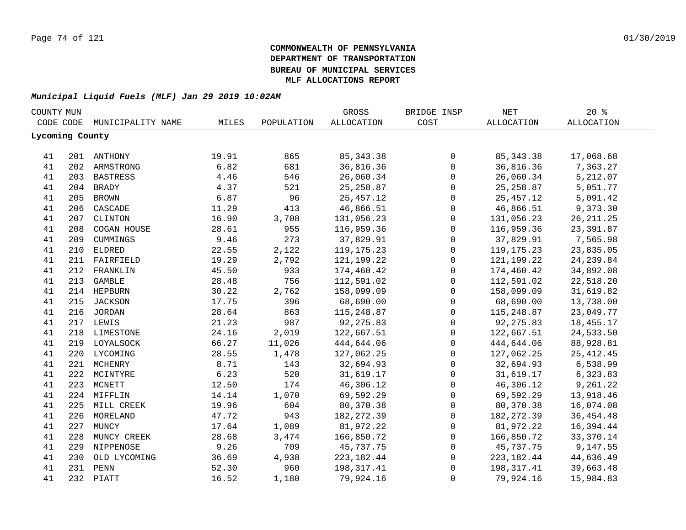| COUNTY MUN      |     |                   |       |            | GROSS             | BRIDGE INSP  | $\operatorname{NET}$ | 20%               |  |
|-----------------|-----|-------------------|-------|------------|-------------------|--------------|----------------------|-------------------|--|
| CODE CODE       |     | MUNICIPALITY NAME | MILES | POPULATION | <b>ALLOCATION</b> | COST         | <b>ALLOCATION</b>    | <b>ALLOCATION</b> |  |
| Lycoming County |     |                   |       |            |                   |              |                      |                   |  |
| 41              |     | 201 ANTHONY       | 19.91 | 865        | 85, 343. 38       | 0            | 85, 343. 38          | 17,068.68         |  |
| 41              |     | 202 ARMSTRONG     | 6.82  | 681        | 36,816.36         | $\mathsf{O}$ | 36,816.36            | 7,363.27          |  |
| 41              |     | 203 BASTRESS      | 4.46  | 546        | 26,060.34         | $\mathsf 0$  | 26,060.34            | 5,212.07          |  |
| 41              |     | 204 BRADY         | 4.37  | 521        | 25, 258.87        | $\mathsf 0$  | 25, 258.87           | 5,051.77          |  |
|                 | 205 |                   | 6.87  | 96         | 25, 457. 12       |              | 25, 457.12           | 5,091.42          |  |
| 41              |     | <b>BROWN</b>      |       | 413        | 46,866.51         | $\mathsf{O}$ | 46,866.51            | 9,373.30          |  |
| 41              | 206 | CASCADE           | 11.29 |            |                   | $\mathsf 0$  |                      |                   |  |
| 41              | 207 | CLINTON           | 16.90 | 3,708      | 131,056.23        | $\mathsf{O}$ | 131,056.23           | 26, 211.25        |  |
| 41              | 208 | COGAN HOUSE       | 28.61 | 955        | 116,959.36        | $\mathsf{O}$ | 116,959.36           | 23,391.87         |  |
| 41              | 209 | CUMMINGS          | 9.46  | 273        | 37,829.91         | 0            | 37,829.91            | 7,565.98          |  |
| 41              | 210 | <b>ELDRED</b>     | 22.55 | 2,122      | 119, 175. 23      | 0            | 119, 175. 23         | 23,835.05         |  |
| 41              |     | 211 FAIRFIELD     | 19.29 | 2,792      | 121,199.22        | 0            | 121, 199. 22         | 24, 239.84        |  |
| 41              | 212 | FRANKLIN          | 45.50 | 933        | 174,460.42        | $\mathsf{O}$ | 174,460.42           | 34,892.08         |  |
| 41              | 213 | <b>GAMBLE</b>     | 28.48 | 756        | 112,591.02        | $\mathsf 0$  | 112,591.02           | 22,518.20         |  |
| 41              |     | 214 HEPBURN       | 30.22 | 2,762      | 158,099.09        | $\mathsf 0$  | 158,099.09           | 31,619.82         |  |
| 41              | 215 | JACKSON           | 17.75 | 396        | 68,690.00         | $\mathsf 0$  | 68,690.00            | 13,738.00         |  |
| 41              |     | 216 JORDAN        | 28.64 | 863        | 115,248.87        | $\mathsf 0$  | 115,248.87           | 23,049.77         |  |
| 41              |     | 217 LEWIS         | 21.23 | 987        | 92,275.83         | $\mathsf 0$  | 92, 275.83           | 18,455.17         |  |
| 41              |     | 218 LIMESTONE     | 24.16 | 2,019      | 122,667.51        | $\mathsf 0$  | 122,667.51           | 24,533.50         |  |
| 41              |     | 219 LOYALSOCK     | 66.27 | 11,026     | 444,644.06        | $\mathsf 0$  | 444,644.06           | 88,928.81         |  |
| 41              |     | 220 LYCOMING      | 28.55 | 1,478      | 127,062.25        | 0            | 127,062.25           | 25, 412.45        |  |
| 41              |     | 221 MCHENRY       | 8.71  | 143        | 32,694.93         | 0            | 32,694.93            | 6,538.99          |  |
| 41              |     | 222 MCINTYRE      | 6.23  | 520        | 31,619.17         | $\mathsf{O}$ | 31,619.17            | 6,323.83          |  |
| 41              |     | 223 MCNETT        | 12.50 | 174        | 46,306.12         | $\mathsf 0$  | 46,306.12            | 9,261.22          |  |
| 41              |     | 224 MIFFLIN       | 14.14 | 1,070      | 69,592.29         | 0            | 69,592.29            | 13,918.46         |  |
| 41              |     | 225 MILL CREEK    | 19.96 | 604        | 80,370.38         | $\mathbf 0$  | 80,370.38            | 16,074.08         |  |
| 41              | 226 | MORELAND          | 47.72 | 943        | 182, 272.39       | $\mathbf 0$  | 182, 272.39          | 36, 454. 48       |  |
| 41              | 227 | MUNCY             | 17.64 | 1,089      | 81,972.22         | 0            | 81,972.22            | 16,394.44         |  |
| 41              | 228 | MUNCY CREEK       | 28.68 | 3,474      | 166,850.72        | 0            | 166,850.72           | 33,370.14         |  |
| 41              |     | 229 NIPPENOSE     | 9.26  | 709        | 45,737.75         | 0            | 45,737.75            | 9,147.55          |  |
| 41              | 230 | OLD LYCOMING      | 36.69 | 4,938      | 223, 182. 44      | 0            | 223, 182. 44         | 44,636.49         |  |
| 41              |     | 231 PENN          | 52.30 | 960        | 198, 317.41       | 0            | 198,317.41           | 39,663.48         |  |
| 41              |     | 232 PIATT         | 16.52 | 1,180      | 79,924.16         | $\mathbf{0}$ | 79,924.16            | 15,984.83         |  |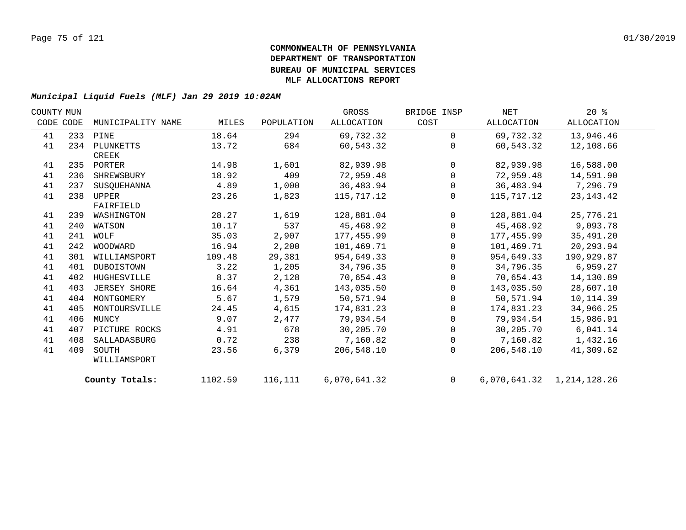| COUNTY MUN |     |                     |         |            | GROSS        | BRIDGE INSP    | NET        | $20*$                     |  |
|------------|-----|---------------------|---------|------------|--------------|----------------|------------|---------------------------|--|
| CODE CODE  |     | MUNICIPALITY NAME   | MILES   | POPULATION | ALLOCATION   | COST           | ALLOCATION | ALLOCATION                |  |
| 41         |     | 233 PINE            | 18.64   | 294        | 69,732.32    | $\Omega$       | 69,732.32  | 13,946.46                 |  |
| 41         |     | 234 PLUNKETTS       | 13.72   | 684        | 60,543.32    | $\Omega$       | 60,543.32  | 12,108.66                 |  |
|            |     | CREEK               |         |            |              |                |            |                           |  |
| 41         |     | 235 PORTER          | 14.98   | 1,601      | 82,939.98    | $\overline{0}$ | 82,939.98  | 16,588.00                 |  |
| 41         | 236 | SHREWSBURY          | 18.92   | 409        | 72,959.48    | $\mathbf 0$    | 72,959.48  | 14,591.90                 |  |
| 41         | 237 | SUSOUEHANNA         | 4.89    | 1,000      | 36,483.94    | 0              | 36,483.94  | 7,296.79                  |  |
| 41         | 238 | UPPER               | 23.26   | 1,823      | 115,717.12   | $\mathbf{0}$   | 115,717.12 | 23, 143. 42               |  |
|            |     | FAIRFIELD           |         |            |              |                |            |                           |  |
| 41         | 239 | WASHINGTON          | 28.27   | 1,619      | 128,881.04   | $\overline{0}$ | 128,881.04 | 25,776.21                 |  |
| 41         | 240 | WATSON              | 10.17   | 537        | 45,468.92    | 0              | 45,468.92  | 9,093.78                  |  |
| 41         | 241 | WOLF                | 35.03   | 2,907      | 177,455.99   | 0              | 177,455.99 | 35,491.20                 |  |
| 41         | 242 | WOODWARD            | 16.94   | 2,200      | 101,469.71   | $\mathbf 0$    | 101,469.71 | 20,293.94                 |  |
| 41         | 301 | WILLIAMSPORT        | 109.48  | 29,381     | 954,649.33   | $\mathbf{0}$   | 954,649.33 | 190,929.87                |  |
| 41         | 401 | DUBOISTOWN          | 3.22    | 1,205      | 34,796.35    | $\mathbf 0$    | 34,796.35  | 6,959.27                  |  |
| 41         | 402 | HUGHESVILLE         | 8.37    | 2,128      | 70,654.43    | $\mathbf 0$    | 70,654.43  | 14,130.89                 |  |
| 41         | 403 | <b>JERSEY SHORE</b> | 16.64   | 4,361      | 143,035.50   | $\mathbf 0$    | 143,035.50 | 28,607.10                 |  |
| 41         | 404 | MONTGOMERY          | 5.67    | 1,579      | 50,571.94    | $\mathbf{0}$   | 50,571.94  | 10, 114.39                |  |
| 41         | 405 | MONTOURSVILLE       | 24.45   | 4,615      | 174,831.23   | $\mathbf{0}$   | 174,831.23 | 34,966.25                 |  |
| 41         | 406 | MUNCY               | 9.07    | 2,477      | 79,934.54    | 0              | 79,934.54  | 15,986.91                 |  |
| 41         | 407 | PICTURE ROCKS       | 4.91    | 678        | 30,205.70    | 0              | 30,205.70  | 6,041.14                  |  |
| 41         | 408 | SALLADASBURG        | 0.72    | 238        | 7,160.82     | $\mathbf 0$    | 7,160.82   | 1,432.16                  |  |
| 41         | 409 | SOUTH               | 23.56   | 6,379      | 206,548.10   | $\Omega$       | 206,548.10 | 41,309.62                 |  |
|            |     | WILLIAMSPORT        |         |            |              |                |            |                           |  |
|            |     | County Totals:      | 1102.59 | 116,111    | 6,070,641.32 | $\overline{0}$ |            | 6,070,641.32 1,214,128.26 |  |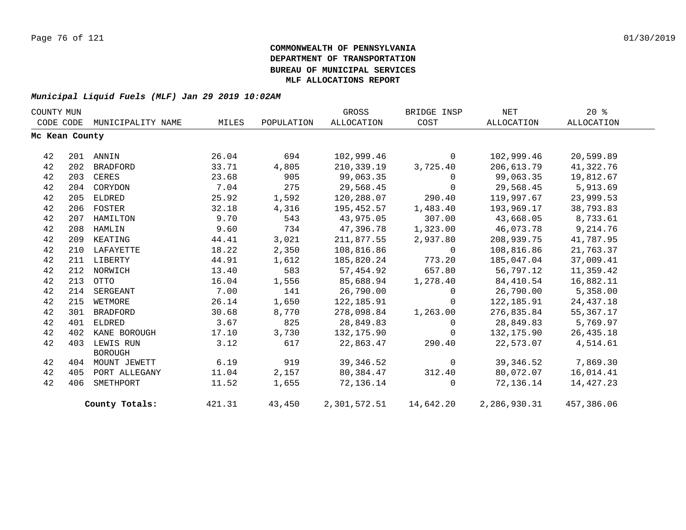| COUNTY MUN |                |                             |        |            | GROSS             | BRIDGE INSP              | NET          | $20*$       |  |
|------------|----------------|-----------------------------|--------|------------|-------------------|--------------------------|--------------|-------------|--|
| CODE CODE  |                | MUNICIPALITY NAME           | MILES  | POPULATION | <b>ALLOCATION</b> | COST                     | ALLOCATION   | ALLOCATION  |  |
|            | Mc Kean County |                             |        |            |                   |                          |              |             |  |
| 42         |                | 201 ANNIN                   | 26.04  | 694        | 102,999.46        | $\mathbf 0$              | 102,999.46   | 20,599.89   |  |
| 42         | 202            | BRADFORD                    | 33.71  | 4,805      | 210,339.19        | 3,725.40                 | 206,613.79   | 41,322.76   |  |
| 42         | 203            | CERES                       | 23.68  | 905        | 99,063.35         | $\Omega$                 | 99,063.35    | 19,812.67   |  |
| 42         | 204            | CORYDON                     | 7.04   | 275        | 29,568.45         | $\Omega$                 | 29,568.45    | 5,913.69    |  |
| 42         | 205            | ELDRED                      | 25.92  | 1,592      | 120,288.07        | 290.40                   | 119,997.67   | 23,999.53   |  |
| 42         | 206            | FOSTER                      | 32.18  | 4,316      | 195,452.57        | 1,483.40                 | 193,969.17   | 38,793.83   |  |
| 42         | 207            | HAMILTON                    | 9.70   | 543        | 43,975.05         | 307.00                   | 43,668.05    | 8,733.61    |  |
| 42         |                | 208 HAMLIN                  | 9.60   | 734        | 47,396.78         | 1,323.00                 | 46,073.78    | 9,214.76    |  |
| 42         | 209            | KEATING                     | 44.41  | 3,021      | 211,877.55        | 2,937.80                 | 208,939.75   | 41,787.95   |  |
| 42         |                | 210 LAFAYETTE               | 18.22  | 2,350      | 108,816.86        | $\Omega$                 | 108,816.86   | 21,763.37   |  |
| 42         |                | 211 LIBERTY                 | 44.91  | 1,612      | 185,820.24        | 773.20                   | 185,047.04   | 37,009.41   |  |
| 42         |                | 212 NORWICH                 | 13.40  | 583        | 57,454.92         | 657.80                   | 56,797.12    | 11,359.42   |  |
| 42         | 213            | OTTO                        | 16.04  | 1,556      | 85,688.94         | 1,278.40                 | 84,410.54    | 16,882.11   |  |
| 42         | 214            | SERGEANT                    | 7.00   | 141        | 26,790.00         | $\Omega$                 | 26,790.00    | 5,358.00    |  |
| 42         | 215            | WETMORE                     | 26.14  | 1,650      | 122,185.91        | $\Omega$                 | 122,185.91   | 24, 437. 18 |  |
| 42         | 301            | BRADFORD                    | 30.68  | 8,770      | 278,098.84        | 1,263.00                 | 276,835.84   | 55,367.17   |  |
| 42         | 401            | ELDRED                      | 3.67   | 825        | 28,849.83         | $\Omega$                 | 28,849.83    | 5,769.97    |  |
| 42         | 402            | KANE BOROUGH                | 17.10  | 3,730      | 132,175.90        | $\mathbf 0$              | 132,175.90   | 26,435.18   |  |
| 42         | 403            | LEWIS RUN<br><b>BOROUGH</b> | 3.12   | 617        | 22,863.47         | 290.40                   | 22,573.07    | 4,514.61    |  |
| 42         | 404            | MOUNT JEWETT                | 6.19   | 919        | 39, 346.52        | $\Omega$                 | 39,346.52    | 7,869.30    |  |
| 42         | 405            | PORT ALLEGANY               | 11.04  | 2,157      | 80,384.47         | 312.40                   | 80,072.07    | 16,014.41   |  |
| 42         | 406            | SMETHPORT                   | 11.52  | 1,655      | 72,136.14         | $\Omega$                 | 72,136.14    | 14,427.23   |  |
|            |                | County Totals:              | 421.31 | 43,450     |                   | 2,301,572.51   14,642.20 | 2,286,930.31 | 457,386.06  |  |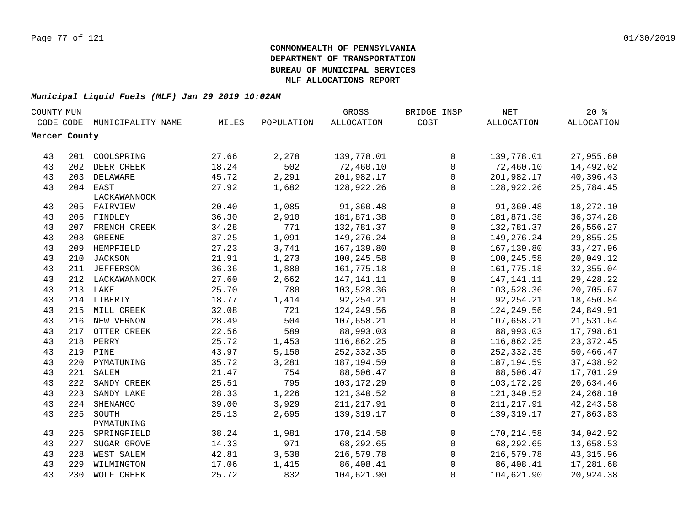| COUNTY MUN    |     |                             |       |            | GROSS             | BRIDGE INSP  | <b>NET</b>   | $20*$       |
|---------------|-----|-----------------------------|-------|------------|-------------------|--------------|--------------|-------------|
|               |     | CODE CODE MUNICIPALITY NAME | MILES | POPULATION | <b>ALLOCATION</b> | COST         | ALLOCATION   | ALLOCATION  |
| Mercer County |     |                             |       |            |                   |              |              |             |
|               |     |                             |       |            |                   |              |              |             |
| 43            |     | 201 COOLSPRING              | 27.66 | 2,278      | 139,778.01        | $\mathsf{O}$ | 139,778.01   | 27,955.60   |
| 43            | 202 | DEER CREEK                  | 18.24 | 502        | 72,460.10         | $\mathbf 0$  | 72,460.10    | 14,492.02   |
| 43            | 203 | DELAWARE                    | 45.72 | 2,291      | 201,982.17        | 0            | 201,982.17   | 40,396.43   |
| 43            |     | 204 EAST                    | 27.92 | 1,682      | 128,922.26        | $\mathsf{O}$ | 128,922.26   | 25,784.45   |
|               |     | LACKAWANNOCK                |       |            |                   |              |              |             |
| 43            |     | 205 FAIRVIEW                | 20.40 | 1,085      | 91,360.48         | $\mathsf{O}$ | 91,360.48    | 18,272.10   |
| 43            |     | 206 FINDLEY                 | 36.30 | 2,910      | 181,871.38        | 0            | 181,871.38   | 36, 374. 28 |
| 43            |     | 207 FRENCH CREEK            | 34.28 | 771        | 132,781.37        | $\mathbf 0$  | 132,781.37   | 26,556.27   |
| 43            | 208 | <b>GREENE</b>               | 37.25 | 1,091      | 149,276.24        | 0            | 149,276.24   | 29,855.25   |
| 43            | 209 | HEMPFIELD                   | 27.23 | 3,741      | 167,139.80        | $\mathsf{O}$ | 167,139.80   | 33, 427.96  |
| 43            | 210 | <b>JACKSON</b>              | 21.91 | 1,273      | 100,245.58        | $\mathbf 0$  | 100,245.58   | 20,049.12   |
| 43            | 211 | JEFFERSON                   | 36.36 | 1,880      | 161,775.18        | $\mathsf{O}$ | 161,775.18   | 32, 355.04  |
| 43            |     | 212 LACKAWANNOCK            | 27.60 | 2,662      | 147, 141. 11      | 0            | 147, 141. 11 | 29,428.22   |
| 43            |     | 213 LAKE                    | 25.70 | 780        | 103,528.36        | $\mathbf 0$  | 103,528.36   | 20,705.67   |
| 43            |     | 214 LIBERTY                 | 18.77 | 1,414      | 92, 254. 21       | 0            | 92, 254. 21  | 18,450.84   |
| 43            |     | 215 MILL CREEK              | 32.08 | 721        | 124,249.56        | $\mathsf{O}$ | 124,249.56   | 24,849.91   |
| 43            |     | 216 NEW VERNON              | 28.49 | 504        | 107,658.21        | $\mathsf{O}$ | 107,658.21   | 21,531.64   |
| 43            |     | 217 OTTER CREEK             | 22.56 | 589        | 88,993.03         | 0            | 88,993.03    | 17,798.61   |
| 43            |     | 218 PERRY                   | 25.72 | 1,453      | 116,862.25        | $\mathsf{O}$ | 116,862.25   | 23, 372.45  |
| 43            |     | 219 PINE                    | 43.97 | 5,150      | 252, 332.35       | 0            | 252, 332.35  | 50,466.47   |
| 43            |     | 220 PYMATUNING              | 35.72 | 3,281      | 187,194.59        | $\mathsf{O}$ | 187,194.59   | 37,438.92   |
| 43            | 221 | SALEM                       | 21.47 | 754        | 88,506.47         | $\mathbf 0$  | 88,506.47    | 17,701.29   |
| 43            | 222 | SANDY CREEK                 | 25.51 | 795        | 103,172.29        | $\mathbf 0$  | 103,172.29   | 20,634.46   |
| 43            | 223 | SANDY LAKE                  | 28.33 | 1,226      | 121,340.52        | $\mathsf{O}$ | 121,340.52   | 24,268.10   |
| 43            | 224 | SHENANGO                    | 39.00 | 3,929      | 211, 217.91       | $\mathbf 0$  | 211, 217.91  | 42, 243.58  |
| 43            | 225 | SOUTH                       | 25.13 | 2,695      | 139, 319. 17      | $\mathbf 0$  | 139,319.17   | 27,863.83   |
|               |     | PYMATUNING                  |       |            |                   |              |              |             |
| 43            | 226 | SPRINGFIELD                 | 38.24 | 1,981      | 170, 214.58       | $\mathbf 0$  | 170,214.58   | 34,042.92   |
| 43            | 227 | SUGAR GROVE                 | 14.33 | 971        | 68,292.65         | $\mathsf{O}$ | 68,292.65    | 13,658.53   |
| 43            | 228 | WEST SALEM                  | 42.81 | 3,538      | 216,579.78        | $\mathsf{O}$ | 216,579.78   | 43, 315.96  |
| 43            | 229 | WILMINGTON                  | 17.06 | 1,415      | 86,408.41         | $\Omega$     | 86,408.41    | 17,281.68   |
| 43            | 230 | WOLF CREEK                  | 25.72 | 832        | 104,621.90        | 0            | 104,621.90   | 20,924.38   |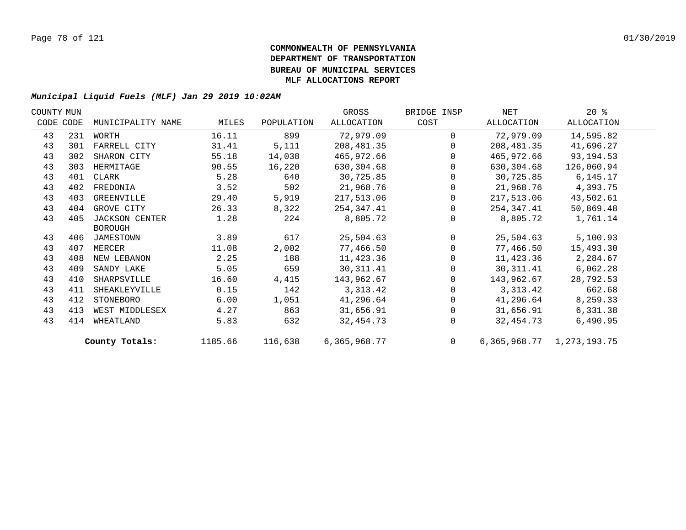| COUNTY MUN |           |                       |         |            | GROSS        | BRIDGE INSP  | NET        | $20*$                           |  |
|------------|-----------|-----------------------|---------|------------|--------------|--------------|------------|---------------------------------|--|
|            | CODE CODE | MUNICIPALITY NAME     | MILES   | POPULATION | ALLOCATION   | COST         | ALLOCATION | ALLOCATION                      |  |
| 43         | 231       | WORTH                 | 16.11   | 899        | 72,979.09    | $\Omega$     | 72,979.09  | 14,595.82                       |  |
| 43         | 301       | FARRELL CITY          | 31.41   | 5,111      | 208,481.35   | 0            | 208,481.35 | 41,696.27                       |  |
| 43         | 302       | SHARON CITY           | 55.18   | 14,038     | 465,972.66   | $\Omega$     | 465,972.66 | 93, 194. 53                     |  |
| 43         | 303       | HERMITAGE             | 90.55   | 16,220     | 630,304.68   | $\Omega$     | 630,304.68 | 126,060.94                      |  |
| 43         | 401       | CLARK                 | 5.28    | 640        | 30,725.85    | 0            | 30,725.85  | 6,145.17                        |  |
| 43         | 402       | FREDONIA              | 3.52    | 502        | 21,968.76    | 0            | 21,968.76  | 4,393.75                        |  |
| 43         | 403       | GREENVILLE            | 29.40   | 5,919      | 217,513.06   | $\mathbf{0}$ | 217,513.06 | 43,502.61                       |  |
| 43         | 404       | GROVE CITY            | 26.33   | 8,322      | 254,347.41   | $\Omega$     | 254,347.41 | 50,869.48                       |  |
| 43         | 405       | <b>JACKSON CENTER</b> | 1.28    | 224        | 8,805.72     | $\Omega$     | 8,805.72   | 1,761.14                        |  |
|            |           | <b>BOROUGH</b>        |         |            |              |              |            |                                 |  |
| 43         |           | 406 JAMESTOWN         | 3.89    | 617        | 25,504.63    | $\Omega$     | 25,504.63  | 5,100.93                        |  |
| 43         | 407       | MERCER                | 11.08   | 2,002      | 77,466.50    | 0            | 77,466.50  | 15,493.30                       |  |
| 43         | 408       | NEW LEBANON           | 2.25    | 188        | 11,423.36    | 0            | 11,423.36  | 2,284.67                        |  |
| 43         | 409       | SANDY LAKE            | 5.05    | 659        | 30, 311.41   | 0            | 30,311.41  | 6,062.28                        |  |
| 43         | 410       | SHARPSVILLE           | 16.60   | 4,415      | 143,962.67   | $\Omega$     | 143,962.67 | 28,792.53                       |  |
| 43         | 411       | SHEAKLEYVILLE         | 0.15    | 142        | 3, 313. 42   | $\Omega$     | 3,313.42   | 662.68                          |  |
| 43         | 412       | STONEBORO             | 6.00    | 1,051      | 41,296.64    | 0            | 41,296.64  | 8,259.33                        |  |
| 43         | 413       | WEST MIDDLESEX        | 4.27    | 863        | 31,656.91    | $\Omega$     | 31,656.91  | 6,331.38                        |  |
| 43         | 414       | WHEATLAND             | 5.83    | 632        | 32,454.73    | $\Omega$     | 32,454.73  | 6,490.95                        |  |
|            |           | County Totals:        | 1185.66 | 116,638    | 6,365,968.77 | $\Omega$     |            | 6, 365, 968. 77 1, 273, 193. 75 |  |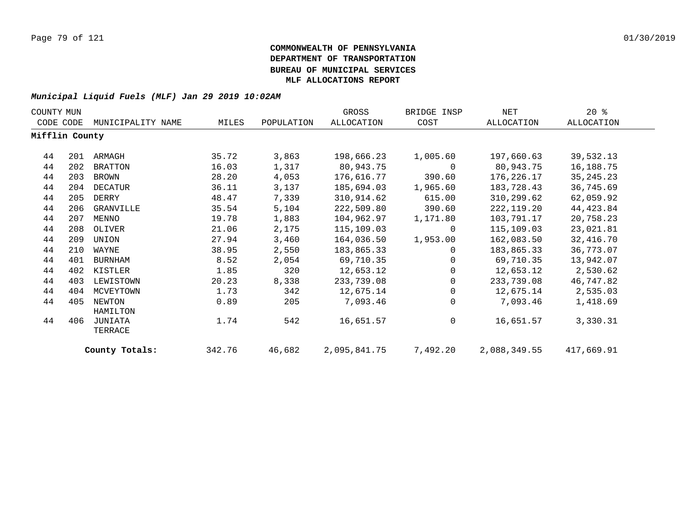| COUNTY MUN     |     |                    |        |            | GROSS        | BRIDGE INSP | NET          | $20*$       |
|----------------|-----|--------------------|--------|------------|--------------|-------------|--------------|-------------|
| CODE CODE      |     | MUNICIPALITY NAME  | MILES  | POPULATION | ALLOCATION   | COST        | ALLOCATION   | ALLOCATION  |
| Mifflin County |     |                    |        |            |              |             |              |             |
| 44             | 201 | ARMAGH             | 35.72  | 3,863      | 198,666.23   | 1,005.60    | 197,660.63   | 39,532.13   |
| 44             | 202 | <b>BRATTON</b>     | 16.03  | 1,317      | 80,943.75    | 0           | 80,943.75    | 16,188.75   |
| 44             | 203 | BROWN              | 28.20  | 4,053      | 176,616.77   | 390.60      | 176,226.17   | 35, 245. 23 |
| 44             | 204 | DECATUR            | 36.11  | 3,137      | 185,694.03   | 1,965.60    | 183,728.43   | 36,745.69   |
| 44             | 205 | DERRY              | 48.47  | 7,339      | 310,914.62   | 615.00      | 310,299.62   | 62,059.92   |
| 44             | 206 | GRANVILLE          | 35.54  | 5,104      | 222,509.80   | 390.60      | 222,119.20   | 44, 423.84  |
| 44             | 207 | MENNO              | 19.78  | 1,883      | 104,962.97   | 1,171.80    | 103,791.17   | 20,758.23   |
| 44             | 208 | OLIVER             | 21.06  | 2,175      | 115,109.03   | 0           | 115,109.03   | 23,021.81   |
| 44             | 209 | UNION              | 27.94  | 3,460      | 164,036.50   | 1,953.00    | 162,083.50   | 32,416.70   |
| 44             | 210 | WAYNE              | 38.95  | 2,550      | 183,865.33   | $\Omega$    | 183,865.33   | 36,773.07   |
| 44             | 401 | <b>BURNHAM</b>     | 8.52   | 2,054      | 69,710.35    | $\Omega$    | 69,710.35    | 13,942.07   |
| 44             | 402 | KISTLER            | 1.85   | 320        | 12,653.12    | $\Omega$    | 12,653.12    | 2,530.62    |
| 44             | 403 | LEWISTOWN          | 20.23  | 8,338      | 233,739.08   | $\Omega$    | 233,739.08   | 46,747.82   |
| 44             | 404 | MCVEYTOWN          | 1.73   | 342        | 12,675.14    | 0           | 12,675.14    | 2,535.03    |
| 44             | 405 | NEWTON<br>HAMILTON | 0.89   | 205        | 7,093.46     | $\Omega$    | 7,093.46     | 1,418.69    |
| 44             | 406 | JUNIATA<br>TERRACE | 1.74   | 542        | 16,651.57    | 0           | 16,651.57    | 3,330.31    |
|                |     | County Totals:     | 342.76 | 46,682     | 2,095,841.75 | 7,492.20    | 2,088,349.55 | 417,669.91  |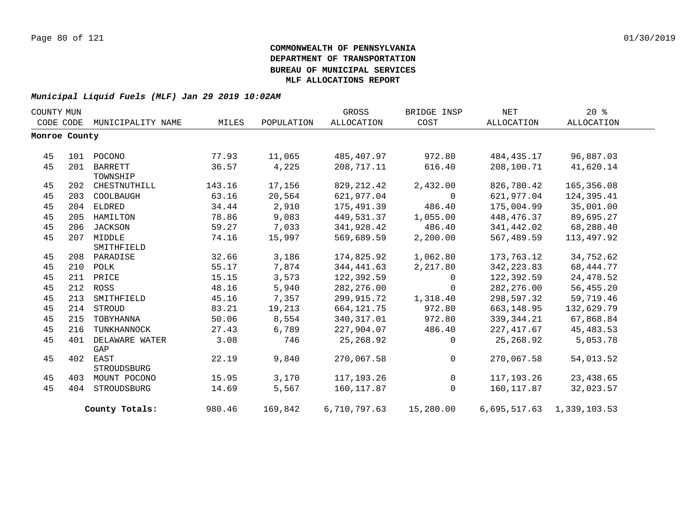| COUNTY MUN |               |                   |        |            | GROSS        | BRIDGE INSP  | NET         | $20*$                     |  |
|------------|---------------|-------------------|--------|------------|--------------|--------------|-------------|---------------------------|--|
|            | CODE CODE     | MUNICIPALITY NAME | MILES  | POPULATION | ALLOCATION   | COST         | ALLOCATION  | ALLOCATION                |  |
|            | Monroe County |                   |        |            |              |              |             |                           |  |
|            |               |                   |        |            |              |              |             |                           |  |
| 45         |               | 101 POCONO        | 77.93  | 11,065     | 485,407.97   | 972.80       | 484,435.17  | 96,887.03                 |  |
| 45         | 201           | BARRETT           | 36.57  | 4,225      | 208,717.11   | 616.40       | 208,100.71  | 41,620.14                 |  |
|            |               | TOWNSHIP          |        |            |              |              |             |                           |  |
| 45         |               | 202 CHESTNUTHILL  | 143.16 | 17,156     | 829, 212.42  | 2,432.00     | 826,780.42  | 165,356.08                |  |
| 45         | 203           | COOLBAUGH         | 63.16  | 20,564     | 621,977.04   | 0            | 621,977.04  | 124,395.41                |  |
| 45         |               | 204 ELDRED        | 34.44  | 2,910      | 175,491.39   | 486.40       | 175,004.99  | 35,001.00                 |  |
| 45         | 205           | HAMILTON          | 78.86  | 9,083      | 449,531.37   | 1,055.00     | 448,476.37  | 89,695.27                 |  |
| 45         | 206           | JACKSON           | 59.27  | 7,033      | 341,928.42   | 486.40       | 341,442.02  | 68,288.40                 |  |
| 45         | 207           | MIDDLE            | 74.16  | 15,997     | 569,689.59   | 2,200.00     | 567,489.59  | 113,497.92                |  |
|            |               | SMITHFIELD        |        |            |              |              |             |                           |  |
| 45         |               | 208 PARADISE      | 32.66  | 3,186      | 174,825.92   | 1,062.80     | 173,763.12  | 34,752.62                 |  |
| 45         |               | 210 POLK          | 55.17  | 7,874      | 344,441.63   | 2,217.80     | 342, 223.83 | 68, 444. 77               |  |
| 45         |               | 211 PRICE         | 15.15  | 3,573      | 122,392.59   | 0            | 122,392.59  | 24,478.52                 |  |
| 45         |               | 212 ROSS          | 48.16  | 5,940      | 282, 276.00  | $\mathbf 0$  | 282, 276.00 | 56,455.20                 |  |
| 45         | 213           | SMITHFIELD        | 45.16  | 7,357      | 299,915.72   | 1,318.40     | 298,597.32  | 59,719.46                 |  |
| 45         |               | 214 STROUD        | 83.21  | 19,213     | 664, 121.75  | 972.80       | 663,148.95  | 132,629.79                |  |
| 45         | 215           | TOBYHANNA         | 50.06  | 8,554      | 340, 317.01  | 972.80       | 339,344.21  | 67,868.84                 |  |
| 45         | 216           | TUNKHANNOCK       | 27.43  | 6,789      | 227,904.07   | 486.40       | 227, 417.67 | 45, 483.53                |  |
| 45         | 401           | DELAWARE WATER    | 3.08   | 746        | 25,268.92    | 0            | 25,268.92   | 5,053.78                  |  |
|            |               | GAP               |        |            |              |              |             |                           |  |
| 45         |               | 402 EAST          | 22.19  | 9,840      | 270,067.58   | $\mathbf 0$  | 270,067.58  | 54,013.52                 |  |
|            |               | STROUDSBURG       |        |            |              |              |             |                           |  |
| 45         | 403           | MOUNT POCONO      | 15.95  | 3,170      | 117,193.26   | $\mathsf{O}$ | 117,193.26  | 23,438.65                 |  |
| 45         | 404           | STROUDSBURG       | 14.69  | 5,567      | 160,117.87   | $\Omega$     | 160,117.87  | 32,023.57                 |  |
|            |               | County Totals:    | 980.46 | 169,842    | 6,710,797.63 | 15,280.00    |             | 6,695,517.63 1,339,103.53 |  |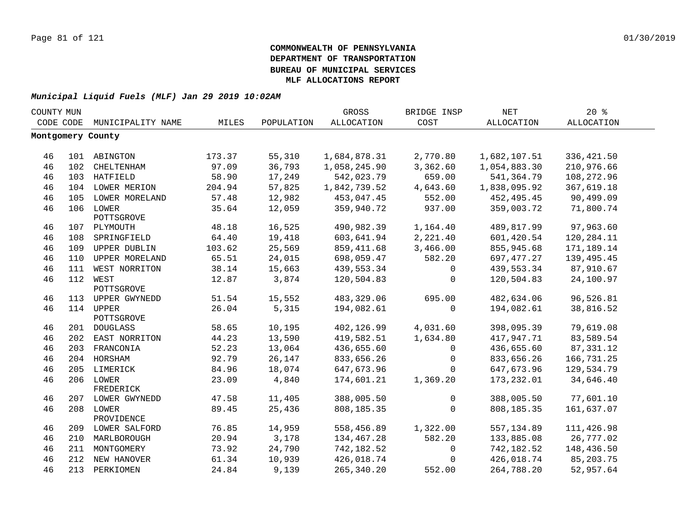| COUNTY MUN |     |                         |        |            | GROSS             | BRIDGE INSP | <b>NET</b>   | 20%         |  |
|------------|-----|-------------------------|--------|------------|-------------------|-------------|--------------|-------------|--|
| CODE CODE  |     | MUNICIPALITY NAME       | MILES  | POPULATION | <b>ALLOCATION</b> | COST        | ALLOCATION   | ALLOCATION  |  |
|            |     | Montgomery County       |        |            |                   |             |              |             |  |
|            |     |                         |        |            |                   |             |              |             |  |
| 46         |     | 101 ABINGTON            | 173.37 | 55,310     | 1,684,878.31      | 2,770.80    | 1,682,107.51 | 336, 421.50 |  |
| 46         | 102 | CHELTENHAM              | 97.09  | 36,793     | 1,058,245.90      | 3,362.60    | 1,054,883.30 | 210,976.66  |  |
| 46         |     | 103 HATFIELD            | 58.90  | 17,249     | 542,023.79        | 659.00      | 541,364.79   | 108,272.96  |  |
| 46         |     | 104 LOWER MERION        | 204.94 | 57,825     | 1,842,739.52      | 4,643.60    | 1,838,095.92 | 367,619.18  |  |
| 46         | 105 | LOWER MORELAND          | 57.48  | 12,982     | 453,047.45        | 552.00      | 452,495.45   | 90,499.09   |  |
| 46         | 106 | LOWER<br>POTTSGROVE     | 35.64  | 12,059     | 359,940.72        | 937.00      | 359,003.72   | 71,800.74   |  |
| 46         |     | 107 PLYMOUTH            | 48.18  | 16,525     | 490,982.39        | 1,164.40    | 489,817.99   | 97,963.60   |  |
| 46         | 108 | SPRINGFIELD             | 64.40  | 19,418     | 603,641.94        | 2,221.40    | 601,420.54   | 120,284.11  |  |
| 46         | 109 | UPPER DUBLIN            | 103.62 | 25,569     | 859, 411.68       | 3,466.00    | 855,945.68   | 171,189.14  |  |
| 46         | 110 | UPPER MORELAND          | 65.51  | 24,015     | 698,059.47        | 582.20      | 697,477.27   | 139,495.45  |  |
| 46         | 111 | WEST NORRITON           | 38.14  | 15,663     | 439,553.34        | 0           | 439,553.34   | 87,910.67   |  |
| 46         |     | 112 WEST                | 12.87  | 3,874      | 120,504.83        | $\mathbf 0$ | 120,504.83   | 24,100.97   |  |
|            |     | POTTSGROVE              |        |            |                   |             |              |             |  |
| 46         |     | 113 UPPER GWYNEDD       | 51.54  | 15,552     | 483, 329.06       | 695.00      | 482,634.06   | 96,526.81   |  |
| 46         |     | 114 UPPER<br>POTTSGROVE | 26.04  | 5,315      | 194,082.61        | $\mathbf 0$ | 194,082.61   | 38,816.52   |  |
| 46         |     | 201 DOUGLASS            | 58.65  | 10,195     | 402,126.99        | 4,031.60    | 398,095.39   | 79,619.08   |  |
| 46         |     | 202 EAST NORRITON       | 44.23  | 13,590     | 419,582.51        | 1,634.80    | 417,947.71   | 83,589.54   |  |
| 46         |     | 203 FRANCONIA           | 52.23  | 13,064     | 436,655.60        | 0           | 436,655.60   | 87, 331.12  |  |
| 46         |     | 204 HORSHAM             | 92.79  | 26,147     | 833,656.26        | $\mathbf 0$ | 833,656.26   | 166,731.25  |  |
| 46         |     | 205 LIMERICK            | 84.96  | 18,074     | 647,673.96        | $\Omega$    | 647,673.96   | 129,534.79  |  |
| 46         |     | 206 LOWER<br>FREDERICK  | 23.09  | 4,840      | 174,601.21        | 1,369.20    | 173,232.01   | 34,646.40   |  |
| 46         |     | 207 LOWER GWYNEDD       | 47.58  | 11,405     | 388,005.50        | $\mathbf 0$ | 388,005.50   | 77,601.10   |  |
| 46         |     | 208 LOWER<br>PROVIDENCE | 89.45  | 25,436     | 808,185.35        | $\mathbf 0$ | 808,185.35   | 161,637.07  |  |
| 46         |     | 209 LOWER SALFORD       | 76.85  | 14,959     | 558,456.89        | 1,322.00    | 557,134.89   | 111,426.98  |  |
| 46         |     | 210 MARLBOROUGH         | 20.94  | 3,178      | 134,467.28        | 582.20      | 133,885.08   | 26,777.02   |  |
| 46         | 211 | MONTGOMERY              | 73.92  | 24,790     | 742,182.52        | 0           | 742,182.52   | 148,436.50  |  |
| 46         |     | 212 NEW HANOVER         | 61.34  | 10,939     | 426,018.74        | 0           | 426,018.74   | 85,203.75   |  |
| 46         |     | 213 PERKIOMEN           | 24.84  | 9,139      | 265, 340.20       | 552.00      | 264,788.20   | 52,957.64   |  |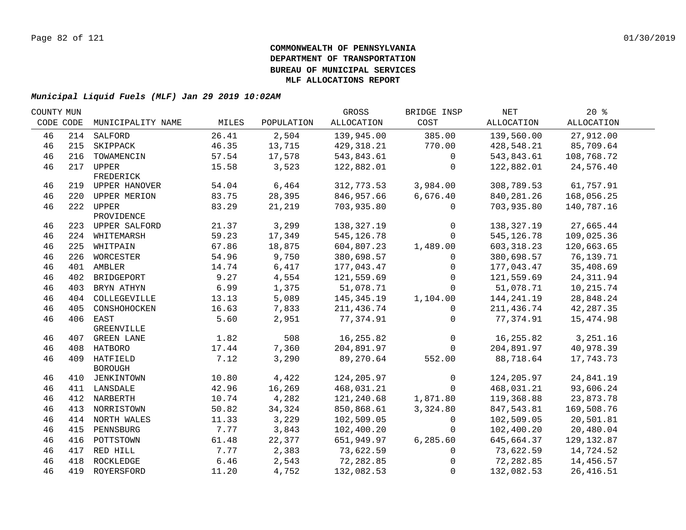| COUNTY MUN |           |                            |       |            | GROSS       | BRIDGE INSP  | NET          | 20%         |  |
|------------|-----------|----------------------------|-------|------------|-------------|--------------|--------------|-------------|--|
|            | CODE CODE | MUNICIPALITY NAME          | MILES | POPULATION | ALLOCATION  | COST         | ALLOCATION   | ALLOCATION  |  |
| 46         | 214       | SALFORD                    | 26.41 | 2,504      | 139,945.00  | 385.00       | 139,560.00   | 27,912.00   |  |
| 46         | 215       | SKIPPACK                   | 46.35 | 13,715     | 429,318.21  | 770.00       | 428,548.21   | 85,709.64   |  |
| 46         | 216       | TOWAMENCIN                 | 57.54 | 17,578     | 543,843.61  | $\mathbf 0$  | 543,843.61   | 108,768.72  |  |
| 46         | 217       | UPPER<br>FREDERICK         | 15.58 | 3,523      | 122,882.01  | $\mathbf 0$  | 122,882.01   | 24,576.40   |  |
| 46         |           | 219 UPPER HANOVER          | 54.04 | 6,464      | 312,773.53  | 3,984.00     | 308,789.53   | 61,757.91   |  |
| 46         | 220       | UPPER MERION               | 83.75 | 28,395     | 846,957.66  | 6,676.40     | 840, 281. 26 | 168,056.25  |  |
| 46         |           | 222 UPPER<br>PROVIDENCE    | 83.29 | 21,219     | 703,935.80  | $\mathbf 0$  | 703,935.80   | 140,787.16  |  |
| 46         |           | 223 UPPER SALFORD          | 21.37 | 3,299      | 138,327.19  | $\mathbf 0$  | 138,327.19   | 27,665.44   |  |
| 46         |           | 224 WHITEMARSH             | 59.23 | 17,349     | 545, 126.78 | $\Omega$     | 545, 126.78  | 109,025.36  |  |
| 46         | 225       | WHITPAIN                   | 67.86 | 18,875     | 604,807.23  | 1,489.00     | 603, 318.23  | 120,663.65  |  |
| 46         | 226       | WORCESTER                  | 54.96 | 9,750      | 380,698.57  | $\Omega$     | 380,698.57   | 76,139.71   |  |
| 46         | 401       | AMBLER                     | 14.74 | 6,417      | 177,043.47  | $\Omega$     | 177,043.47   | 35,408.69   |  |
| 46         | 402       | BRIDGEPORT                 | 9.27  | 4,554      | 121,559.69  | $\Omega$     | 121,559.69   | 24, 311.94  |  |
| 46         | 403       | BRYN ATHYN                 | 6.99  | 1,375      | 51,078.71   | $\Omega$     | 51,078.71    | 10,215.74   |  |
| 46         | 404       | COLLEGEVILLE               | 13.13 | 5,089      | 145,345.19  | 1,104.00     | 144,241.19   | 28,848.24   |  |
| 46         | 405       | CONSHOHOCKEN               | 16.63 | 7,833      | 211,436.74  | $\Omega$     | 211,436.74   | 42,287.35   |  |
| 46         | 406       | EAST<br>GREENVILLE         | 5.60  | 2,951      | 77,374.91   | $\Omega$     | 77,374.91    | 15,474.98   |  |
| 46         | 407       | GREEN LANE                 | 1.82  | 508        | 16,255.82   | $\mathbf 0$  | 16,255.82    | 3,251.16    |  |
| 46         | 408       | HATBORO                    | 17.44 | 7,360      | 204,891.97  | $\Omega$     | 204,891.97   | 40,978.39   |  |
| 46         | 409       | HATFIELD<br><b>BOROUGH</b> | 7.12  | 3,290      | 89,270.64   | 552.00       | 88,718.64    | 17,743.73   |  |
| 46         | 410       | JENKINTOWN                 | 10.80 | 4,422      | 124,205.97  | $\Omega$     | 124,205.97   | 24,841.19   |  |
| 46         |           | 411 LANSDALE               | 42.96 | 16,269     | 468,031.21  | $\Omega$     | 468,031.21   | 93,606.24   |  |
| 46         |           | 412 NARBERTH               | 10.74 | 4,282      | 121,240.68  | 1,871.80     | 119,368.88   | 23,873.78   |  |
| 46         |           | 413 NORRISTOWN             | 50.82 | 34,324     | 850,868.61  | 3,324.80     | 847,543.81   | 169,508.76  |  |
| 46         |           | 414 NORTH WALES            | 11.33 | 3,229      | 102,509.05  | $\mathbf{0}$ | 102,509.05   | 20,501.81   |  |
| 46         | 415       | PENNSBURG                  | 7.77  | 3,843      | 102,400.20  | $\Omega$     | 102,400.20   | 20,480.04   |  |
| 46         |           | 416 POTTSTOWN              | 61.48 | 22,377     | 651,949.97  | 6,285.60     | 645,664.37   | 129, 132.87 |  |
| 46         | 417       | RED HILL                   | 7.77  | 2,383      | 73,622.59   | $\Omega$     | 73,622.59    | 14,724.52   |  |
| 46         | 418       | ROCKLEDGE                  | 6.46  | 2,543      | 72,282.85   | $\Omega$     | 72,282.85    | 14,456.57   |  |
| 46         | 419       | ROYERSFORD                 | 11.20 | 4,752      | 132,082.53  | $\Omega$     | 132,082.53   | 26, 416.51  |  |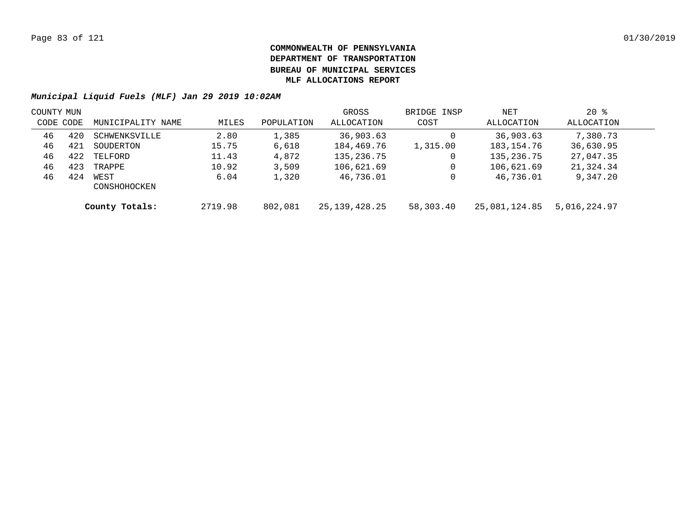| COUNTY MUN |     |                      |         |            | GROSS            | BRIDGE INSP | NET           | $20*$        |  |
|------------|-----|----------------------|---------|------------|------------------|-------------|---------------|--------------|--|
| CODE CODE  |     | MUNICIPALITY NAME    | MILES   | POPULATION | ALLOCATION       | COST        | ALLOCATION    | ALLOCATION   |  |
| 46         | 420 | SCHWENKSVILLE        | 2.80    | 1,385      | 36,903.63        |             | 36,903.63     | 7,380.73     |  |
| 46         | 421 | SOUDERTON            | 15.75   | 6,618      | 184,469.76       | 1,315.00    | 183, 154. 76  | 36,630.95    |  |
| 46         | 422 | TELFORD              | 11.43   | 4,872      | 135,236.75       | 0           | 135, 236. 75  | 27,047.35    |  |
| 46         | 423 | TRAPPE               | 10.92   | 3,509      | 106,621.69       |             | 106,621.69    | 21,324.34    |  |
| 46         | 424 | WEST<br>CONSHOHOCKEN | 6.04    | 1,320      | 46,736.01        |             | 46,736.01     | 9,347.20     |  |
|            |     | County Totals:       | 2719.98 | 802,081    | 25, 139, 428. 25 | 58,303.40   | 25,081,124.85 | 5,016,224.97 |  |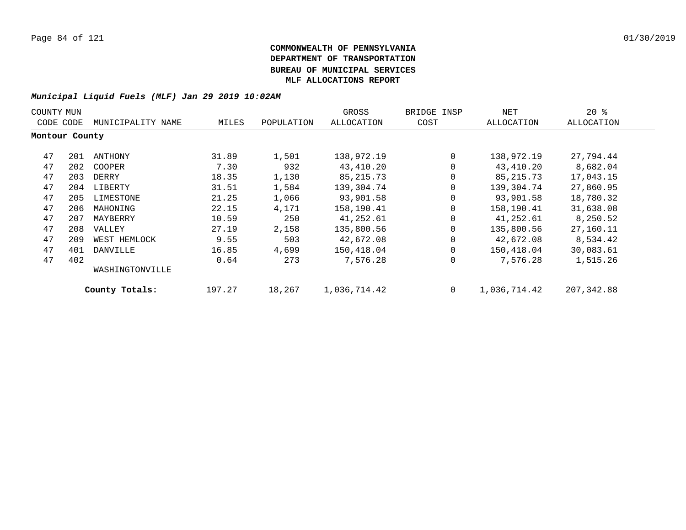| COUNTY MUN     |     |                   |        |            | GROSS        | BRIDGE INSP | NET          | $20*$      |
|----------------|-----|-------------------|--------|------------|--------------|-------------|--------------|------------|
| CODE CODE      |     | MUNICIPALITY NAME | MILES  | POPULATION | ALLOCATION   | COST        | ALLOCATION   | ALLOCATION |
| Montour County |     |                   |        |            |              |             |              |            |
| 47             | 201 | ANTHONY           | 31.89  | 1,501      | 138,972.19   | $\Omega$    | 138,972.19   | 27,794.44  |
| 47             | 202 | COOPER            | 7.30   | 932        | 43,410.20    | $\Omega$    | 43,410.20    | 8,682.04   |
| 47             | 203 | DERRY             | 18.35  | 1,130      | 85, 215. 73  | 0           | 85, 215. 73  | 17,043.15  |
| 47             | 204 | LIBERTY           | 31.51  | 1,584      | 139,304.74   | 0           | 139,304.74   | 27,860.95  |
| 47             | 205 | LIMESTONE         | 21.25  | 1,066      | 93,901.58    | 0           | 93,901.58    | 18,780.32  |
| 47             | 206 | MAHONING          | 22.15  | 4,171      | 158,190.41   | 0           | 158,190.41   | 31,638.08  |
| 47             | 207 | MAYBERRY          | 10.59  | 250        | 41,252.61    | 0           | 41,252.61    | 8,250.52   |
| 47             | 208 | VALLEY            | 27.19  | 2,158      | 135,800.56   | 0           | 135,800.56   | 27,160.11  |
| 47             | 209 | WEST HEMLOCK      | 9.55   | 503        | 42,672.08    | $\mathbf 0$ | 42,672.08    | 8,534.42   |
| 47             | 401 | DANVILLE          | 16.85  | 4,699      | 150,418.04   | $\Omega$    | 150,418.04   | 30,083.61  |
| 47             | 402 |                   | 0.64   | 273        | 7,576.28     | 0           | 7,576.28     | 1,515.26   |
|                |     | WASHINGTONVILLE   |        |            |              |             |              |            |
|                |     | County Totals:    | 197.27 | 18,267     | 1,036,714.42 | $\mathbf 0$ | 1,036,714.42 | 207,342.88 |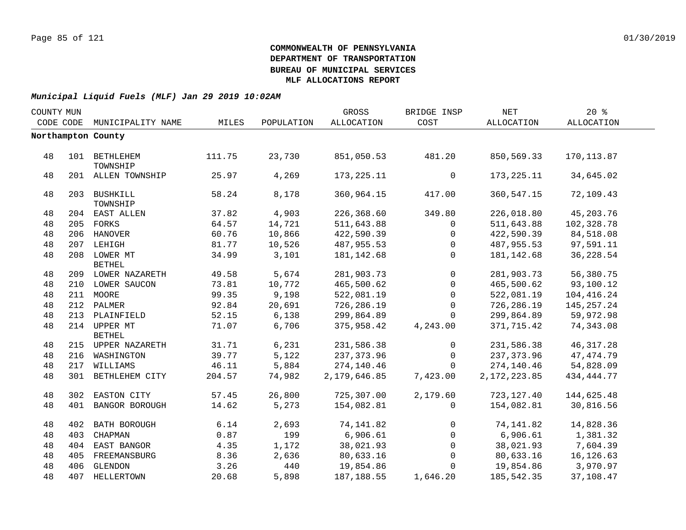| COUNTY MUN |     |                               |        |            | GROSS        | BRIDGE INSP | $\operatorname{NET}$ | 20%          |  |
|------------|-----|-------------------------------|--------|------------|--------------|-------------|----------------------|--------------|--|
| CODE CODE  |     | MUNICIPALITY NAME             | MILES  | POPULATION | ALLOCATION   | COST        | ALLOCATION           | ALLOCATION   |  |
|            |     | Northampton County            |        |            |              |             |                      |              |  |
|            |     |                               |        |            |              |             |                      |              |  |
| 48         |     | 101 BETHLEHEM<br>TOWNSHIP     | 111.75 | 23,730     | 851,050.53   | 481.20      | 850,569.33           | 170, 113.87  |  |
| 48         |     | 201 ALLEN TOWNSHIP            | 25.97  | 4,269      | 173, 225. 11 | 0           | 173, 225. 11         | 34,645.02    |  |
| 48         |     | 203 BUSHKILL<br>TOWNSHIP      | 58.24  | 8,178      | 360,964.15   | 417.00      | 360,547.15           | 72,109.43    |  |
| 48         |     | 204 EAST ALLEN                | 37.82  | 4,903      | 226,368.60   | 349.80      | 226,018.80           | 45,203.76    |  |
| 48         |     | 205 FORKS                     | 64.57  | 14,721     | 511,643.88   | $\mathbf 0$ | 511,643.88           | 102,328.78   |  |
| 48         |     | 206 HANOVER                   | 60.76  | 10,866     | 422,590.39   | 0           | 422,590.39           | 84,518.08    |  |
| 48         |     | 207 LEHIGH                    | 81.77  | 10,526     | 487,955.53   | $\mathbf 0$ | 487,955.53           | 97,591.11    |  |
| 48         |     | 208 LOWER MT<br><b>BETHEL</b> | 34.99  | 3,101      | 181, 142.68  | $\mathbf 0$ | 181,142.68           | 36,228.54    |  |
| 48         |     | 209 LOWER NAZARETH            | 49.58  | 5,674      | 281,903.73   | $\mathbf 0$ | 281,903.73           | 56,380.75    |  |
| 48         |     | 210 LOWER SAUCON              | 73.81  | 10,772     | 465,500.62   | $\Omega$    | 465,500.62           | 93,100.12    |  |
| 48         |     | 211 MOORE                     | 99.35  | 9,198      | 522,081.19   | $\Omega$    | 522,081.19           | 104,416.24   |  |
| 48         |     | 212 PALMER                    | 92.84  | 20,691     | 726,286.19   | $\mathbf 0$ | 726,286.19           | 145,257.24   |  |
| 48         |     | 213 PLAINFIELD                | 52.15  | 6,138      | 299,864.89   | $\Omega$    | 299,864.89           | 59,972.98    |  |
| 48         |     | 214 UPPER MT<br><b>BETHEL</b> | 71.07  | 6,706      | 375,958.42   | 4,243.00    | 371,715.42           | 74,343.08    |  |
| 48         |     | 215 UPPER NAZARETH            | 31.71  | 6,231      | 231,586.38   | $\mathbf 0$ | 231,586.38           | 46, 317.28   |  |
| 48         |     | 216 WASHINGTON                | 39.77  | 5,122      | 237, 373.96  | $\Omega$    | 237,373.96           | 47, 474.79   |  |
| 48         |     | 217 WILLIAMS                  | 46.11  | 5,884      | 274,140.46   | $\Omega$    | 274,140.46           | 54,828.09    |  |
| 48         |     | 301 BETHLEHEM CITY            | 204.57 | 74,982     | 2,179,646.85 | 7,423.00    | 2, 172, 223.85       | 434, 444. 77 |  |
| 48         |     | 302 EASTON CITY               | 57.45  | 26,800     | 725,307.00   | 2,179.60    | 723,127.40           | 144,625.48   |  |
| 48         | 401 | BANGOR BOROUGH                | 14.62  | 5,273      | 154,082.81   | 0           | 154,082.81           | 30,816.56    |  |
| 48         |     | 402 BATH BOROUGH              | 6.14   | 2,693      | 74, 141.82   | $\mathbf 0$ | 74,141.82            | 14,828.36    |  |
| 48         | 403 | CHAPMAN                       | 0.87   | 199        | 6,906.61     | $\mathbf 0$ | 6,906.61             | 1,381.32     |  |
| 48         |     | 404 EAST BANGOR               | 4.35   | 1,172      | 38,021.93    | $\mathbf 0$ | 38,021.93            | 7,604.39     |  |
| 48         |     | 405 FREEMANSBURG              | 8.36   | 2,636      | 80,633.16    | $\mathbf 0$ | 80,633.16            | 16,126.63    |  |
| 48         |     | 406 GLENDON                   | 3.26   | 440        | 19,854.86    | $\Omega$    | 19,854.86            | 3,970.97     |  |
| 48         |     | 407 HELLERTOWN                | 20.68  | 5,898      | 187, 188.55  | 1,646.20    | 185,542.35           | 37,108.47    |  |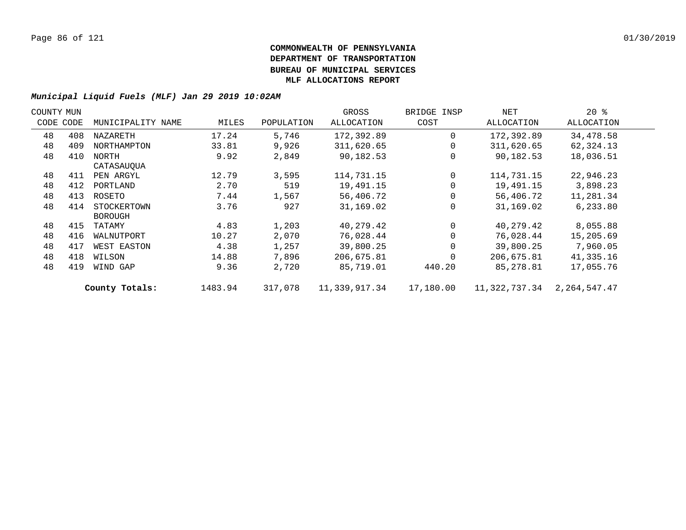| COUNTY MUN |           |                   |         |            | GROSS         | BRIDGE INSP | NET           | $20*$        |  |
|------------|-----------|-------------------|---------|------------|---------------|-------------|---------------|--------------|--|
|            | CODE CODE | MUNICIPALITY NAME | MILES   | POPULATION | ALLOCATION    | COST        | ALLOCATION    | ALLOCATION   |  |
| 48         | 408       | NAZARETH          | 17.24   | 5,746      | 172,392.89    | $\Omega$    | 172,392.89    | 34,478.58    |  |
| 48         | 409       | NORTHAMPTON       | 33.81   | 9,926      | 311,620.65    |             | 311,620.65    | 62,324.13    |  |
| 48         | 410       | NORTH             | 9.92    | 2,849      | 90,182.53     |             | 90,182.53     | 18,036.51    |  |
|            |           | CATASAUQUA        |         |            |               |             |               |              |  |
| 48         | 411       | PEN ARGYL         | 12.79   | 3,595      | 114,731.15    | $\Omega$    | 114,731.15    | 22,946.23    |  |
| 48         | 412       | PORTLAND          | 2.70    | 519        | 19,491.15     |             | 19,491.15     | 3,898.23     |  |
| 48         | 413       | ROSETO            | 7.44    | 1,567      | 56,406.72     |             | 56,406.72     | 11,281.34    |  |
| 48         | 414       | STOCKERTOWN       | 3.76    | 927        | 31,169.02     |             | 31,169.02     | 6,233.80     |  |
|            |           | <b>BOROUGH</b>    |         |            |               |             |               |              |  |
| 48         | 415       | TATAMY            | 4.83    | 1,203      | 40,279.42     | $\Omega$    | 40,279.42     | 8,055.88     |  |
| 48         | 416       | WALNUTPORT        | 10.27   | 2,070      | 76,028.44     |             | 76,028.44     | 15,205.69    |  |
| 48         | 417       | WEST EASTON       | 4.38    | 1,257      | 39,800.25     |             | 39,800.25     | 7,960.05     |  |
| 48         | 418       | WILSON            | 14.88   | 7,896      | 206,675.81    |             | 206,675.81    | 41,335.16    |  |
| 48         | 419       | WIND GAP          | 9.36    | 2,720      | 85,719.01     | 440.20      | 85,278.81     | 17,055.76    |  |
|            |           | County Totals:    | 1483.94 | 317,078    | 11,339,917.34 | 17,180.00   | 11,322,737.34 | 2,264,547.47 |  |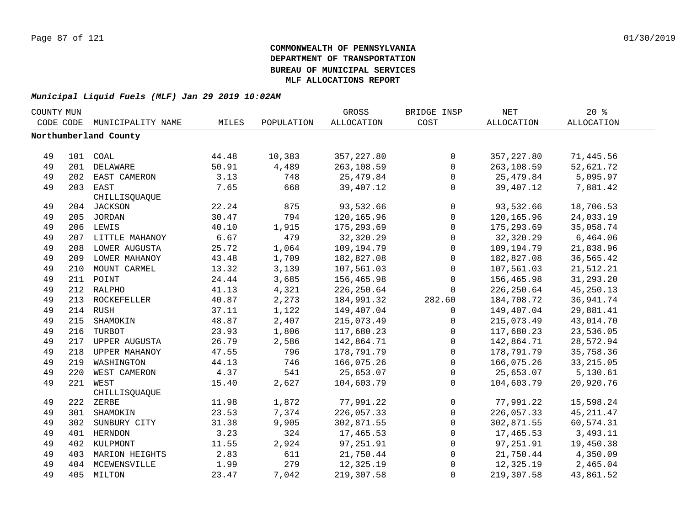| COUNTY MUN |     |                       |       |            | GROSS             | BRIDGE INSP         | <b>NET</b>  | $20*$             |  |
|------------|-----|-----------------------|-------|------------|-------------------|---------------------|-------------|-------------------|--|
| CODE CODE  |     | MUNICIPALITY NAME     | MILES | POPULATION | <b>ALLOCATION</b> | COST                | ALLOCATION  | <b>ALLOCATION</b> |  |
|            |     | Northumberland County |       |            |                   |                     |             |                   |  |
|            |     |                       |       |            |                   |                     |             |                   |  |
| 49         |     | 101 COAL              | 44.48 | 10,383     | 357, 227.80       | $\mathsf{O}$        | 357,227.80  | 71,445.56         |  |
| 49         |     | 201 DELAWARE          | 50.91 | 4,489      | 263,108.59        | $\mathbf 0$         | 263,108.59  | 52,621.72         |  |
| 49         |     | 202 EAST CAMERON      | 3.13  | 748        | 25,479.84         | $\mathsf{O}$        | 25,479.84   | 5,095.97          |  |
| 49         |     | 203 EAST              | 7.65  | 668        | 39,407.12         | $\mathbf 0$         | 39,407.12   | 7,881.42          |  |
|            |     | CHILLISQUAQUE         |       |            |                   |                     |             |                   |  |
| 49         |     | 204 JACKSON           | 22.24 | 875        | 93,532.66         | $\mathbf 0$         | 93,532.66   | 18,706.53         |  |
| 49         |     | 205 JORDAN            | 30.47 | 794        | 120,165.96        | $\mathsf{O}\xspace$ | 120,165.96  | 24,033.19         |  |
| 49         |     | 206 LEWIS             | 40.10 | 1,915      | 175,293.69        | $\mathbf 0$         | 175,293.69  | 35,058.74         |  |
| 49         |     | 207 LITTLE MAHANOY    | 6.67  | 479        | 32,320.29         | $\mathbf 0$         | 32,320.29   | 6,464.06          |  |
| 49         |     | 208 LOWER AUGUSTA     | 25.72 | 1,064      | 109,194.79        | $\mathsf{O}$        | 109,194.79  | 21,838.96         |  |
| 49         | 209 | LOWER MAHANOY         | 43.48 | 1,709      | 182,827.08        | $\mathbf 0$         | 182,827.08  | 36,565.42         |  |
| 49         | 210 | MOUNT CARMEL          | 13.32 | 3,139      | 107,561.03        | $\mathbf 0$         | 107,561.03  | 21,512.21         |  |
| 49         |     | 211 POINT             | 24.44 | 3,685      | 156,465.98        | $\mathbf 0$         | 156,465.98  | 31,293.20         |  |
| 49         |     | 212 RALPHO            | 41.13 | 4,321      | 226, 250.64       | $\mathbf 0$         | 226, 250.64 | 45,250.13         |  |
| 49         |     | 213 ROCKEFELLER       | 40.87 | 2,273      | 184,991.32        | 282.60              | 184,708.72  | 36, 941.74        |  |
| 49         |     | 214 RUSH              | 37.11 | 1,122      | 149,407.04        | $\Omega$            | 149,407.04  | 29,881.41         |  |
| 49         |     | 215 SHAMOKIN          | 48.87 | 2,407      | 215,073.49        | 0                   | 215,073.49  | 43,014.70         |  |
| 49         |     | 216 TURBOT            | 23.93 | 1,806      | 117,680.23        | $\mathbf 0$         | 117,680.23  | 23,536.05         |  |
| 49         |     | 217 UPPER AUGUSTA     | 26.79 | 2,586      | 142,864.71        | $\mathbf 0$         | 142,864.71  | 28,572.94         |  |
| 49         |     | 218 UPPER MAHANOY     | 47.55 | 796        | 178,791.79        | $\mathsf{O}$        | 178,791.79  | 35,758.36         |  |
| 49         |     | 219 WASHINGTON        | 44.13 | 746        | 166,075.26        | $\mathsf{O}$        | 166,075.26  | 33, 215.05        |  |
| 49         | 220 | WEST CAMERON          | 4.37  | 541        | 25,653.07         | $\mathbf 0$         | 25,653.07   | 5,130.61          |  |
| 49         | 221 | WEST                  | 15.40 | 2,627      | 104,603.79        | $\Omega$            | 104,603.79  | 20,920.76         |  |
|            |     | CHILLISQUAQUE         |       |            |                   |                     |             |                   |  |
| 49         |     | 222 ZERBE             | 11.98 | 1,872      | 77,991.22         | 0                   | 77,991.22   | 15,598.24         |  |
| 49         |     | 301 SHAMOKIN          | 23.53 | 7,374      | 226,057.33        | $\mathsf{O}$        | 226,057.33  | 45, 211.47        |  |
| 49         |     | 302 SUNBURY CITY      | 31.38 | 9,905      | 302,871.55        | $\mathbf 0$         | 302,871.55  | 60,574.31         |  |
| 49         |     | 401 HERNDON           | 3.23  | 324        | 17,465.53         | $\mathbf 0$         | 17,465.53   | 3,493.11          |  |
| 49         |     | 402 KULPMONT          | 11.55 | 2,924      | 97,251.91         | $\mathbf 0$         | 97,251.91   | 19,450.38         |  |
| 49         |     | 403 MARION HEIGHTS    | 2.83  | 611        | 21,750.44         | $\mathsf{O}$        | 21,750.44   | 4,350.09          |  |
| 49         |     | 404 MCEWENSVILLE      | 1.99  | 279        | 12,325.19         | 0                   | 12,325.19   | 2,465.04          |  |
| 49         |     | 405 MILTON            | 23.47 | 7,042      | 219,307.58        | $\Omega$            | 219,307.58  | 43,861.52         |  |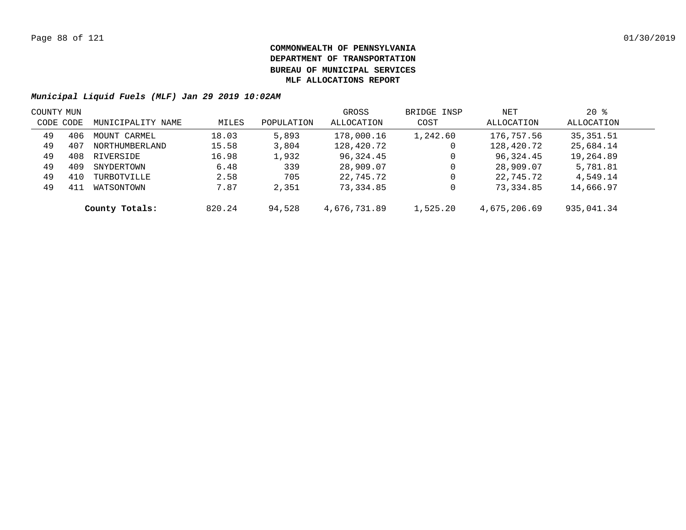| COUNTY MUN |     |                   |        |            | GROSS        | BRIDGE INSP | NET          | $20*$      |  |
|------------|-----|-------------------|--------|------------|--------------|-------------|--------------|------------|--|
| CODE CODE  |     | MUNICIPALITY NAME | MILES  | POPULATION | ALLOCATION   | COST        | ALLOCATION   | ALLOCATION |  |
| 49         | 406 | MOUNT CARMEL      | 18.03  | 5,893      | 178,000.16   | 1,242.60    | 176,757.56   | 35, 351.51 |  |
| 49         | 407 | NORTHUMBERLAND    | 15.58  | 3,804      | 128,420.72   | 0           | 128,420.72   | 25,684.14  |  |
| 49         | 408 | RIVERSIDE         | 16.98  | 1,932      | 96,324.45    | 0           | 96,324.45    | 19,264.89  |  |
| 49         | 409 | SNYDERTOWN        | 6.48   | 339        | 28,909.07    | 0           | 28,909.07    | 5,781.81   |  |
| 49         | 410 | TURBOTVILLE       | 2.58   | 705        | 22,745.72    | 0           | 22,745.72    | 4,549.14   |  |
| 49         | 411 | WATSONTOWN        | 7.87   | 2,351      | 73,334.85    | 0           | 73,334.85    | 14,666.97  |  |
|            |     | County Totals:    | 820.24 | 94,528     | 4,676,731.89 | 1,525.20    | 4,675,206.69 | 935,041.34 |  |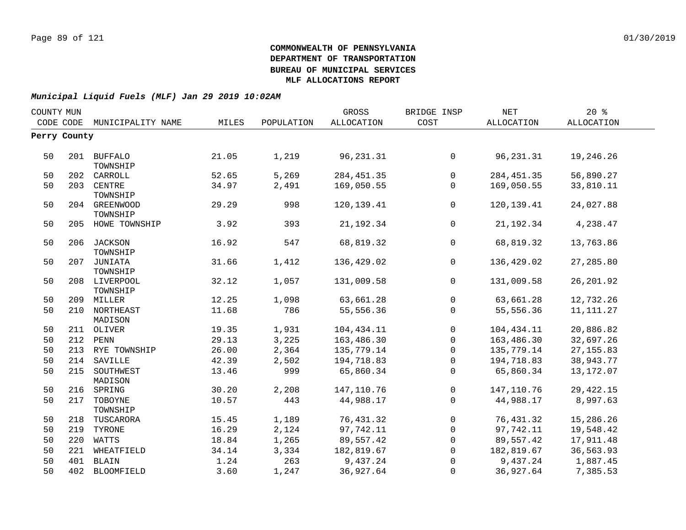|                         |                                                                                                                                                                                                                                                                                                                                 |            | GROSS      | BRIDGE INSP    | NET          | 20%               |  |
|-------------------------|---------------------------------------------------------------------------------------------------------------------------------------------------------------------------------------------------------------------------------------------------------------------------------------------------------------------------------|------------|------------|----------------|--------------|-------------------|--|
| MUNICIPALITY NAME       | MILES                                                                                                                                                                                                                                                                                                                           | POPULATION | ALLOCATION | COST           | ALLOCATION   | <b>ALLOCATION</b> |  |
|                         |                                                                                                                                                                                                                                                                                                                                 |            |            |                |              |                   |  |
|                         |                                                                                                                                                                                                                                                                                                                                 |            |            |                |              |                   |  |
|                         | 21.05                                                                                                                                                                                                                                                                                                                           | 1,219      | 96, 231.31 | $\mathsf{O}$   | 96, 231.31   | 19,246.26         |  |
| CARROLL                 | 52.65                                                                                                                                                                                                                                                                                                                           | 5,269      | 284,451.35 | $\mathsf{O}$   | 284, 451.35  | 56,890.27         |  |
| CENTRE<br>TOWNSHIP      | 34.97                                                                                                                                                                                                                                                                                                                           | 2,491      | 169,050.55 | $\mathbf 0$    | 169,050.55   | 33,810.11         |  |
| TOWNSHIP                | 29.29                                                                                                                                                                                                                                                                                                                           | 998        | 120,139.41 | $\mathbf 0$    | 120, 139. 41 | 24,027.88         |  |
|                         | 3.92                                                                                                                                                                                                                                                                                                                            | 393        | 21, 192.34 | $\mathbf 0$    | 21, 192.34   | 4,238.47          |  |
| TOWNSHIP                | 16.92                                                                                                                                                                                                                                                                                                                           | 547        | 68,819.32  | $\mathbf 0$    | 68,819.32    | 13,763.86         |  |
| TOWNSHIP                | 31.66                                                                                                                                                                                                                                                                                                                           | 1,412      | 136,429.02 | $\overline{0}$ | 136,429.02   | 27,285.80         |  |
| TOWNSHIP                | 32.12                                                                                                                                                                                                                                                                                                                           | 1,057      | 131,009.58 | $\overline{0}$ | 131,009.58   | 26, 201.92        |  |
|                         | 12.25                                                                                                                                                                                                                                                                                                                           | 1,098      | 63,661.28  | $\mathbf 0$    | 63,661.28    | 12,732.26         |  |
|                         | 11.68                                                                                                                                                                                                                                                                                                                           | 786        | 55,556.36  | $\mathbf 0$    | 55,556.36    | 11, 111. 27       |  |
|                         | 19.35                                                                                                                                                                                                                                                                                                                           | 1,931      | 104,434.11 | $\mathbf 0$    | 104,434.11   | 20,886.82         |  |
|                         | 29.13                                                                                                                                                                                                                                                                                                                           | 3,225      | 163,486.30 | $\mathsf{O}$   | 163,486.30   | 32,697.26         |  |
|                         | 26.00                                                                                                                                                                                                                                                                                                                           | 2,364      | 135,779.14 | $\mathsf{O}$   | 135,779.14   | 27, 155.83        |  |
| SAVILLE                 | 42.39                                                                                                                                                                                                                                                                                                                           | 2,502      | 194,718.83 | $\mathbf 0$    | 194,718.83   | 38,943.77         |  |
| SOUTHWEST<br>MADISON    | 13.46                                                                                                                                                                                                                                                                                                                           | 999        | 65,860.34  | $\Omega$       | 65,860.34    | 13, 172.07        |  |
| SPRING                  | 30.20                                                                                                                                                                                                                                                                                                                           | 2,208      | 147,110.76 | $\mathsf{O}$   | 147,110.76   | 29, 422. 15       |  |
| TOBOYNE                 | 10.57                                                                                                                                                                                                                                                                                                                           | 443        | 44,988.17  | $\Omega$       | 44,988.17    | 8,997.63          |  |
| TUSCARORA               | 15.45                                                                                                                                                                                                                                                                                                                           | 1,189      | 76,431.32  | $\overline{0}$ | 76,431.32    | 15,286.26         |  |
| TYRONE                  | 16.29                                                                                                                                                                                                                                                                                                                           | 2,124      | 97,742.11  | $\mathbf 0$    | 97,742.11    | 19,548.42         |  |
| WATTS                   | 18.84                                                                                                                                                                                                                                                                                                                           | 1,265      | 89,557.42  | $\overline{0}$ | 89,557.42    | 17,911.48         |  |
| WHEATFIELD              | 34.14                                                                                                                                                                                                                                                                                                                           | 3,334      | 182,819.67 | $\overline{0}$ | 182,819.67   | 36,563.93         |  |
| BLAIN                   | 1.24                                                                                                                                                                                                                                                                                                                            | 263        | 9,437.24   | $\Omega$       | 9,437.24     | 1,887.45          |  |
|                         | 3.60                                                                                                                                                                                                                                                                                                                            | 1,247      | 36,927.64  | $\Omega$       | 36,927.64    | 7,385.53          |  |
| COUNTY MUN<br>CODE CODE | Perry County<br>201 BUFFALO<br>TOWNSHIP<br>202<br>203<br>204 GREENWOOD<br>205 HOWE TOWNSHIP<br>206 JACKSON<br>207 JUNIATA<br>208 LIVERPOOL<br>209 MILLER<br>210 NORTHEAST<br>MADISON<br>211 OLIVER<br>212 PENN<br>213 RYE TOWNSHIP<br>214<br>215<br>216<br>217<br>TOWNSHIP<br>218<br>219<br>220<br>221<br>401<br>402 BLOOMFIELD |            |            |                |              |                   |  |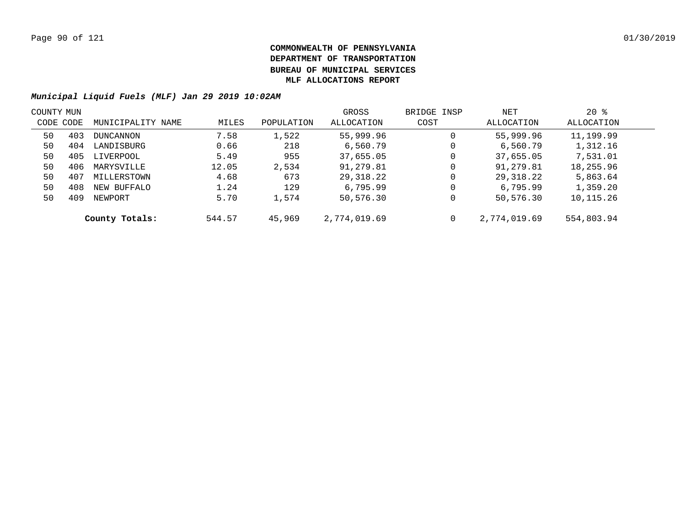| COUNTY MUN |     |                   |        |            | GROSS        | BRIDGE INSP | NET          | $20*$      |  |
|------------|-----|-------------------|--------|------------|--------------|-------------|--------------|------------|--|
| CODE CODE  |     | MUNICIPALITY NAME | MILES  | POPULATION | ALLOCATION   | COST        | ALLOCATION   | ALLOCATION |  |
| 50         | 403 | DUNCANNON         | 7.58   | 1,522      | 55,999.96    | 0           | 55,999.96    | 11,199.99  |  |
| 50         | 404 | LANDISBURG        | 0.66   | 218        | 6,560.79     | 0           | 6,560.79     | 1,312.16   |  |
| 50         | 405 | LIVERPOOL         | 5.49   | 955        | 37,655.05    | 0           | 37,655.05    | 7,531.01   |  |
| 50         | 406 | MARYSVILLE        | 12.05  | 2,534      | 91,279.81    | 0           | 91,279.81    | 18,255.96  |  |
| 50         | 407 | MILLERSTOWN       | 4.68   | 673        | 29,318.22    | $\mathbf 0$ | 29,318.22    | 5,863.64   |  |
| 50         | 408 | NEW BUFFALO       | 1.24   | 129        | 6,795.99     | 0           | 6,795.99     | 1,359.20   |  |
| 50         | 409 | NEWPORT           | 5.70   | 1,574      | 50,576.30    | 0           | 50,576.30    | 10,115.26  |  |
|            |     | County Totals:    | 544.57 | 45,969     | 2,774,019.69 | $\mathbf 0$ | 2,774,019.69 | 554,803.94 |  |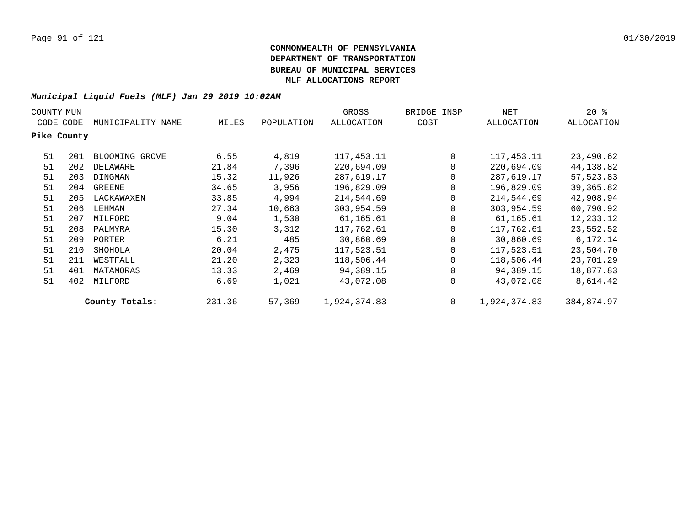| COUNTY MUN  |     |                   |        |            | GROSS        | BRIDGE INSP | NET          | 20%        |
|-------------|-----|-------------------|--------|------------|--------------|-------------|--------------|------------|
| CODE CODE   |     | MUNICIPALITY NAME | MILES  | POPULATION | ALLOCATION   | COST        | ALLOCATION   | ALLOCATION |
| Pike County |     |                   |        |            |              |             |              |            |
| 51          | 201 | BLOOMING GROVE    | 6.55   | 4,819      | 117, 453. 11 | $\mathbf 0$ | 117,453.11   | 23,490.62  |
| 51          | 202 | DELAWARE          | 21.84  | 7,396      | 220,694.09   | 0           | 220,694.09   | 44,138.82  |
| 51          | 203 | DINGMAN           | 15.32  | 11,926     | 287,619.17   | 0           | 287,619.17   | 57,523.83  |
| 51          | 204 | GREENE            | 34.65  | 3,956      | 196,829.09   | 0           | 196,829.09   | 39,365.82  |
| 51          | 205 | LACKAWAXEN        | 33.85  | 4,994      | 214,544.69   | 0           | 214,544.69   | 42,908.94  |
| 51          | 206 | LEHMAN            | 27.34  | 10,663     | 303,954.59   | 0           | 303,954.59   | 60,790.92  |
| 51          | 207 | MILFORD           | 9.04   | 1,530      | 61,165.61    | 0           | 61,165.61    | 12,233.12  |
| 51          | 208 | PALMYRA           | 15.30  | 3,312      | 117,762.61   | 0           | 117,762.61   | 23,552.52  |
| 51          | 209 | PORTER            | 6.21   | 485        | 30,860.69    | 0           | 30,860.69    | 6,172.14   |
| 51          | 210 | SHOHOLA           | 20.04  | 2,475      | 117,523.51   | 0           | 117,523.51   | 23,504.70  |
| 51          | 211 | WESTFALL          | 21.20  | 2,323      | 118,506.44   | $\Omega$    | 118,506.44   | 23,701.29  |
| 51          | 401 | MATAMORAS         | 13.33  | 2,469      | 94,389.15    | 0           | 94,389.15    | 18,877.83  |
| 51          | 402 | MILFORD           | 6.69   | 1,021      | 43,072.08    | 0           | 43,072.08    | 8,614.42   |
|             |     | County Totals:    | 231.36 | 57,369     | 1,924,374.83 | $\mathbf 0$ | 1,924,374.83 | 384,874.97 |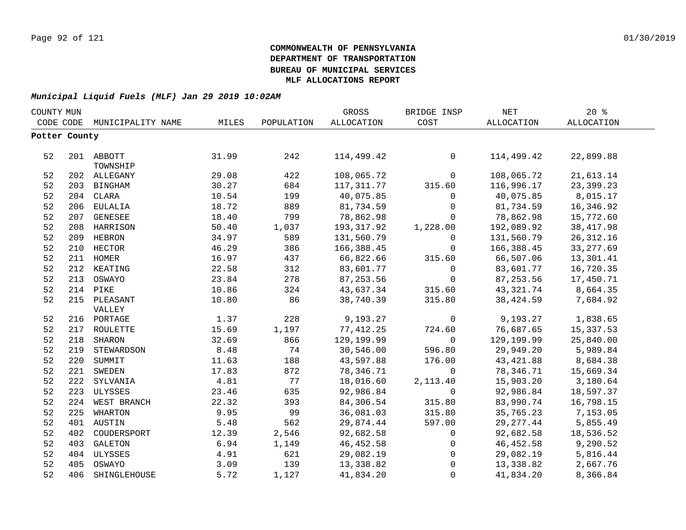|               | COUNTY MUN |                   |       |            | GROSS      | BRIDGE INSP    | <b>NET</b> | 20%        |
|---------------|------------|-------------------|-------|------------|------------|----------------|------------|------------|
| CODE CODE     |            | MUNICIPALITY NAME | MILES | POPULATION | ALLOCATION | COST           | ALLOCATION | ALLOCATION |
| Potter County |            |                   |       |            |            |                |            |            |
|               |            |                   |       |            |            |                |            |            |
| 52            |            | 201 ABBOTT        | 31.99 | 242        | 114,499.42 | 0              | 114,499.42 | 22,899.88  |
|               |            | TOWNSHIP          |       |            |            |                |            |            |
| 52            |            | 202 ALLEGANY      | 29.08 | 422        | 108,065.72 | $\mathbf 0$    | 108,065.72 | 21,613.14  |
| 52            |            | 203 BINGHAM       | 30.27 | 684        | 117,311.77 | 315.60         | 116,996.17 | 23,399.23  |
| 52            |            | 204 CLARA         | 10.54 | 199        | 40,075.85  | 0              | 40,075.85  | 8,015.17   |
| 52            |            | 206 EULALIA       | 18.72 | 889        | 81,734.59  | 0              | 81,734.59  | 16,346.92  |
| 52            |            | 207 GENESEE       | 18.40 | 799        | 78,862.98  | $\mathsf{O}$   | 78,862.98  | 15,772.60  |
| 52            |            | 208 HARRISON      | 50.40 | 1,037      | 193,317.92 | 1,228.00       | 192,089.92 | 38, 417.98 |
| 52            |            | 209 HEBRON        | 34.97 | 589        | 131,560.79 | 0              | 131,560.79 | 26, 312.16 |
| 52            |            | 210 HECTOR        | 46.29 | 386        | 166,388.45 | 0              | 166,388.45 | 33, 277.69 |
| 52            |            | 211 HOMER         | 16.97 | 437        | 66,822.66  | 315.60         | 66,507.06  | 13,301.41  |
| 52            |            | 212 KEATING       | 22.58 | 312        | 83,601.77  | 0              | 83,601.77  | 16,720.35  |
| 52            |            | 213 OSWAYO        | 23.84 | 278        | 87, 253.56 | 0              | 87,253.56  | 17,450.71  |
| 52            | 214        | PIKE              | 10.86 | 324        | 43,637.34  | 315.60         | 43,321.74  | 8,664.35   |
| 52            |            | 215 PLEASANT      | 10.80 | 86         | 38,740.39  | 315.80         | 38,424.59  | 7,684.92   |
|               |            | VALLEY            |       |            |            |                |            |            |
| 52            |            | 216 PORTAGE       | 1.37  | 228        | 9,193.27   | 0              | 9,193.27   | 1,838.65   |
| 52            |            | 217 ROULETTE      | 15.69 | 1,197      | 77,412.25  | 724.60         | 76,687.65  | 15,337.53  |
| 52            | 218        | SHARON            | 32.69 | 866        | 129,199.99 | $\mathbf 0$    | 129,199.99 | 25,840.00  |
| 52            |            | 219 STEWARDSON    | 8.48  | 74         | 30,546.00  | 596.80         | 29,949.20  | 5,989.84   |
| 52            |            | 220 SUMMIT        | 11.63 | 188        | 43,597.88  | 176.00         | 43, 421.88 | 8,684.38   |
| 52            |            | 221 SWEDEN        | 17.83 | 872        | 78,346.71  | $\mathbf 0$    | 78,346.71  | 15,669.34  |
| 52            |            | 222 SYLVANIA      | 4.81  | 77         | 18,016.60  | 2,113.40       | 15,903.20  | 3,180.64   |
| 52            |            | 223 ULYSSES       | 23.46 | 635        | 92,986.84  | 0              | 92,986.84  | 18,597.37  |
| 52            |            | 224 WEST BRANCH   | 22.32 | 393        | 84,306.54  | 315.80         | 83,990.74  | 16,798.15  |
| 52            |            | 225 WHARTON       | 9.95  | 99         | 36,081.03  | 315.80         | 35,765.23  | 7,153.05   |
| 52            |            | 401 AUSTIN        | 5.48  | 562        | 29,874.44  | 597.00         | 29, 277.44 | 5,855.49   |
| 52            |            | 402 COUDERSPORT   | 12.39 | 2,546      | 92,682.58  | $\overline{0}$ | 92,682.58  | 18,536.52  |
| 52            |            | 403 GALETON       | 6.94  | 1,149      | 46,452.58  | 0              | 46,452.58  | 9,290.52   |
| 52            |            | 404 ULYSSES       | 4.91  | 621        | 29,082.19  | 0              | 29,082.19  | 5,816.44   |
| 52            |            | 405 OSWAYO        | 3.09  | 139        | 13,338.82  | $\mathbf 0$    | 13,338.82  | 2,667.76   |
| 52            |            | 406 SHINGLEHOUSE  | 5.72  | 1,127      | 41,834.20  | $\mathbf 0$    | 41,834.20  | 8,366.84   |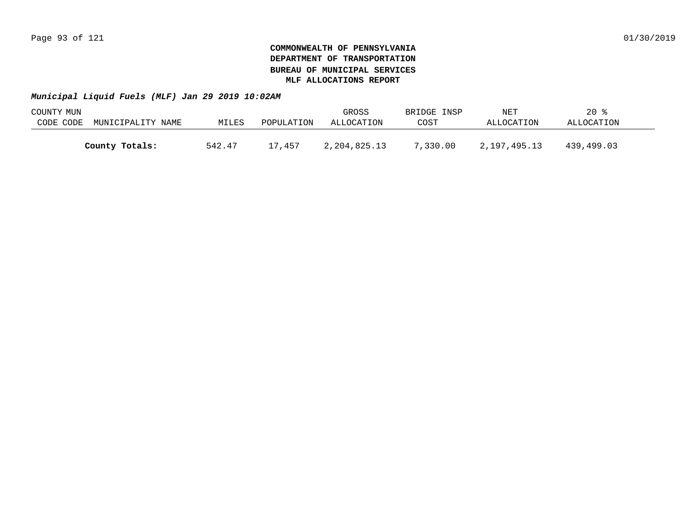| COUNTY MUN |                   |        |            | GROSS        | BRIDGE INSP | NET          | 20 %       |  |
|------------|-------------------|--------|------------|--------------|-------------|--------------|------------|--|
| CODE CODE  | MUNICIPALITY NAME | MILES  | POPULATION | ALLOCATION   | COST        | ALLOCATION   | ALLOCATION |  |
|            |                   |        |            |              |             |              |            |  |
|            | County Totals:    | 542.47 | 17,457     | 2,204,825.13 | 7,330.00    | 2,197,495.13 | 439,499.03 |  |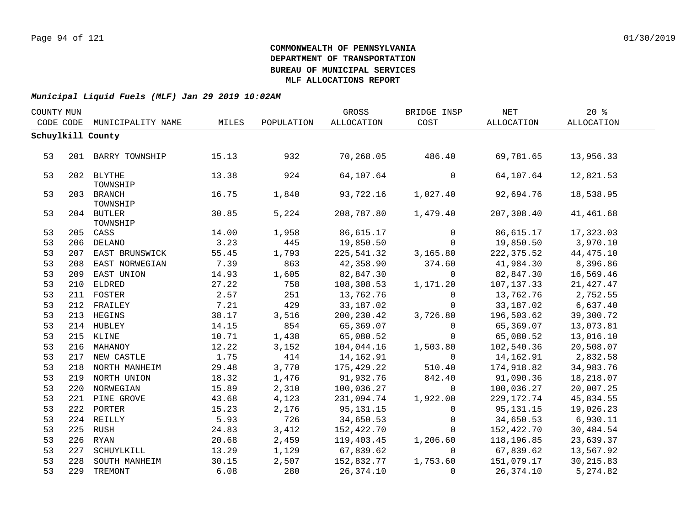| COUNTY MUN |     |                        |       |            | GROSS      | BRIDGE INSP    | NET          | 20%        |  |
|------------|-----|------------------------|-------|------------|------------|----------------|--------------|------------|--|
| CODE CODE  |     | MUNICIPALITY NAME      | MILES | POPULATION | ALLOCATION | COST           | ALLOCATION   | ALLOCATION |  |
|            |     | Schuylkill County      |       |            |            |                |              |            |  |
|            |     |                        |       |            |            |                |              |            |  |
| 53         |     | 201 BARRY TOWNSHIP     | 15.13 | 932        | 70,268.05  | 486.40         | 69,781.65    | 13,956.33  |  |
|            |     |                        |       |            |            |                |              |            |  |
| 53         |     | 202 BLYTHE             | 13.38 | 924        | 64,107.64  | 0              | 64,107.64    | 12,821.53  |  |
|            |     | TOWNSHIP               |       |            |            | 1,027.40       |              |            |  |
| 53         |     | 203 BRANCH<br>TOWNSHIP | 16.75 | 1,840      | 93,722.16  |                | 92,694.76    | 18,538.95  |  |
| 53         |     | 204 BUTLER             | 30.85 | 5,224      | 208,787.80 | 1,479.40       | 207,308.40   | 41,461.68  |  |
|            |     | TOWNSHIP               |       |            |            |                |              |            |  |
| 53         |     | 205 CASS               | 14.00 | 1,958      | 86,615.17  | $\Omega$       | 86,615.17    | 17,323.03  |  |
| 53         |     | 206 DELANO             | 3.23  | 445        | 19,850.50  | $\overline{0}$ | 19,850.50    | 3,970.10   |  |
| 53         |     | 207 EAST BRUNSWICK     | 55.45 | 1,793      | 225,541.32 | 3,165.80       | 222,375.52   | 44,475.10  |  |
| 53         |     | 208 EAST NORWEGIAN     | 7.39  | 863        | 42,358.90  | 374.60         | 41,984.30    | 8,396.86   |  |
| 53         |     | 209 EAST UNION         | 14.93 | 1,605      | 82,847.30  | $\overline{0}$ | 82,847.30    | 16,569.46  |  |
| 53         |     | 210 ELDRED             | 27.22 | 758        | 108,308.53 | 1,171.20       | 107,137.33   | 21, 427.47 |  |
| 53         |     | 211 FOSTER             | 2.57  | 251        | 13,762.76  | $\mathbf 0$    | 13,762.76    | 2,752.55   |  |
| 53         |     | 212 FRAILEY            | 7.21  | 429        | 33,187.02  | $\overline{0}$ | 33,187.02    | 6,637.40   |  |
| 53         |     | 213 HEGINS             | 38.17 | 3,516      | 200,230.42 | 3,726.80       | 196,503.62   | 39,300.72  |  |
| 53         |     | 214 HUBLEY             | 14.15 | 854        | 65,369.07  | $\Omega$       | 65,369.07    | 13,073.81  |  |
| 53         |     | 215 KLINE              | 10.71 | 1,438      | 65,080.52  | $\mathbf 0$    | 65,080.52    | 13,016.10  |  |
| 53         |     | 216 MAHANOY            | 12.22 | 3,152      | 104,044.16 | 1,503.80       | 102,540.36   | 20,508.07  |  |
| 53         |     | 217 NEW CASTLE         | 1.75  | 414        | 14,162.91  | $\mathbf 0$    | 14,162.91    | 2,832.58   |  |
| 53         |     | 218 NORTH MANHEIM      | 29.48 | 3,770      | 175,429.22 | 510.40         | 174,918.82   | 34,983.76  |  |
| 53         |     | 219 NORTH UNION        | 18.32 | 1,476      | 91,932.76  | 842.40         | 91,090.36    | 18,218.07  |  |
| 53         |     | 220 NORWEGIAN          | 15.89 | 2,310      | 100,036.27 | $\overline{0}$ | 100,036.27   | 20,007.25  |  |
| 53         |     | 221 PINE GROVE         | 43.68 | 4,123      | 231,094.74 | 1,922.00       | 229, 172. 74 | 45,834.55  |  |
| 53         |     | 222 PORTER             | 15.23 | 2,176      | 95,131.15  | $\mathbf 0$    | 95, 131. 15  | 19,026.23  |  |
| 53         |     | 224 REILLY             | 5.93  | 726        | 34,650.53  | $\mathsf{O}$   | 34,650.53    | 6,930.11   |  |
| 53         |     | 225 RUSH               | 24.83 | 3,412      | 152,422.70 | $\Omega$       | 152,422.70   | 30,484.54  |  |
| 53         |     | 226 RYAN               | 20.68 | 2,459      | 119,403.45 | 1,206.60       | 118,196.85   | 23,639.37  |  |
| 53         | 227 | SCHUYLKILL             | 13.29 | 1,129      | 67,839.62  | $\Omega$       | 67,839.62    | 13,567.92  |  |
| 53         | 228 | SOUTH MANHEIM          | 30.15 | 2,507      | 152,832.77 | 1,753.60       | 151,079.17   | 30, 215.83 |  |
| 53         |     | 229 TREMONT            | 6.08  | 280        | 26, 374.10 | $\Omega$       | 26,374.10    | 5,274.82   |  |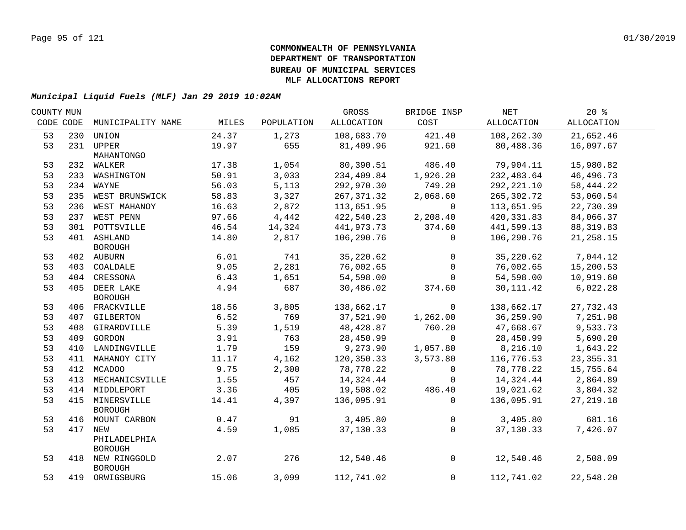| COUNTY MUN |     |                    |       |            | GROSS      | BRIDGE INSP    | NET         | $20*$       |  |
|------------|-----|--------------------|-------|------------|------------|----------------|-------------|-------------|--|
| CODE CODE  |     | MUNICIPALITY NAME  | MILES | POPULATION | ALLOCATION | COST           | ALLOCATION  | ALLOCATION  |  |
| 53         | 230 | UNION              | 24.37 | 1,273      | 108,683.70 | 421.40         | 108,262.30  | 21,652.46   |  |
| 53         |     | 231 UPPER          | 19.97 | 655        | 81,409.96  | 921.60         | 80,488.36   | 16,097.67   |  |
|            |     | MAHANTONGO         |       |            |            |                |             |             |  |
| 53         |     | 232 WALKER         | 17.38 | 1,054      | 80,390.51  | 486.40         | 79,904.11   | 15,980.82   |  |
| 53         |     | 233 WASHINGTON     | 50.91 | 3,033      | 234,409.84 | 1,926.20       | 232,483.64  | 46,496.73   |  |
| 53         |     | 234 WAYNE          | 56.03 | 5,113      | 292,970.30 | 749.20         | 292, 221.10 | 58,444.22   |  |
| 53         |     | 235 WEST BRUNSWICK | 58.83 | 3,327      | 267,371.32 | 2,068.60       | 265,302.72  | 53,060.54   |  |
| 53         |     | 236 WEST MAHANOY   | 16.63 | 2,872      | 113,651.95 | $\overline{0}$ | 113,651.95  | 22,730.39   |  |
| 53         |     | 237 WEST PENN      | 97.66 | 4,442      | 422,540.23 | 2,208.40       | 420,331.83  | 84,066.37   |  |
| 53         |     | 301 POTTSVILLE     | 46.54 | 14,324     | 441,973.73 | 374.60         | 441,599.13  | 88,319.83   |  |
| 53         |     | 401 ASHLAND        | 14.80 | 2,817      | 106,290.76 | $\overline{0}$ | 106,290.76  | 21,258.15   |  |
|            |     | BOROUGH            |       |            |            |                |             |             |  |
| 53         |     | 402 AUBURN         | 6.01  | 741        | 35,220.62  | $\overline{0}$ | 35,220.62   | 7,044.12    |  |
| 53         |     | 403 COALDALE       | 9.05  | 2,281      | 76,002.65  | $\overline{0}$ | 76,002.65   | 15,200.53   |  |
| 53         |     | 404 CRESSONA       | 6.43  | 1,651      | 54,598.00  | $\mathbf 0$    | 54,598.00   | 10,919.60   |  |
| 53         |     | 405 DEER LAKE      | 4.94  | 687        | 30,486.02  | 374.60         | 30,111.42   | 6,022.28    |  |
|            |     | <b>BOROUGH</b>     |       |            |            |                |             |             |  |
| 53         |     | 406 FRACKVILLE     | 18.56 | 3,805      | 138,662.17 | $\overline{0}$ | 138,662.17  | 27,732.43   |  |
| 53         |     | 407 GILBERTON      | 6.52  | 769        | 37,521.90  | 1,262.00       | 36,259.90   | 7,251.98    |  |
| 53         |     | 408 GIRARDVILLE    | 5.39  | 1,519      | 48,428.87  | 760.20         | 47,668.67   | 9,533.73    |  |
| 53         |     | 409 GORDON         | 3.91  | 763        | 28,450.99  | $\overline{0}$ | 28,450.99   | 5,690.20    |  |
| 53         |     | 410 LANDINGVILLE   | 1.79  | 159        | 9,273.90   | 1,057.80       | 8,216.10    | 1,643.22    |  |
| 53         |     | 411 MAHANOY CITY   | 11.17 | 4,162      | 120,350.33 | 3,573.80       | 116,776.53  | 23, 355. 31 |  |
| 53         |     | 412 MCADOO         | 9.75  | 2,300      | 78,778.22  | $\overline{0}$ | 78,778.22   | 15,755.64   |  |
| 53         | 413 | MECHANICSVILLE     | 1.55  | 457        | 14,324.44  | $\overline{0}$ | 14,324.44   | 2,864.89    |  |
| 53         |     | 414 MIDDLEPORT     | 3.36  | 405        | 19,508.02  | 486.40         | 19,021.62   | 3,804.32    |  |
| 53         | 415 | MINERSVILLE        | 14.41 | 4,397      | 136,095.91 | $\Omega$       | 136,095.91  | 27, 219.18  |  |
|            |     | <b>BOROUGH</b>     |       |            |            |                |             |             |  |
| 53         | 416 | MOUNT CARBON       | 0.47  | 91         | 3,405.80   | $\overline{0}$ | 3,405.80    | 681.16      |  |
| 53         | 417 | NEW                | 4.59  | 1,085      | 37,130.33  | $\Omega$       | 37,130.33   | 7,426.07    |  |
|            |     | PHILADELPHIA       |       |            |            |                |             |             |  |
|            |     | <b>BOROUGH</b>     |       |            |            |                |             |             |  |
| 53         |     | 418 NEW RINGGOLD   | 2.07  | 276        | 12,540.46  | $\overline{0}$ | 12,540.46   | 2,508.09    |  |
|            |     | <b>BOROUGH</b>     |       |            |            |                |             |             |  |
| 53         |     | 419 ORWIGSBURG     | 15.06 | 3,099      | 112,741.02 | 0              | 112,741.02  | 22,548.20   |  |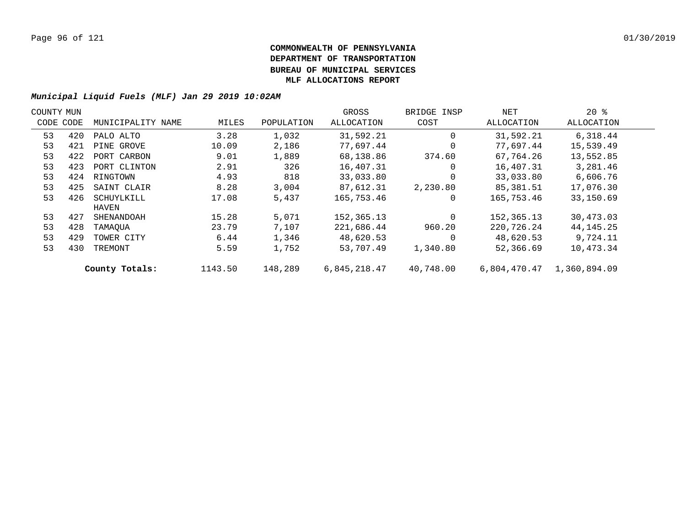| COUNTY MUN |     |                   |         |            | GROSS        | BRIDGE INSP | NET          | $20*$        |  |
|------------|-----|-------------------|---------|------------|--------------|-------------|--------------|--------------|--|
| CODE CODE  |     | MUNICIPALITY NAME | MILES   | POPULATION | ALLOCATION   | COST        | ALLOCATION   | ALLOCATION   |  |
| 53         | 420 | PALO ALTO         | 3.28    | 1,032      | 31,592.21    | $\Omega$    | 31,592.21    | 6,318.44     |  |
| 53         | 421 | PINE GROVE        | 10.09   | 2,186      | 77,697.44    | $\Omega$    | 77,697.44    | 15,539.49    |  |
| 53         | 422 | PORT CARBON       | 9.01    | 1,889      | 68,138.86    | 374.60      | 67,764.26    | 13,552.85    |  |
| 53         | 423 | PORT CLINTON      | 2.91    | 326        | 16,407.31    | $\Omega$    | 16,407.31    | 3,281.46     |  |
| 53         | 424 | RINGTOWN          | 4.93    | 818        | 33,033.80    | $\Omega$    | 33,033.80    | 6,606.76     |  |
| 53         | 425 | SAINT CLAIR       | 8.28    | 3,004      | 87,612.31    | 2,230.80    | 85,381.51    | 17,076.30    |  |
| 53         | 426 | SCHUYLKILL        | 17.08   | 5,437      | 165,753.46   | $\Omega$    | 165,753.46   | 33,150.69    |  |
|            |     | HAVEN             |         |            |              |             |              |              |  |
| 53         | 427 | SHENANDOAH        | 15.28   | 5,071      | 152,365.13   | $\Omega$    | 152,365.13   | 30,473.03    |  |
| 53         | 428 | TAMAOUA           | 23.79   | 7,107      | 221,686.44   | 960.20      | 220,726.24   | 44, 145. 25  |  |
| 53         | 429 | TOWER CITY        | 6.44    | 1,346      | 48,620.53    | $\Omega$    | 48,620.53    | 9,724.11     |  |
| 53         | 430 | TREMONT           | 5.59    | 1,752      | 53,707.49    | 1,340.80    | 52,366.69    | 10,473.34    |  |
|            |     | County Totals:    | 1143.50 | 148,289    | 6,845,218.47 | 40,748.00   | 6,804,470.47 | 1,360,894.09 |  |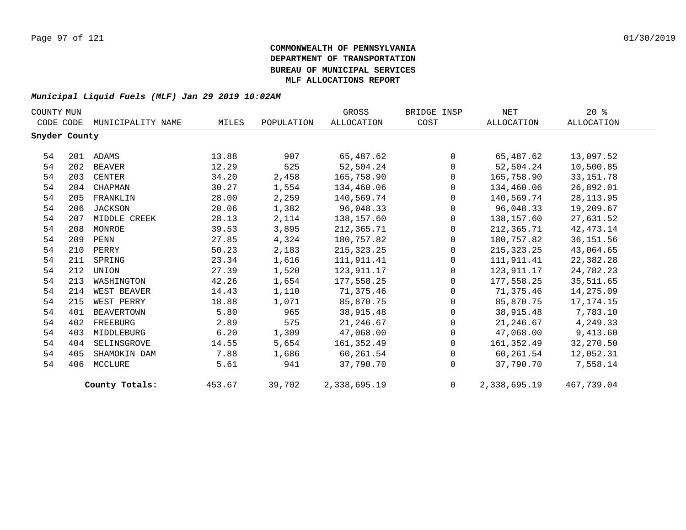| COUNTY MUN    |     |                   |        |            | GROSS        | BRIDGE INSP  | NET          | $20*$       |
|---------------|-----|-------------------|--------|------------|--------------|--------------|--------------|-------------|
| CODE CODE     |     | MUNICIPALITY NAME | MILES  | POPULATION | ALLOCATION   | COST         | ALLOCATION   | ALLOCATION  |
| Snyder County |     |                   |        |            |              |              |              |             |
| 54            |     | 201 ADAMS         | 13.88  | 907        | 65,487.62    | $\Omega$     | 65,487.62    | 13,097.52   |
| 54            | 202 | BEAVER            | 12.29  | 525        | 52,504.24    | $\mathbf 0$  | 52,504.24    | 10,500.85   |
| 54            | 203 | CENTER            | 34.20  | 2,458      | 165,758.90   | $\Omega$     | 165,758.90   | 33, 151. 78 |
| 54            | 204 | CHAPMAN           | 30.27  | 1,554      | 134,460.06   | $\Omega$     | 134,460.06   | 26,892.01   |
| 54            | 205 | FRANKLIN          | 28.00  | 2,259      | 140,569.74   | $\Omega$     | 140,569.74   | 28, 113.95  |
| 54            | 206 | JACKSON           | 20.06  | 1,382      | 96,048.33    | $\Omega$     | 96,048.33    | 19,209.67   |
| 54            | 207 | MIDDLE CREEK      | 28.13  | 2,114      | 138,157.60   | $\mathbf{0}$ | 138,157.60   | 27,631.52   |
| 54            | 208 | MONROE            | 39.53  | 3,895      | 212,365.71   | $\Omega$     | 212,365.71   | 42, 473. 14 |
| 54            | 209 | PENN              | 27.85  | 4,324      | 180,757.82   | $\Omega$     | 180,757.82   | 36, 151.56  |
| 54            | 210 | PERRY             | 50.23  | 2,183      | 215,323.25   | $\mathbf{0}$ | 215,323.25   | 43,064.65   |
| 54            | 211 | SPRING            | 23.34  | 1,616      | 111,911.41   | $\Omega$     | 111,911.41   | 22,382.28   |
| 54            | 212 | UNION             | 27.39  | 1,520      | 123,911.17   | $\Omega$     | 123,911.17   | 24,782.23   |
| 54            | 213 | WASHINGTON        | 42.26  | 1,654      | 177,558.25   | $\Omega$     | 177,558.25   | 35,511.65   |
| 54            | 214 | WEST BEAVER       | 14.43  | 1,110      | 71,375.46    | $\Omega$     | 71,375.46    | 14,275.09   |
| 54            | 215 | WEST PERRY        | 18.88  | 1,071      | 85,870.75    | $\mathbf 0$  | 85,870.75    | 17,174.15   |
| 54            | 401 | BEAVERTOWN        | 5.80   | 965        | 38,915.48    | $\Omega$     | 38,915.48    | 7,783.10    |
| 54            | 402 | FREEBURG          | 2.89   | 575        | 21,246.67    | $\Omega$     | 21,246.67    | 4,249.33    |
| 54            | 403 | MIDDLEBURG        | 6.20   | 1,309      | 47,068.00    | $\mathbf 0$  | 47,068.00    | 9,413.60    |
| 54            | 404 | SELINSGROVE       | 14.55  | 5,654      | 161,352.49   | $\Omega$     | 161,352.49   | 32,270.50   |
| 54            | 405 | SHAMOKIN DAM      | 7.88   | 1,686      | 60,261.54    | $\Omega$     | 60,261.54    | 12,052.31   |
| 54            | 406 | MCCLURE           | 5.61   | 941        | 37,790.70    | $\Omega$     | 37,790.70    | 7,558.14    |
|               |     | County Totals:    | 453.67 | 39,702     | 2,338,695.19 | $\Omega$     | 2,338,695.19 | 467,739.04  |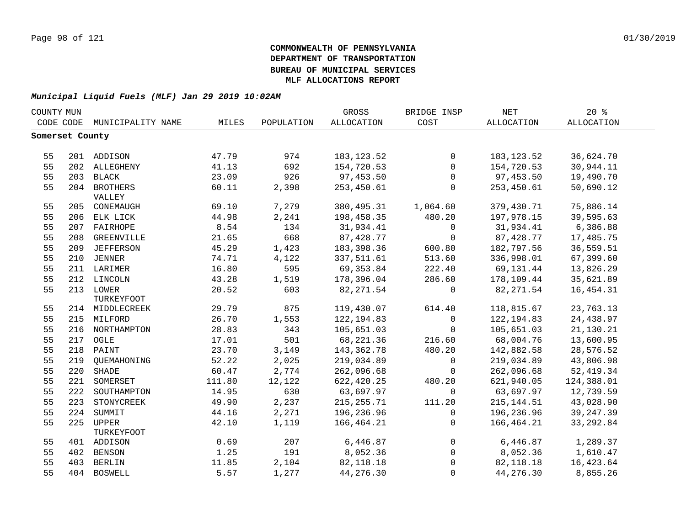| COUNTY MUN |                 |                        |        |            | GROSS        | BRIDGE INSP  | <b>NET</b>  | $20*$             |  |
|------------|-----------------|------------------------|--------|------------|--------------|--------------|-------------|-------------------|--|
|            | CODE CODE       | MUNICIPALITY NAME      | MILES  | POPULATION | ALLOCATION   | COST         | ALLOCATION  | <b>ALLOCATION</b> |  |
|            | Somerset County |                        |        |            |              |              |             |                   |  |
|            |                 |                        |        |            |              |              |             |                   |  |
| 55         |                 | 201 ADDISON            | 47.79  | 974        | 183, 123.52  | $\mathbf 0$  | 183, 123.52 | 36,624.70         |  |
| 55         |                 | 202 ALLEGHENY          | 41.13  | 692        | 154,720.53   | $\mathbf{0}$ | 154,720.53  | 30,944.11         |  |
| 55         |                 | 203 BLACK              | 23.09  | 926        | 97,453.50    | $\mathbf 0$  | 97,453.50   | 19,490.70         |  |
| 55         |                 | 204 BROTHERS<br>VALLEY | 60.11  | 2,398      | 253,450.61   | $\Omega$     | 253,450.61  | 50,690.12         |  |
| 55         |                 | 205 CONEMAUGH          | 69.10  | 7,279      | 380,495.31   | 1,064.60     | 379,430.71  | 75,886.14         |  |
| 55         |                 | 206 ELK LICK           | 44.98  | 2,241      | 198,458.35   | 480.20       | 197,978.15  | 39,595.63         |  |
| 55         |                 | 207 FAIRHOPE           | 8.54   | 134        | 31,934.41    | $\mathbf 0$  | 31,934.41   | 6,386.88          |  |
| 55         | 208             | GREENVILLE             | 21.65  | 668        | 87,428.77    | $\mathbf 0$  | 87,428.77   | 17,485.75         |  |
| 55         | 209             | <b>JEFFERSON</b>       | 45.29  | 1,423      | 183,398.36   | 600.80       | 182,797.56  | 36,559.51         |  |
| 55         | 210             | <b>JENNER</b>          | 74.71  | 4,122      | 337,511.61   | 513.60       | 336,998.01  | 67,399.60         |  |
| 55         |                 | 211 LARIMER            | 16.80  | 595        | 69,353.84    | 222.40       | 69,131.44   | 13,826.29         |  |
| 55         |                 | 212 LINCOLN            | 43.28  | 1,519      | 178,396.04   | 286.60       | 178,109.44  | 35,621.89         |  |
| 55         |                 | 213 LOWER              | 20.52  | 603        | 82, 271.54   | $\mathbf 0$  | 82, 271.54  | 16, 454.31        |  |
|            |                 | TURKEYFOOT             |        |            |              |              |             |                   |  |
| 55         |                 | 214 MIDDLECREEK        | 29.79  | 875        | 119,430.07   | 614.40       | 118,815.67  | 23,763.13         |  |
| 55         |                 | 215 MILFORD            | 26.70  | 1,553      | 122, 194.83  | $\Omega$     | 122, 194.83 | 24,438.97         |  |
| 55         |                 | 216 NORTHAMPTON        | 28.83  | 343        | 105,651.03   | $\Omega$     | 105,651.03  | 21,130.21         |  |
| 55         | 217             | OGLE                   | 17.01  | 501        | 68, 221.36   | 216.60       | 68,004.76   | 13,600.95         |  |
| 55         |                 | 218 PAINT              | 23.70  | 3,149      | 143,362.78   | 480.20       | 142,882.58  | 28,576.52         |  |
| 55         | 219             | QUEMAHONING            | 52.22  | 2,025      | 219,034.89   | $\mathbf 0$  | 219,034.89  | 43,806.98         |  |
| 55         | 220             | SHADE                  | 60.47  | 2,774      | 262,096.68   | $\mathbf 0$  | 262,096.68  | 52, 419.34        |  |
| 55         | 221             | SOMERSET               | 111.80 | 12,122     | 622,420.25   | 480.20       | 621,940.05  | 124,388.01        |  |
| 55         | 222             | SOUTHAMPTON            | 14.95  | 630        | 63,697.97    | $\Omega$     | 63,697.97   | 12,739.59         |  |
| 55         | 223             | STONYCREEK             | 49.90  | 2,237      | 215, 255. 71 | 111.20       | 215, 144.51 | 43,028.90         |  |
| 55         | 224             | SUMMIT                 | 44.16  | 2,271      | 196,236.96   | $\mathbf 0$  | 196,236.96  | 39, 247.39        |  |
| 55         | 225             | <b>UPPER</b>           | 42.10  | 1,119      | 166,464.21   | $\mathbf 0$  | 166,464.21  | 33, 292.84        |  |
|            |                 | TURKEYFOOT             |        |            |              |              |             |                   |  |
| 55         |                 | 401 ADDISON            | 0.69   | 207        | 6,446.87     | $\mathbf 0$  | 6,446.87    | 1,289.37          |  |
| 55         | 402             | BENSON                 | 1.25   | 191        | 8,052.36     | $\mathbf 0$  | 8,052.36    | 1,610.47          |  |
| 55         | 403             | <b>BERLIN</b>          | 11.85  | 2,104      | 82, 118.18   | $\Omega$     | 82,118.18   | 16,423.64         |  |
| 55         |                 | 404 BOSWELL            | 5.57   | 1,277      | 44,276.30    | $\Omega$     | 44,276.30   | 8,855.26          |  |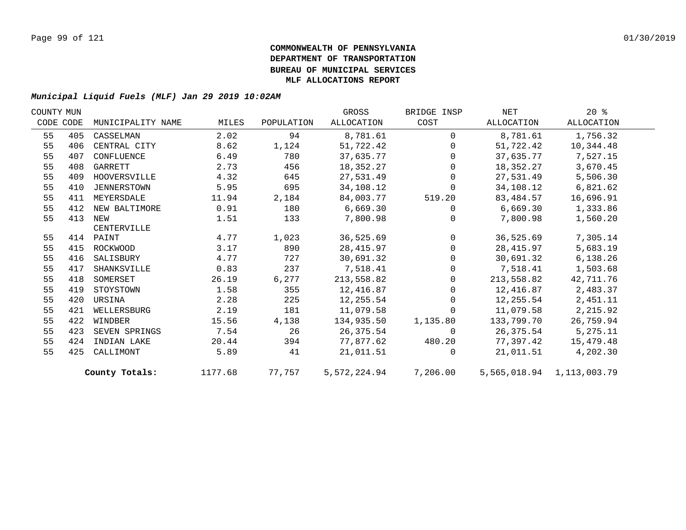| COUNTY MUN |           |                    |         |            | GROSS        | BRIDGE INSP  | NET        | $20*$                     |  |
|------------|-----------|--------------------|---------|------------|--------------|--------------|------------|---------------------------|--|
|            | CODE CODE | MUNICIPALITY NAME  | MILES   | POPULATION | ALLOCATION   | COST         | ALLOCATION | ALLOCATION                |  |
| 55         | 405       | CASSELMAN          | 2.02    | 94         | 8,781.61     | $\Omega$     | 8,781.61   | 1,756.32                  |  |
| 55         | 406       | CENTRAL CITY       | 8.62    | 1,124      | 51,722.42    | $\Omega$     | 51,722.42  | 10,344.48                 |  |
| 55         | 407       | CONFLUENCE         | 6.49    | 780        | 37,635.77    | $\Omega$     | 37,635.77  | 7,527.15                  |  |
| 55         | 408       | GARRETT            | 2.73    | 456        | 18,352.27    | $\Omega$     | 18,352.27  | 3,670.45                  |  |
| 55         | 409       | HOOVERSVILLE       | 4.32    | 645        | 27,531.49    | $\mathbf 0$  | 27,531.49  | 5,506.30                  |  |
| 55         | 410       | <b>JENNERSTOWN</b> | 5.95    | 695        | 34,108.12    | $\mathbf 0$  | 34,108.12  | 6,821.62                  |  |
| 55         | 411       | MEYERSDALE         | 11.94   | 2,184      | 84,003.77    | 519.20       | 83,484.57  | 16,696.91                 |  |
| 55         | 412       | NEW BALTIMORE      | 0.91    | 180        | 6,669.30     | $\mathbf 0$  | 6,669.30   | 1,333.86                  |  |
| 55         | 413       | NEW                | 1.51    | 133        | 7,800.98     | $\Omega$     | 7,800.98   | 1,560.20                  |  |
|            |           | CENTERVILLE        |         |            |              |              |            |                           |  |
| 55         |           | 414 PAINT          | 4.77    | 1,023      | 36,525.69    | $\mathbf{0}$ | 36,525.69  | 7,305.14                  |  |
| 55         | 415       | ROCKWOOD           | 3.17    | 890        | 28, 415.97   | $\mathbf 0$  | 28,415.97  | 5,683.19                  |  |
| 55         | 416       | SALISBURY          | 4.77    | 727        | 30,691.32    | $\Omega$     | 30,691.32  | 6, 138.26                 |  |
| 55         | 417       | SHANKSVILLE        | 0.83    | 237        | 7,518.41     | $\Omega$     | 7,518.41   | 1,503.68                  |  |
| 55         | 418       | SOMERSET           | 26.19   | 6,277      | 213,558.82   | $\Omega$     | 213,558.82 | 42,711.76                 |  |
| 55         | 419       | STOYSTOWN          | 1.58    | 355        | 12,416.87    | $\mathbf 0$  | 12,416.87  | 2,483.37                  |  |
| 55         | 420       | URSINA             | 2.28    | 225        | 12,255.54    | $\mathbf 0$  | 12,255.54  | 2,451.11                  |  |
| 55         | 421       | WELLERSBURG        | 2.19    | 181        | 11,079.58    | $\mathbf 0$  | 11,079.58  | 2,215.92                  |  |
| 55         | 422       | WINDBER            | 15.56   | 4,138      | 134,935.50   | 1,135.80     | 133,799.70 | 26,759.94                 |  |
| 55         | 423       | SEVEN SPRINGS      | 7.54    | 26         | 26,375.54    | $\Omega$     | 26,375.54  | 5,275.11                  |  |
| 55         | 424       | INDIAN LAKE        | 20.44   | 394        | 77,877.62    | 480.20       | 77,397.42  | 15,479.48                 |  |
| 55         | 425       | CALLIMONT          | 5.89    | 41         | 21,011.51    | $\Omega$     | 21,011.51  | 4,202.30                  |  |
|            |           | County Totals:     | 1177.68 | 77,757     | 5,572,224.94 | 7,206.00     |            | 5,565,018.94 1,113,003.79 |  |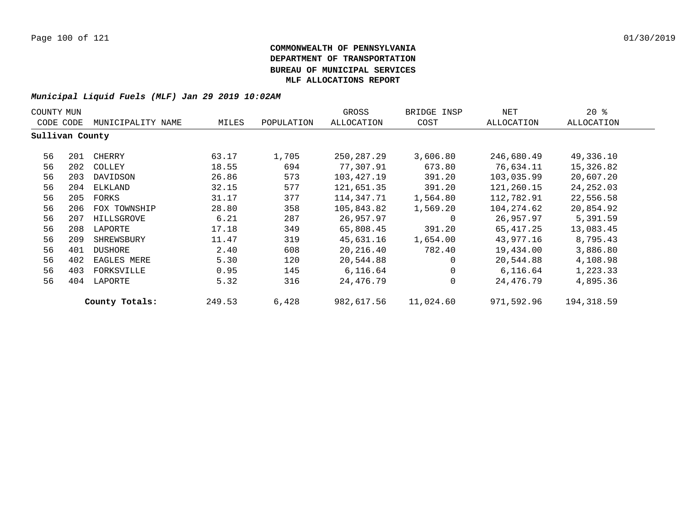| COUNTY MUN      |     |                   |        |            | GROSS        | BRIDGE INSP  | NET        | $20*$      |
|-----------------|-----|-------------------|--------|------------|--------------|--------------|------------|------------|
| CODE CODE       |     | MUNICIPALITY NAME | MILES  | POPULATION | ALLOCATION   | COST         | ALLOCATION | ALLOCATION |
| Sullivan County |     |                   |        |            |              |              |            |            |
| 56              | 201 | CHERRY            | 63.17  | 1,705      | 250, 287. 29 | 3,606.80     | 246,680.49 | 49,336.10  |
| 56              | 202 | COLLEY            | 18.55  | 694        | 77,307.91    | 673.80       | 76,634.11  | 15,326.82  |
| 56              | 203 | DAVIDSON          | 26.86  | 573        | 103,427.19   | 391.20       | 103,035.99 | 20,607.20  |
| 56              | 204 | ELKLAND           | 32.15  | 577        | 121,651.35   | 391.20       | 121,260.15 | 24, 252.03 |
| 56              | 205 | FORKS             | 31.17  | 377        | 114,347.71   | 1,564.80     | 112,782.91 | 22,556.58  |
| 56              | 206 | FOX TOWNSHIP      | 28.80  | 358        | 105,843.82   | 1,569.20     | 104,274.62 | 20,854.92  |
| 56              | 207 | HILLSGROVE        | 6.21   | 287        | 26,957.97    | 0            | 26,957.97  | 5,391.59   |
| 56              | 208 | LAPORTE           | 17.18  | 349        | 65,808.45    | 391.20       | 65,417.25  | 13,083.45  |
| 56              | 209 | SHREWSBURY        | 11.47  | 319        | 45,631.16    | 1,654.00     | 43,977.16  | 8,795.43   |
| 56              | 401 | <b>DUSHORE</b>    | 2.40   | 608        | 20,216.40    | 782.40       | 19,434.00  | 3,886.80   |
| 56              | 402 | EAGLES MERE       | 5.30   | 120        | 20,544.88    | 0            | 20,544.88  | 4,108.98   |
| 56              | 403 | FORKSVILLE        | 0.95   | 145        | 6,116.64     | $\mathbf{0}$ | 6,116.64   | 1,223.33   |
| 56              | 404 | LAPORTE           | 5.32   | 316        | 24,476.79    | $\mathbf{0}$ | 24,476.79  | 4,895.36   |
|                 |     | County Totals:    | 249.53 | 6,428      | 982,617.56   | 11,024.60    | 971,592.96 | 194,318.59 |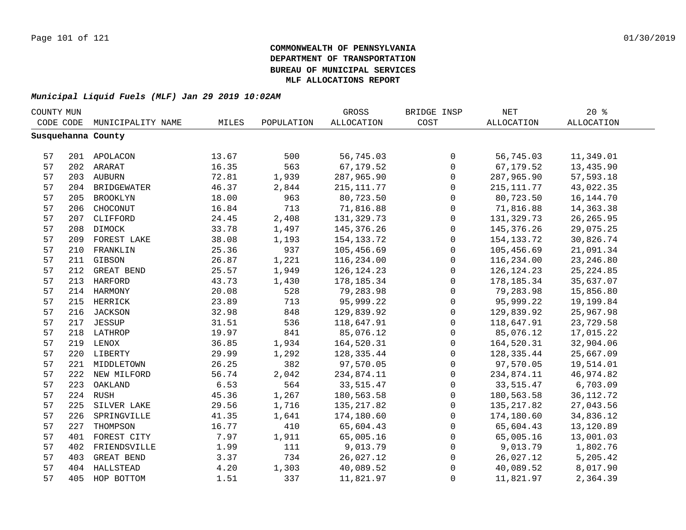| COUNTY MUN |     |                    |       |            | GROSS        | BRIDGE INSP  | NET          | $20*$       |  |
|------------|-----|--------------------|-------|------------|--------------|--------------|--------------|-------------|--|
| CODE CODE  |     | MUNICIPALITY NAME  | MILES | POPULATION | ALLOCATION   | COST         | ALLOCATION   | ALLOCATION  |  |
|            |     | Susquehanna County |       |            |              |              |              |             |  |
|            |     |                    |       |            |              |              |              |             |  |
| 57         |     | 201 APOLACON       | 13.67 | 500        | 56,745.03    | 0            | 56,745.03    | 11,349.01   |  |
| 57         |     | 202 ARARAT         | 16.35 | 563        | 67,179.52    | $\mathsf{O}$ | 67,179.52    | 13,435.90   |  |
| 57         |     | 203 AUBURN         | 72.81 | 1,939      | 287,965.90   | $\mathsf{O}$ | 287,965.90   | 57,593.18   |  |
| 57         |     | 204 BRIDGEWATER    | 46.37 | 2,844      | 215, 111.77  | 0            | 215, 111.77  | 43,022.35   |  |
| 57         | 205 | <b>BROOKLYN</b>    | 18.00 | 963        | 80,723.50    | $\mathbf 0$  | 80,723.50    | 16, 144. 70 |  |
| 57         | 206 | CHOCONUT           | 16.84 | 713        | 71,816.88    | $\mathbf 0$  | 71,816.88    | 14,363.38   |  |
| 57         | 207 | CLIFFORD           | 24.45 | 2,408      | 131,329.73   | $\mathbf 0$  | 131,329.73   | 26, 265.95  |  |
| 57         | 208 | DIMOCK             | 33.78 | 1,497      | 145,376.26   | $\mathbf 0$  | 145,376.26   | 29,075.25   |  |
| 57         | 209 | FOREST LAKE        | 38.08 | 1,193      | 154, 133. 72 | $\mathbf 0$  | 154,133.72   | 30,826.74   |  |
| 57         | 210 | FRANKLIN           | 25.36 | 937        | 105,456.69   | 0            | 105,456.69   | 21,091.34   |  |
| 57         | 211 | GIBSON             | 26.87 | 1,221      | 116,234.00   | $\mathbf 0$  | 116,234.00   | 23, 246.80  |  |
| 57         | 212 | GREAT BEND         | 25.57 | 1,949      | 126, 124. 23 | $\mathbf 0$  | 126, 124. 23 | 25, 224.85  |  |
| 57         | 213 | <b>HARFORD</b>     | 43.73 | 1,430      | 178, 185.34  | $\mathbf 0$  | 178,185.34   | 35,637.07   |  |
| 57         |     | 214 HARMONY        | 20.08 | 528        | 79,283.98    | 0            | 79,283.98    | 15,856.80   |  |
| 57         |     | 215 HERRICK        | 23.89 | 713        | 95,999.22    | $\mathbf 0$  | 95,999.22    | 19,199.84   |  |
| 57         |     | 216 JACKSON        | 32.98 | 848        | 129,839.92   | $\mathsf 0$  | 129,839.92   | 25,967.98   |  |
| 57         |     | 217 JESSUP         | 31.51 | 536        | 118,647.91   | 0            | 118,647.91   | 23,729.58   |  |
| 57         |     | 218 LATHROP        | 19.97 | 841        | 85,076.12    | 0            | 85,076.12    | 17,015.22   |  |
| 57         |     | 219 LENOX          | 36.85 | 1,934      | 164,520.31   | 0            | 164,520.31   | 32,904.06   |  |
| 57         |     | 220 LIBERTY        | 29.99 | 1,292      | 128,335.44   | $\mathbf 0$  | 128,335.44   | 25,667.09   |  |
| 57         |     | 221 MIDDLETOWN     | 26.25 | 382        | 97,570.05    | $\mathbf 0$  | 97,570.05    | 19,514.01   |  |
| 57         |     | 222 NEW MILFORD    | 56.74 | 2,042      | 234,874.11   | $\mathbf 0$  | 234,874.11   | 46,974.82   |  |
| 57         | 223 | OAKLAND            | 6.53  | 564        | 33, 515.47   | $\mathbf 0$  | 33,515.47    | 6,703.09    |  |
| 57         |     | 224 RUSH           | 45.36 | 1,267      | 180,563.58   | $\mathbf 0$  | 180,563.58   | 36, 112. 72 |  |
| 57         | 225 | SILVER LAKE        | 29.56 | 1,716      | 135, 217.82  | $\mathbf 0$  | 135, 217.82  | 27,043.56   |  |
| 57         | 226 | SPRINGVILLE        | 41.35 | 1,641      | 174,180.60   | $\Omega$     | 174,180.60   | 34,836.12   |  |
| 57         | 227 | THOMPSON           | 16.77 | 410        | 65,604.43    | $\mathbf 0$  | 65,604.43    | 13,120.89   |  |
| 57         | 401 | FOREST CITY        | 7.97  | 1,911      | 65,005.16    | $\mathbf 0$  | 65,005.16    | 13,001.03   |  |
| 57         | 402 | FRIENDSVILLE       | 1.99  | 111        | 9,013.79     | 0            | 9,013.79     | 1,802.76    |  |
| 57         | 403 | GREAT BEND         | 3.37  | 734        | 26,027.12    | 0            | 26,027.12    | 5,205.42    |  |
| 57         | 404 | HALLSTEAD          | 4.20  | 1,303      | 40,089.52    | $\mathsf 0$  | 40,089.52    | 8,017.90    |  |
| 57         | 405 | HOP BOTTOM         | 1.51  | 337        | 11,821.97    | $\mathbf 0$  | 11,821.97    | 2,364.39    |  |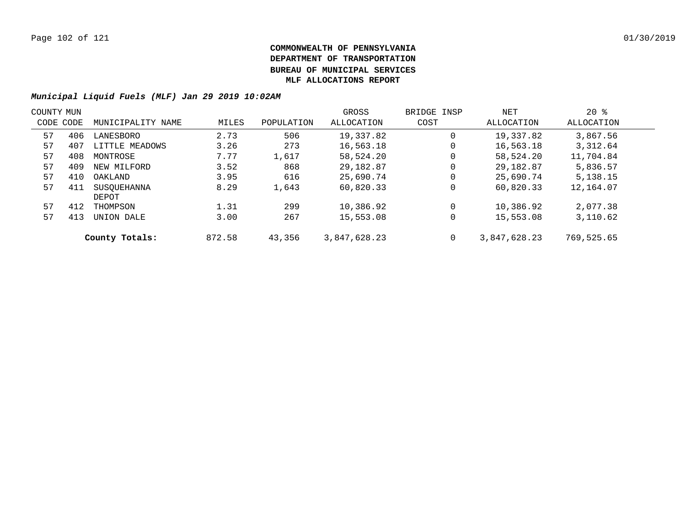| COUNTY MUN |     |                   |        |            | GROSS        | BRIDGE INSP | NET          | $20*$      |  |
|------------|-----|-------------------|--------|------------|--------------|-------------|--------------|------------|--|
| CODE CODE  |     | MUNICIPALITY NAME | MILES  | POPULATION | ALLOCATION   | COST        | ALLOCATION   | ALLOCATION |  |
| 57         | 406 | LANESBORO         | 2.73   | 506        | 19,337.82    | 0           | 19,337.82    | 3,867.56   |  |
| 57         | 407 | LITTLE MEADOWS    | 3.26   | 273        | 16,563.18    | 0           | 16,563.18    | 3,312.64   |  |
| 57         | 408 | MONTROSE          | 7.77   | 1,617      | 58,524.20    | 0           | 58,524.20    | 11,704.84  |  |
| 57         | 409 | NEW MILFORD       | 3.52   | 868        | 29,182.87    | $\mathbf 0$ | 29,182.87    | 5,836.57   |  |
| 57         | 410 | OAKLAND           | 3.95   | 616        | 25,690.74    | $\mathbf 0$ | 25,690.74    | 5,138.15   |  |
| 57         | 411 | SUSOUEHANNA       | 8.29   | 1,643      | 60,820.33    | $\mathbf 0$ | 60,820.33    | 12,164.07  |  |
|            |     | DEPOT             |        |            |              |             |              |            |  |
| 57         | 412 | THOMPSON          | 1.31   | 299        | 10,386.92    | $\Omega$    | 10,386.92    | 2,077.38   |  |
| 57         | 413 | UNION DALE        | 3.00   | 267        | 15,553.08    | $\mathbf 0$ | 15,553.08    | 3,110.62   |  |
|            |     | County Totals:    | 872.58 | 43,356     | 3,847,628.23 | $\mathbf 0$ | 3,847,628.23 | 769,525.65 |  |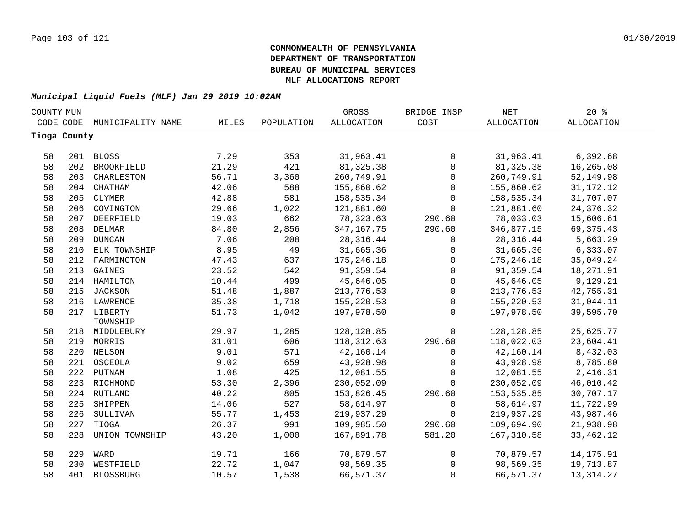| COUNTY MUN   |     |                   |       |            | <b>GROSS</b>      | BRIDGE INSP         | <b>NET</b>  | 20%               |  |
|--------------|-----|-------------------|-------|------------|-------------------|---------------------|-------------|-------------------|--|
| CODE CODE    |     | MUNICIPALITY NAME | MILES | POPULATION | <b>ALLOCATION</b> | COST                | ALLOCATION  | <b>ALLOCATION</b> |  |
| Tioga County |     |                   |       |            |                   |                     |             |                   |  |
|              |     |                   |       |            |                   |                     |             |                   |  |
| 58           |     | 201 BLOSS         | 7.29  | 353        | 31,963.41         | $\mathsf{O}$        | 31,963.41   | 6,392.68          |  |
| 58           |     | 202 BROOKFIELD    | 21.29 | 421        | 81, 325.38        | $\mathsf{O}\xspace$ | 81, 325.38  | 16,265.08         |  |
| 58           | 203 | CHARLESTON        | 56.71 | 3,360      | 260,749.91        | $\mathsf{O}$        | 260,749.91  | 52,149.98         |  |
| 58           |     | 204 CHATHAM       | 42.06 | 588        | 155,860.62        | 0                   | 155,860.62  | 31, 172. 12       |  |
| 58           | 205 | CLYMER            | 42.88 | 581        | 158,535.34        | 0                   | 158,535.34  | 31,707.07         |  |
| 58           | 206 | COVINGTON         | 29.66 | 1,022      | 121,881.60        | $\mathbf 0$         | 121,881.60  | 24, 376.32        |  |
| 58           | 207 | DEERFIELD         | 19.03 | 662        | 78,323.63         | 290.60              | 78,033.03   | 15,606.61         |  |
| 58           | 208 | DELMAR            | 84.80 | 2,856      | 347, 167. 75      | 290.60              | 346,877.15  | 69, 375. 43       |  |
| 58           | 209 | <b>DUNCAN</b>     | 7.06  | 208        | 28,316.44         | 0                   | 28,316.44   | 5,663.29          |  |
| 58           | 210 | ELK TOWNSHIP      | 8.95  | 49         | 31,665.36         | $\mathsf{O}\xspace$ | 31,665.36   | 6,333.07          |  |
| 58           | 212 | FARMINGTON        | 47.43 | 637        | 175,246.18        | $\mathsf{O}$        | 175,246.18  | 35,049.24         |  |
| 58           | 213 | GAINES            | 23.52 | 542        | 91,359.54         | $\mathsf{O}\xspace$ | 91,359.54   | 18,271.91         |  |
| 58           |     | 214 HAMILTON      | 10.44 | 499        | 45,646.05         | $\mathsf{O}\xspace$ | 45,646.05   | 9,129.21          |  |
| 58           |     | 215 JACKSON       | 51.48 | 1,887      | 213,776.53        | $\mathsf{O}$        | 213,776.53  | 42,755.31         |  |
| 58           |     | 216 LAWRENCE      | 35.38 | 1,718      | 155,220.53        | $\mathsf{O}$        | 155,220.53  | 31,044.11         |  |
| 58           |     | 217 LIBERTY       | 51.73 | 1,042      | 197,978.50        | $\mathbf 0$         | 197,978.50  | 39,595.70         |  |
|              |     | TOWNSHIP          |       |            |                   |                     |             |                   |  |
| 58           |     | 218 MIDDLEBURY    | 29.97 | 1,285      | 128, 128.85       | $\mathsf{O}$        | 128, 128.85 | 25,625.77         |  |
| 58           |     | 219 MORRIS        | 31.01 | 606        | 118, 312.63       | 290.60              | 118,022.03  | 23,604.41         |  |
| 58           |     | 220 NELSON        | 9.01  | 571        | 42,160.14         | 0                   | 42,160.14   | 8,432.03          |  |
| 58           |     | 221 OSCEOLA       | 9.02  | 659        | 43,928.98         | $\mathsf{O}$        | 43,928.98   | 8,785.80          |  |
| 58           |     | 222 PUTNAM        | 1.08  | 425        | 12,081.55         | $\mathbf 0$         | 12,081.55   | 2,416.31          |  |
| 58           |     | 223 RICHMOND      | 53.30 | 2,396      | 230,052.09        | $\mathbf 0$         | 230,052.09  | 46,010.42         |  |
| 58           |     | 224 RUTLAND       | 40.22 | 805        | 153,826.45        | 290.60              | 153,535.85  | 30,707.17         |  |
| 58           | 225 | SHIPPEN           | 14.06 | 527        | 58,614.97         | $\mathsf{O}$        | 58,614.97   | 11,722.99         |  |
| 58           | 226 | SULLIVAN          | 55.77 | 1,453      | 219,937.29        | $\mathbf 0$         | 219,937.29  | 43,987.46         |  |
| 58           | 227 | TIOGA             | 26.37 | 991        | 109,985.50        | 290.60              | 109,694.90  | 21,938.98         |  |
| 58           | 228 | UNION TOWNSHIP    | 43.20 | 1,000      | 167,891.78        | 581.20              | 167,310.58  | 33,462.12         |  |
| 58           | 229 | WARD              | 19.71 | 166        | 70,879.57         | $\mathsf{O}$        | 70,879.57   | 14, 175.91        |  |
| 58           | 230 | WESTFIELD         | 22.72 | 1,047      | 98,569.35         | $\mathbf 0$         | 98,569.35   | 19,713.87         |  |
| 58           | 401 | <b>BLOSSBURG</b>  | 10.57 | 1,538      | 66,571.37         | $\mathbf 0$         | 66,571.37   | 13, 314. 27       |  |
|              |     |                   |       |            |                   |                     |             |                   |  |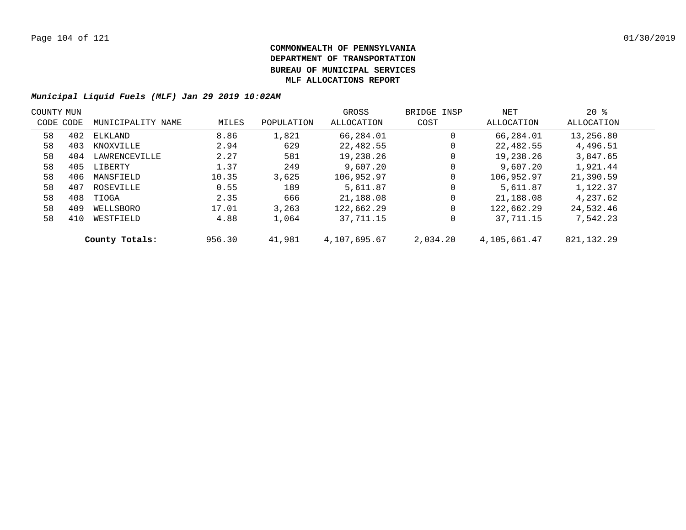| COUNTY MUN |           |                   |        |            | GROSS        | BRIDGE INSP | NET          | $20*$        |  |
|------------|-----------|-------------------|--------|------------|--------------|-------------|--------------|--------------|--|
|            | CODE CODE | MUNICIPALITY NAME | MILES  | POPULATION | ALLOCATION   | COST        | ALLOCATION   | ALLOCATION   |  |
| 58         | 402       | ELKLAND           | 8.86   | 1,821      | 66,284.01    | $\mathbf 0$ | 66,284.01    | 13,256.80    |  |
| 58         | 403       | KNOXVILLE         | 2.94   | 629        | 22,482.55    | 0           | 22,482.55    | 4,496.51     |  |
| 58         | 404       | LAWRENCEVILLE     | 2.27   | 581        | 19,238.26    | 0           | 19,238.26    | 3,847.65     |  |
| 58         | 405       | LIBERTY           | 1.37   | 249        | 9,607.20     | 0           | 9.607.20     | 1,921.44     |  |
| 58         | 406       | MANSFIELD         | 10.35  | 3.625      | 106,952.97   | 0           | 106,952.97   | 21,390.59    |  |
| 58         | 407       | ROSEVILLE         | 0.55   | 189        | 5,611.87     | 0           | 5,611.87     | 1,122.37     |  |
| 58         | 408       | TIOGA             | 2.35   | 666        | 21,188.08    | $\mathbf 0$ | 21,188.08    | 4,237.62     |  |
| 58         | 409       | WELLSBORO         | 17.01  | 3,263      | 122,662.29   | $\mathbf 0$ | 122,662.29   | 24,532.46    |  |
| 58         | 410       | WESTFIELD         | 4.88   | 1,064      | 37,711.15    | 0           | 37,711.15    | 7,542.23     |  |
|            |           | County Totals:    | 956.30 | 41,981     | 4,107,695.67 | 2,034.20    | 4,105,661.47 | 821, 132. 29 |  |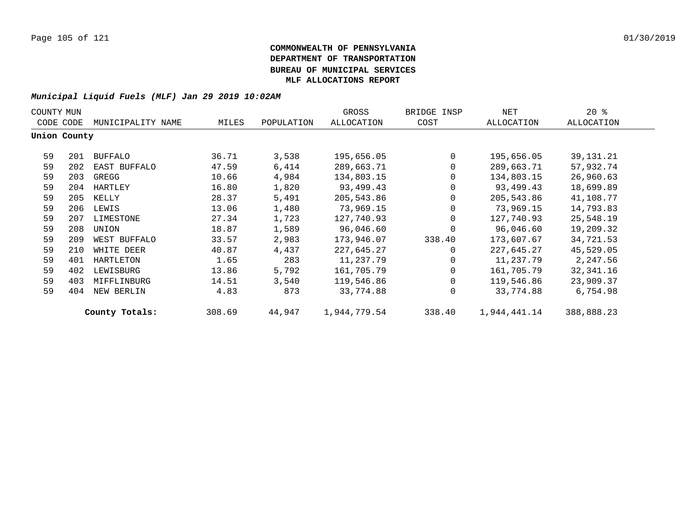| COUNTY MUN |              | NET               | $20*$  |            |              |                |              |            |
|------------|--------------|-------------------|--------|------------|--------------|----------------|--------------|------------|
|            | CODE CODE    | MUNICIPALITY NAME | MILES  | POPULATION | ALLOCATION   | COST           | ALLOCATION   | ALLOCATION |
|            | Union County |                   |        |            |              |                |              |            |
| 59         | 201          | BUFFALO           | 36.71  | 3,538      | 195,656.05   | $\Omega$       | 195,656.05   | 39,131.21  |
| 59         | 202          | EAST BUFFALO      | 47.59  | 6,414      | 289,663.71   | $\Omega$       | 289,663.71   | 57,932.74  |
| 59         | 203          | GREGG             | 10.66  | 4,984      | 134,803.15   | $\mathbf 0$    | 134,803.15   | 26,960.63  |
| 59         | 204          | HARTLEY           | 16.80  | 1,820      | 93,499.43    | $\mathbf 0$    | 93,499.43    | 18,699.89  |
| 59         | 205          | KELLY             | 28.37  | 5,491      | 205,543.86   | $\mathbf 0$    | 205,543.86   | 41,108.77  |
| 59         | 206          | LEWIS             | 13.06  | 1,480      | 73,969.15    | $\mathbf 0$    | 73,969.15    | 14,793.83  |
| 59         | 207          | LIMESTONE         | 27.34  | 1,723      | 127,740.93   | $\Omega$       | 127,740.93   | 25,548.19  |
| 59         | 208          | UNION             | 18.87  | 1,589      | 96,046.60    | $\Omega$       | 96,046.60    | 19,209.32  |
| 59         | 209          | WEST BUFFALO      | 33.57  | 2,983      | 173,946.07   | 338.40         | 173,607.67   | 34,721.53  |
| 59         | 210          | WHITE DEER        | 40.87  | 4,437      | 227,645.27   | $\Omega$       | 227,645.27   | 45,529.05  |
| 59         | 401          | HARTLETON         | 1.65   | 283        | 11,237.79    | $\Omega$       | 11,237.79    | 2,247.56   |
| 59         | 402          | LEWISBURG         | 13.86  | 5,792      | 161,705.79   | $\overline{0}$ | 161,705.79   | 32,341.16  |
| 59         | 403          | MIFFLINBURG       | 14.51  | 3,540      | 119,546.86   | $\Omega$       | 119,546.86   | 23,909.37  |
| 59         | 404          | NEW BERLIN        | 4.83   | 873        | 33,774.88    | $\Omega$       | 33,774.88    | 6,754.98   |
|            |              | County Totals:    | 308.69 | 44,947     | 1,944,779.54 | 338.40         | 1,944,441.14 | 388,888.23 |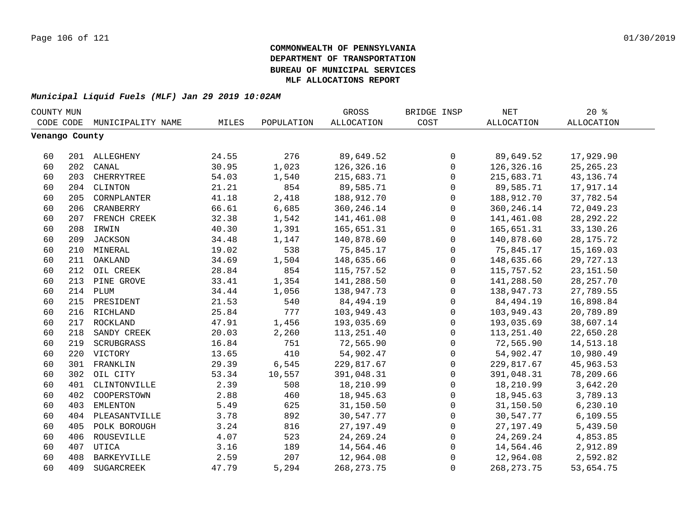| COUNTY MUN     |     |                    |       |            | GROSS             | BRIDGE INSP  | NET               | 20%               |  |
|----------------|-----|--------------------|-------|------------|-------------------|--------------|-------------------|-------------------|--|
| CODE CODE      |     | MUNICIPALITY NAME  | MILES | POPULATION | <b>ALLOCATION</b> | COST         | <b>ALLOCATION</b> | <b>ALLOCATION</b> |  |
| Venango County |     |                    |       |            |                   |              |                   |                   |  |
|                |     |                    |       |            |                   |              |                   |                   |  |
| 60             |     | 201 ALLEGHENY      | 24.55 | 276        | 89,649.52         | 0            | 89,649.52         | 17,929.90         |  |
| 60             | 202 | CANAL              | 30.95 | 1,023      | 126,326.16        | $\mathbf 0$  | 126,326.16        | 25, 265. 23       |  |
| 60             | 203 | CHERRYTREE         | 54.03 | 1,540      | 215,683.71        | $\mathbf 0$  | 215,683.71        | 43, 136. 74       |  |
| 60             | 204 | CLINTON            | 21.21 | 854        | 89,585.71         | $\mathbf 0$  | 89,585.71         | 17,917.14         |  |
| 60             | 205 | CORNPLANTER        | 41.18 | 2,418      | 188,912.70        | $\mathbf 0$  | 188,912.70        | 37,782.54         |  |
| 60             | 206 | CRANBERRY          | 66.61 | 6,685      | 360, 246. 14      | $\mathbf 0$  | 360, 246. 14      | 72,049.23         |  |
| 60             |     | 207 FRENCH CREEK   | 32.38 | 1,542      | 141,461.08        | 0            | 141,461.08        | 28, 292. 22       |  |
| 60             |     | 208 IRWIN          | 40.30 | 1,391      | 165,651.31        | 0            | 165,651.31        | 33,130.26         |  |
| 60             |     | 209 JACKSON        | 34.48 | 1,147      | 140,878.60        | 0            | 140,878.60        | 28, 175. 72       |  |
| 60             |     | 210 MINERAL        | 19.02 | 538        | 75,845.17         | 0            | 75,845.17         | 15,169.03         |  |
| 60             |     | 211 OAKLAND        | 34.69 | 1,504      | 148,635.66        | 0            | 148,635.66        | 29,727.13         |  |
| 60             | 212 | OIL CREEK          | 28.84 | 854        | 115,757.52        | 0            | 115,757.52        | 23, 151.50        |  |
| 60             | 213 | PINE GROVE         | 33.41 | 1,354      | 141,288.50        | 0            | 141,288.50        | 28, 257. 70       |  |
| 60             |     | 214 PLUM           | 34.44 | 1,056      | 138,947.73        | 0            | 138,947.73        | 27,789.55         |  |
| 60             |     | 215 PRESIDENT      | 21.53 | 540        | 84,494.19         | 0            | 84,494.19         | 16,898.84         |  |
| 60             |     | 216 RICHLAND       | 25.84 | 777        | 103,949.43        | $\mathsf 0$  | 103,949.43        | 20,789.89         |  |
| 60             | 217 | ROCKLAND           | 47.91 | 1,456      | 193,035.69        | 0            | 193,035.69        | 38,607.14         |  |
| 60             | 218 | SANDY CREEK        | 20.03 | 2,260      | 113,251.40        | 0            | 113,251.40        | 22,650.28         |  |
| 60             | 219 | SCRUBGRASS         | 16.84 | 751        | 72,565.90         | 0            | 72,565.90         | 14,513.18         |  |
| 60             | 220 | VICTORY            | 13.65 | 410        | 54,902.47         | 0            | 54,902.47         | 10,980.49         |  |
| 60             | 301 | FRANKLIN           | 29.39 | 6,545      | 229,817.67        | 0            | 229,817.67        | 45,963.53         |  |
| 60             | 302 | OIL CITY           | 53.34 | 10,557     | 391,048.31        | $\mathsf 0$  | 391,048.31        | 78,209.66         |  |
| 60             |     | 401 CLINTONVILLE   | 2.39  | 508        | 18,210.99         | $\mathsf 0$  | 18,210.99         | 3,642.20          |  |
| 60             |     | 402 COOPERSTOWN    | 2.88  | 460        | 18,945.63         | $\mathsf{O}$ | 18,945.63         | 3,789.13          |  |
| 60             | 403 | <b>EMLENTON</b>    | 5.49  | 625        | 31,150.50         | 0            | 31,150.50         | 6, 230.10         |  |
| 60             | 404 | PLEASANTVILLE      | 3.78  | 892        | 30,547.77         | 0            | 30,547.77         | 6, 109.55         |  |
| 60             | 405 | POLK BOROUGH       | 3.24  | 816        | 27, 197.49        | 0            | 27, 197.49        | 5,439.50          |  |
| 60             | 406 | ROUSEVILLE         | 4.07  | 523        | 24, 269. 24       | $\mathbf 0$  | 24, 269. 24       | 4,853.85          |  |
| 60             | 407 | UTICA              | 3.16  | 189        | 14,564.46         | 0            | 14,564.46         | 2,912.89          |  |
| 60             | 408 | <b>BARKEYVILLE</b> | 2.59  | 207        | 12,964.08         | $\mathbf 0$  | 12,964.08         | 2,592.82          |  |
| 60             | 409 | SUGARCREEK         | 47.79 | 5,294      | 268, 273. 75      | $\mathbf{0}$ | 268, 273. 75      | 53,654.75         |  |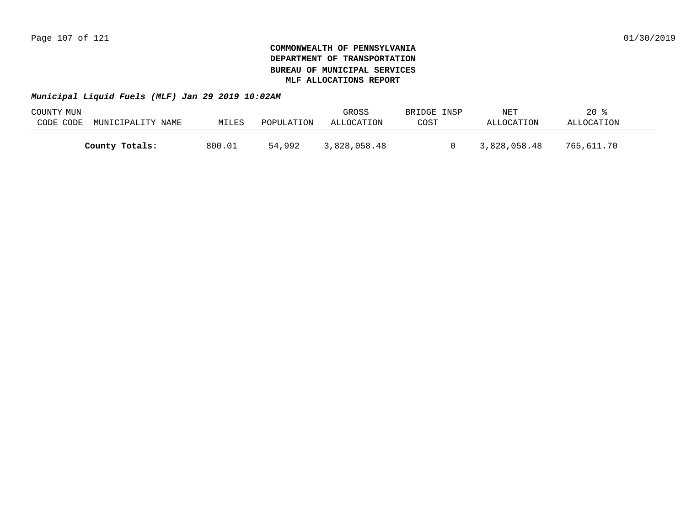| COUNTY MUN |                   |        |            | GROSS        | BRIDGE INSP | NET          | $20*$      |  |
|------------|-------------------|--------|------------|--------------|-------------|--------------|------------|--|
| CODE CODE  | MUNICIPALITY NAME | MILES  | POPULATION | ALLOCATION   | COST        | ALLOCATION   | ALLOCATION |  |
|            |                   |        |            |              |             |              |            |  |
|            | County Totals:    | 800.01 | 54,992     | 3,828,058.48 |             | 3,828,058.48 | 765,611.70 |  |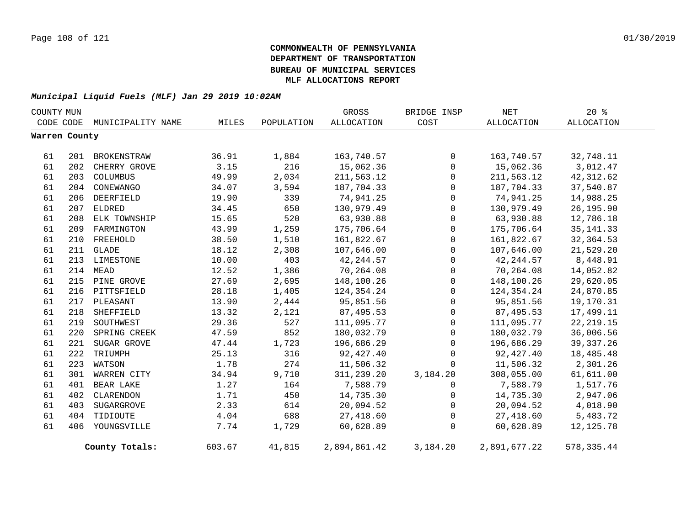| COUNTY MUN    |           |                   |        |            | GROSS        | BRIDGE INSP  | NET          | 20%         |
|---------------|-----------|-------------------|--------|------------|--------------|--------------|--------------|-------------|
|               | CODE CODE | MUNICIPALITY NAME | MILES  | POPULATION | ALLOCATION   | COST         | ALLOCATION   | ALLOCATION  |
| Warren County |           |                   |        |            |              |              |              |             |
| 61            | 201       | BROKENSTRAW       | 36.91  | 1,884      | 163,740.57   | $\mathbf{0}$ | 163,740.57   | 32,748.11   |
| 61            | 202       | CHERRY GROVE      | 3.15   | 216        | 15,062.36    | $\mathbf 0$  | 15,062.36    | 3,012.47    |
| 61            | 203       | COLUMBUS          | 49.99  | 2,034      | 211,563.12   | $\mathbf{0}$ | 211,563.12   | 42, 312.62  |
| 61            | 204       | CONEWANGO         | 34.07  | 3,594      | 187,704.33   | $\mathbf 0$  | 187,704.33   | 37,540.87   |
| 61            | 206       | DEERFIELD         | 19.90  | 339        | 74,941.25    | $\mathbf 0$  | 74,941.25    | 14,988.25   |
| 61            | 207       | ELDRED            | 34.45  | 650        | 130,979.49   | $\mathsf{O}$ | 130,979.49   | 26,195.90   |
| 61            | 208       | ELK TOWNSHIP      | 15.65  | 520        | 63,930.88    | $\mathsf{O}$ | 63,930.88    | 12,786.18   |
| 61            | 209       | FARMINGTON        | 43.99  | 1,259      | 175,706.64   | 0            | 175,706.64   | 35, 141.33  |
| 61            | 210       | FREEHOLD          | 38.50  | 1,510      | 161,822.67   | $\mathbf 0$  | 161,822.67   | 32, 364.53  |
| 61            |           | 211 GLADE         | 18.12  | 2,308      | 107,646.00   | $\mathbf 0$  | 107,646.00   | 21,529.20   |
| 61            |           | 213 LIMESTONE     | 10.00  | 403        | 42, 244.57   | $\mathbf 0$  | 42, 244.57   | 8,448.91    |
| 61            | 214       | MEAD              | 12.52  | 1,386      | 70,264.08    | $\mathbf 0$  | 70,264.08    | 14,052.82   |
| 61            |           | 215 PINE GROVE    | 27.69  | 2,695      | 148,100.26   | $\mathbf 0$  | 148,100.26   | 29,620.05   |
| 61            |           | 216 PITTSFIELD    | 28.18  | 1,405      | 124,354.24   | $\mathbf 0$  | 124,354.24   | 24,870.85   |
| 61            |           | 217 PLEASANT      | 13.90  | 2,444      | 95,851.56    | $\mathbf 0$  | 95,851.56    | 19,170.31   |
| 61            | 218       | SHEFFIELD         | 13.32  | 2,121      | 87,495.53    | $\mathbf 0$  | 87,495.53    | 17,499.11   |
| 61            | 219       | SOUTHWEST         | 29.36  | 527        | 111,095.77   | $\mathbf 0$  | 111,095.77   | 22, 219.15  |
| 61            | 220       | SPRING CREEK      | 47.59  | 852        | 180,032.79   | $\mathbf 0$  | 180,032.79   | 36,006.56   |
| 61            | 221       | SUGAR GROVE       | 47.44  | 1,723      | 196,686.29   | $\Omega$     | 196,686.29   | 39, 337. 26 |
| 61            | 222       | TRIUMPH           | 25.13  | 316        | 92,427.40    | $\Omega$     | 92,427.40    | 18,485.48   |
| 61            | 223       | WATSON            | 1.78   | 274        | 11,506.32    | $\Omega$     | 11,506.32    | 2,301.26    |
| 61            | 301       | WARREN CITY       | 34.94  | 9,710      | 311,239.20   | 3,184.20     | 308,055.00   | 61,611.00   |
| 61            | 401       | BEAR LAKE         | 1.27   | 164        | 7,588.79     | $\Omega$     | 7,588.79     | 1,517.76    |
| 61            | 402       | CLARENDON         | 1.71   | 450        | 14,735.30    | $\mathbf 0$  | 14,735.30    | 2,947.06    |
| 61            | 403       | SUGARGROVE        | 2.33   | 614        | 20,094.52    | $\mathbf 0$  | 20,094.52    | 4,018.90    |
| 61            | 404       | TIDIOUTE          | 4.04   | 688        | 27,418.60    | $\mathbf 0$  | 27,418.60    | 5,483.72    |
| 61            | 406       | YOUNGSVILLE       | 7.74   | 1,729      | 60,628.89    | $\mathbf 0$  | 60,628.89    | 12, 125.78  |
|               |           | County Totals:    | 603.67 | 41,815     | 2,894,861.42 | 3,184.20     | 2,891,677.22 | 578, 335.44 |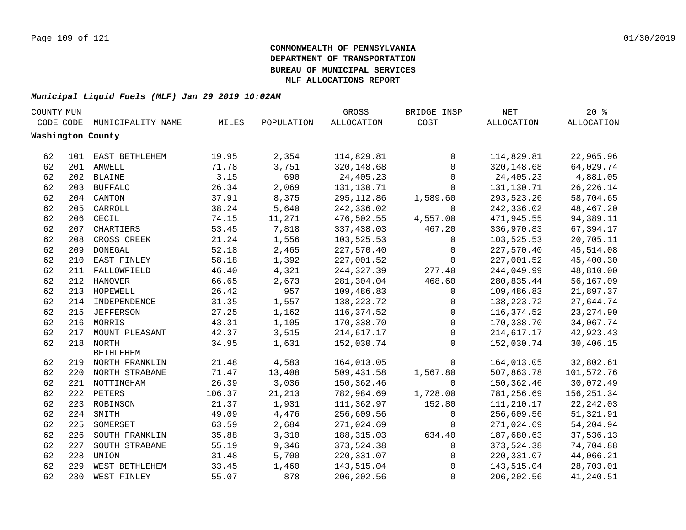| COUNTY MUN |     |                    |        |            | GROSS             | BRIDGE INSP | $\operatorname{NET}$ | 20%               |  |
|------------|-----|--------------------|--------|------------|-------------------|-------------|----------------------|-------------------|--|
| CODE CODE  |     | MUNICIPALITY NAME  | MILES  | POPULATION | <b>ALLOCATION</b> | COST        | <b>ALLOCATION</b>    | <b>ALLOCATION</b> |  |
|            |     | Washington County  |        |            |                   |             |                      |                   |  |
|            |     |                    |        |            |                   |             |                      |                   |  |
| 62         |     | 101 EAST BETHLEHEM | 19.95  | 2,354      | 114,829.81        | 0           | 114,829.81           | 22,965.96         |  |
| 62         |     | 201 AMWELL         | 71.78  | 3,751      | 320, 148.68       | 0           | 320, 148.68          | 64,029.74         |  |
| 62         |     | 202 BLAINE         | 3.15   | 690        | 24,405.23         | 0           | 24,405.23            | 4,881.05          |  |
| 62         | 203 | <b>BUFFALO</b>     | 26.34  | 2,069      | 131,130.71        | 0           | 131,130.71           | 26, 226. 14       |  |
| 62         | 204 | CANTON             | 37.91  | 8,375      | 295, 112.86       | 1,589.60    | 293,523.26           | 58,704.65         |  |
| 62         | 205 | CARROLL            | 38.24  | 5,640      | 242,336.02        | $\mathbf 0$ | 242,336.02           | 48, 467. 20       |  |
| 62         | 206 | CECIL              | 74.15  | 11,271     | 476,502.55        | 4,557.00    | 471,945.55           | 94,389.11         |  |
| 62         | 207 | CHARTIERS          | 53.45  | 7,818      | 337,438.03        | 467.20      | 336,970.83           | 67,394.17         |  |
| 62         | 208 | CROSS CREEK        | 21.24  | 1,556      | 103,525.53        | 0           | 103,525.53           | 20,705.11         |  |
| 62         | 209 | <b>DONEGAL</b>     | 52.18  | 2,465      | 227,570.40        | $\mathbf 0$ | 227,570.40           | 45,514.08         |  |
| 62         | 210 | EAST FINLEY        | 58.18  | 1,392      | 227,001.52        | $\mathbf 0$ | 227,001.52           | 45,400.30         |  |
| 62         | 211 | FALLOWFIELD        | 46.40  | 4,321      | 244, 327.39       | 277.40      | 244,049.99           | 48,810.00         |  |
| 62         |     | 212 HANOVER        | 66.65  | 2,673      | 281,304.04        | 468.60      | 280,835.44           | 56,167.09         |  |
| 62         |     | 213 HOPEWELL       | 26.42  | 957        | 109,486.83        | 0           | 109,486.83           | 21,897.37         |  |
| 62         |     | 214 INDEPENDENCE   | 31.35  | 1,557      | 138, 223. 72      | 0           | 138, 223. 72         | 27,644.74         |  |
| 62         |     | 215 JEFFERSON      | 27.25  | 1,162      | 116,374.52        | 0           | 116,374.52           | 23, 274.90        |  |
| 62         |     | 216 MORRIS         | 43.31  | 1,105      | 170,338.70        | 0           | 170,338.70           | 34,067.74         |  |
| 62         | 217 | MOUNT PLEASANT     | 42.37  | 3,515      | 214,617.17        | $\mathbf 0$ | 214,617.17           | 42,923.43         |  |
| 62         |     | 218 NORTH          | 34.95  | 1,631      | 152,030.74        | $\Omega$    | 152,030.74           | 30,406.15         |  |
|            |     | <b>BETHLEHEM</b>   |        |            |                   |             |                      |                   |  |
| 62         |     | 219 NORTH FRANKLIN | 21.48  | 4,583      | 164,013.05        | $\mathbf 0$ | 164,013.05           | 32,802.61         |  |
| 62         |     | 220 NORTH STRABANE | 71.47  | 13,408     | 509,431.58        | 1,567.80    | 507,863.78           | 101,572.76        |  |
| 62         |     | 221 NOTTINGHAM     | 26.39  | 3,036      | 150,362.46        | $\mathbf 0$ | 150,362.46           | 30,072.49         |  |
| 62         |     | 222 PETERS         | 106.37 | 21,213     | 782,984.69        | 1,728.00    | 781,256.69           | 156, 251.34       |  |
| 62         |     | 223 ROBINSON       | 21.37  | 1,931      | 111,362.97        | 152.80      | 111,210.17           | 22, 242.03        |  |
| 62         | 224 | SMITH              | 49.09  | 4,476      | 256,609.56        | 0           | 256,609.56           | 51, 321.91        |  |
| 62         | 225 | SOMERSET           | 63.59  | 2,684      | 271,024.69        | 0           | 271,024.69           | 54,204.94         |  |
| 62         | 226 | SOUTH FRANKLIN     | 35.88  | 3,310      | 188, 315.03       | 634.40      | 187,680.63           | 37,536.13         |  |
| 62         | 227 | SOUTH STRABANE     | 55.19  | 9,346      | 373,524.38        | $\mathbf 0$ | 373,524.38           | 74,704.88         |  |
| 62         | 228 | UNION              | 31.48  | 5,700      | 220, 331.07       | $\mathbf 0$ | 220,331.07           | 44,066.21         |  |
| 62         | 229 | WEST BETHLEHEM     | 33.45  | 1,460      | 143,515.04        | $\mathbf 0$ | 143,515.04           | 28,703.01         |  |
| 62         | 230 | WEST FINLEY        | 55.07  | 878        | 206, 202.56       | $\mathbf 0$ | 206, 202.56          | 41,240.51         |  |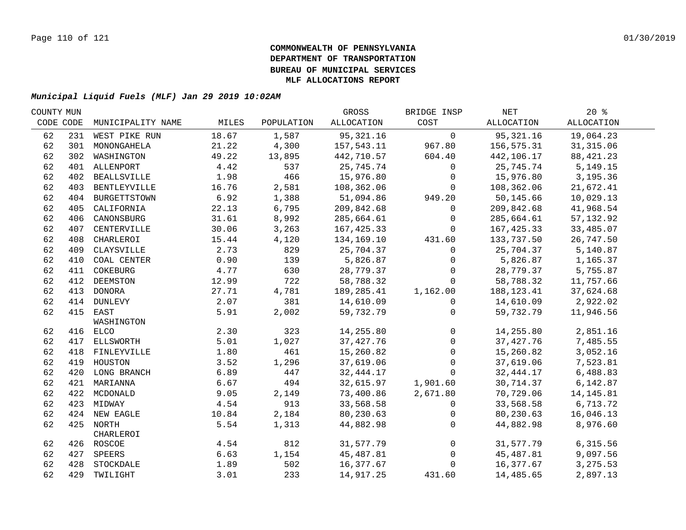| COUNTY MUN |     |                   |       |            | GROSS       | BRIDGE INSP    | NET         | $20*$             |  |
|------------|-----|-------------------|-------|------------|-------------|----------------|-------------|-------------------|--|
| CODE CODE  |     | MUNICIPALITY NAME | MILES | POPULATION | ALLOCATION  | COST           | ALLOCATION  | <b>ALLOCATION</b> |  |
| 62         |     | 231 WEST PIKE RUN | 18.67 | 1,587      | 95, 321. 16 | $\mathsf{O}$   | 95,321.16   | 19,064.23         |  |
| 62         |     | 301 MONONGAHELA   | 21.22 | 4,300      | 157,543.11  | 967.80         | 156,575.31  | 31, 315.06        |  |
| 62         |     | 302 WASHINGTON    | 49.22 | 13,895     | 442,710.57  | 604.40         | 442,106.17  | 88, 421. 23       |  |
| 62         |     | 401 ALLENPORT     | 4.42  | 537        | 25,745.74   | $\mathbf 0$    | 25,745.74   | 5, 149. 15        |  |
| 62         |     | 402 BEALLSVILLE   | 1.98  | 466        | 15,976.80   | $\mathbf 0$    | 15,976.80   | 3,195.36          |  |
| 62         |     | 403 BENTLEYVILLE  | 16.76 | 2,581      | 108,362.06  | $\mathbf{0}$   | 108,362.06  | 21,672.41         |  |
| 62         |     | 404 BURGETTSTOWN  | 6.92  | 1,388      | 51,094.86   | 949.20         | 50,145.66   | 10,029.13         |  |
| 62         | 405 | CALIFORNIA        | 22.13 | 6,795      | 209,842.68  | 0              | 209,842.68  | 41,968.54         |  |
| 62         | 406 | CANONSBURG        | 31.61 | 8,992      | 285,664.61  | $\mathbf 0$    | 285,664.61  | 57, 132.92        |  |
| 62         | 407 | CENTERVILLE       | 30.06 | 3,263      | 167,425.33  | $\Omega$       | 167,425.33  | 33,485.07         |  |
| 62         | 408 | CHARLEROI         | 15.44 | 4,120      | 134,169.10  | 431.60         | 133,737.50  | 26,747.50         |  |
| 62         | 409 | CLAYSVILLE        | 2.73  | 829        | 25,704.37   | $\Omega$       | 25,704.37   | 5,140.87          |  |
| 62         | 410 | COAL CENTER       | 0.90  | 139        | 5,826.87    | $\mathbf{0}$   | 5,826.87    | 1,165.37          |  |
| 62         | 411 | COKEBURG          | 4.77  | 630        | 28,779.37   | $\Omega$       | 28,779.37   | 5,755.87          |  |
| 62         | 412 | DEEMSTON          | 12.99 | 722        | 58,788.32   | $\Omega$       | 58,788.32   | 11,757.66         |  |
| 62         |     | 413 DONORA        | 27.71 | 4,781      | 189,285.41  | 1,162.00       | 188,123.41  | 37,624.68         |  |
| 62         |     | 414 DUNLEVY       | 2.07  | 381        | 14,610.09   | $\mathbf{0}$   | 14,610.09   | 2,922.02          |  |
| 62         |     | 415 EAST          | 5.91  | 2,002      | 59,732.79   | 0              | 59,732.79   | 11,946.56         |  |
|            |     | WASHINGTON        |       |            |             |                |             |                   |  |
| 62         |     | 416 ELCO          | 2.30  | 323        | 14,255.80   | 0              | 14,255.80   | 2,851.16          |  |
| 62         |     | 417 ELLSWORTH     | 5.01  | 1,027      | 37, 427. 76 | 0              | 37, 427. 76 | 7,485.55          |  |
| 62         |     | 418 FINLEYVILLE   | 1.80  | 461        | 15,260.82   | $\mathbf 0$    | 15,260.82   | 3,052.16          |  |
| 62         |     | 419 HOUSTON       | 3.52  | 1,296      | 37,619.06   | $\mathsf{O}$   | 37,619.06   | 7,523.81          |  |
| 62         |     | 420 LONG BRANCH   | 6.89  | 447        | 32, 444.17  | $\mathbf 0$    | 32,444.17   | 6,488.83          |  |
| 62         |     | 421 MARIANNA      | 6.67  | 494        | 32,615.97   | 1,901.60       | 30,714.37   | 6,142.87          |  |
| 62         |     | 422 MCDONALD      | 9.05  | 2,149      | 73,400.86   | 2,671.80       | 70,729.06   | 14, 145.81        |  |
| 62         |     | 423 MIDWAY        | 4.54  | 913        | 33,568.58   | $\mathbf 0$    | 33,568.58   | 6,713.72          |  |
| 62         |     | 424 NEW EAGLE     | 10.84 | 2,184      | 80,230.63   | $\mathbf 0$    | 80,230.63   | 16,046.13         |  |
| 62         |     | 425 NORTH         | 5.54  | 1,313      | 44,882.98   | $\mathbf 0$    | 44,882.98   | 8,976.60          |  |
|            |     | CHARLEROI         |       |            |             |                |             |                   |  |
| 62         |     | 426 ROSCOE        | 4.54  | 812        | 31,577.79   | $\overline{0}$ | 31,577.79   | 6,315.56          |  |
| 62         |     | 427 SPEERS        | 6.63  | 1,154      | 45,487.81   | $\overline{0}$ | 45,487.81   | 9,097.56          |  |
| 62         |     | 428 STOCKDALE     | 1.89  | 502        | 16,377.67   | $\mathbf 0$    | 16,377.67   | 3, 275.53         |  |
| 62         |     | 429 TWILIGHT      | 3.01  | 233        | 14,917.25   | 431.60         | 14,485.65   | 2,897.13          |  |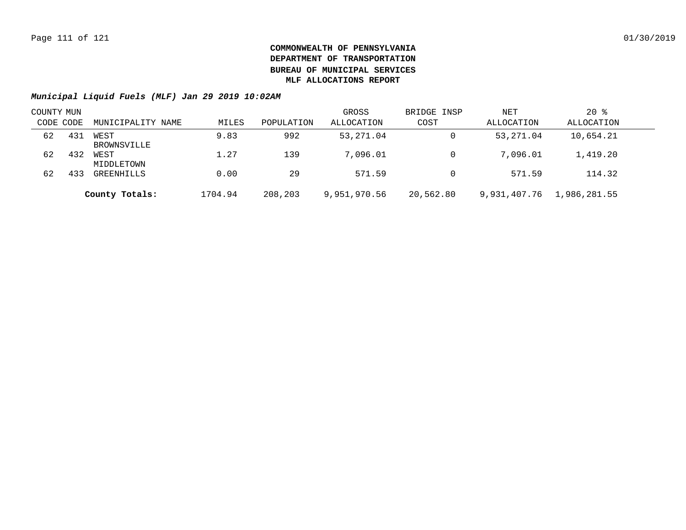| COUNTY MUN |     |                     |         |            | GROSS        | BRIDGE INSP | NET          | $20*$        |  |
|------------|-----|---------------------|---------|------------|--------------|-------------|--------------|--------------|--|
| CODE CODE  |     | MUNICIPALITY NAME   | MILES   | POPULATION | ALLOCATION   | COST        | ALLOCATION   | ALLOCATION   |  |
| 62         | 431 | WEST<br>BROWNSVILLE | 9.83    | 992        | 53,271.04    | 0           | 53,271.04    | 10,654.21    |  |
| 62         | 432 | WEST<br>MIDDLETOWN  | 1.27    | 139        | 7,096.01     | 0           | 7,096.01     | 1,419.20     |  |
| 62         | 433 | GREENHILLS          | 0.00    | 29         | 571.59       | $\Omega$    | 571.59       | 114.32       |  |
|            |     | County Totals:      | 1704.94 | 208,203    | 9,951,970.56 | 20,562.80   | 9,931,407.76 | 1,986,281.55 |  |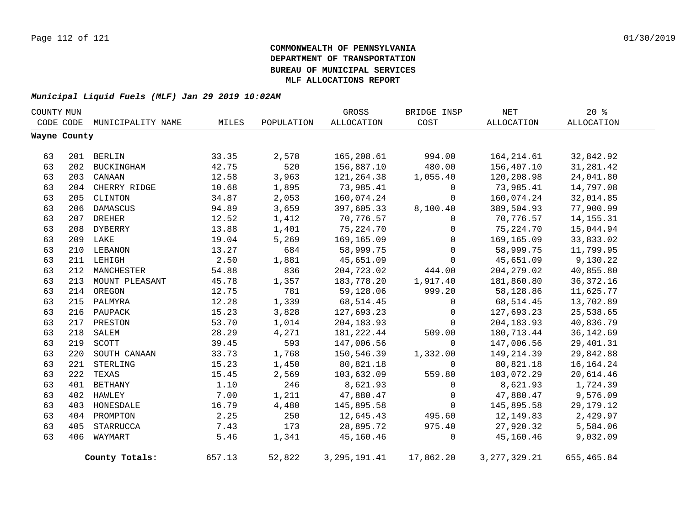| COUNTY MUN |              |                   |        |            | GROSS             | BRIDGE INSP  | NET             | 20%         |  |
|------------|--------------|-------------------|--------|------------|-------------------|--------------|-----------------|-------------|--|
|            | CODE CODE    | MUNICIPALITY NAME | MILES  | POPULATION | <b>ALLOCATION</b> | COST         | ALLOCATION      | ALLOCATION  |  |
|            | Wayne County |                   |        |            |                   |              |                 |             |  |
|            |              |                   |        |            |                   |              |                 |             |  |
| 63         |              | 201 BERLIN        | 33.35  | 2,578      | 165,208.61        | 994.00       | 164, 214.61     | 32,842.92   |  |
| 63         | 202          | BUCKINGHAM        | 42.75  | 520        | 156,887.10        | 480.00       | 156,407.10      | 31, 281.42  |  |
| 63         | 203          | CANAAN            | 12.58  | 3,963      | 121,264.38        | 1,055.40     | 120,208.98      | 24,041.80   |  |
| 63         |              | 204 CHERRY RIDGE  | 10.68  | 1,895      | 73,985.41         | 0            | 73,985.41       | 14,797.08   |  |
| 63         | 205          | CLINTON           | 34.87  | 2,053      | 160,074.24        | $\mathbf{0}$ | 160,074.24      | 32,014.85   |  |
| 63         | 206          | DAMASCUS          | 94.89  | 3,659      | 397,605.33        | 8,100.40     | 389,504.93      | 77,900.99   |  |
| 63         | 207          | <b>DREHER</b>     | 12.52  | 1,412      | 70,776.57         | $\Omega$     | 70,776.57       | 14, 155. 31 |  |
| 63         | 208          | DYBERRY           | 13.88  | 1,401      | 75,224.70         | 0            | 75,224.70       | 15,044.94   |  |
| 63         | 209          | LAKE              | 19.04  | 5,269      | 169,165.09        | $\mathbf 0$  | 169,165.09      | 33,833.02   |  |
| 63         | 210          | LEBANON           | 13.27  | 684        | 58,999.75         | $\mathbf 0$  | 58,999.75       | 11,799.95   |  |
| 63         |              | 211 LEHIGH        | 2.50   | 1,881      | 45,651.09         | $\Omega$     | 45,651.09       | 9,130.22    |  |
| 63         | 212          | MANCHESTER        | 54.88  | 836        | 204,723.02        | 444.00       | 204, 279.02     | 40,855.80   |  |
| 63         | 213          | MOUNT PLEASANT    | 45.78  | 1,357      | 183,778.20        | 1,917.40     | 181,860.80      | 36, 372. 16 |  |
| 63         |              | 214 OREGON        | 12.75  | 781        | 59,128.06         | 999.20       | 58,128.86       | 11,625.77   |  |
| 63         |              | 215 PALMYRA       | 12.28  | 1,339      | 68, 514.45        | $\mathbf 0$  | 68,514.45       | 13,702.89   |  |
| 63         | 216          | PAUPACK           | 15.23  | 3,828      | 127,693.23        | $\mathbf 0$  | 127,693.23      | 25,538.65   |  |
| 63         | 217          | PRESTON           | 53.70  | 1,014      | 204, 183.93       | $\Omega$     | 204, 183.93     | 40,836.79   |  |
| 63         | 218          | SALEM             | 28.29  | 4,271      | 181,222.44        | 509.00       | 180,713.44      | 36, 142.69  |  |
| 63         | 219          | SCOTT             | 39.45  | 593        | 147,006.56        | $\mathbf 0$  | 147,006.56      | 29,401.31   |  |
| 63         | 220          | SOUTH CANAAN      | 33.73  | 1,768      | 150,546.39        | 1,332.00     | 149, 214.39     | 29,842.88   |  |
| 63         | 221          | STERLING          | 15.23  | 1,450      | 80,821.18         | $\mathbf{0}$ | 80,821.18       | 16, 164. 24 |  |
| 63         | 222          | TEXAS             | 15.45  | 2,569      | 103,632.09        | 559.80       | 103,072.29      | 20,614.46   |  |
| 63         | 401          | BETHANY           | 1.10   | 246        | 8,621.93          | $\mathbf 0$  | 8,621.93        | 1,724.39    |  |
| 63         | 402          | HAWLEY            | 7.00   | 1,211      | 47,880.47         | 0            | 47,880.47       | 9,576.09    |  |
| 63         | 403          | HONESDALE         | 16.79  | 4,480      | 145,895.58        | $\mathbf 0$  | 145,895.58      | 29, 179. 12 |  |
| 63         | 404          | PROMPTON          | 2.25   | 250        | 12,645.43         | 495.60       | 12,149.83       | 2,429.97    |  |
| 63         | 405          | STARRUCCA         | 7.43   | 173        | 28,895.72         | 975.40       | 27,920.32       | 5,584.06    |  |
| 63         | 406          | WAYMART           | 5.46   | 1,341      | 45,160.46         | 0            | 45,160.46       | 9,032.09    |  |
|            |              | County Totals:    | 657.13 | 52,822     | 3, 295, 191.41    | 17,862.20    | 3, 277, 329. 21 | 655,465.84  |  |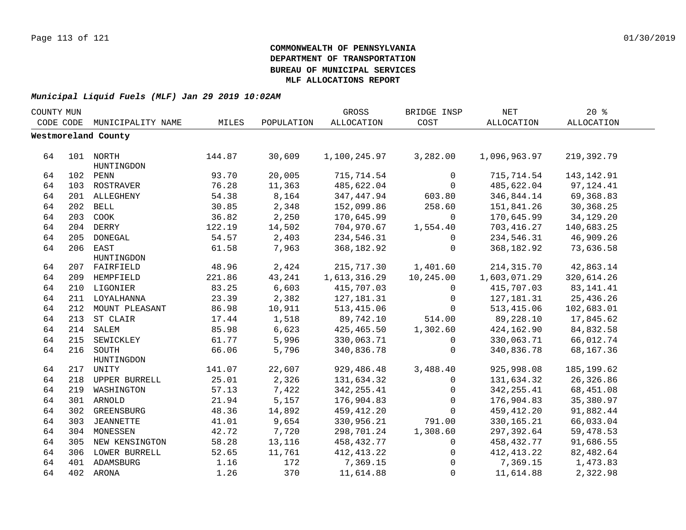| COUNTY MUN |     |                     |        |            | GROSS        | BRIDGE INSP  | $\operatorname{NET}$ | 20%          |  |
|------------|-----|---------------------|--------|------------|--------------|--------------|----------------------|--------------|--|
| CODE CODE  |     | MUNICIPALITY NAME   | MILES  | POPULATION | ALLOCATION   | COST         | ALLOCATION           | ALLOCATION   |  |
|            |     | Westmoreland County |        |            |              |              |                      |              |  |
|            |     |                     |        |            |              |              |                      |              |  |
| 64         |     | 101 NORTH           | 144.87 | 30,609     | 1,100,245.97 | 3,282.00     | 1,096,963.97         | 219,392.79   |  |
|            |     | HUNTINGDON          |        |            |              |              |                      |              |  |
| 64         |     | 102 PENN            | 93.70  | 20,005     | 715,714.54   | $\mathsf{O}$ | 715,714.54           | 143, 142. 91 |  |
| 64         |     | 103 ROSTRAVER       | 76.28  | 11,363     | 485,622.04   | $\mathbf 0$  | 485,622.04           | 97, 124. 41  |  |
| 64         |     | 201 ALLEGHENY       | 54.38  | 8,164      | 347, 447.94  | 603.80       | 346,844.14           | 69,368.83    |  |
| 64         |     | 202 BELL            | 30.85  | 2,348      | 152,099.86   | 258.60       | 151,841.26           | 30,368.25    |  |
| 64         | 203 | COOK                | 36.82  | 2,250      | 170,645.99   | $\mathbf 0$  | 170,645.99           | 34, 129. 20  |  |
| 64         |     | 204 DERRY           | 122.19 | 14,502     | 704,970.67   | 1,554.40     | 703,416.27           | 140,683.25   |  |
| 64         | 205 | DONEGAL             | 54.57  | 2,403      | 234,546.31   | 0            | 234,546.31           | 46,909.26    |  |
| 64         | 206 | EAST                | 61.58  | 7,963      | 368, 182.92  | 0            | 368,182.92           | 73,636.58    |  |
|            |     | HUNTINGDON          |        |            |              |              |                      |              |  |
| 64         |     | 207 FAIRFIELD       | 48.96  | 2,424      | 215,717.30   | 1,401.60     | 214, 315.70          | 42,863.14    |  |
| 64         | 209 | HEMPFIELD           | 221.86 | 43,241     | 1,613,316.29 | 10,245.00    | 1,603,071.29         | 320,614.26   |  |
| 64         |     | 210 LIGONIER        | 83.25  | 6,603      | 415,707.03   | $\mathbf{0}$ | 415,707.03           | 83, 141. 41  |  |
| 64         | 211 | LOYALHANNA          | 23.39  | 2,382      | 127, 181.31  | $\mathbf{0}$ | 127,181.31           | 25,436.26    |  |
| 64         | 212 | MOUNT PLEASANT      | 86.98  | 10,911     | 513, 415.06  | $\Omega$     | 513, 415.06          | 102,683.01   |  |
| 64         |     | 213 ST CLAIR        | 17.44  | 1,518      | 89,742.10    | 514.00       | 89,228.10            | 17,845.62    |  |
| 64         |     | 214 SALEM           | 85.98  | 6,623      | 425,465.50   | 1,302.60     | 424,162.90           | 84,832.58    |  |
| 64         |     | 215 SEWICKLEY       | 61.77  | 5,996      | 330,063.71   | 0            | 330,063.71           | 66,012.74    |  |
| 64         |     | 216 SOUTH           | 66.06  | 5,796      | 340,836.78   | $\mathbf 0$  | 340,836.78           | 68,167.36    |  |
|            |     | HUNTINGDON          |        |            |              |              |                      |              |  |
| 64         |     | 217 UNITY           | 141.07 | 22,607     | 929,486.48   | 3,488.40     | 925,998.08           | 185, 199.62  |  |
| 64         |     | 218 UPPER BURRELL   | 25.01  | 2,326      | 131,634.32   | 0            | 131,634.32           | 26,326.86    |  |
| 64         | 219 | WASHINGTON          | 57.13  | 7,422      | 342, 255.41  | 0            | 342, 255.41          | 68,451.08    |  |
| 64         |     | 301 ARNOLD          | 21.94  | 5,157      | 176,904.83   | 0            | 176,904.83           | 35,380.97    |  |
| 64         | 302 | GREENSBURG          | 48.36  | 14,892     | 459,412.20   | $\Omega$     | 459,412.20           | 91,882.44    |  |
| 64         | 303 | JEANNETTE           | 41.01  | 9,654      | 330,956.21   | 791.00       | 330, 165. 21         | 66,033.04    |  |
| 64         | 304 | MONESSEN            | 42.72  | 7,720      | 298,701.24   | 1,308.60     | 297,392.64           | 59,478.53    |  |
| 64         | 305 | NEW KENSINGTON      | 58.28  | 13,116     | 458,432.77   | 0            | 458,432.77           | 91,686.55    |  |
| 64         | 306 | LOWER BURRELL       | 52.65  | 11,761     | 412, 413.22  | 0            | 412, 413.22          | 82,482.64    |  |
| 64         |     | 401 ADAMSBURG       | 1.16   | 172        | 7,369.15     | 0            | 7,369.15             | 1,473.83     |  |
| 64         |     | 402 ARONA           | 1.26   | 370        | 11,614.88    | $\mathbf 0$  | 11,614.88            | 2,322.98     |  |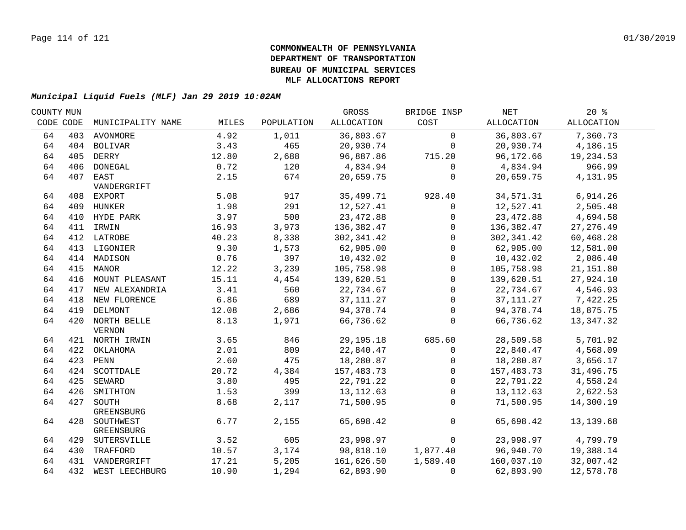| COUNTY MUN |           |                    |       |            | GROSS       | BRIDGE INSP  | NET        | $20*$      |  |
|------------|-----------|--------------------|-------|------------|-------------|--------------|------------|------------|--|
|            | CODE CODE | MUNICIPALITY NAME  | MILES | POPULATION | ALLOCATION  | COST         | ALLOCATION | ALLOCATION |  |
| 64         |           | 403 AVONMORE       | 4.92  | 1,011      | 36,803.67   | $\mathbf 0$  | 36,803.67  | 7,360.73   |  |
| 64         |           | 404 BOLIVAR        | 3.43  | 465        | 20,930.74   | $\mathbf 0$  | 20,930.74  | 4,186.15   |  |
| 64         |           | 405 DERRY          | 12.80 | 2,688      | 96,887.86   | 715.20       | 96,172.66  | 19,234.53  |  |
| 64         |           | 406 DONEGAL        | 0.72  | 120        | 4,834.94    | $\mathbf 0$  | 4,834.94   | 966.99     |  |
| 64         |           | 407 EAST           | 2.15  | 674        | 20,659.75   | 0            | 20,659.75  | 4,131.95   |  |
|            |           | VANDERGRIFT        |       |            |             |              |            |            |  |
| 64         |           | 408 EXPORT         | 5.08  | 917        | 35,499.71   | 928.40       | 34,571.31  | 6,914.26   |  |
| 64         |           | 409 HUNKER         | 1.98  | 291        | 12,527.41   | 0            | 12,527.41  | 2,505.48   |  |
| 64         |           | 410 HYDE PARK      | 3.97  | 500        | 23,472.88   | $\mathbf 0$  | 23, 472.88 | 4,694.58   |  |
| 64         |           | 411 IRWIN          | 16.93 | 3,973      | 136,382.47  | 0            | 136,382.47 | 27, 276.49 |  |
| 64         |           | 412 LATROBE        | 40.23 | 8,338      | 302, 341.42 | $\mathbf 0$  | 302,341.42 | 60,468.28  |  |
| 64         | 413       | LIGONIER           | 9.30  | 1,573      | 62,905.00   | $\Omega$     | 62,905.00  | 12,581.00  |  |
| 64         | 414       | MADISON            | 0.76  | 397        | 10,432.02   | 0            | 10,432.02  | 2,086.40   |  |
| 64         | 415       | MANOR              | 12.22 | 3,239      | 105,758.98  | $\mathbf 0$  | 105,758.98 | 21,151.80  |  |
| 64         | 416       | MOUNT PLEASANT     | 15.11 | 4,454      | 139,620.51  | $\Omega$     | 139,620.51 | 27,924.10  |  |
| 64         |           | 417 NEW ALEXANDRIA | 3.41  | 560        | 22,734.67   | $\mathbf{0}$ | 22,734.67  | 4,546.93   |  |
| 64         |           | 418 NEW FLORENCE   | 6.86  | 689        | 37, 111.27  | $\mathbf{0}$ | 37,111.27  | 7,422.25   |  |
| 64         |           | 419 DELMONT        | 12.08 | 2,686      | 94,378.74   | $\mathbf 0$  | 94,378.74  | 18,875.75  |  |
| 64         |           | 420 NORTH BELLE    | 8.13  | 1,971      | 66,736.62   | $\mathbf 0$  | 66,736.62  | 13,347.32  |  |
|            |           | <b>VERNON</b>      |       |            |             |              |            |            |  |
| 64         |           | 421 NORTH IRWIN    | 3.65  | 846        | 29, 195. 18 | 685.60       | 28,509.58  | 5,701.92   |  |
| 64         |           | 422 OKLAHOMA       | 2.01  | 809        | 22,840.47   | $\mathsf{O}$ | 22,840.47  | 4,568.09   |  |
| 64         |           | 423 PENN           | 2.60  | 475        | 18,280.87   | 0            | 18,280.87  | 3,656.17   |  |
| 64         |           | 424 SCOTTDALE      | 20.72 | 4,384      | 157,483.73  | $\Omega$     | 157,483.73 | 31,496.75  |  |
| 64         | 425       | SEWARD             | 3.80  | 495        | 22,791.22   | $\Omega$     | 22,791.22  | 4,558.24   |  |
| 64         | 426       | SMITHTON           | 1.53  | 399        | 13, 112.63  | $\Omega$     | 13,112.63  | 2,622.53   |  |
| 64         | 427       | SOUTH              | 8.68  | 2,117      | 71,500.95   | $\Omega$     | 71,500.95  | 14,300.19  |  |
|            |           | GREENSBURG         |       |            |             |              |            |            |  |
| 64         |           | 428 SOUTHWEST      | 6.77  | 2,155      | 65,698.42   | $\mathbf 0$  | 65,698.42  | 13, 139.68 |  |
|            |           | GREENSBURG         |       |            |             |              |            |            |  |
| 64         |           | 429 SUTERSVILLE    | 3.52  | 605        | 23,998.97   | $\Omega$     | 23,998.97  | 4,799.79   |  |
| 64         |           | 430 TRAFFORD       | 10.57 | 3,174      | 98,818.10   | 1,877.40     | 96,940.70  | 19,388.14  |  |
| 64         |           | 431 VANDERGRIFT    | 17.21 | 5,205      | 161,626.50  | 1,589.40     | 160,037.10 | 32,007.42  |  |
| 64         |           | 432 WEST LEECHBURG | 10.90 | 1,294      | 62,893.90   | $\mathbf 0$  | 62,893.90  | 12,578.78  |  |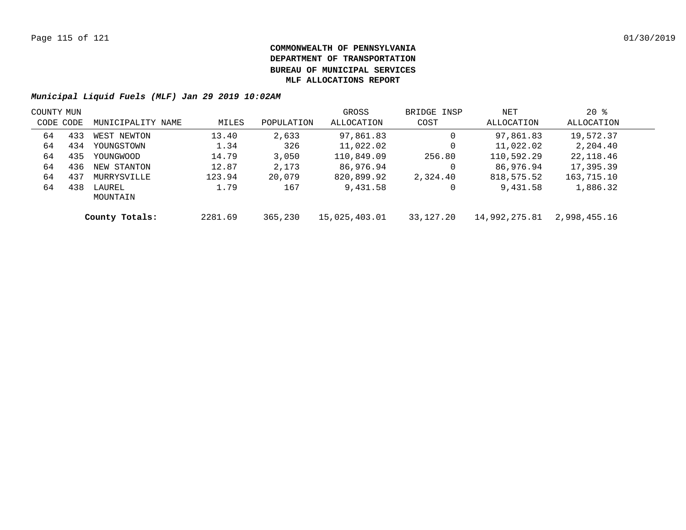| COUNTY MUN |     |                    |         |            | GROSS         | BRIDGE INSP | NET           | $20*$        |  |
|------------|-----|--------------------|---------|------------|---------------|-------------|---------------|--------------|--|
| CODE CODE  |     | MUNICIPALITY NAME  | MILES   | POPULATION | ALLOCATION    | COST        | ALLOCATION    | ALLOCATION   |  |
| 64         | 433 | WEST NEWTON        | 13.40   | 2,633      | 97,861.83     | 0           | 97,861.83     | 19,572.37    |  |
| 64         | 434 | YOUNGSTOWN         | 1.34    | 326        | 11,022.02     | 0           | 11,022.02     | 2,204.40     |  |
| 64         | 435 | YOUNGWOOD          | 14.79   | 3,050      | 110,849.09    | 256.80      | 110,592.29    | 22,118.46    |  |
| 64         | 436 | NEW STANTON        | 12.87   | 2,173      | 86,976.94     | 0           | 86,976.94     | 17,395.39    |  |
| 64         | 437 | MURRYSVILLE        | 123.94  | 20,079     | 820,899.92    | 2,324.40    | 818,575.52    | 163,715.10   |  |
| 64         | 438 | LAUREL<br>MOUNTAIN | 1.79    | 167        | 9,431.58      | 0           | 9,431.58      | 1,886.32     |  |
|            |     | County Totals:     | 2281.69 | 365,230    | 15,025,403.01 | 33,127.20   | 14,992,275.81 | 2,998,455.16 |  |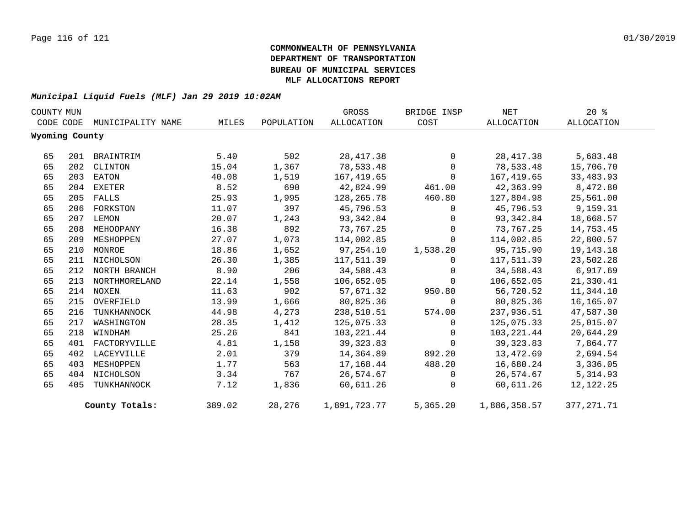| COUNTY MUN |                |                   |        |            | GROSS        | BRIDGE INSP    | NET          | $20*$       |
|------------|----------------|-------------------|--------|------------|--------------|----------------|--------------|-------------|
|            | CODE CODE      | MUNICIPALITY NAME | MILES  | POPULATION | ALLOCATION   | COST           | ALLOCATION   | ALLOCATION  |
|            | Wyoming County |                   |        |            |              |                |              |             |
| 65         | 201            | BRAINTRIM         | 5.40   | 502        | 28, 417.38   | $\Omega$       | 28, 417.38   | 5,683.48    |
| 65         | 202            | CLINTON           | 15.04  | 1,367      | 78,533.48    | $\Omega$       | 78,533.48    | 15,706.70   |
| 65         | 203            | EATON             | 40.08  | 1,519      | 167,419.65   | $\Omega$       | 167,419.65   | 33,483.93   |
| 65         | 204            | EXETER            | 8.52   | 690        | 42,824.99    | 461.00         | 42,363.99    | 8,472.80    |
| 65         | 205            | FALLS             | 25.93  | 1,995      | 128,265.78   | 460.80         | 127,804.98   | 25,561.00   |
| 65         |                | 206 FORKSTON      | 11.07  | 397        | 45,796.53    | $\overline{0}$ | 45,796.53    | 9,159.31    |
| 65         |                | 207 LEMON         | 20.07  | 1,243      | 93,342.84    | $\mathbf{0}$   | 93,342.84    | 18,668.57   |
| 65         | 208            | MEHOOPANY         | 16.38  | 892        | 73,767.25    | $\Omega$       | 73,767.25    | 14,753.45   |
| 65         | 209            | MESHOPPEN         | 27.07  | 1,073      | 114,002.85   | $\Omega$       | 114,002.85   | 22,800.57   |
| 65         |                | 210 MONROE        | 18.86  | 1,652      | 97,254.10    | 1,538.20       | 95,715.90    | 19, 143. 18 |
| 65         | 211            | NICHOLSON         | 26.30  | 1,385      | 117,511.39   | $\mathbf 0$    | 117,511.39   | 23,502.28   |
| 65         |                | 212 NORTH BRANCH  | 8.90   | 206        | 34,588.43    | $\Omega$       | 34,588.43    | 6,917.69    |
| 65         |                | 213 NORTHMORELAND | 22.14  | 1,558      | 106,652.05   | $\mathbf 0$    | 106,652.05   | 21,330.41   |
| 65         |                | 214 NOXEN         | 11.63  | 902        | 57,671.32    | 950.80         | 56,720.52    | 11,344.10   |
| 65         | 215            | OVERFIELD         | 13.99  | 1,666      | 80,825.36    | $\mathbf{0}$   | 80,825.36    | 16,165.07   |
| 65         | 216            | TUNKHANNOCK       | 44.98  | 4,273      | 238,510.51   | 574.00         | 237,936.51   | 47,587.30   |
| 65         | 217            | WASHINGTON        | 28.35  | 1,412      | 125,075.33   | $\Omega$       | 125,075.33   | 25,015.07   |
| 65         | 218            | WINDHAM           | 25.26  | 841        | 103,221.44   | $\Omega$       | 103,221.44   | 20,644.29   |
| 65         |                | 401 FACTORYVILLE  | 4.81   | 1,158      | 39, 323.83   | $\Omega$       | 39, 323.83   | 7,864.77    |
| 65         | 402            | LACEYVILLE        | 2.01   | 379        | 14,364.89    | 892.20         | 13,472.69    | 2,694.54    |
| 65         | 403            | MESHOPPEN         | 1.77   | 563        | 17,168.44    | 488.20         | 16,680.24    | 3,336.05    |
| 65         |                | 404 NICHOLSON     | 3.34   | 767        | 26,574.67    | $\mathbf 0$    | 26,574.67    | 5,314.93    |
| 65         | 405            | TUNKHANNOCK       | 7.12   | 1,836      | 60,611.26    | $\Omega$       | 60,611.26    | 12,122.25   |
|            |                | County Totals:    | 389.02 | 28,276     | 1,891,723.77 | 5,365.20       | 1,886,358.57 | 377, 271.71 |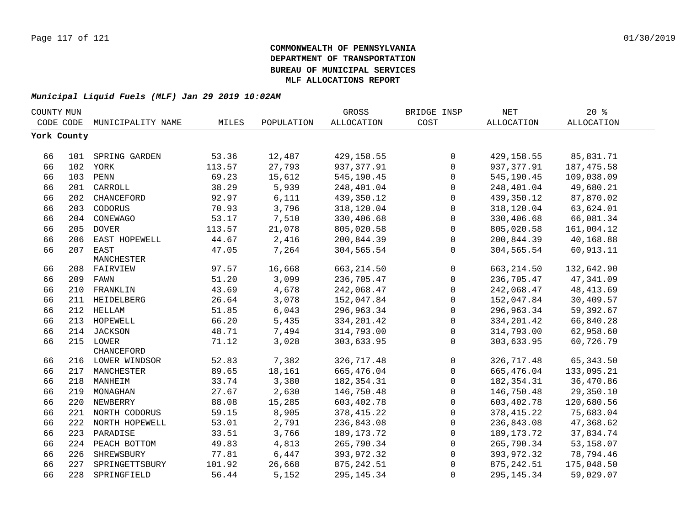| COUNTY MUN  |     |                    |        |            | GROSS        | BRIDGE INSP  | <b>NET</b>        | 20%               |  |
|-------------|-----|--------------------|--------|------------|--------------|--------------|-------------------|-------------------|--|
| CODE CODE   |     | MUNICIPALITY NAME  | MILES  | POPULATION | ALLOCATION   | COST         | <b>ALLOCATION</b> | <b>ALLOCATION</b> |  |
| York County |     |                    |        |            |              |              |                   |                   |  |
|             |     |                    |        |            |              |              |                   |                   |  |
| 66          |     | 101 SPRING GARDEN  | 53.36  | 12,487     | 429,158.55   | $\mathsf{O}$ | 429, 158.55       | 85,831.71         |  |
| 66          |     | 102 YORK           | 113.57 | 27,793     | 937, 377.91  | $\mathsf{O}$ | 937,377.91        | 187, 475.58       |  |
| 66          |     | 103 PENN           | 69.23  | 15,612     | 545,190.45   | 0            | 545,190.45        | 109,038.09        |  |
| 66          | 201 | CARROLL            | 38.29  | 5,939      | 248,401.04   | 0            | 248,401.04        | 49,680.21         |  |
| 66          | 202 | CHANCEFORD         | 92.97  | 6,111      | 439,350.12   | $\mathbf 0$  | 439,350.12        | 87,870.02         |  |
| 66          | 203 | CODORUS            | 70.93  | 3,796      | 318,120.04   | $\mathbf 0$  | 318,120.04        | 63,624.01         |  |
| 66          | 204 | CONEWAGO           | 53.17  | 7,510      | 330,406.68   | $\mathsf{O}$ | 330,406.68        | 66,081.34         |  |
| 66          | 205 | <b>DOVER</b>       | 113.57 | 21,078     | 805,020.58   | 0            | 805,020.58        | 161,004.12        |  |
| 66          | 206 | EAST HOPEWELL      | 44.67  | 2,416      | 200,844.39   | 0            | 200,844.39        | 40,168.88         |  |
| 66          | 207 | EAST               | 47.05  | 7,264      | 304,565.54   | 0            | 304,565.54        | 60,913.11         |  |
|             |     | MANCHESTER         |        |            |              |              |                   |                   |  |
| 66          |     | 208 FAIRVIEW       | 97.57  | 16,668     | 663, 214.50  | 0            | 663, 214.50       | 132,642.90        |  |
| 66          |     | 209 FAWN           | 51.20  | 3,099      | 236,705.47   | $\mathbf 0$  | 236,705.47        | 47,341.09         |  |
| 66          |     | 210 FRANKLIN       | 43.69  | 4,678      | 242,068.47   | 0            | 242,068.47        | 48, 413.69        |  |
| 66          | 211 | HEIDELBERG         | 26.64  | 3,078      | 152,047.84   | 0            | 152,047.84        | 30,409.57         |  |
| 66          |     | 212 HELLAM         | 51.85  | 6,043      | 296,963.34   | $\mathsf{O}$ | 296,963.34        | 59,392.67         |  |
| 66          |     | 213 HOPEWELL       | 66.20  | 5,435      | 334, 201.42  | 0            | 334, 201.42       | 66,840.28         |  |
| 66          |     | 214 JACKSON        | 48.71  | 7,494      | 314,793.00   | 0            | 314,793.00        | 62,958.60         |  |
| 66          |     | 215 LOWER          | 71.12  | 3,028      | 303,633.95   | $\mathbf 0$  | 303,633.95        | 60,726.79         |  |
|             |     | CHANCEFORD         |        |            |              |              |                   |                   |  |
| 66          |     | 216 LOWER WINDSOR  | 52.83  | 7,382      | 326,717.48   | 0            | 326,717.48        | 65, 343.50        |  |
| 66          |     | 217 MANCHESTER     | 89.65  | 18,161     | 665,476.04   | $\mathsf{O}$ | 665,476.04        | 133,095.21        |  |
| 66          |     | 218 MANHEIM        | 33.74  | 3,380      | 182, 354. 31 | $\mathsf{O}$ | 182, 354. 31      | 36,470.86         |  |
| 66          |     | 219 MONAGHAN       | 27.67  | 2,630      | 146,750.48   | 0            | 146,750.48        | 29,350.10         |  |
| 66          |     | 220 NEWBERRY       | 88.08  | 15,285     | 603,402.78   | $\mathbf 0$  | 603,402.78        | 120,680.56        |  |
| 66          |     | 221 NORTH CODORUS  | 59.15  | 8,905      | 378, 415.22  | 0            | 378, 415.22       | 75,683.04         |  |
| 66          |     | 222 NORTH HOPEWELL | 53.01  | 2,791      | 236,843.08   | $\mathsf{O}$ | 236,843.08        | 47,368.62         |  |
| 66          |     | 223 PARADISE       | 33.51  | 3,766      | 189, 173. 72 | $\mathbf 0$  | 189, 173. 72      | 37,834.74         |  |
| 66          |     | 224 PEACH BOTTOM   | 49.83  | 4,813      | 265,790.34   | 0            | 265,790.34        | 53,158.07         |  |
| 66          | 226 | SHREWSBURY         | 77.81  | 6,447      | 393,972.32   | 0            | 393,972.32        | 78,794.46         |  |
| 66          | 227 | SPRINGETTSBURY     | 101.92 | 26,668     | 875, 242.51  | $\mathbf 0$  | 875, 242.51       | 175,048.50        |  |
| 66          | 228 | SPRINGFIELD        | 56.44  | 5,152      | 295, 145. 34 | 0            | 295, 145. 34      | 59,029.07         |  |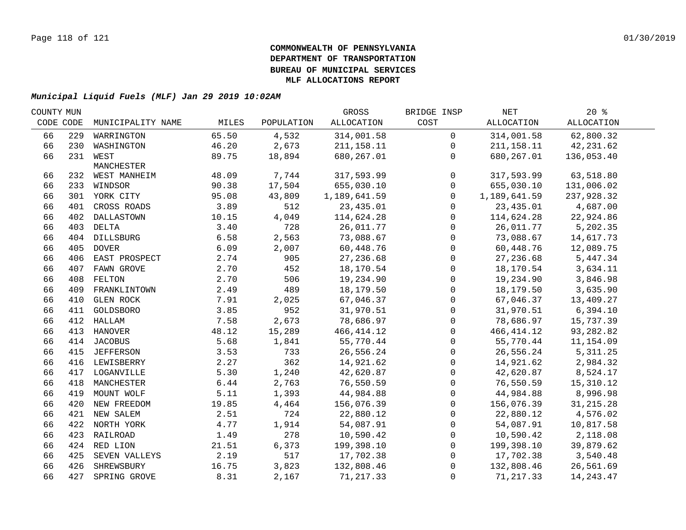| COUNTY MUN |     |                   |       |            | GROSS        | BRIDGE INSP  | NET          | $20*$             |  |
|------------|-----|-------------------|-------|------------|--------------|--------------|--------------|-------------------|--|
| CODE CODE  |     | MUNICIPALITY NAME | MILES | POPULATION | ALLOCATION   | COST         | ALLOCATION   | <b>ALLOCATION</b> |  |
| 66         | 229 | WARRINGTON        | 65.50 | 4,532      | 314,001.58   | $\mathsf{O}$ | 314,001.58   | 62,800.32         |  |
| 66         |     | 230 WASHINGTON    | 46.20 | 2,673      | 211, 158.11  | $\mathbf{0}$ | 211,158.11   | 42,231.62         |  |
| 66         |     | 231 WEST          | 89.75 | 18,894     | 680,267.01   | $\mathbf{0}$ | 680,267.01   | 136,053.40        |  |
|            |     | MANCHESTER        |       |            |              |              |              |                   |  |
| 66         |     | 232 WEST MANHEIM  | 48.09 | 7,744      | 317,593.99   | $\mathbf 0$  | 317,593.99   | 63,518.80         |  |
| 66         |     | 233 WINDSOR       | 90.38 | 17,504     | 655,030.10   | $\mathbf 0$  | 655,030.10   | 131,006.02        |  |
| 66         |     | 301 YORK CITY     | 95.08 | 43,809     | 1,189,641.59 | $\Omega$     | 1,189,641.59 | 237,928.32        |  |
| 66         | 401 | CROSS ROADS       | 3.89  | 512        | 23, 435.01   | $\Omega$     | 23,435.01    | 4,687.00          |  |
| 66         |     | 402 DALLASTOWN    | 10.15 | 4,049      | 114,624.28   | $\mathbf 0$  | 114,624.28   | 22,924.86         |  |
| 66         |     | 403 DELTA         | 3.40  | 728        | 26,011.77    | $\mathbf 0$  | 26,011.77    | 5,202.35          |  |
| 66         |     | 404 DILLSBURG     | 6.58  | 2,563      | 73,088.67    | 0            | 73,088.67    | 14,617.73         |  |
| 66         |     | 405 DOVER         | 6.09  | 2,007      | 60,448.76    | 0            | 60,448.76    | 12,089.75         |  |
| 66         |     | 406 EAST PROSPECT | 2.74  | 905        | 27,236.68    | $\mathbf 0$  | 27, 236.68   | 5,447.34          |  |
| 66         | 407 | FAWN GROVE        | 2.70  | 452        | 18,170.54    | $\mathbf{0}$ | 18,170.54    | 3,634.11          |  |
| 66         | 408 | FELTON            | 2.70  | 506        | 19,234.90    | $\mathbf 0$  | 19,234.90    | 3,846.98          |  |
| 66         | 409 | FRANKLINTOWN      | 2.49  | 489        | 18,179.50    | $\Omega$     | 18,179.50    | 3,635.90          |  |
| 66         | 410 | GLEN ROCK         | 7.91  | 2,025      | 67,046.37    | $\mathbf{0}$ | 67,046.37    | 13,409.27         |  |
| 66         | 411 | GOLDSBORO         | 3.85  | 952        | 31,970.51    | $\mathbf 0$  | 31,970.51    | 6,394.10          |  |
| 66         |     | 412 HALLAM        | 7.58  | 2,673      | 78,686.97    | $\mathbf 0$  | 78,686.97    | 15,737.39         |  |
| 66         |     | 413 HANOVER       | 48.12 | 15,289     | 466, 414.12  | $\mathbf 0$  | 466, 414.12  | 93,282.82         |  |
| 66         |     | 414 JACOBUS       | 5.68  | 1,841      | 55,770.44    | 0            | 55,770.44    | 11,154.09         |  |
| 66         |     | 415 JEFFERSON     | 3.53  | 733        | 26,556.24    | $\mathbf 0$  | 26,556.24    | 5, 311.25         |  |
| 66         |     | 416 LEWISBERRY    | 2.27  | 362        | 14,921.62    | $\mathbf 0$  | 14,921.62    | 2,984.32          |  |
| 66         |     | 417 LOGANVILLE    | 5.30  | 1,240      | 42,620.87    | 0            | 42,620.87    | 8,524.17          |  |
| 66         |     | 418 MANCHESTER    | 6.44  | 2,763      | 76,550.59    | $\mathbf 0$  | 76,550.59    | 15, 310.12        |  |
| 66         |     | 419 MOUNT WOLF    | 5.11  | 1,393      | 44,984.88    | $\mathbf 0$  | 44,984.88    | 8,996.98          |  |
| 66         |     | 420 NEW FREEDOM   | 19.85 | 4,464      | 156,076.39   | $\mathbf{0}$ | 156,076.39   | 31, 215.28        |  |
| 66         |     | 421 NEW SALEM     | 2.51  | 724        | 22,880.12    | $\mathbf 0$  | 22,880.12    | 4,576.02          |  |
| 66         |     | 422 NORTH YORK    | 4.77  | 1,914      | 54,087.91    | $\mathbf 0$  | 54,087.91    | 10,817.58         |  |
| 66         |     | 423 RAILROAD      | 1.49  | 278        | 10,590.42    | $\mathbf 0$  | 10,590.42    | 2,118.08          |  |
| 66         |     | 424 RED LION      | 21.51 | 6,373      | 199,398.10   | 0            | 199,398.10   | 39,879.62         |  |
| 66         | 425 | SEVEN VALLEYS     | 2.19  | 517        | 17,702.38    | $\mathbf{0}$ | 17,702.38    | 3,540.48          |  |
| 66         | 426 | SHREWSBURY        | 16.75 | 3,823      | 132,808.46   | $\mathbf 0$  | 132,808.46   | 26,561.69         |  |
| 66         |     | 427 SPRING GROVE  | 8.31  | 2,167      | 71, 217.33   | 0            | 71, 217.33   | 14, 243. 47       |  |
|            |     |                   |       |            |              |              |              |                   |  |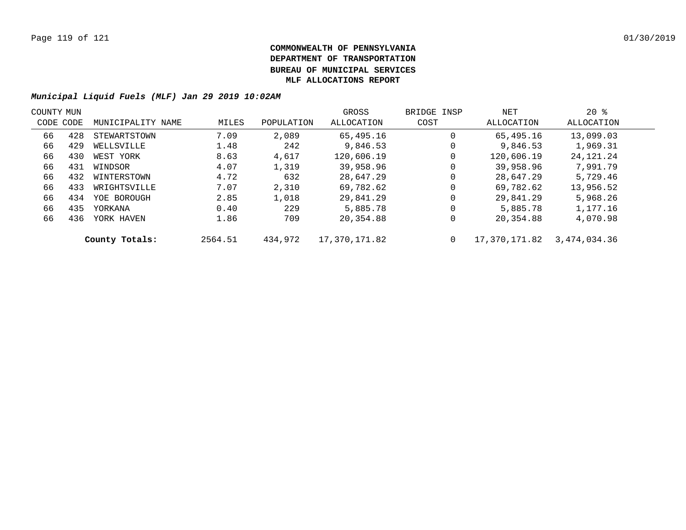| COUNTY MUN |           |                   |         |            | GROSS         | BRIDGE INSP | NET           | $20*$        |  |
|------------|-----------|-------------------|---------|------------|---------------|-------------|---------------|--------------|--|
|            | CODE CODE | MUNICIPALITY NAME | MILES   | POPULATION | ALLOCATION    | COST        | ALLOCATION    | ALLOCATION   |  |
| 66         | 428       | STEWARTSTOWN      | 7.09    | 2,089      | 65,495.16     | 0           | 65,495.16     | 13,099.03    |  |
| 66         | 429       | WELLSVILLE        | 1.48    | 242        | 9,846.53      | 0           | 9,846.53      | 1,969.31     |  |
| 66         | 430       | WEST YORK         | 8.63    | 4,617      | 120,606.19    | 0           | 120,606.19    | 24, 121. 24  |  |
| 66         | 431       | WINDSOR           | 4.07    | 1,319      | 39,958.96     | 0           | 39,958.96     | 7,991.79     |  |
| 66         | 432       | WINTERSTOWN       | 4.72    | 632        | 28,647.29     | 0           | 28,647.29     | 5,729.46     |  |
| 66         | 433       | WRIGHTSVILLE      | 7.07    | 2,310      | 69,782.62     | 0           | 69,782.62     | 13,956.52    |  |
| 66         | 434       | YOE BOROUGH       | 2.85    | 1,018      | 29,841.29     | 0           | 29,841.29     | 5,968.26     |  |
| 66         | 435       | YORKANA           | 0.40    | 229        | 5,885.78      | 0           | 5,885.78      | 1,177.16     |  |
| 66         | 436       | YORK HAVEN        | 1.86    | 709        | 20,354.88     | 0           | 20,354.88     | 4,070.98     |  |
|            |           | County Totals:    | 2564.51 | 434,972    | 17,370,171.82 | 0           | 17,370,171.82 | 3,474,034.36 |  |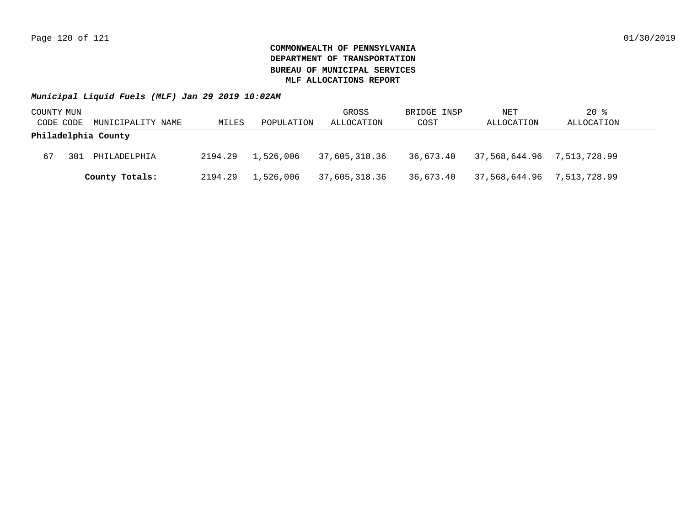| COUNTY MUN |     |                     |         |            | GROSS         | BRIDGE INSP | NET                        | $20$ %     |
|------------|-----|---------------------|---------|------------|---------------|-------------|----------------------------|------------|
| CODE CODE  |     | MUNICIPALITY NAME   | MILES   | POPULATION | ALLOCATION    | COST        | ALLOCATION                 | ALLOCATION |
|            |     | Philadelphia County |         |            |               |             |                            |            |
| 67         | 301 | PHILADELPHIA        | 2194.29 | 1,526,006  | 37,605,318.36 | 36,673.40   | 37,568,644.96 7,513,728.99 |            |
|            |     | County Totals:      | 2194.29 | 1,526,006  | 37,605,318.36 | 36,673.40   | 37,568,644.96 7,513,728.99 |            |